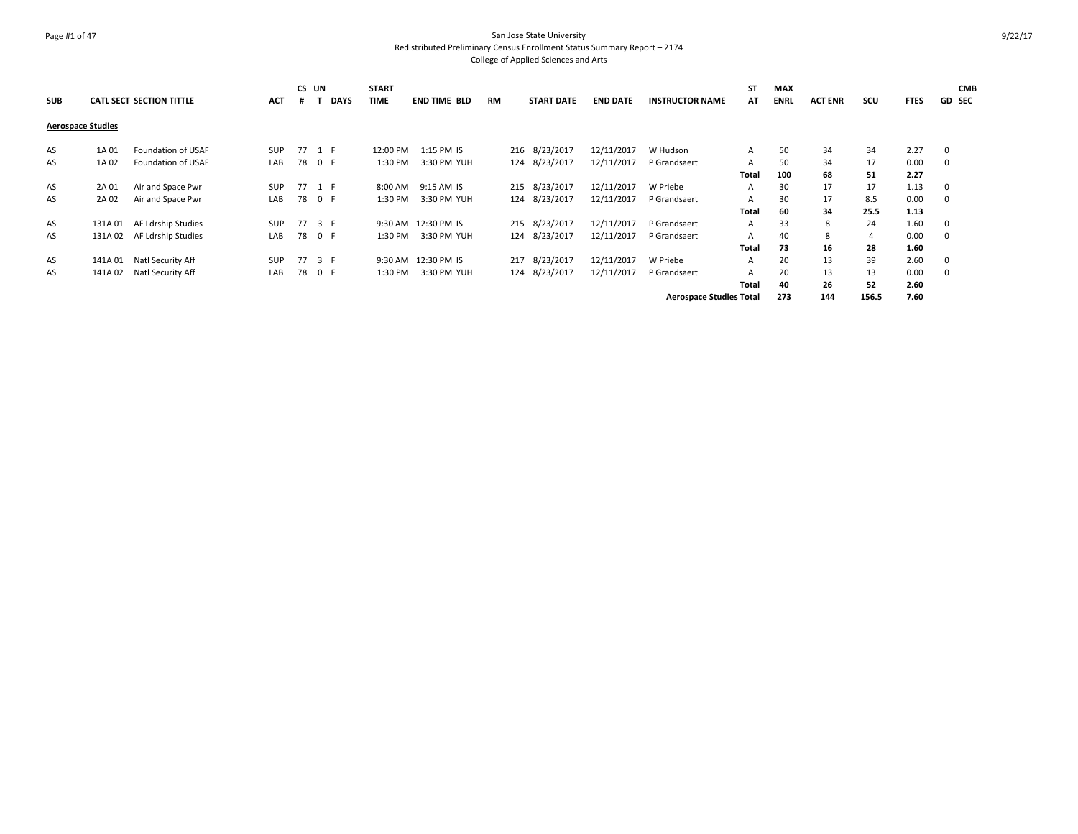### Page #1 of 47 San Jose State University Redistributed Preliminary Census Enrollment Status Summary Report – 2174 College of Applied Sciences and Arts

| <b>SUB</b>               |         | <b>CATL SECT SECTION TITTLE</b> | <b>ACT</b> | <b>CS</b><br># | UN<br><b>DAYS</b> | <b>START</b><br><b>TIME</b> | <b>END TIME BLD</b> | RM |     | <b>START DATE</b> | <b>END DATE</b> | <b>INSTRUCTOR NAME</b>         | <b>ST</b><br>AT | <b>MAX</b><br><b>ENRL</b> | <b>ACT ENR</b> | scu   | <b>FTES</b> | <b>CMB</b><br><b>GD SEC</b> |
|--------------------------|---------|---------------------------------|------------|----------------|-------------------|-----------------------------|---------------------|----|-----|-------------------|-----------------|--------------------------------|-----------------|---------------------------|----------------|-------|-------------|-----------------------------|
| <b>Aerospace Studies</b> |         |                                 |            |                |                   |                             |                     |    |     |                   |                 |                                |                 |                           |                |       |             |                             |
| AS                       | 1A 01   | Foundation of USAF              | <b>SUP</b> |                | 77 1 F            | 12:00 PM                    | 1:15 PM IS          |    |     | 216 8/23/2017     | 12/11/2017      | W Hudson                       | $\mathsf{A}$    | 50                        | 34             | 34    | 2.27        | 0                           |
| AS                       | 1A 02   | Foundation of USAF              | LAB        |                | 78 0 F            | 1:30 PM                     | 3:30 PM YUH         |    |     | 124 8/23/2017     | 12/11/2017      | P Grandsaert                   | A               | 50                        | 34             | 17    | 0.00        | 0                           |
|                          |         |                                 |            |                |                   |                             |                     |    |     |                   |                 |                                | Total           | 100                       | 68             | 51    | 2.27        |                             |
| AS                       | 2A 01   | Air and Space Pwr               | <b>SUP</b> |                | 77 1 F            | 8:00 AM                     | 9:15 AM IS          |    |     | 215 8/23/2017     | 12/11/2017      | W Priebe                       | $\mathsf{A}$    | 30                        | 17             | 17    | 1.13        | $\mathbf 0$                 |
| AS                       | 2A 02   | Air and Space Pwr               | LAB        |                | 78 0 F            | 1:30 PM                     | 3:30 PM YUH         |    |     | 124 8/23/2017     | 12/11/2017      | P Grandsaert                   | $\mathsf{A}$    | 30                        | 17             | 8.5   | 0.00        | 0                           |
|                          |         |                                 |            |                |                   |                             |                     |    |     |                   |                 |                                | Total           | 60                        | 34             | 25.5  | 1.13        |                             |
| AS                       | 131A 01 | AF Ldrship Studies              | <b>SUP</b> |                | 77 3 F            |                             | 9:30 AM 12:30 PM IS |    |     | 215 8/23/2017     | 12/11/2017      | P Grandsaert                   | $\mathsf{A}$    | 33                        | 8              | 24    | 1.60        | $\mathbf 0$                 |
| AS                       | 131A 02 | AF Ldrship Studies              | LAB        |                | 78 0 F            | 1:30 PM                     | 3:30 PM YUH         |    |     | 124 8/23/2017     | 12/11/2017      | P Grandsaert                   | $\mathsf{A}$    | 40                        | 8              | 4     | 0.00        | 0                           |
|                          |         |                                 |            |                |                   |                             |                     |    |     |                   |                 |                                | Total           | 73                        | 16             | 28    | 1.60        |                             |
| AS                       | 141A 01 | Natl Security Aff               | <b>SUP</b> |                | 77 3 F            |                             | 9:30 AM 12:30 PM IS |    |     | 217 8/23/2017     | 12/11/2017      | W Priebe                       | A               | 20                        | 13             | 39    | 2.60        | 0                           |
| AS                       | 141A 02 | Natl Security Aff               | LAB        | 78             | 0 F               | 1:30 PM                     | 3:30 PM YUH         |    | 124 | 8/23/2017         | 12/11/2017      | P Grandsaert                   | $\mathsf{A}$    | 20                        | 13             | 13    | 0.00        | 0                           |
|                          |         |                                 |            |                |                   |                             |                     |    |     |                   |                 |                                | Total           | 40                        | 26             | 52    | 2.60        |                             |
|                          |         |                                 |            |                |                   |                             |                     |    |     |                   |                 | <b>Aerospace Studies Total</b> |                 | 273                       | 144            | 156.5 | 7.60        |                             |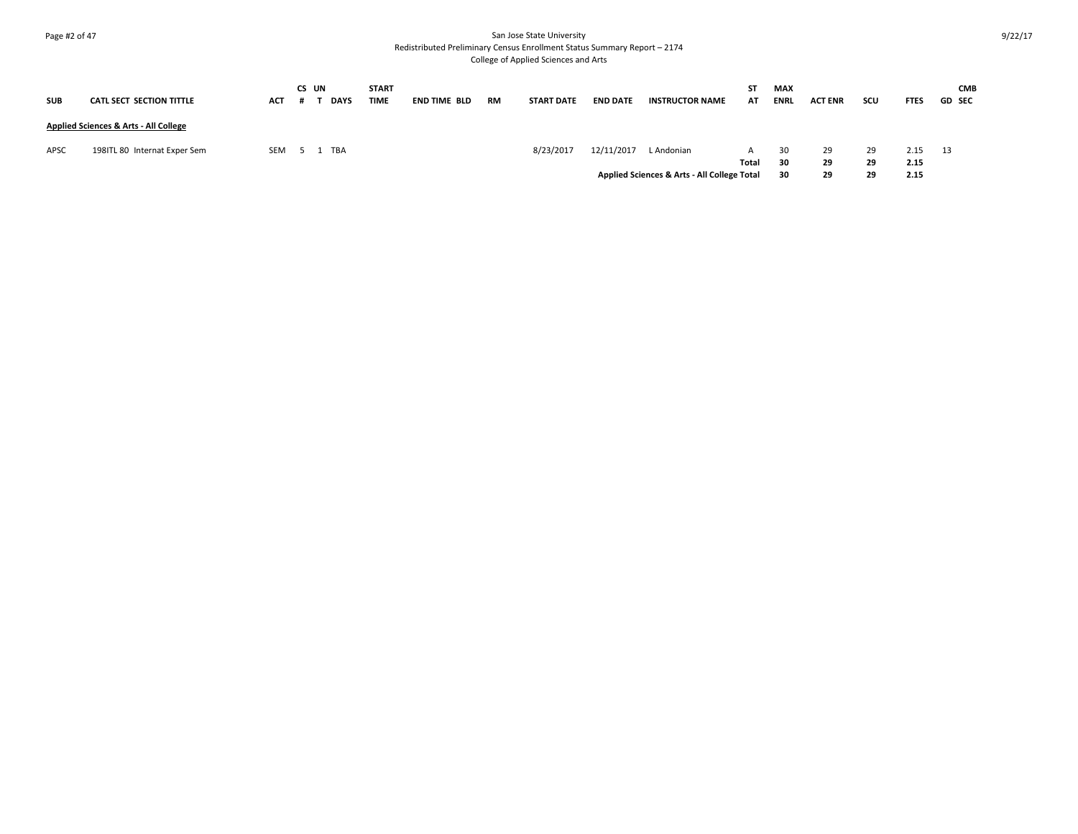# Page #2 of 47 San Jose State University Redistributed Preliminary Census Enrollment Status Summary Report – 2174

College of Applied Sciences and Arts

| <b>SUB</b> | <b>CATL SECT SECTION TITTLE</b>                  | <b>ACT</b> | CS UN | <b>DAYS</b> | <b>START</b><br><b>TIME</b> | <b>END TIME BLD</b> | <b>RM</b> | <b>START DATE</b> | <b>END DATE</b> | <b>INSTRUCTOR NAME</b>                      | ST<br>AT | <b>MAX</b><br><b>ENRL</b> | <b>ACT ENR</b> | SCU | <b>FTES</b> | <b>CMB</b><br><b>GD SEC</b> |
|------------|--------------------------------------------------|------------|-------|-------------|-----------------------------|---------------------|-----------|-------------------|-----------------|---------------------------------------------|----------|---------------------------|----------------|-----|-------------|-----------------------------|
|            | <b>Applied Sciences &amp; Arts - All College</b> |            |       |             |                             |                     |           |                   |                 |                                             |          |                           |                |     |             |                             |
| APSC       | 198ITL 80 Internat Exper Sem                     | <b>SEM</b> | 51    | TBA         |                             |                     |           | 8/23/2017         | 12/11/2017      | L Andonian                                  |          | 30                        | 29             | 29  | 2.15        | 13                          |
|            |                                                  |            |       |             |                             |                     |           |                   |                 |                                             | Total    | 30                        | 29             | 29  | 2.15        |                             |
|            |                                                  |            |       |             |                             |                     |           |                   |                 | Applied Sciences & Arts - All College Total |          | 30                        | 29             | 29  | 2.15        |                             |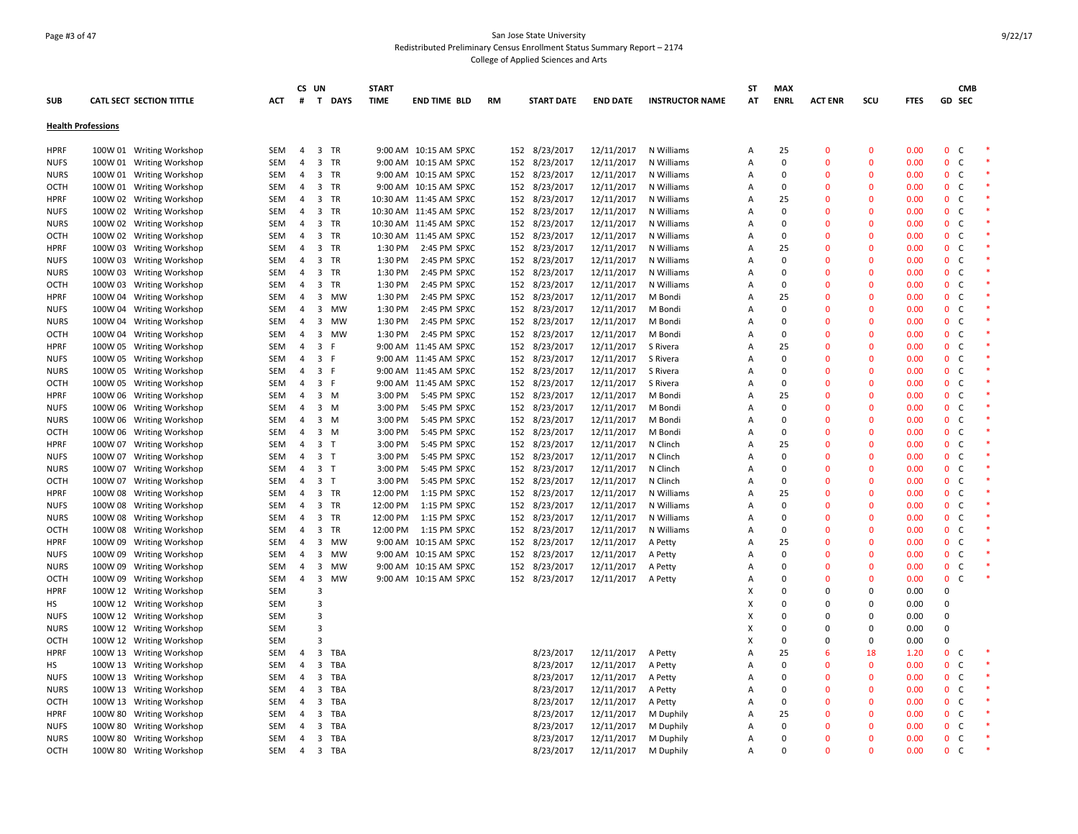### Page #3 of 47 San Jose State University Redistributed Preliminary Census Enrollment Status Summary Report – 2174 College of Applied Sciences and Arts

|                           |                                 |            | CS UN          |                         |                | <b>START</b> |                        |           |                   |                 |                        | ST             | <b>MAX</b>  |                |                |             |                              | <b>CMB</b> |  |
|---------------------------|---------------------------------|------------|----------------|-------------------------|----------------|--------------|------------------------|-----------|-------------------|-----------------|------------------------|----------------|-------------|----------------|----------------|-------------|------------------------------|------------|--|
| <b>SUB</b>                | <b>CATL SECT SECTION TITTLE</b> | ACT        | #              |                         | T DAYS         | <b>TIME</b>  | <b>END TIME BLD</b>    | <b>RM</b> | <b>START DATE</b> | <b>END DATE</b> | <b>INSTRUCTOR NAME</b> | AT             | <b>ENRL</b> | <b>ACT ENR</b> | scu            | <b>FTES</b> | GD SEC                       |            |  |
|                           |                                 |            |                |                         |                |              |                        |           |                   |                 |                        |                |             |                |                |             |                              |            |  |
| <b>Health Professions</b> |                                 |            |                |                         |                |              |                        |           |                   |                 |                        |                |             |                |                |             |                              |            |  |
| <b>HPRF</b>               | 100W 01 Writing Workshop        | SEM        | $\overline{4}$ | 3 TR                    |                |              | 9:00 AM 10:15 AM SPXC  |           | 152 8/23/2017     | 12/11/2017      | N Williams             | Α              | 25          | 0              | $\mathbf 0$    | 0.00        | $\mathbf{0}$<br>C            |            |  |
| <b>NUFS</b>               | 100W 01 Writing Workshop        | SEM        | $\overline{4}$ | $\overline{\mathbf{3}}$ | TR             |              | 9:00 AM 10:15 AM SPXC  | 152       | 8/23/2017         | 12/11/2017      | N Williams             | Α              | $\mathbf 0$ | $\overline{0}$ | $\mathbf 0$    | 0.00        | $\mathbf{0}$<br>C            |            |  |
| <b>NURS</b>               | 100W 01 Writing Workshop        | <b>SEM</b> | $\overline{4}$ | $\overline{\mathbf{3}}$ | <b>TR</b>      |              | 9:00 AM 10:15 AM SPXC  |           | 152 8/23/2017     | 12/11/2017      | N Williams             | $\overline{A}$ | $\mathbf 0$ | $\Omega$       | $\mathbf{0}$   | 0.00        | $\mathbf{0}$<br><sub>c</sub> |            |  |
| OCTH                      | 100W 01 Writing Workshop        | SEM        | $\overline{4}$ | $\overline{\mathbf{3}}$ | TR             |              | 9:00 AM 10:15 AM SPXC  |           | 152 8/23/2017     | 12/11/2017      | N Williams             | Α              | $\mathbf 0$ | $\Omega$       | $\mathbf{0}$   | 0.00        | $\mathbf{0}$<br>$\mathsf{C}$ |            |  |
| <b>HPRF</b>               | 100W 02 Writing Workshop        | SEM        | 4              | $\overline{\mathbf{3}}$ | TR             |              | 10:30 AM 11:45 AM SPXC |           | 152 8/23/2017     | 12/11/2017      | N Williams             | Α              | 25          | $\overline{0}$ | $\mathbf 0$    | 0.00        | 0 <sub>c</sub>               |            |  |
| <b>NUFS</b>               | 100W 02 Writing Workshop        | <b>SEM</b> | 4              | $\overline{\mathbf{3}}$ | <b>TR</b>      |              | 10:30 AM 11:45 AM SPXC |           | 152 8/23/2017     | 12/11/2017      | N Williams             | A              | $\Omega$    | $\Omega$       | $\mathbf{0}$   | 0.00        | $\mathbf{0}$<br>C            |            |  |
| <b>NURS</b>               | 100W 02 Writing Workshop        | SEM        | 4              | $\overline{\mathbf{3}}$ | TR             |              | 10:30 AM 11:45 AM SPXC |           | 152 8/23/2017     | 12/11/2017      | N Williams             | $\overline{A}$ | $\mathbf 0$ | $\overline{0}$ | $\mathbf{0}$   | 0.00        | $\mathbf{0}$<br>$\mathsf{C}$ |            |  |
| OCTH                      | 100W 02 Writing Workshop        | SEM        | 4              | $\overline{3}$          | TR             |              | 10:30 AM 11:45 AM SPXC |           | 152 8/23/2017     | 12/11/2017      | N Williams             | Α              | $\mathbf 0$ | $\Omega$       | $\mathbf{0}$   | 0.00        | $\mathbf{0}$<br>$\mathsf{C}$ |            |  |
| <b>HPRF</b>               | 100W 03 Writing Workshop        | SEM        | 4              | $\overline{\mathbf{3}}$ | TR             | 1:30 PM      | 2:45 PM SPXC           |           | 152 8/23/2017     | 12/11/2017      | N Williams             | Α              | 25          | $\Omega$       | $\mathbf{0}$   | 0.00        | $\mathbf{0}$<br>C            |            |  |
| <b>NUFS</b>               | 100W 03 Writing Workshop        | SEM        | 4              | 3                       | <b>TR</b>      | 1:30 PM      | 2:45 PM SPXC           |           | 152 8/23/2017     | 12/11/2017      | N Williams             | $\overline{A}$ | $\mathbf 0$ | $\Omega$       | $\mathbf 0$    | 0.00        | $\mathbf{0}$<br>$\mathsf{C}$ |            |  |
| <b>NURS</b>               | 100W 03 Writing Workshop        | SEM        | $\overline{4}$ | $\overline{\mathbf{3}}$ | TR             | 1:30 PM      | 2:45 PM SPXC           |           | 152 8/23/2017     | 12/11/2017      | N Williams             | A              | 0           | $\Omega$       | $\Omega$       | 0.00        | $\mathbf{0}$<br>C            |            |  |
| OCTH                      | 100W 03 Writing Workshop        | SEM        | 4              | $\overline{\mathbf{3}}$ | TR             | 1:30 PM      | 2:45 PM SPXC           |           | 152 8/23/2017     | 12/11/2017      | N Williams             | $\overline{A}$ | $\mathbf 0$ | $\Omega$       | $\mathbf{0}$   | 0.00        | $\mathbf{0}$<br>C            |            |  |
| <b>HPRF</b>               | 100W 04 Writing Workshop        | SEM        | 4              | $\overline{\mathbf{3}}$ | MW             | 1:30 PM      | 2:45 PM SPXC           |           | 152 8/23/2017     | 12/11/2017      | M Bondi                | Α              | 25          | $\Omega$       | $\mathbf 0$    | 0.00        | $\mathbf{0}$<br>$\mathsf{C}$ |            |  |
| <b>NUFS</b>               |                                 | SEM        |                | $\overline{\mathbf{3}}$ | MW             | 1:30 PM      | 2:45 PM SPXC           |           | 152 8/23/2017     | 12/11/2017      | M Bondi                | $\overline{A}$ | $\mathbf 0$ | $\Omega$       | $\mathbf{0}$   | 0.00        | 0 <sub>c</sub>               |            |  |
|                           | 100W 04 Writing Workshop        |            | 4              |                         |                |              |                        |           |                   |                 |                        |                | $\mathbf 0$ | $\Omega$       | $\mathbf{0}$   |             | $\mathbf{0}$                 |            |  |
| <b>NURS</b>               | 100W 04 Writing Workshop        | SEM        | 4              | 3                       | MW             | 1:30 PM      | 2:45 PM SPXC           | 152       | 8/23/2017         | 12/11/2017      | M Bondi                | Α              |             |                |                | 0.00        | C                            |            |  |
| <b>OCTH</b>               | 100W 04 Writing Workshop        | SEM        | $\overline{4}$ | 3                       | <b>MW</b><br>F | 1:30 PM      | 2:45 PM SPXC           |           | 152 8/23/2017     | 12/11/2017      | M Bondi                | $\overline{A}$ | $\Omega$    | $\Omega$       | $\mathbf{0}$   | 0.00        | $\mathbf{0}$<br>C            |            |  |
| <b>HPRF</b>               | 100W 05 Writing Workshop        | SEM        | 4              | $\overline{3}$          |                |              | 9:00 AM 11:45 AM SPXC  |           | 152 8/23/2017     | 12/11/2017      | S Rivera               | $\overline{A}$ | 25          | $\Omega$       | $\mathbf 0$    | 0.00        | $\mathbf{0}$<br>$\mathsf{C}$ |            |  |
| <b>NUFS</b>               | 100W 05 Writing Workshop        | SEM        | $\overline{4}$ | 3 F                     |                |              | 9:00 AM 11:45 AM SPXC  |           | 152 8/23/2017     | 12/11/2017      | S Rivera               | A              | $\Omega$    | $\Omega$       | $\Omega$       | 0.00        | $\mathbf 0$<br>C             |            |  |
| <b>NURS</b>               | 100W 05 Writing Workshop        | SEM        | 4              | 3 F                     |                |              | 9:00 AM 11:45 AM SPXC  |           | 152 8/23/2017     | 12/11/2017      | S Rivera               | $\overline{A}$ | $\mathbf 0$ | $\Omega$       | $\mathbf{0}$   | 0.00        | $0-$                         |            |  |
| OCTH                      | 100W 05 Writing Workshop        | SEM        | 4              | 3 F                     |                |              | 9:00 AM 11:45 AM SPXC  |           | 152 8/23/2017     | 12/11/2017      | S Rivera               | $\overline{A}$ | $\Omega$    | $\Omega$       | $\mathbf 0$    | 0.00        | $\mathbf{0}$<br>$\mathsf{C}$ |            |  |
| <b>HPRF</b>               | 100W 06 Writing Workshop        | SEM        | 4              | $3 \, M$                |                | 3:00 PM      | 5:45 PM SPXC           |           | 152 8/23/2017     | 12/11/2017      | M Bondi                | $\overline{A}$ | 25          | $\Omega$       | $\mathbf{0}$   | 0.00        | $\mathbf{0}$<br>$\mathsf{C}$ |            |  |
| <b>NUFS</b>               | 100W 06 Writing Workshop        | SEM        | 4              | $3 \, M$                |                | 3:00 PM      | 5:45 PM SPXC           | 152       | 8/23/2017         | 12/11/2017      | M Bondi                | $\overline{A}$ | $\mathbf 0$ | $\Omega$       | $\mathbf{0}$   | 0.00        | 0 <sub>c</sub>               |            |  |
| <b>NURS</b>               | 100W 06 Writing Workshop        | SEM        | 4              | $3 \, M$                |                | 3:00 PM      | 5:45 PM SPXC           |           | 152 8/23/2017     | 12/11/2017      | M Bondi                | $\overline{A}$ | $\Omega$    | $\overline{0}$ | $\mathbf{0}$   | 0.00        | $\mathbf{0}$<br>$\mathsf{C}$ |            |  |
| OCTH                      | 100W 06 Writing Workshop        | SEM        | 4              | $3 \, M$                |                | 3:00 PM      | 5:45 PM SPXC           |           | 152 8/23/2017     | 12/11/2017      | M Bondi                | $\overline{A}$ | $\mathbf 0$ | $\Omega$       | $\mathbf{0}$   | 0.00        | $\mathbf{0}$<br>C            |            |  |
| <b>HPRF</b>               | 100W 07 Writing Workshop        | SEM        | $\overline{4}$ | 3 <sub>1</sub>          |                | 3:00 PM      | 5:45 PM SPXC           |           | 152 8/23/2017     | 12/11/2017      | N Clinch               | A              | 25          | $\Omega$       | $\Omega$       | 0.00        | $\overline{0}$<br>C          |            |  |
| <b>NUFS</b>               | 100W 07 Writing Workshop        | SEM        | 4              | 3 <sub>1</sub>          |                | 3:00 PM      | 5:45 PM SPXC           |           | 152 8/23/2017     | 12/11/2017      | N Clinch               | Α              | $\mathbf 0$ | $\overline{0}$ | $\mathbf{0}$   | 0.00        | $\mathbf{0}$<br>$\mathsf{C}$ |            |  |
| <b>NURS</b>               | 100W 07 Writing Workshop        | SEM        | 4              | 3 <sub>1</sub>          |                | 3:00 PM      | 5:45 PM SPXC           |           | 152 8/23/2017     | 12/11/2017      | N Clinch               | $\overline{A}$ | $\Omega$    | $\Omega$       | $\mathbf 0$    | 0.00        | $\mathbf{0}$<br>C            |            |  |
| OCTH                      | 100W 07 Writing Workshop        | SEM        | $\overline{4}$ | 3 <sub>7</sub>          |                | 3:00 PM      | 5:45 PM SPXC           |           | 152 8/23/2017     | 12/11/2017      | N Clinch               | $\overline{A}$ | $\Omega$    | $\Omega$       | $\mathbf{0}$   | 0.00        | $0-$                         |            |  |
| <b>HPRF</b>               | 100W 08 Writing Workshop        | SEM        | 4              | $\overline{\mathbf{3}}$ | TR             | 12:00 PM     | 1:15 PM SPXC           | 152       | 8/23/2017         | 12/11/2017      | N Williams             | Α              | 25          | $\Omega$       | $\mathbf 0$    | 0.00        | $\mathbf{0}$<br>C            |            |  |
| <b>NUFS</b>               | 100W 08 Writing Workshop        | SEM        | 4              | 3                       | TR             | 12:00 PM     | 1:15 PM SPXC           |           | 152 8/23/2017     | 12/11/2017      | N Williams             | $\overline{A}$ | $\mathbf 0$ | $\Omega$       | $\mathbf{0}$   | 0.00        | $\mathbf{0}$<br>C            |            |  |
| <b>NURS</b>               | 100W 08 Writing Workshop        | SEM        | 4              | $\overline{\mathbf{3}}$ | TR             | 12:00 PM     | 1:15 PM SPXC           |           | 152 8/23/2017     | 12/11/2017      | N Williams             | $\overline{A}$ | $\mathbf 0$ | $\Omega$       | $\mathbf{0}$   | 0.00        | $\mathbf{0}$<br>$\mathsf{C}$ |            |  |
| <b>OCTH</b>               | 100W 08 Writing Workshop        | SEM        | $\overline{4}$ | 3                       | <b>TR</b>      | 12:00 PM     | 1:15 PM SPXC           |           | 152 8/23/2017     | 12/11/2017      | N Williams             | $\overline{A}$ | $\Omega$    | $\Omega$       | $\mathbf{0}$   | 0.00        | $\mathbf{0}$<br><sub>c</sub> |            |  |
| <b>HPRF</b>               | 100W 09 Writing Workshop        | SEM        | 4              | $\overline{\mathbf{3}}$ | MW             |              | 9:00 AM 10:15 AM SPXC  |           | 152 8/23/2017     | 12/11/2017      | A Petty                | Α              | 25          | 0              | $\mathbf 0$    | 0.00        | $0-$                         |            |  |
| <b>NUFS</b>               | 100W 09 Writing Workshop        | SEM        | 4              | 3                       | MW             |              | 9:00 AM 10:15 AM SPXC  |           | 152 8/23/2017     | 12/11/2017      | A Petty                | $\overline{A}$ | $\mathbf 0$ | $\Omega$       | $\mathbf{0}$   | 0.00        | $\mathbf{0}$<br>$\mathsf{C}$ |            |  |
| <b>NURS</b>               | 100W 09 Writing Workshop        | SEM        | $\overline{4}$ | $\overline{\mathbf{3}}$ | <b>MW</b>      |              | 9:00 AM 10:15 AM SPXC  |           | 152 8/23/2017     | 12/11/2017      | A Petty                | $\overline{A}$ | $\Omega$    | $\Omega$       | $\Omega$       | 0.00        | $\mathbf{0}$<br><sub>c</sub> |            |  |
| <b>OCTH</b>               | 100W 09 Writing Workshop        | SEM        | 4              | $\overline{\mathbf{3}}$ | <b>MW</b>      |              | 9:00 AM 10:15 AM SPXC  |           | 152 8/23/2017     | 12/11/2017      | A Petty                | $\overline{A}$ | 0           | $\overline{0}$ | $\mathbf 0$    | 0.00        | $\mathbf{0}$<br><sub>c</sub> |            |  |
| <b>HPRF</b>               | 100W 12 Writing Workshop        | SEM        |                | $\overline{3}$          |                |              |                        |           |                   |                 |                        | X              | $\Omega$    | $\Omega$       | $\Omega$       | 0.00        | $\Omega$                     |            |  |
| HS                        | 100W 12 Writing Workshop        | <b>SEM</b> |                | 3                       |                |              |                        |           |                   |                 |                        | X              | $\Omega$    | $\Omega$       | $\mathbf 0$    | 0.00        | $\Omega$                     |            |  |
| <b>NUFS</b>               | 100W 12 Writing Workshop        | SEM        |                | 3                       |                |              |                        |           |                   |                 |                        | X              | $\mathbf 0$ | 0              | $\overline{0}$ | 0.00        | $\mathbf 0$                  |            |  |
| <b>NURS</b>               | 100W 12 Writing Workshop        | <b>SEM</b> |                | 3                       |                |              |                        |           |                   |                 |                        | Χ              | $\Omega$    | 0              | $\Omega$       | 0.00        | $\mathbf 0$                  |            |  |
| OCTH                      | 100W 12 Writing Workshop        | <b>SEM</b> |                | $\overline{3}$          |                |              |                        |           |                   |                 |                        | X              | $\mathbf 0$ | $\Omega$       | $\mathbf 0$    | 0.00        | $\mathbf 0$                  |            |  |
| <b>HPRF</b>               | 100W 13 Writing Workshop        | SEM        | $\overline{4}$ | $\overline{\mathbf{3}}$ | TBA            |              |                        |           | 8/23/2017         | 12/11/2017      | A Petty                | Α              | 25          | 6              | 18             | 1.20        | $\mathbf{0}$<br>C            |            |  |
| нs                        | 100W 13 Writing Workshop        | <b>SEM</b> | 4              | 3                       | <b>TBA</b>     |              |                        |           | 8/23/2017         | 12/11/2017      | A Petty                | $\overline{A}$ | 0           | $\overline{0}$ | $\mathbf 0$    | 0.00        | $\mathbf{0}$<br>C            |            |  |
| <b>NUFS</b>               | 100W 13 Writing Workshop        | SEM        | 4              | 3                       | <b>TBA</b>     |              |                        |           | 8/23/2017         | 12/11/2017      | A Petty                | $\overline{A}$ | $\Omega$    | $\Omega$       | $\mathbf{0}$   | 0.00        | $\mathbf{0}$<br>C            |            |  |
| <b>NURS</b>               | 100W 13 Writing Workshop        | SEM        | 4              | $\overline{\mathbf{3}}$ | TBA            |              |                        |           | 8/23/2017         | 12/11/2017      | A Petty                | $\overline{A}$ | $\Omega$    | $\Omega$       | $\mathbf 0$    | 0.00        | $\mathbf{0}$<br>$\mathsf{C}$ |            |  |
| OCTH                      | 100W 13 Writing Workshop        | SEM        | 4              | 3                       | TBA            |              |                        |           | 8/23/2017         | 12/11/2017      | A Petty                | Α              | 0           | $\Omega$       | $\mathbf{0}$   | 0.00        | $\mathbf 0$<br>C             |            |  |
| <b>HPRF</b>               | 100W 80 Writing Workshop        | SEM        | 4              | 3                       | <b>TBA</b>     |              |                        |           | 8/23/2017         | 12/11/2017      | M Duphily              | Α              | 25          | 0              | $\mathbf{0}$   | 0.00        | 0 <sub>c</sub>               |            |  |
| <b>NUFS</b>               | 100W 80 Writing Workshop        | <b>SEM</b> | 4              | 3                       | TBA            |              |                        |           | 8/23/2017         | 12/11/2017      | M Duphily              | $\overline{A}$ | $\mathbf 0$ | $\Omega$       | $\mathbf{0}$   | 0.00        | $\mathbf{0}$<br>$\mathsf{C}$ |            |  |
| <b>NURS</b>               | 100W 80 Writing Workshop        | SEM        | 4              | $\overline{\mathbf{3}}$ | <b>TBA</b>     |              |                        |           | 8/23/2017         | 12/11/2017      | M Duphily              | Α              | $\Omega$    | $\Omega$       | $\Omega$       | 0.00        | $\mathbf 0$<br>C             |            |  |
| OCTH                      | 100W 80 Writing Workshop        | SEM        | $\overline{4}$ | $\overline{\mathbf{3}}$ | TBA            |              |                        |           | 8/23/2017         | 12/11/2017      | M Duphily              | $\overline{A}$ | $\Omega$    | $\Omega$       | $\Omega$       | 0.00        | $\mathbf{0}$<br><sub>c</sub> |            |  |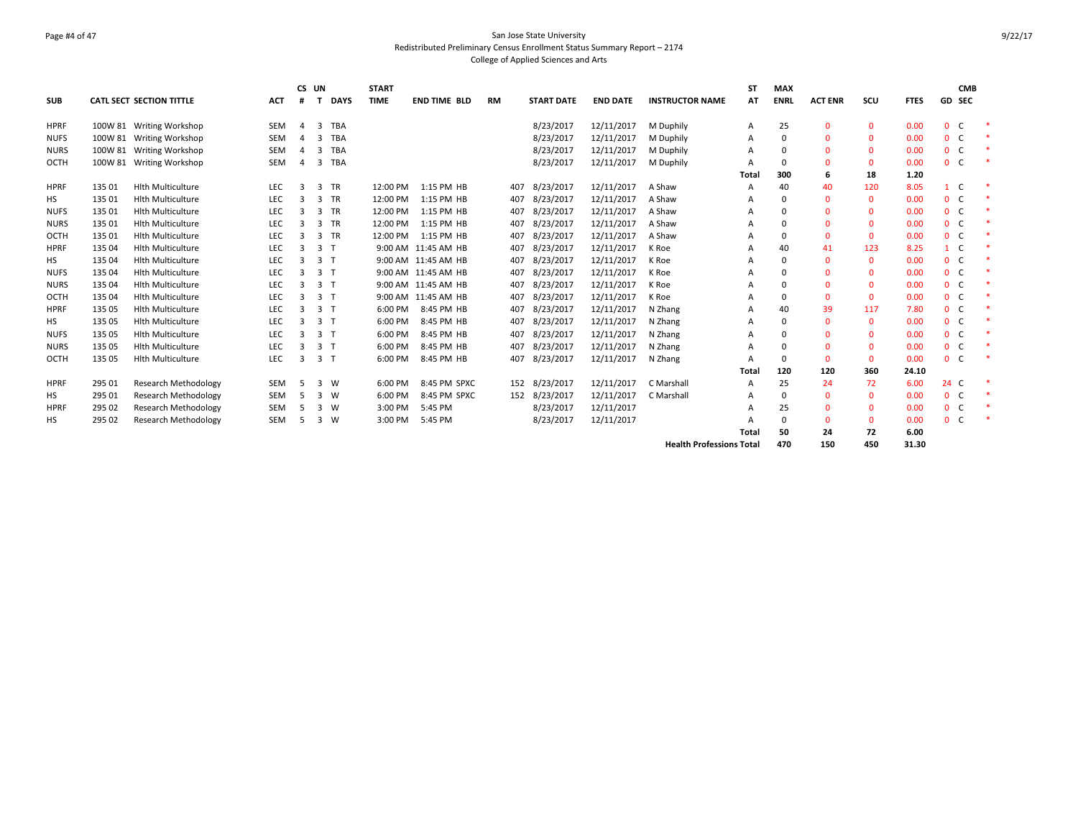# Page #4 of 47 San Jose State University Redistributed Preliminary Census Enrollment Status Summary Report – 2174 College of Applied Sciences and Arts

| <b>SUB</b>  |         | CATL SECT SECTION TITTLE    | <b>ACT</b> | CS UN<br># | т              | <b>DAYS</b> | <b>START</b><br><b>TIME</b> | <b>END TIME BLD</b> | <b>RM</b> | <b>START DATE</b> | <b>END DATE</b> | <b>INSTRUCTOR NAME</b>          | <b>ST</b><br>AT | <b>MAX</b><br><b>ENRL</b> | <b>ACT ENR</b> | scu          | <b>FTES</b> | <b>GD SEC</b>                | <b>CMB</b> |
|-------------|---------|-----------------------------|------------|------------|----------------|-------------|-----------------------------|---------------------|-----------|-------------------|-----------------|---------------------------------|-----------------|---------------------------|----------------|--------------|-------------|------------------------------|------------|
|             |         |                             |            |            |                |             |                             |                     |           |                   |                 |                                 |                 |                           |                |              |             |                              |            |
| <b>HPRF</b> |         | 100W 81 Writing Workshop    | <b>SEM</b> | 4          | 3              | <b>TBA</b>  |                             |                     |           | 8/23/2017         | 12/11/2017      | M Duphily                       | $\overline{A}$  | 25                        | $\Omega$       | $\Omega$     | 0.00        | $\mathbf{0}$<br><sub>c</sub> |            |
| <b>NUFS</b> | 100W 81 | <b>Writing Workshop</b>     | <b>SEM</b> | 4          | 3              | <b>TBA</b>  |                             |                     |           | 8/23/2017         | 12/11/2017      | M Duphily                       | A               | $\mathbf 0$               | $\Omega$       | $\Omega$     | 0.00        | 0 <sub>c</sub>               |            |
| <b>NURS</b> | 100W 81 | <b>Writing Workshop</b>     | <b>SEM</b> |            | 3              | <b>TBA</b>  |                             |                     |           | 8/23/2017         | 12/11/2017      | M Duphily                       | A               | 0                         | $\Omega$       | $\Omega$     | 0.00        | $0-$                         |            |
| OCTH        |         | 100W 81 Writing Workshop    | <b>SEM</b> |            | 3              | <b>TBA</b>  |                             |                     |           | 8/23/2017         | 12/11/2017      | M Duphily                       |                 | $\mathbf 0$               | $\Omega$       | $\Omega$     | 0.00        | 0 <sub>c</sub>               |            |
|             |         |                             |            |            |                |             |                             |                     |           |                   |                 |                                 | <b>Total</b>    | 300                       | 6              | 18           | 1.20        |                              |            |
| <b>HPRF</b> | 135 01  | <b>Hith Multiculture</b>    | <b>LEC</b> | 3          | 3              | <b>TR</b>   | 12:00 PM                    | 1:15 PM HB          | 407       | 8/23/2017         | 12/11/2017      | A Shaw                          | A               | 40                        | 40             | 120          | 8.05        | $\mathbf{1}$                 |            |
| HS          | 135 01  | <b>Hith Multiculture</b>    | LEC        | 3          | $\overline{3}$ | <b>TR</b>   | 12:00 PM                    | 1:15 PM HB          | 407       | 8/23/2017         | 12/11/2017      | A Shaw                          | A               | 0                         | $\Omega$       | $\mathbf{0}$ | 0.00        | $\mathbf{0}$<br>C.           |            |
| <b>NUFS</b> | 135 01  | <b>Hith Multiculture</b>    | LEC        | 3          | 3              | <b>TR</b>   | 12:00 PM                    | 1:15 PM HB          | 407       | 8/23/2017         | 12/11/2017      | A Shaw                          |                 | 0                         | $\Omega$       | $\mathbf{0}$ | 0.00        | $0-$                         |            |
| <b>NURS</b> | 135 01  | <b>Hith Multiculture</b>    | LEC        | 3          | $\overline{3}$ | <b>TR</b>   | 12:00 PM                    | 1:15 PM HB          | 407       | 8/23/2017         | 12/11/2017      | A Shaw                          |                 | $\Omega$                  | $\Omega$       | $\Omega$     | 0.00        | $0-$                         |            |
| OCTH        | 135 01  | <b>Hith Multiculture</b>    | LEC        | 3          | $\overline{3}$ | <b>TR</b>   | 12:00 PM                    | 1:15 PM HB          | 407       | 8/23/2017         | 12/11/2017      | A Shaw                          |                 | $\mathbf 0$               | $\Omega$       | $\mathbf{0}$ | 0.00        | $0-$                         |            |
| <b>HPRF</b> | 135 04  | <b>Hith Multiculture</b>    | <b>LEC</b> | 3          | 3 <sub>1</sub> |             |                             | 9:00 AM 11:45 AM HB | 407       | 8/23/2017         | 12/11/2017      | K Roe                           |                 | 40                        | 41             | 123          | 8.25        | $\mathbf{1}$<br>C.           |            |
| HS          | 135 04  | <b>Hith Multiculture</b>    | LEC        | 3          | 3 <sub>1</sub> |             |                             | 9:00 AM 11:45 AM HB | 407       | 8/23/2017         | 12/11/2017      | K Roe                           |                 | $\Omega$                  | $\Omega$       | $\Omega$     | 0.00        | $0-$                         |            |
| <b>NUFS</b> | 135 04  | <b>Hith Multiculture</b>    | LEC        | з          | 3 <sub>1</sub> |             |                             | 9:00 AM 11:45 AM HB | 407       | 8/23/2017         | 12/11/2017      | K Roe                           | A               | $\Omega$                  | $\Omega$       | $\Omega$     | 0.00        | $0-$                         |            |
| <b>NURS</b> | 135 04  | <b>Hith Multiculture</b>    | LEC        | 3          | 3 <sub>1</sub> |             |                             | 9:00 AM 11:45 AM HB | 407       | 8/23/2017         | 12/11/2017      | K Roe                           |                 | $\Omega$                  | $\Omega$       | $\Omega$     | 0.00        | $0-$                         |            |
| <b>OCTH</b> | 135 04  | <b>Hith Multiculture</b>    | LEC        | 3          | 3 <sub>1</sub> |             |                             | 9:00 AM 11:45 AM HB | 407       | 8/23/2017         | 12/11/2017      | K Roe                           |                 | $\Omega$                  | $\Omega$       | $\Omega$     | 0.00        | 0 <sub>c</sub>               |            |
| <b>HPRF</b> | 135 05  | <b>Hith Multiculture</b>    | LEC        | 3          | 3 <sub>1</sub> |             | 6:00 PM                     | 8:45 PM HB          | 407       | 8/23/2017         | 12/11/2017      | N Zhang                         |                 | 40                        | 39             | 117          | 7.80        | 0 <sup>o</sup>               |            |
| HS          | 135 05  | <b>Hith Multiculture</b>    | LEC        | 3          | 3 <sub>1</sub> |             | 6:00 PM                     | 8:45 PM HB          | 407       | 8/23/2017         | 12/11/2017      | N Zhang                         | A               | $\Omega$                  | $\Omega$       | $\Omega$     | 0.00        | 0 <sub>c</sub>               |            |
| <b>NUFS</b> | 135 05  | <b>Hith Multiculture</b>    | LEC        | 3          | 3 <sub>1</sub> |             | 6:00 PM                     | 8:45 PM HB          | 407       | 8/23/2017         | 12/11/2017      | N Zhang                         |                 | 0                         | $\Omega$       | $\Omega$     | 0.00        | 0 <sup>o</sup>               |            |
| <b>NURS</b> | 135 05  | <b>Hith Multiculture</b>    | <b>LEC</b> | 3          | 3 <sub>1</sub> |             | 6:00 PM                     | 8:45 PM HB          | 407       | 8/23/2017         | 12/11/2017      | N Zhang                         |                 | 0                         | $\Omega$       | $\mathbf{0}$ | 0.00        | $0-$                         |            |
| OCTH        | 135 05  | <b>Hith Multiculture</b>    | LEC        | 3          | 3 <sub>1</sub> |             | 6:00 PM                     | 8:45 PM HB          | 407       | 8/23/2017         | 12/11/2017      | N Zhang                         | A               | $\mathbf 0$               | $\Omega$       | $\Omega$     | 0.00        | 0 <sup>o</sup>               |            |
|             |         |                             |            |            |                |             |                             |                     |           |                   |                 |                                 | <b>Total</b>    | 120                       | 120            | 360          | 24.10       |                              |            |
| <b>HPRF</b> | 295 01  | <b>Research Methodology</b> | <b>SEM</b> | 5          | $\overline{3}$ | W           | 6:00 PM                     | 8:45 PM SPXC        | 152       | 8/23/2017         | 12/11/2017      | C Marshall                      | $\mathsf{A}$    | 25                        | 24             | 72           | 6.00        | 24 C                         |            |
| HS          | 295 01  | <b>Research Methodology</b> | <b>SEM</b> | 5          | $\overline{3}$ | W           | 6:00 PM                     | 8:45 PM SPXC        | 152       | 8/23/2017         | 12/11/2017      | C Marshall                      | A               | $\mathbf 0$               | $\mathbf 0$    | $\mathbf{0}$ | 0.00        | $\mathbf{0}$<br>C.           |            |
| <b>HPRF</b> | 295 02  | Research Methodology        | <b>SEM</b> |            | 3              | W           | 3:00 PM                     | 5:45 PM             |           | 8/23/2017         | 12/11/2017      |                                 |                 | 25                        | $\Omega$       | $\Omega$     | 0.00        | $0-$                         |            |
| HS          | 295 02  | <b>Research Methodology</b> | <b>SEM</b> | 5          | 3              | W           | 3:00 PM                     | 5:45 PM             |           | 8/23/2017         | 12/11/2017      |                                 |                 | $\mathbf 0$               | $\Omega$       | $\Omega$     | 0.00        | $0-$                         |            |
|             |         |                             |            |            |                |             |                             |                     |           |                   |                 |                                 | Total           | 50                        | 24             | 72           | 6.00        |                              |            |
|             |         |                             |            |            |                |             |                             |                     |           |                   |                 | <b>Health Professions Total</b> |                 | 470                       | 150            | 450          | 31.30       |                              |            |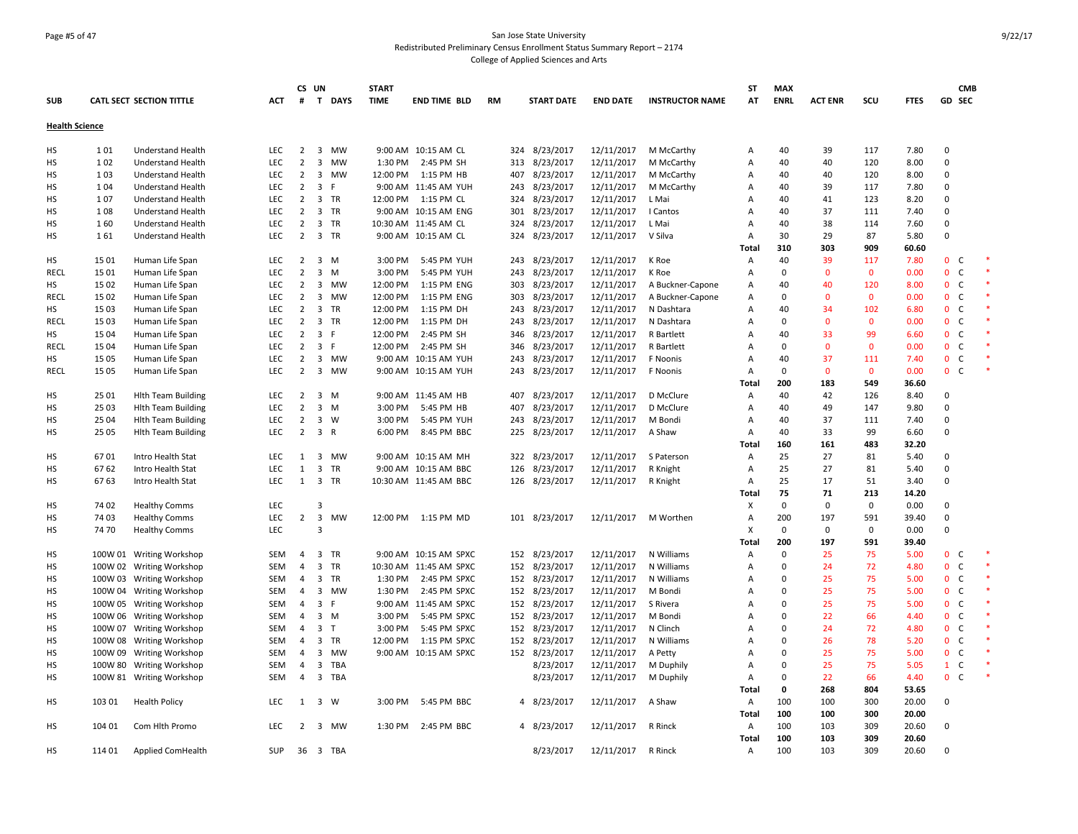### Page #5 of 47 San Jose State University Redistributed Preliminary Census Enrollment Status Summary Report – 2174 College of Applied Sciences and Arts

| <b>SUB</b>            |         | <b>CATL SECT SECTION TITTLE</b> | ACT        | #              | CS UN<br>$\mathbf{T}$   | DAYS         | <b>START</b><br><b>TIME</b> | <b>END TIME BLD</b>    | <b>RM</b> | <b>START DATE</b> | <b>END DATE</b> | <b>INSTRUCTOR NAME</b> | <b>ST</b><br>AT           | <b>MAX</b><br><b>ENRL</b> | <b>ACT ENR</b> | scu          | <b>FTES</b> | <b>CMB</b><br>GD SEC           |  |
|-----------------------|---------|---------------------------------|------------|----------------|-------------------------|--------------|-----------------------------|------------------------|-----------|-------------------|-----------------|------------------------|---------------------------|---------------------------|----------------|--------------|-------------|--------------------------------|--|
| <b>Health Science</b> |         |                                 |            |                |                         |              |                             |                        |           |                   |                 |                        |                           |                           |                |              |             |                                |  |
|                       |         |                                 |            |                |                         |              |                             |                        |           |                   |                 |                        |                           |                           |                |              |             |                                |  |
| HS                    | 101     | Understand Health               | <b>LEC</b> | 2              | $\overline{\mathbf{3}}$ | <b>MW</b>    |                             | 9:00 AM 10:15 AM CL    |           | 324 8/23/2017     | 12/11/2017      | M McCarthy             | Α                         | 40                        | 39             | 117          | 7.80        | $\Omega$                       |  |
| HS                    | 102     | <b>Understand Health</b>        | LEC        | $\overline{2}$ | $\overline{3}$          | <b>MW</b>    | 1:30 PM                     | 2:45 PM SH             | 313       | 8/23/2017         | 12/11/2017      | M McCarthy             | A                         | 40                        | 40             | 120          | 8.00        | $\Omega$                       |  |
| НS                    | 103     | Understand Health               | LEC        | $\overline{2}$ | 3                       | <b>MW</b>    | 12:00 PM                    | 1:15 PM HB             | 407       | 8/23/2017         | 12/11/2017      | M McCarthy             | Α                         | 40                        | 40             | 120          | 8.00        | $\Omega$                       |  |
| <b>HS</b>             | 104     | Understand Health               | LEC        | $\overline{2}$ | $\overline{3}$          | E            |                             | 9:00 AM 11:45 AM YUH   | 243       | 8/23/2017         | 12/11/2017      | M McCarthy             | $\overline{A}$            | 40                        | 39             | 117          | 7.80        | $\Omega$                       |  |
| HS                    | 107     | Understand Health               | LEC        | $\overline{2}$ | $\overline{\mathbf{3}}$ | <b>TR</b>    | 12:00 PM                    | 1:15 PM CL             | 324       | 8/23/2017         | 12/11/2017      | L Mai                  | $\overline{A}$            | 40                        | 41             | 123          | 8.20        | $\mathbf 0$                    |  |
| HS                    | 108     | Understand Health               | LEC        | $\overline{2}$ | $\overline{\mathbf{3}}$ | <b>TR</b>    |                             | 9:00 AM 10:15 AM ENG   | 301       | 8/23/2017         | 12/11/2017      | I Cantos               | Α                         | 40                        | 37             | 111          | 7.40        | $\mathbf 0$                    |  |
| HS                    | 160     | <b>Understand Health</b>        | LEC        | 2              | $\overline{\mathbf{3}}$ | TR           |                             | 10:30 AM 11:45 AM CL   | 324       | 8/23/2017         | 12/11/2017      | L Mai                  | A                         | 40                        | 38             | 114          | 7.60        | $\mathsf 0$                    |  |
| HS                    | 161     | Understand Health               | LEC        | 2              |                         | 3 TR         |                             | 9:00 AM 10:15 AM CL    |           | 324 8/23/2017     | 12/11/2017      | V Silva                | $\overline{A}$            | 30                        | 29             | 87           | 5.80        | $\mathbf 0$                    |  |
|                       |         |                                 |            |                |                         |              |                             |                        |           |                   |                 |                        | Total                     | 310                       | 303            | 909          | 60.60       |                                |  |
| HS                    | 15 01   | Human Life Span                 | LEC        | $\overline{2}$ | $\overline{\mathbf{3}}$ | M            | 3:00 PM                     | 5:45 PM YUH            | 243       | 8/23/2017         | 12/11/2017      | K Roe                  | A                         | 40                        | 39             | 117          | 7.80        | 0 <sub>c</sub>                 |  |
| RECL                  | 15 01   | Human Life Span                 | LEC        | $\overline{2}$ | $\overline{3}$          | M            | 3:00 PM                     | 5:45 PM YUH            | 243       | 8/23/2017         | 12/11/2017      | K Roe                  | $\overline{A}$            | $\mathbf 0$               | $\mathbf{0}$   | $\mathbf{0}$ | 0.00        | $\mathbf{0}$<br>C              |  |
| HS                    | 1502    | Human Life Span                 | <b>LEC</b> | $\overline{2}$ | $\overline{3}$          | <b>MW</b>    | 12:00 PM                    | 1:15 PM ENG            | 303       | 8/23/2017         | 12/11/2017      | A Buckner-Capone       | $\overline{A}$            | 40                        | 40             | 120          | 8.00        | $\mathbf{0}$<br><sub>c</sub>   |  |
| <b>RECL</b>           | 15 02   | Human Life Span                 | LEC        | $\overline{2}$ | $\overline{\mathbf{3}}$ | <b>MW</b>    | 12:00 PM                    | 1:15 PM ENG            | 303       | 8/23/2017         | 12/11/2017      | A Buckner-Capone       | $\overline{A}$            | $\mathbf 0$               | $\mathbf 0$    | $\mathbf{0}$ | 0.00        | 0 <sub>c</sub>                 |  |
| нs                    | 1503    | Human Life Span                 | <b>LEC</b> | $\overline{2}$ | 3                       | <b>TR</b>    | 12:00 PM                    | 1:15 PM DH             | 243       | 8/23/2017         | 12/11/2017      | N Dashtara             | Α                         | 40                        | 34             | 102          | 6.80        | $\mathbf{0}$<br>$\mathsf{C}$   |  |
| <b>RECL</b>           | 15 03   | Human Life Span                 | <b>LEC</b> | $\overline{2}$ | $\overline{3}$          | <b>TR</b>    | 12:00 PM                    | 1:15 PM DH             | 243       | 8/23/2017         | 12/11/2017      | N Dashtara             | $\overline{A}$            | $\Omega$                  | $\mathbf{0}$   | $\Omega$     | 0.00        | $\mathbf{0}$<br><sub>c</sub>   |  |
| <b>HS</b>             | 15 04   | Human Life Span                 | LEC        | 2              | 3 F                     |              | 12:00 PM                    | 2:45 PM SH             | 346       | 8/23/2017         | 12/11/2017      | R Bartlett             | $\overline{A}$            | 40                        | 33             | 99           | 6.60        | $0-$                           |  |
| <b>RECL</b>           | 15 04   | Human Life Span                 | <b>LEC</b> | $\overline{2}$ | $\overline{\mathbf{3}}$ | F            | 12:00 PM                    | 2:45 PM SH             | 346       | 8/23/2017         | 12/11/2017      | R Bartlett             | $\overline{A}$            | $\mathbf 0$               | $\Omega$       | $\mathbf{0}$ | 0.00        | $\overline{0}$<br><sub>c</sub> |  |
| НS                    | 15 05   | Human Life Span                 | LEC        | 2              | $\overline{\mathbf{3}}$ | MW           |                             | 9:00 AM 10:15 AM YUH   | 243       | 8/23/2017         | 12/11/2017      | F Noonis               | A                         | 40                        | 37             | 111          | 7.40        | $\mathbf{0}$<br>$\mathsf{C}$   |  |
| RECL                  | 15 05   | Human Life Span                 | <b>LEC</b> | $\overline{2}$ | $\overline{\mathbf{3}}$ | MW           |                             | 9:00 AM 10:15 AM YUH   | 243       | 8/23/2017         | 12/11/2017      | F Noonis               | Α                         | $\mathbf 0$               | $\mathbf{0}$   | $\mathbf 0$  | 0.00        | $0-$                           |  |
|                       |         |                                 |            |                |                         |              |                             |                        |           |                   |                 |                        | <b>Total</b>              | 200                       | 183            | 549          | 36.60       |                                |  |
| <b>HS</b>             | 25 01   | <b>Hlth Team Building</b>       | LEC        | $\overline{2}$ |                         | $3 \, M$     |                             | 9:00 AM 11:45 AM HB    | 407       | 8/23/2017         | 12/11/2017      | D McClure              | Α                         | 40                        | 42             | 126          | 8.40        | 0                              |  |
| нs                    | 25 03   | <b>Hlth Team Building</b>       | <b>LEC</b> | $\overline{2}$ | $\overline{3}$          | M            | 3:00 PM                     | 5:45 PM HB             | 407       | 8/23/2017         | 12/11/2017      | D McClure              | $\overline{A}$            | 40                        | 49             | 147          | 9.80        | $\mathbf 0$                    |  |
| HS                    | 25 04   | <b>Hith Team Building</b>       | LEC        | 2              | $\overline{\mathbf{3}}$ | W            | 3:00 PM                     | 5:45 PM YUH            | 243       | 8/23/2017         | 12/11/2017      | M Bondi                | A                         | 40                        | 37             | 111          | 7.40        | $\mathbf 0$                    |  |
| <b>HS</b>             | 25 05   | <b>Hlth Team Building</b>       | LEC        | 2              | 3 R                     |              | 6:00 PM                     | 8:45 PM BBC            |           | 225 8/23/2017     | 12/11/2017      | A Shaw                 | A                         | 40                        | 33             | 99           | 6.60        | $\mathbf 0$                    |  |
|                       |         |                                 |            |                |                         |              |                             |                        |           |                   |                 |                        | Total                     | 160                       | 161            | 483          | 32.20       |                                |  |
| HS                    | 6701    | Intro Health Stat               | <b>LEC</b> | 1              | $\overline{3}$          | <b>MW</b>    |                             | 9:00 AM 10:15 AM MH    | 322       | 8/23/2017         | 12/11/2017      | S Paterson             | $\overline{A}$            | 25                        | 27             | 81           | 5.40        | $\Omega$                       |  |
| HS                    | 6762    | Intro Health Stat               | LEC        | $\mathbf{1}$   | $\overline{\mathbf{3}}$ | <b>TR</b>    |                             | 9:00 AM 10:15 AM BBC   | 126       | 8/23/2017         | 12/11/2017      | R Knight               | A                         | 25                        | 27             | 81           | 5.40        | $\Omega$                       |  |
| HS                    | 6763    | Intro Health Stat               | <b>LEC</b> | 1              | $\overline{3}$          | <b>TR</b>    |                             | 10:30 AM 11:45 AM BBC  |           | 126 8/23/2017     | 12/11/2017      | R Knight               | Α                         | 25                        | 17             | 51           | 3.40        | $\mathbf 0$                    |  |
|                       |         |                                 |            |                |                         |              |                             |                        |           |                   |                 |                        | Total                     | 75                        | 71             | 213          | 14.20       |                                |  |
| HS                    | 74 02   | <b>Healthy Comms</b>            | LEC        |                | $\overline{\mathbf{3}}$ |              |                             |                        |           |                   |                 |                        | X                         | $\mathbf 0$               | $\mathbf 0$    | $\mathbf 0$  | 0.00        | $\mathbf 0$                    |  |
| HS                    | 74 03   | <b>Healthy Comms</b>            | LEC        | $\overline{2}$ | $\overline{3}$          | <b>MW</b>    |                             | 12:00 PM 1:15 PM MD    |           | 101 8/23/2017     | 12/11/2017      | M Worthen              | A                         | 200                       | 197            | 591          | 39.40       | $\Omega$                       |  |
| HS                    | 7470    | <b>Healthy Comms</b>            | LEC        |                | $\overline{3}$          |              |                             |                        |           |                   |                 |                        | $\boldsymbol{\mathsf{x}}$ | $\Omega$                  | $\Omega$       | $\Omega$     | 0.00        | $\Omega$                       |  |
|                       |         |                                 |            |                |                         |              |                             |                        |           |                   |                 |                        | Total                     | 200                       | 197            | 591          | 39.40       |                                |  |
| <b>HS</b>             |         | 100W 01 Writing Workshop        | <b>SEM</b> | $\overline{4}$ | $\overline{\mathbf{3}}$ | <b>TR</b>    |                             | 9:00 AM 10:15 AM SPXC  | 152       | 8/23/2017         | 12/11/2017      | N Williams             | $\overline{A}$            | $\mathbf 0$               | 25             | 75           | 5.00        | $\mathbf{0}$<br><sub>c</sub>   |  |
| HS                    |         | 100W 02 Writing Workshop        | SEM        | $\overline{4}$ | $\overline{3}$          | <b>TR</b>    |                             | 10:30 AM 11:45 AM SPXC |           | 152 8/23/2017     | 12/11/2017      | N Williams             | A                         | $\Omega$                  | 24             | 72           | 4.80        | $\mathbf{0}$<br>$\mathsf{C}$   |  |
| HS                    |         | 100W 03 Writing Workshop        | SEM        | 4              | $\overline{\mathbf{3}}$ | TR           | 1:30 PM                     | 2:45 PM SPXC           |           | 152 8/23/2017     | 12/11/2017      | N Williams             | Α                         | $\Omega$                  | 25             | 75           | 5.00        | $\mathbf{0}$<br>C              |  |
| HS                    |         | 100W 04 Writing Workshop        | <b>SEM</b> | 4              | 3                       | <b>MW</b>    | 1:30 PM                     | 2:45 PM SPXC           |           | 152 8/23/2017     | 12/11/2017      | M Bondi                | $\overline{A}$            | $\Omega$                  | 25             | 75           | 5.00        | $\mathbf{0}$<br><sub>c</sub>   |  |
| <b>HS</b>             | 100W 05 | <b>Writing Workshop</b>         | <b>SEM</b> | 4              | $\overline{3}$          | F            |                             | 9:00 AM 11:45 AM SPXC  |           | 152 8/23/2017     | 12/11/2017      | S Rivera               | $\overline{A}$            | $\Omega$                  | 25             | 75           | 5.00        | $\mathbf{0}$<br>$\mathsf{C}$   |  |
| HS                    |         | 100W 06 Writing Workshop        | <b>SEM</b> | 4              | $\overline{\mathbf{3}}$ | M            | 3:00 PM                     | 5:45 PM SPXC           |           | 152 8/23/2017     | 12/11/2017      | M Bondi                | $\overline{A}$            | $\Omega$                  | 22             | 66           | 4.40        | 0 <sup>o</sup>                 |  |
| НS                    | 100W 07 | <b>Writing Workshop</b>         | SEM        | 4              | $\overline{\mathbf{3}}$ | $\mathsf{T}$ | 3:00 PM                     | 5:45 PM SPXC           |           | 152 8/23/2017     | 12/11/2017      | N Clinch               | $\overline{A}$            | $\Omega$                  | 24             | 72           | 4.80        | $\mathbf{0}$<br>$\mathsf{C}$   |  |
| HS                    |         | 100W 08 Writing Workshop        | SEM        | 4              | $\overline{\mathbf{3}}$ | TR           | 12:00 PM                    | 1:15 PM SPXC           |           | 152 8/23/2017     | 12/11/2017      | N Williams             | Α                         | $\Omega$                  | 26             | 78           | 5.20        | $\mathbf{0}$<br>$\mathsf{C}$   |  |
| HS                    |         | 100W 09 Writing Workshop        | SEM        | $\overline{4}$ | 3                       | <b>MW</b>    |                             | 9:00 AM 10:15 AM SPXC  |           | 152 8/23/2017     | 12/11/2017      | A Petty                | $\overline{A}$            | $\Omega$                  | 25             | 75           | 5.00        | $0-$                           |  |
| HS                    |         | 100W 80 Writing Workshop        | SEM        | 4              | 3                       | <b>TBA</b>   |                             |                        |           | 8/23/2017         | 12/11/2017      | M Duphily              | A                         | 0                         | 25             | 75           | 5.05        | $\mathbf{1}$<br>$\mathsf{C}$   |  |
| HS                    |         |                                 | <b>SEM</b> | 4              | $\overline{\mathbf{3}}$ | TBA          |                             |                        |           | 8/23/2017         | 12/11/2017      | M Duphily              | $\overline{A}$            | $\Omega$                  | 22             | 66           | 4.40        | $\mathbf{0}$<br><sub>c</sub>   |  |
|                       |         | 100W 81 Writing Workshop        |            |                |                         |              |                             |                        |           |                   |                 |                        | Total                     | $\mathbf 0$               | 268            | 804          | 53.65       |                                |  |
| HS                    | 103 01  | <b>Health Policy</b>            | LEC        | $\mathbf{1}$   | $\overline{\mathbf{3}}$ | W            | 3:00 PM                     | 5:45 PM BBC            |           | 4 8/23/2017       | 12/11/2017      | A Shaw                 | Α                         | 100                       | 100            | 300          | 20.00       | $\mathbf 0$                    |  |
|                       |         |                                 |            |                |                         |              |                             |                        |           |                   |                 |                        | Total                     | 100                       | 100            | 300          | 20.00       |                                |  |
| <b>HS</b>             | 104 01  | Com Hith Promo                  | <b>LEC</b> | $\overline{2}$ | $\overline{3}$          | <b>MW</b>    | 1:30 PM                     | 2:45 PM BBC            |           | 4 8/23/2017       | 12/11/2017      | R Rinck                | $\overline{A}$            | 100                       | 103            | 309          | 20.60       | $\Omega$                       |  |
|                       |         |                                 |            |                |                         |              |                             |                        |           |                   |                 |                        | <b>Total</b>              | 100                       | 103            | 309          | 20.60       |                                |  |
| <b>HS</b>             | 114 01  | <b>Applied ComHealth</b>        | <b>SUP</b> | 36             |                         | 3 TBA        |                             |                        |           | 8/23/2017         | 12/11/2017      | R Rinck                | A                         | 100                       | 103            | 309          | 20.60       | $\Omega$                       |  |
|                       |         |                                 |            |                |                         |              |                             |                        |           |                   |                 |                        |                           |                           |                |              |             |                                |  |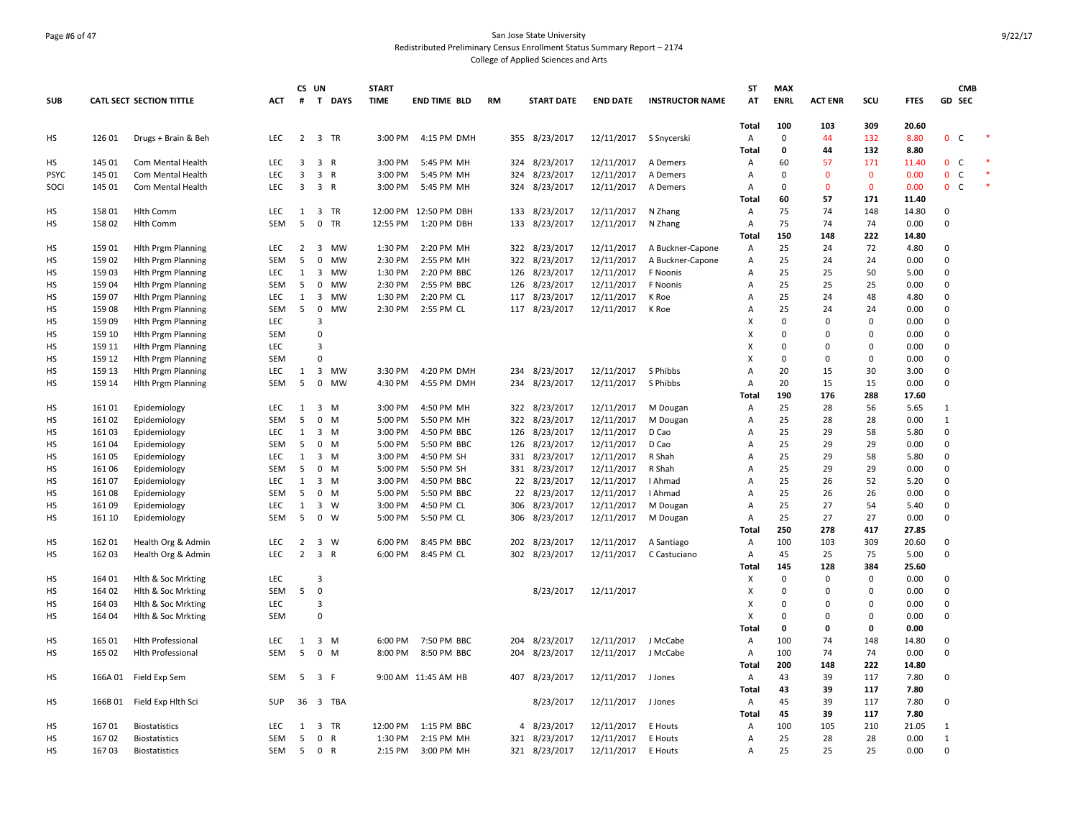### Page #6 of 47 San Jose State University Redistributed Preliminary Census Enrollment Status Summary Report – 2174 College of Applied Sciences and Arts

|             |                |                                 |            |                | CS UN                   |                           | <b>START</b> |                           |           |                |                            |                          |                        | <b>ST</b>                 | <b>MAX</b>         |                |             |               |                              | <b>CMB</b> |  |
|-------------|----------------|---------------------------------|------------|----------------|-------------------------|---------------------------|--------------|---------------------------|-----------|----------------|----------------------------|--------------------------|------------------------|---------------------------|--------------------|----------------|-------------|---------------|------------------------------|------------|--|
| <b>SUB</b>  |                | <b>CATL SECT SECTION TITTLE</b> | <b>ACT</b> | #              | T                       | <b>DAYS</b>               | <b>TIME</b>  | <b>END TIME BLD</b>       | <b>RM</b> |                | <b>START DATE</b>          | <b>END DATE</b>          | <b>INSTRUCTOR NAME</b> | AT                        | <b>ENRL</b>        | <b>ACT ENR</b> | SCU         | <b>FTES</b>   | GD SEC                       |            |  |
|             |                |                                 |            |                |                         |                           |              |                           |           |                |                            |                          |                        |                           |                    |                |             |               |                              |            |  |
|             | 126 01         |                                 | LEC        |                | 2 3 TR                  |                           | 3:00 PM      | 4:15 PM DMH               |           |                | 355 8/23/2017              | 12/11/2017 S Snycerski   |                        | <b>Total</b><br>A         | 100<br>$\mathbf 0$ | 103<br>44      | 309<br>132  | 20.60<br>8.80 | $\mathbf{0}$<br>C            |            |  |
| HS          |                | Drugs + Brain & Beh             |            |                |                         |                           |              |                           |           |                |                            |                          |                        | Total                     | 0                  | 44             | 132         | 8.80          |                              |            |  |
| HS          | 145 01         | Com Mental Health               | <b>LEC</b> | 3              | $\overline{3}$          | R                         | 3:00 PM      | 5:45 PM MH                |           | 324            | 8/23/2017                  | 12/11/2017               | A Demers               | $\overline{A}$            | 60                 | 57             | 171         | 11.40         | $\mathbf{0}$<br><sub>c</sub> |            |  |
| <b>PSYC</b> | 145 01         | Com Mental Health               | LEC        | 3              | $\overline{3}$          | $\mathsf{R}$              | 3:00 PM      | 5:45 PM MH                | 324       |                | 8/23/2017                  | 12/11/2017               | A Demers               | $\overline{A}$            | $\Omega$           | $\Omega$       | $\mathbf 0$ | 0.00          | $\mathbf{0}$<br>$\mathsf{C}$ |            |  |
| SOCI        | 145 01         | Com Mental Health               | LEC        | 3              | $\overline{\mathbf{3}}$ | R                         | 3:00 PM      | 5:45 PM MH                | 324       |                | 8/23/2017                  | 12/11/2017               | A Demers               | Α                         | $\Omega$           | $\Omega$       | $\mathbf 0$ | 0.00          | $\mathbf{0}$<br>- C          |            |  |
|             |                |                                 |            |                |                         |                           |              |                           |           |                |                            |                          |                        | Total                     | 60                 | 57             | 171         | 11.40         |                              |            |  |
| НS          | 158 01         | <b>Hlth Comm</b>                | LEC        | 1              |                         | 3 TR                      |              | 12:00 PM 12:50 PM DBH     | 133       |                | 8/23/2017                  | 12/11/2017               | N Zhang                | A                         | 75                 | 74             | 148         | 14.80         | 0                            |            |  |
| HS          | 158 02         | <b>Hlth Comm</b>                | <b>SEM</b> | 5              | $\mathbf 0$             | <b>TR</b>                 | 12:55 PM     | 1:20 PM DBH               | 133       |                | 8/23/2017                  | 12/11/2017               | N Zhang                | $\overline{A}$            | 75                 | 74             | 74          | 0.00          | $\mathbf 0$                  |            |  |
|             |                |                                 |            |                |                         |                           |              |                           |           |                |                            |                          |                        | Total                     | 150                | 148            | 222         | 14.80         |                              |            |  |
| HS          | 159 01         | <b>Hith Prgm Planning</b>       | <b>LEC</b> | 2              | 3                       | <b>MW</b>                 | 1:30 PM      | 2:20 PM MH                |           | 322            | 8/23/2017                  | 12/11/2017               | A Buckner-Capone       | A                         | 25                 | 24             | 72          | 4.80          | $\Omega$                     |            |  |
| HS          | 159 02         | <b>Hith Prgm Planning</b>       | <b>SEM</b> | 5              | $\mathbf 0$             | <b>MW</b>                 | 2:30 PM      | 2:55 PM MH                |           | 322            | 8/23/2017                  | 12/11/2017               | A Buckner-Capone       | A                         | 25                 | 24             | 24          | 0.00          | $\Omega$                     |            |  |
| HS          | 159 03         | <b>Hith Prgm Planning</b>       | LEC        | 1              | 3                       | <b>MW</b>                 | 1:30 PM      | 2:20 PM BBC               | 126       |                | 8/23/2017                  | 12/11/2017               | F Noonis               | $\overline{A}$            | 25                 | 25             | 50          | 5.00          | $\mathbf 0$                  |            |  |
| HS          | 159 04         | <b>Hith Prgm Planning</b>       | <b>SEM</b> | 5              | 0                       | <b>MW</b>                 | 2:30 PM      | 2:55 PM BBC               | 126       |                | 8/23/2017                  | 12/11/2017               | F Noonis               | A                         | 25                 | 25             | 25          | 0.00          | $\overline{0}$               |            |  |
| HS          | 159 07         | <b>Hith Prgm Planning</b>       | LEC        | $\mathbf{1}$   | 3                       | <b>MW</b>                 | 1:30 PM      | 2:20 PM CL                |           |                | 117 8/23/2017              | 12/11/2017               | K Roe                  | $\overline{A}$            | 25                 | 24             | 48          | 4.80          | $\mathbf 0$                  |            |  |
| HS          | 159 08         | <b>Hith Prgm Planning</b>       | <b>SEM</b> | 5              | 0                       | <b>MW</b>                 | 2:30 PM      | 2:55 PM CL                |           |                | 117 8/23/2017              | 12/11/2017               | K Roe                  | $\overline{A}$            | 25                 | 24             | 24          | 0.00          | $\overline{0}$               |            |  |
| HS          | 15909          | <b>Hith Prgm Planning</b>       | LEC        |                | 3                       |                           |              |                           |           |                |                            |                          |                        | $\boldsymbol{\mathsf{x}}$ | $\Omega$           | $\Omega$       | $\Omega$    | 0.00          | $\mathbf 0$                  |            |  |
| HS          | 159 10         | <b>Hith Prgm Planning</b>       | <b>SEM</b> |                | $\Omega$                |                           |              |                           |           |                |                            |                          |                        | X                         | $\Omega$           | $\Omega$       | $\Omega$    | 0.00          | $\Omega$                     |            |  |
| HS          | 159 11         | <b>Hith Prgm Planning</b>       | LEC        |                | 3                       |                           |              |                           |           |                |                            |                          |                        | $\boldsymbol{\mathsf{x}}$ | $\Omega$           | $\Omega$       | $\Omega$    | 0.00          | $\Omega$                     |            |  |
| HS          | 159 12         | <b>Hith Prgm Planning</b>       | <b>SEM</b> |                | $\Omega$                |                           |              |                           |           |                |                            |                          |                        | $\boldsymbol{\mathsf{x}}$ | $\Omega$           | $\Omega$       | $\Omega$    | 0.00          | $\mathbf 0$                  |            |  |
| HS          | 159 13         | <b>Hith Prgm Planning</b>       | LEC        | 1              | 3                       | MW                        | 3:30 PM      | 4:20 PM DMH               | 234       |                | 8/23/2017                  | 12/11/2017               | S Phibbs               | $\overline{A}$            | 20                 | 15             | 30          | 3.00          | $\mathbf 0$<br>$\Omega$      |            |  |
| HS          | 159 14         | <b>Hith Prgm Planning</b>       | <b>SEM</b> | 5              | $\mathbf 0$             | <b>MW</b>                 | 4:30 PM      | 4:55 PM DMH               |           |                | 234 8/23/2017              | 12/11/2017               | S Phibbs               | $\overline{A}$            | 20<br>190          | 15<br>176      | 15<br>288   | 0.00<br>17.60 |                              |            |  |
| HS          | 16101          |                                 | LEC        | 1              | 3                       | M                         | 3:00 PM      | 4:50 PM MH                | 322       |                | 8/23/2017                  | 12/11/2017               | M Dougan               | Total<br>A                | 25                 | 28             | 56          | 5.65          | $\mathbf{1}$                 |            |  |
| HS          | 16102          | Epidemiology<br>Epidemiology    | <b>SEM</b> | 5              | 0                       | M                         | 5:00 PM      | 5:50 PM MH                |           | 322            | 8/23/2017                  | 12/11/2017               | M Dougan               | A                         | 25                 | 28             | 28          | 0.00          | $\mathbf{1}$                 |            |  |
| HS          | 16103          | Epidemiology                    | LEC        | 1              | 3                       | M                         | 3:00 PM      | 4:50 PM BBC               | 126       |                | 8/23/2017                  | 12/11/2017               | D Cao                  | $\overline{A}$            | 25                 | 29             | 58          | 5.80          | $\mathbf 0$                  |            |  |
| HS          | 16104          | Epidemiology                    | <b>SEM</b> | 5              | 0                       | M                         | 5:00 PM      | 5:50 PM BBC               |           | 126            | 8/23/2017                  | 12/11/2017               | D Cao                  | $\overline{A}$            | 25                 | 29             | 29          | 0.00          | $\overline{0}$               |            |  |
| HS          | 16105          | Epidemiology                    | LEC        | 1              | 3                       | M                         | 3:00 PM      | 4:50 PM SH                | 331       |                | 8/23/2017                  | 12/11/2017               | R Shah                 | $\overline{A}$            | 25                 | 29             | 58          | 5.80          | $\mathbf 0$                  |            |  |
| HS          | 161 06         | Epidemiology                    | <b>SEM</b> | 5              | 0                       | M                         | 5:00 PM      | 5:50 PM SH                | 331       |                | 8/23/2017                  | 12/11/2017               | R Shah                 | $\overline{A}$            | 25                 | 29             | 29          | 0.00          | $\mathbf 0$                  |            |  |
| нs          | 16107          | Epidemiology                    | <b>LEC</b> | $\mathbf{1}$   | 3                       | M                         | 3:00 PM      | 4:50 PM BBC               |           |                | 22 8/23/2017               | 12/11/2017               | I Ahmad                | $\overline{A}$            | 25                 | 26             | 52          | 5.20          | $\Omega$                     |            |  |
| НS          | 16108          | Epidemiology                    | <b>SEM</b> | 5              | $\mathbf 0$             | M                         | 5:00 PM      | 5:50 PM BBC               |           | 22             | 8/23/2017                  | 12/11/2017               | I Ahmad                | $\overline{A}$            | 25                 | 26             | 26          | 0.00          | $\Omega$                     |            |  |
| HS          | 16109          | Epidemiology                    | LEC        | 1              | 3                       | W                         | 3:00 PM      | 4:50 PM CL                | 306       |                | 8/23/2017                  | 12/11/2017               | M Dougan               | $\overline{A}$            | 25                 | 27             | 54          | 5.40          | $\mathbf 0$                  |            |  |
| HS          | 161 10         | Epidemiology                    | <b>SEM</b> | 5              | $\mathbf 0$             | W                         | 5:00 PM      | 5:50 PM CL                |           | 306            | 8/23/2017                  | 12/11/2017               | M Dougan               | $\overline{A}$            | 25                 | 27             | 27          | 0.00          | $\mathbf 0$                  |            |  |
|             |                |                                 |            |                |                         |                           |              |                           |           |                |                            |                          |                        | Total                     | 250                | 278            | 417         | 27.85         |                              |            |  |
| HS          | 162 01         | Health Org & Admin              | <b>LEC</b> | 2              | 3                       | W                         | 6:00 PM      | 8:45 PM BBC               |           | 202            | 8/23/2017                  | 12/11/2017               | A Santiago             | $\overline{A}$            | 100                | 103            | 309         | 20.60         | $\Omega$                     |            |  |
| HS          | 162 03         | Health Org & Admin              | LEC        | $\overline{2}$ | $\overline{3}$          | $\mathsf{R}$              | 6:00 PM      | 8:45 PM CL                | 302       |                | 8/23/2017                  | 12/11/2017               | C Castuciano           | $\overline{A}$            | 45                 | 25             | 75          | 5.00          | $\mathbf 0$                  |            |  |
|             |                |                                 |            |                |                         |                           |              |                           |           |                |                            |                          |                        | Total                     | 145                | 128            | 384         | 25.60         |                              |            |  |
| HS          | 164 01         | Hith & Soc Mrkting              | LEC        |                | $\overline{3}$          |                           |              |                           |           |                |                            |                          |                        | X                         | $\Omega$           | $\Omega$       | $\mathbf 0$ | 0.00          | $\Omega$                     |            |  |
| HS          | 164 02         | Hith & Soc Mrkting              | <b>SEM</b> | 5              | $\mathbf 0$             |                           |              |                           |           |                | 8/23/2017                  | 12/11/2017               |                        | $\times$                  | $\Omega$           | $\Omega$       | $\Omega$    | 0.00          | $\mathbf 0$                  |            |  |
| HS          | 164 03         | Hith & Soc Mrkting              | LEC        |                | 3                       |                           |              |                           |           |                |                            |                          |                        | $\times$                  | $\Omega$           | $\Omega$       | $\Omega$    | 0.00          | $\overline{0}$               |            |  |
| HS          | 164 04         | Hith & Soc Mrkting              | <b>SEM</b> |                | $\Omega$                |                           |              |                           |           |                |                            |                          |                        | X                         | $\Omega$           | $\Omega$       | $\mathbf 0$ | 0.00          | $\mathbf 0$                  |            |  |
|             |                |                                 |            |                |                         |                           |              |                           |           |                |                            |                          |                        | <b>Total</b>              | 0                  | 0              | $\mathbf 0$ | 0.00          |                              |            |  |
| HS          | 165 01         | <b>Hith Professional</b>        | <b>LEC</b> | 1              | 3                       | M                         | 6:00 PM      | 7:50 PM BBC               | 204       |                | 8/23/2017                  | 12/11/2017               | J McCabe               | Α                         | 100                | 74             | 148         | 14.80         | $\overline{0}$               |            |  |
| HS          | 165 02         | <b>Hlth Professional</b>        | <b>SEM</b> | 5              | $\mathbf 0$             | M                         | 8:00 PM      | 8:50 PM BBC               | 204       |                | 8/23/2017                  | 12/11/2017               | J McCabe               | $\overline{A}$            | 100                | 74             | 74          | 0.00          | $\mathbf 0$                  |            |  |
|             |                |                                 |            |                |                         |                           |              |                           |           |                |                            |                          |                        | Total                     | 200                | 148            | 222         | 14.80         |                              |            |  |
| НS          | 166A01         | Field Exp Sem                   | <b>SEM</b> | 5              | 3 F                     |                           |              | 9:00 AM 11:45 AM HB       | 407       |                | 8/23/2017                  | 12/11/2017               | J Jones                | A                         | 43                 | 39             | 117         | 7.80          | 0                            |            |  |
|             |                |                                 |            |                |                         |                           |              |                           |           |                |                            |                          |                        | Total                     | 43                 | 39             | 117         | 7.80          |                              |            |  |
| нs          | 166B01         | Field Exp Hlth Sci              | <b>SUP</b> |                |                         | 36 3 TBA                  |              |                           |           |                | 8/23/2017                  | 12/11/2017               | J Jones                | $\mathsf{A}$              | 45<br>45           | 39             | 117         | 7.80          | $\mathbf 0$                  |            |  |
|             |                |                                 | LEC        |                | 3                       |                           | 12:00 PM     |                           |           | $\overline{4}$ |                            |                          |                        | Total                     | 100                | 39             | 117         | 7.80          | $\mathbf{1}$                 |            |  |
| нs<br>HS    | 16701<br>16702 | <b>Biostatistics</b>            | <b>SEM</b> | 1<br>5         | $\mathbf 0$             | <b>TR</b><br>$\mathsf{R}$ | 1:30 PM      | 1:15 PM BBC<br>2:15 PM MH |           | 321            | 8/23/2017                  | 12/11/2017<br>12/11/2017 | E Houts<br>E Houts     | A<br>A                    | 25                 | 105<br>28      | 210<br>28   | 21.05         | $\mathbf{1}$                 |            |  |
| HS          | 16703          | <b>Biostatistics</b>            | <b>SEM</b> | 5              | $\mathbf{0}$            | R                         | 2:15 PM      | 3:00 PM MH                |           |                | 8/23/2017<br>321 8/23/2017 | 12/11/2017               |                        | A                         | 25                 | 25             | 25          | 0.00<br>0.00  | $\mathbf 0$                  |            |  |
|             |                | <b>Biostatistics</b>            |            |                |                         |                           |              |                           |           |                |                            |                          | E Houts                |                           |                    |                |             |               |                              |            |  |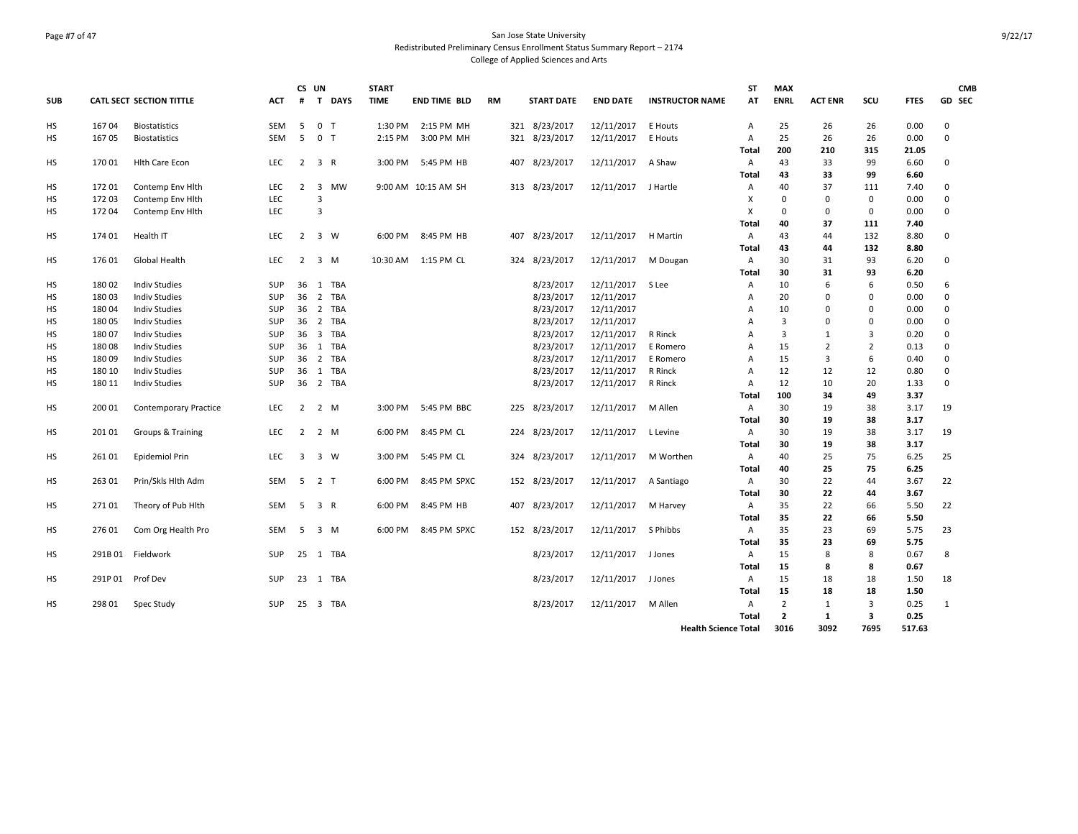### Page #7 of 47 San Jose State University Redistributed Preliminary Census Enrollment Status Summary Report – 2174 College of Applied Sciences and Arts

|            |        |                                 |            |                | CS UN          |             | <b>START</b> |                      |    |     |                   |                 |                             | <b>ST</b>      | <b>MAX</b>     |                |                |             | <b>CMB</b>   |
|------------|--------|---------------------------------|------------|----------------|----------------|-------------|--------------|----------------------|----|-----|-------------------|-----------------|-----------------------------|----------------|----------------|----------------|----------------|-------------|--------------|
| <b>SUB</b> |        | <b>CATL SECT SECTION TITTLE</b> | <b>ACT</b> | #              | $\mathsf{T}$   | <b>DAYS</b> | <b>TIME</b>  | <b>END TIME BLD</b>  | RM |     | <b>START DATE</b> | <b>END DATE</b> | <b>INSTRUCTOR NAME</b>      | AT             | <b>ENRL</b>    | <b>ACT ENR</b> | SCU            | <b>FTES</b> | GD SEC       |
| HS         | 16704  | <b>Biostatistics</b>            | SEM        | 5              | 0 <sub>T</sub> |             | 1:30 PM      | 2:15 PM MH           |    |     | 321 8/23/2017     | 12/11/2017      | E Houts                     | Α              | 25             | 26             | 26             | 0.00        | 0            |
| <b>HS</b>  | 16705  | <b>Biostatistics</b>            | <b>SEM</b> | 5              | 0 <sub>T</sub> |             | 2:15 PM      | 3:00 PM MH           |    |     | 321 8/23/2017     | 12/11/2017      | E Houts                     | $\overline{A}$ | 25             | 26             | 26             | 0.00        | $\mathbf 0$  |
|            |        |                                 |            |                |                |             |              |                      |    |     |                   |                 |                             | Total          | 200            | 210            | 315            | 21.05       |              |
| HS         | 170 01 | <b>Hith Care Econ</b>           | <b>LEC</b> | $\overline{2}$ | 3 R            |             |              | 3:00 PM 5:45 PM HB   |    |     | 407 8/23/2017     | 12/11/2017      | A Shaw                      | Α              | 43             | 33             | 99             | 6.60        | 0            |
|            |        |                                 |            |                |                |             |              |                      |    |     |                   |                 |                             | Total          | 43             | 33             | 99             | 6.60        |              |
| HS         | 172 01 | Contemp Env Hith                | LEC        | 2              | 3              | MW          |              | 9:00 AM 10:15 AM SH  |    |     | 313 8/23/2017     | 12/11/2017      | J Hartle                    | Α              | 40             | 37             | 111            | 7.40        | 0            |
| HS         | 172 03 | Contemp Env Hith                | LEC        |                | 3              |             |              |                      |    |     |                   |                 |                             | х              | $\mathbf 0$    | $\mathbf 0$    | $\mathbf 0$    | 0.00        | $\mathbf 0$  |
| HS         | 172 04 | Contemp Env Hith                | LEC        |                | $\overline{3}$ |             |              |                      |    |     |                   |                 |                             | X              | $\Omega$       | $\mathbf 0$    | $\mathbf{0}$   | 0.00        | $\mathbf 0$  |
|            |        |                                 |            |                |                |             |              |                      |    |     |                   |                 |                             | Total          | 40             | 37             | 111            | 7.40        |              |
| HS         | 174 01 | Health IT                       | <b>LEC</b> | $\overline{2}$ | 3 W            |             | 6:00 PM      | 8:45 PM HB           |    | 407 | 8/23/2017         | 12/11/2017      | <b>H</b> Martin             | A              | 43             | 44             | 132            | 8.80        | 0            |
|            |        |                                 |            |                |                |             |              |                      |    |     |                   |                 |                             | Total          | 43             | 44             | 132            | 8.80        |              |
| HS         | 17601  | Global Health                   | LEC        | $\overline{2}$ | 3 M            |             |              | 10:30 AM  1:15 PM CL |    |     | 324 8/23/2017     | 12/11/2017      | M Dougan                    | Α              | 30             | 31             | 93             | 6.20        | 0            |
|            |        |                                 |            |                |                |             |              |                      |    |     |                   |                 |                             | Total          | 30             | 31             | 93             | 6.20        |              |
| HS         | 180 02 | <b>Indiv Studies</b>            | SUP        | 36             | 1 TBA          |             |              |                      |    |     | 8/23/2017         | 12/11/2017      | S Lee                       | Α              | 10             | 6              | 6              | 0.50        | 6            |
| <b>HS</b>  | 180 03 | <b>Indiv Studies</b>            | <b>SUP</b> | 36             | 2 TBA          |             |              |                      |    |     | 8/23/2017         | 12/11/2017      |                             | A              | 20             | $\mathbf 0$    | $\mathbf 0$    | 0.00        | 0            |
| HS         | 180 04 | <b>Indiv Studies</b>            | SUP        | 36             | 2 TBA          |             |              |                      |    |     | 8/23/2017         | 12/11/2017      |                             | Α              | 10             | $\mathbf 0$    | $\mathbf 0$    | 0.00        | 0            |
| HS         | 18005  | <b>Indiv Studies</b>            | <b>SUP</b> | 36             | 2 TBA          |             |              |                      |    |     | 8/23/2017         | 12/11/2017      |                             | А              | $\overline{3}$ | $\mathbf 0$    | $\Omega$       | 0.00        | 0            |
| HS         | 180 07 | <b>Indiv Studies</b>            | SUP        |                | 36 3 TBA       |             |              |                      |    |     | 8/23/2017         | 12/11/2017      | R Rinck                     | A              | 3              | $\mathbf{1}$   | 3              | 0.20        | $\mathbf 0$  |
| нs         | 18008  | Indiv Studies                   | SUP        | 36             | 1 TBA          |             |              |                      |    |     | 8/23/2017         | 12/11/2017      | E Romero                    | A              | 15             | $\overline{2}$ | $\overline{2}$ | 0.13        | 0            |
| HS         | 18009  | <b>Indiv Studies</b>            | SUP        | 36             | 2 TBA          |             |              |                      |    |     | 8/23/2017         | 12/11/2017      | E Romero                    | Α              | 15             | 3              | 6              | 0.40        | $\mathbf 0$  |
| нs         | 180 10 | <b>Indiv Studies</b>            | SUP        | 36             | 1 TBA          |             |              |                      |    |     | 8/23/2017         | 12/11/2017      | R Rinck                     | Α              | 12             | 12             | 12             | 0.80        | 0            |
| НS         | 180 11 | <b>Indiv Studies</b>            | <b>SUP</b> |                | 36 2 TBA       |             |              |                      |    |     | 8/23/2017         | 12/11/2017      | R Rinck                     | Α              | 12             | 10             | 20             | 1.33        | 0            |
|            |        |                                 |            |                |                |             |              |                      |    |     |                   |                 |                             | Total          | 100            | 34             | 49             | 3.37        |              |
| нs         | 200 01 | <b>Contemporary Practice</b>    | <b>LEC</b> | $\overline{2}$ | 2 M            |             | 3:00 PM      | 5:45 PM BBC          |    |     | 225 8/23/2017     | 12/11/2017      | M Allen                     | A              | 30             | 19             | 38             | 3.17        | 19           |
|            |        |                                 |            |                |                |             |              |                      |    |     |                   |                 |                             | Total          | 30             | 19             | 38             | 3.17        |              |
| HS         | 201 01 | Groups & Training               | <b>LEC</b> |                | 2 2 M          |             | 6:00 PM      | 8:45 PM CL           |    |     | 224 8/23/2017     | 12/11/2017      | L Levine                    | A              | 30             | 19             | 38             | 3.17        | 19           |
|            |        |                                 |            |                |                |             |              |                      |    |     |                   |                 |                             | Total          | 30             | 19             | 38             | 3.17        |              |
| <b>HS</b>  | 261 01 | Epidemiol Prin                  | <b>LEC</b> | 3              | 3 W            |             | 3:00 PM      | 5:45 PM CL           |    |     | 324 8/23/2017     | 12/11/2017      | M Worthen                   | $\mathsf{A}$   | 40             | 25             | 75             | 6.25        | 25           |
|            |        |                                 |            |                |                |             |              |                      |    |     |                   |                 |                             | Total          | 40             | 25             | 75             | 6.25        |              |
| HS         | 263 01 | Prin/Skls Hlth Adm              | SEM        | 5              | 2 <sub>T</sub> |             | 6:00 PM      | 8:45 PM SPXC         |    |     | 152 8/23/2017     | 12/11/2017      | A Santiago                  | Α              | 30             | 22             | 44             | 3.67        | 22           |
|            |        |                                 |            |                |                |             |              |                      |    |     |                   |                 |                             | Total          | 30             | 22             | 44             | 3.67        |              |
| HS         | 27101  | Theory of Pub Hith              | <b>SEM</b> | 5              | 3 R            |             | 6:00 PM      | 8:45 PM HB           |    |     | 407 8/23/2017     | 12/11/2017      | M Harvey                    | Α              | 35             | 22             | 66             | 5.50        | 22           |
|            |        |                                 |            |                |                |             |              |                      |    |     |                   |                 |                             | Total          | 35             | 22             | 66             | 5.50        |              |
| HS         | 276 01 | Com Org Health Pro              | SEM        | 5              | 3 M            |             | 6:00 PM      | 8:45 PM SPXC         |    |     | 152 8/23/2017     | 12/11/2017      | S Phibbs                    | Α              | 35             | 23             | 69             | 5.75        | 23           |
|            |        |                                 |            |                |                |             |              |                      |    |     |                   |                 |                             | Total          | 35             | 23             | 69             | 5.75        |              |
| HS         | 291B01 | Fieldwork                       | SUP        | 25             | 1 TBA          |             |              |                      |    |     | 8/23/2017         | 12/11/2017      | J Jones                     | A              | 15             | 8              | 8              | 0.67        | 8            |
|            |        |                                 |            |                |                |             |              |                      |    |     |                   |                 |                             | Total          | 15             | 8              | 8              | 0.67        |              |
| HS         | 291P01 | Prof Dev                        | <b>SUP</b> |                | 23 1 TBA       |             |              |                      |    |     | 8/23/2017         | 12/11/2017      | J Jones                     | Α              | 15             | 18             | 18             | 1.50        | 18           |
|            |        |                                 |            |                |                |             |              |                      |    |     |                   |                 |                             | Total          | 15             | 18             | 18             | 1.50        |              |
| HS         | 298 01 | Spec Study                      | SUP        | 25             | 3 TBA          |             |              |                      |    |     | 8/23/2017         | 12/11/2017      | M Allen                     | Α              | $\overline{2}$ | 1              | 3              | 0.25        | $\mathbf{1}$ |
|            |        |                                 |            |                |                |             |              |                      |    |     |                   |                 |                             | Total          | $\overline{2}$ | 1              | 3              | 0.25        |              |
|            |        |                                 |            |                |                |             |              |                      |    |     |                   |                 | <b>Health Science Total</b> |                | 3016           | 3092           | 7695           | 517.63      |              |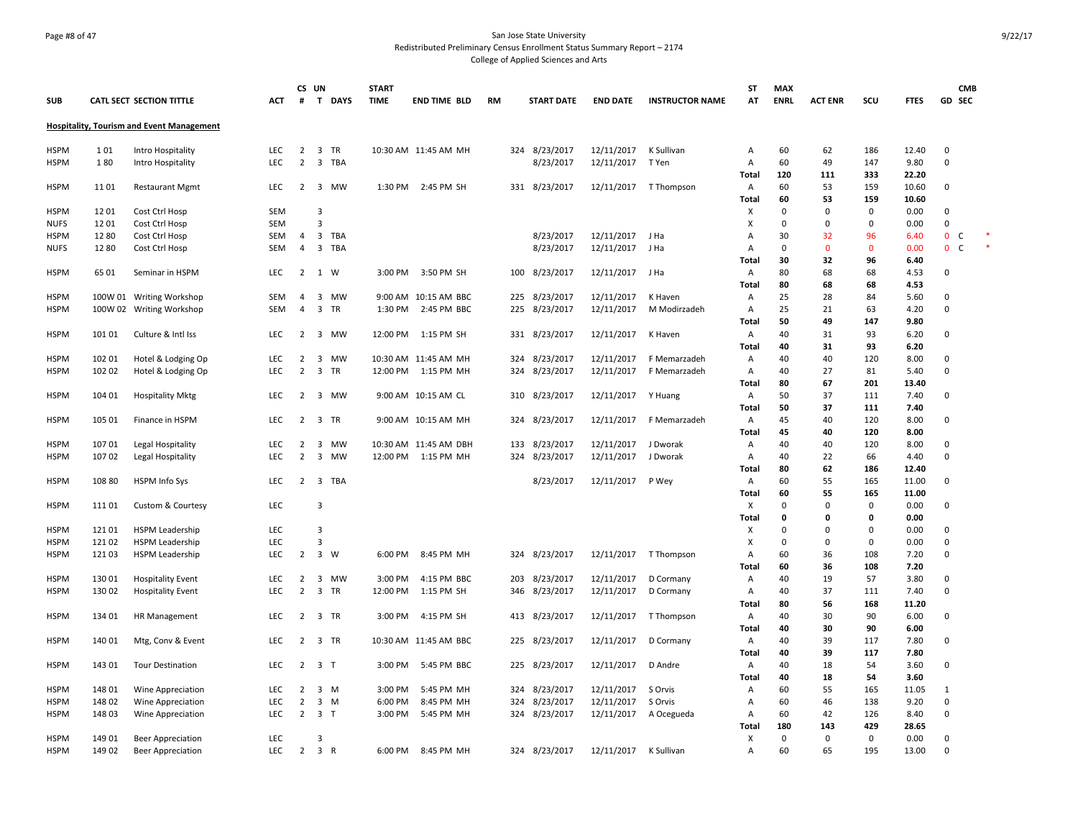#### Page #8 of 47 San Jose State University Redistributed Preliminary Census Enrollment Status Summary Report – 2174 College of Applied Sciences and Arts

**SUB CATL SECT SECTION TITTLE ACT CS UN # T DAYS START TIME END TIME BLD RM START DATE END DATE INSTRUCTOR NAME ST AT MAX ENRL ACT ENR SCU FTES GD CMB SEC Hospitality, Tourism and Event Management** HSPM 1 01 Intro Hospitality LEC 2 3 TR 10:30 AM 11:45 AM MH 324 8/23/2017 12/11/2017 K Sullivan A 60 62 186 12.40 0 HSPM 1 80 Intro Hospitality LEC 2 3 TBA 8/23/2017 12/11/2017 T Yen A 60 49 147 9.80 0 **Total 120 111 333 22.20** HSPM 11 01 Restaurant Mgmt LEC 2 3 MW 1:30 PM 2:45 PM SH 331 8/23/2017 12/11/2017 T Thompson A 60 53 159 10.60 0 **Total 60 53 159 10.60** HSPM 12 01 Cost Ctrl Hosp SEM 3 X 0 0 0 0.00 0 NUFS 12 01 Cost Ctrl Hosp SEM 3 X 0 0 0 0.00 0 HSPM 12 80 Cost Ctrl Hosp SEM 4 3 TBA 8/23/2017 12/11/2017 J Ha A 30 32 96 6.40 0 C \* NUFS 12 80 Cost Ctrl Hosp SEM 4 3 TBA 8/23/2017 12/11/2017 J Ha A 0 0 0 0.00 0 C \* **Total 30 32 96 6.40** HSPM 65 01 Seminar in HSPM LEC 2 1 W 3:00 PM 3:50 PM SH 100 8/23/2017 12/11/2017 J Ha A 80 68 68 4.53 0 **Total 80 68 68 4.53** HSPM 100W 01 Writing Workshop SEM 4 3 MW 9:00 AM 10:15 AM BBC 225 8/23/2017 12/11/2017 K Haven A 25 28 84 5.60 0 HSPM 100W 02 Writing Workshop SEM 4 3 TR 1:30 PM 2:45 PM BBC 225 8/23/2017 12/11/2017 M Modirzadeh A 25 21 63 4.20 0 **Total 50 49 147 9.80** HSPM 101 01 Culture & Intl Iss LEC 2 3 MW 12:00 PM 1:15 PM SH 331 8/23/2017 12/11/2017 K Haven A 40 31 93 6.20 0 **Total 40 31 93 6.20** HSPM 102 01 Hotel & Lodging Op LEC 2 3 MW 10:30 AM 11:45 AM MH 324 8/23/2017 12/11/2017 F Memarzadeh A 40 40 120 8.00 0 HSPM 102 02 Hotel & Lodging Op LEC 2 3 TR 12:00 PM 1:15 PM MH 324 8/23/2017 12/11/2017 F Memarzadeh A 40 27 81 5.40 0 **Total 80 67 201 13.40** HSPM 104 01 Hospitality Mktg LEC 2 3 MW 9:00 AM 10:15 AM CL 310 8/23/2017 12/11/2017 Y Huang A 50 37 111 7.40 0 **Total 50 37 111 7.40** HSPM 105 01 Finance in HSPM LEC 2 3 TR 9:00 AM 10:15 AM MH 324 8/23/2017 12/11/2017 F Memarzadeh A 45 40 120 8.00 0 **Total 45 40 120 8.00** HSPM 107 01 Legal Hospitality LEC 2 3 MW 10:30 AM 11:45 AM DBH 133 8/23/2017 12/11/2017 J Dworak A 40 40 120 8.00 0 HSPM 107 02 Legal Hospitality LEC 2 3 MW 12:00 PM 1:15 PM MH 324 8/23/2017 12/11/2017 J Dworak A 40 22 66 4.40 0 **Total 80 62 186 12.40** HSPM 108 80 HSPM Info Sys LEC 2 3 TBA 8/23/2017 12/11/2017 P Wey A 60 55 165 11.00 0 **Total 60 55 165 11.00** HSPM 111 01 Custom & Courtesy LEC 3 X 0 0 0 0.00 0 **Total 0 0 0 0.00** HSPM 121 01 HSPM Leadership LEC 3 X 0 0 0 0.00 0 HSPM 121 02 HSPM Leadership LEC 3 X 0 0 0 0.00 0 HSPM 121 03 HSPM Leadership LEC 2 3 W 6:00 PM 8:45 PM MH 324 8/23/2017 12/11/2017 T Thompson A 60 36 108 7.20 0 **Total 60 36 108 7.20** HSPM 130 01 Hospitality Event LEC 2 3 MW 3:00 PM 4:15 PM BBC 203 8/23/2017 12/11/2017 D Cormany A 40 19 57 3.80 0 HSPM 130 02 Hospitality Event LEC 2 3 TR 12:00 PM 1:15 PM SH 346 8/23/2017 12/11/2017 D Cormany A 40 37 111 7.40 0 **Total 80 56 168 11.20** HSPM 134 01 HR Management LEC 2 3 TR 3:00 PM 4:15 PM SH 413 8/23/2017 12/11/2017 T Thompson A 40 30 90 6.00 0 **Total 40 30 90 6.00** HSPM 140 01 Mtg, Conv & Event LEC 2 3 TR 10:30 AM 11:45 AM BBC 225 8/23/2017 12/11/2017 D Cormany A 40 39 117 7.80 0 **Total 40 39 117 7.80** HSPM 143 01 Tour Destination LEC 2 3 T 3:00 PM 5:45 PM BBC 225 8/23/2017 12/11/2017 D Andre A 40 18 54 3.60 0 **Total 40 18 54 3.60** HSPM 148 01 Wine Appreciation LEC 2 3 M 3:00 PM 5:45 PM MH 324 8/23/2017 12/11/2017 S Orvis A 60 55 165 11.05 1 HSPM 148 02 Wine Appreciation LEC 2 3 M 6:00 PM 8:45 PM MH 324 8/23/2017 12/11/2017 S Orvis A 60 46 138 9.20 0 HSPM 148 03 Wine Appreciation LEC 2 3 T 3:00 PM 5:45 PM MH 324 8/23/2017 12/11/2017 A Ocegueda A 60 42 126 8.40 0 **Total 180 143 429 28.65** HSPM 149 01 Beer Appreciation LEC 3 X 0 0 0 0.00 0 HSPM 149 02 Beer Appreciation LEC 2 3 R 6:00 PM 8:45 PM MH 324 8/23/2017 12/11/2017 K Sullivan A 60 65 195 13.00 0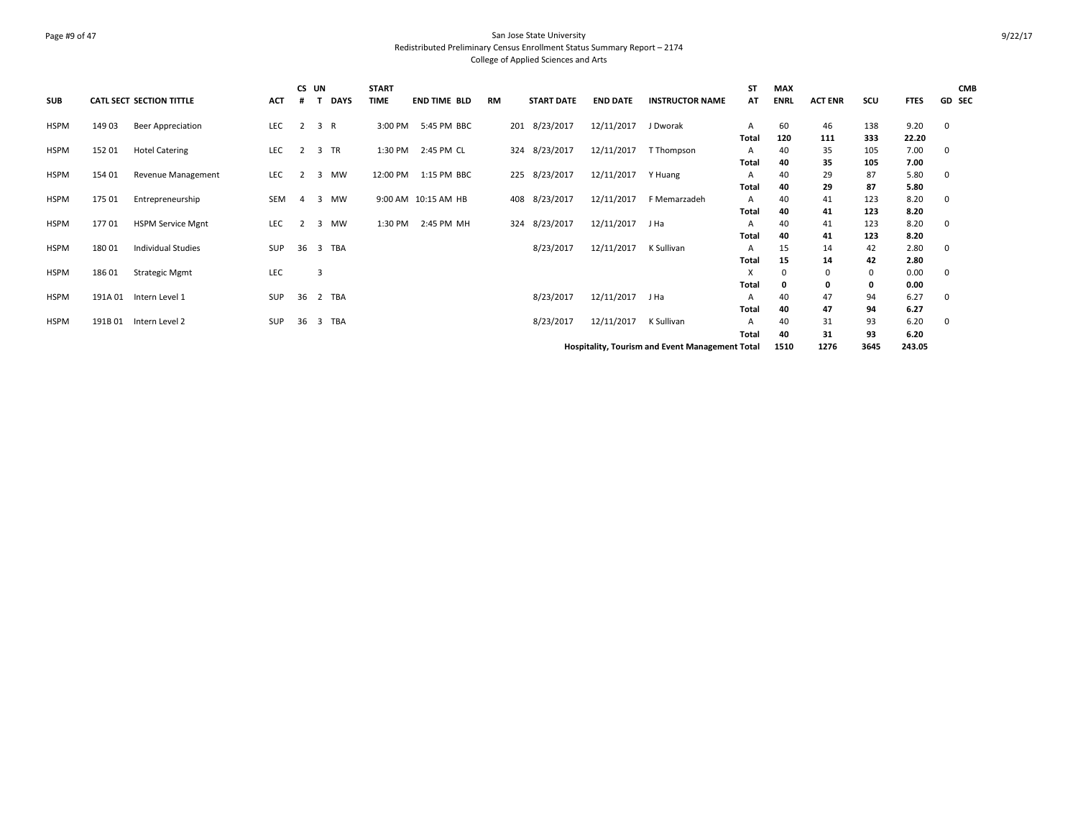### Page #9 of 47 San Jose State University Redistributed Preliminary Census Enrollment Status Summary Report – 2174 College of Applied Sciences and Arts

|             |         |                                 |            |                | CS UN          | <b>START</b> |                     |           |                   |                 |                                                        | <b>ST</b>               | <b>MAX</b>  |                |            |               | <b>CMB</b>    |
|-------------|---------|---------------------------------|------------|----------------|----------------|--------------|---------------------|-----------|-------------------|-----------------|--------------------------------------------------------|-------------------------|-------------|----------------|------------|---------------|---------------|
| <b>SUB</b>  |         | <b>CATL SECT SECTION TITTLE</b> | ACT        |                | DAYS           | <b>TIME</b>  | <b>END TIME BLD</b> | <b>RM</b> | <b>START DATE</b> | <b>END DATE</b> | <b>INSTRUCTOR NAME</b>                                 | AT                      | <b>ENRL</b> | <b>ACT ENR</b> | scu        | <b>FTES</b>   | <b>GD SEC</b> |
| <b>HSPM</b> | 14903   | Beer Appreciation               | LEC        | 2              | 3 R            | 3:00 PM      | 5:45 PM BBC         | 201       | 8/23/2017         | 12/11/2017      | J Dworak                                               | A                       | 60          | 46             | 138        | 9.20          | 0             |
| <b>HSPM</b> | 152 01  | <b>Hotel Catering</b>           | LEC        | 2              | 3 TR           | 1:30 PM      | 2:45 PM CL          |           | 324 8/23/2017     | 12/11/2017      | T Thompson                                             | Total<br>$\mathsf{A}$   | 120<br>40   | 111<br>35      | 333<br>105 | 22.20<br>7.00 | $\mathbf 0$   |
| <b>HSPM</b> | 154 01  | Revenue Management              | LEC        | $\overline{2}$ | 3<br>MW        | 12:00 PM     | 1:15 PM BBC         |           | 225 8/23/2017     | 12/11/2017      | Y Huang                                                | Total<br>A              | 40<br>40    | 35<br>29       | 105<br>87  | 7.00<br>5.80  | 0             |
| <b>HSPM</b> | 175 01  | Entrepreneurship                | SEM        | $\overline{a}$ | 3 MW           |              | 9:00 AM 10:15 AM HB |           | 408 8/23/2017     | 12/11/2017      | F Memarzadeh                                           | Total<br>$\overline{A}$ | 40<br>40    | 29<br>41       | 87<br>123  | 5.80<br>8.20  | $\mathbf 0$   |
| <b>HSPM</b> | 17701   | <b>HSPM Service Mgnt</b>        | LEC        | 2              | 3 MW           | 1:30 PM      | 2:45 PM MH          |           | 324 8/23/2017     | 12/11/2017      | J Ha                                                   | Total<br>A              | 40<br>40    | 41<br>41       | 123<br>123 | 8.20<br>8.20  | $\mathbf 0$   |
| <b>HSPM</b> | 180 01  | <b>Individual Studies</b>       | SUP        | 36             | 3 TBA          |              |                     |           | 8/23/2017         | 12/11/2017      | K Sullivan                                             | Total<br>$\mathsf{A}$   | 40<br>15    | 41<br>14       | 123<br>42  | 8.20<br>2.80  | 0             |
| <b>HSPM</b> | 18601   | <b>Strategic Mgmt</b>           | <b>LEC</b> |                | $\overline{3}$ |              |                     |           |                   |                 |                                                        | Total<br>X              | 15          | 14<br>$\Omega$ | 42<br>0    | 2.80<br>0.00  | 0             |
| HSPM        | 191A 01 | Intern Level 1                  | SUP        | 36             | 2 TBA          |              |                     |           | 8/23/2017         | 12/11/2017      | J Ha                                                   | Total<br>A              | 0<br>40     | 0<br>47        | 0<br>94    | 0.00<br>6.27  | 0             |
| HSPM        | 191B01  | Intern Level 2                  | SUP        | 36             | 3 TBA          |              |                     |           | 8/23/2017         | 12/11/2017      | K Sullivan                                             | <b>Total</b><br>A       | 40<br>40    | 47<br>31       | 94<br>93   | 6.27<br>6.20  | 0             |
|             |         |                                 |            |                |                |              |                     |           |                   |                 |                                                        | Total                   | 40          | 31             | 93         | 6.20          |               |
|             |         |                                 |            |                |                |              |                     |           |                   |                 | <b>Hospitality, Tourism and Event Management Total</b> |                         | 1510        | 1276           | 3645       | 243.05        |               |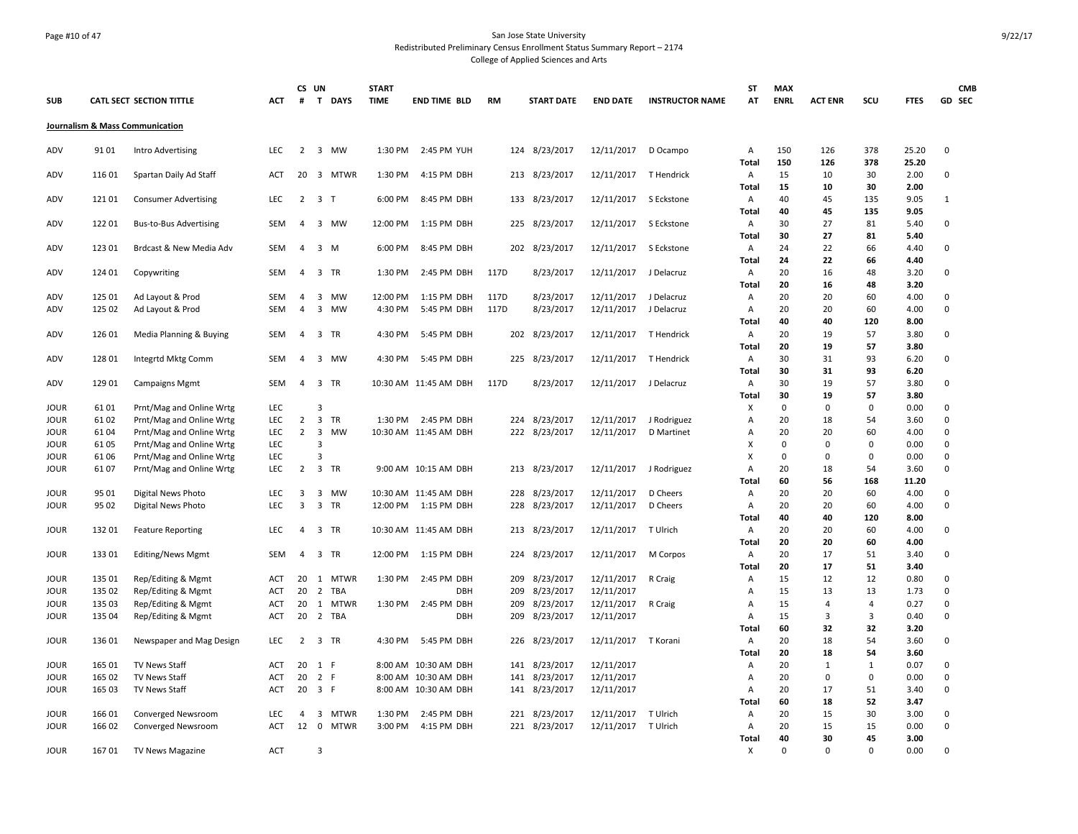### Page #10 of 47 San Jose State University Redistributed Preliminary Census Enrollment Status Summary Report – 2174 College of Applied Sciences and Arts

| <b>SUB</b>   |                  | <b>CATL SECT SECTION TITTLE</b>                      | <b>ACT</b> | CS UN<br>#                       | T DAYS                                                          | <b>START</b><br><b>TIME</b> | <b>END TIME BLD</b>        | <b>RM</b>    | <b>START DATE</b> | <b>END DATE</b>          | <b>INSTRUCTOR NAME</b>    | <b>ST</b><br>AΤ | <b>MAX</b><br><b>ENRL</b> | <b>ACT ENR</b> | SCU                     | <b>FTES</b>   | <b>CMB</b><br>GD SEC |
|--------------|------------------|------------------------------------------------------|------------|----------------------------------|-----------------------------------------------------------------|-----------------------------|----------------------------|--------------|-------------------|--------------------------|---------------------------|-----------------|---------------------------|----------------|-------------------------|---------------|----------------------|
|              |                  | Journalism & Mass Communication                      |            |                                  |                                                                 |                             |                            |              |                   |                          |                           |                 |                           |                |                         |               |                      |
| ADV          | 9101             | Intro Advertising                                    | LEC        | $\overline{2}$                   | 3 MW                                                            | 1:30 PM                     | 2:45 PM YUH                | 124          | 8/23/2017         | 12/11/2017               | D Ocampo                  | Α               | 150                       | 126            | 378                     | 25.20         | 0                    |
| ADV          | 116 01           | Spartan Daily Ad Staff                               | ACT        | 20                               | 3 MTWR                                                          | 1:30 PM                     | 4:15 PM DBH                |              | 213 8/23/2017     | 12/11/2017               | T Hendrick                | Total<br>Α      | 150<br>15                 | 126<br>10      | 378<br>30               | 25.20<br>2.00 | 0                    |
|              |                  |                                                      |            |                                  |                                                                 |                             |                            |              |                   |                          |                           | Total           | 15                        | 10             | 30                      | 2.00          |                      |
| ADV          | 121 01           | <b>Consumer Advertising</b>                          | LEC        | $\overline{2}$                   | 3 <sub>T</sub>                                                  | 6:00 PM                     | 8:45 PM DBH                |              | 133 8/23/2017     | 12/11/2017               | S Eckstone                | Α<br>Total      | 40<br>40                  | 45<br>45       | 135<br>135              | 9.05<br>9.05  | $\mathbf{1}$         |
| ADV          | 122 01           | <b>Bus-to-Bus Advertising</b>                        | SEM        | 4                                | 3 MW                                                            | 12:00 PM                    | 1:15 PM DBH                |              | 225 8/23/2017     | 12/11/2017               | S Eckstone                | Α               | 30                        | 27             | 81                      | 5.40          | 0                    |
|              |                  |                                                      |            |                                  |                                                                 |                             |                            |              |                   |                          |                           | Total           | 30                        | 27             | 81                      | 5.40          |                      |
| ADV          | 123 01           | Brdcast & New Media Adv                              | <b>SEM</b> | 4                                | $\overline{\mathbf{3}}$<br>M                                    | 6:00 PM                     | 8:45 PM DBH                |              | 202 8/23/2017     | 12/11/2017               | S Eckstone                | Α               | 24                        | 22             | 66                      | 4.40          | 0                    |
|              |                  |                                                      |            |                                  |                                                                 |                             |                            |              |                   |                          |                           | <b>Total</b>    | 24                        | 22             | 66                      | 4.40          |                      |
| ADV          | 124 01           | Copywriting                                          | SEM        | $\overline{4}$                   | $\overline{\mathbf{3}}$<br>TR                                   | 1:30 PM                     | 2:45 PM DBH                | 117D         | 8/23/2017         | 12/11/2017               | J Delacruz                | Α               | 20                        | 16             | 48                      | 3.20          | 0                    |
|              |                  |                                                      |            |                                  | MW                                                              | 12:00 PM                    |                            |              | 8/23/2017         |                          |                           | Total           | 20<br>20                  | 16<br>20       | 48<br>60                | 3.20<br>4.00  | 0                    |
| ADV<br>ADV   | 125 01<br>125 02 | Ad Layout & Prod<br>Ad Layout & Prod                 | SEM<br>SEM | 4<br>$\overline{4}$              | 3<br>$\overline{3}$<br><b>MW</b>                                | 4:30 PM                     | 1:15 PM DBH<br>5:45 PM DBH | 117D<br>117D | 8/23/2017         | 12/11/2017<br>12/11/2017 | J Delacruz<br>J Delacruz  | Α<br>Α          | 20                        | 20             | 60                      | 4.00          | 0                    |
|              |                  |                                                      |            |                                  |                                                                 |                             |                            |              |                   |                          |                           | Total           | 40                        | 40             | 120                     | 8.00          |                      |
| ADV          | 126 01           | Media Planning & Buying                              | SEM        | 4                                | $\overline{\mathbf{3}}$<br>TR                                   | 4:30 PM                     | 5:45 PM DBH                |              | 202 8/23/2017     | 12/11/2017 T Hendrick    |                           | Α               | 20                        | 19             | 57                      | 3.80          | 0                    |
|              |                  |                                                      |            |                                  |                                                                 |                             |                            |              |                   |                          |                           | Total           | 20                        | 19             | 57                      | 3.80          |                      |
| ADV          | 128 01           | Integrtd Mktg Comm                                   | <b>SEM</b> | $\overline{a}$                   | 3 MW                                                            | 4:30 PM                     | 5:45 PM DBH                |              | 225 8/23/2017     | 12/11/2017               | T Hendrick                | Α               | 30                        | 31             | 93                      | 6.20          | 0                    |
|              |                  |                                                      |            |                                  |                                                                 |                             |                            |              |                   |                          |                           | Total           | 30                        | 31             | 93                      | 6.20          |                      |
| ADV          | 129 01           | <b>Campaigns Mgmt</b>                                | SEM        | $\overline{a}$                   | $\overline{\mathbf{3}}$<br><b>TR</b>                            |                             | 10:30 AM 11:45 AM DBH      | 117D         | 8/23/2017         | 12/11/2017               | J Delacruz                | Α               | 30                        | 19             | 57                      | 3.80          | 0                    |
|              |                  |                                                      |            |                                  |                                                                 |                             |                            |              |                   |                          |                           | Total           | 30                        | 19             | 57                      | 3.80          |                      |
| <b>JOUR</b>  | 6101             | Prnt/Mag and Online Wrtg                             | LEC        |                                  | 3                                                               |                             |                            |              |                   |                          |                           | x               | $\mathbf 0$               | $\mathbf 0$    | $\mathbf 0$             | 0.00          | 0                    |
| <b>JOUR</b>  | 6102             | Prnt/Mag and Online Wrtg<br>Prnt/Mag and Online Wrtg | LEC<br>LEC | $\overline{2}$<br>$\overline{2}$ | $\overline{\mathbf{3}}$<br><b>TR</b><br>$\overline{\mathbf{3}}$ | 1:30 PM                     | 2:45 PM DBH                | 224          | 8/23/2017         | 12/11/2017<br>12/11/2017 | J Rodriguez<br>D Martinet | Α               | 20<br>20                  | 18<br>20       | 54<br>60                | 3.60          | $\mathbf 0$<br>0     |
| JOUR<br>JOUR | 6104<br>6105     | Prnt/Mag and Online Wrtg                             | LEC        |                                  | MW<br>$\overline{3}$                                            |                             | 10:30 AM 11:45 AM DBH      |              | 222 8/23/2017     |                          |                           | Α<br>x          | $\mathbf 0$               | $\mathbf 0$    | $\mathbf 0$             | 4.00<br>0.00  | 0                    |
| <b>JOUR</b>  | 6106             | Prnt/Mag and Online Wrtg                             | LEC        |                                  | 3                                                               |                             |                            |              |                   |                          |                           | x               | $\mathbf 0$               | 0              | $\mathbf 0$             | 0.00          | 0                    |
| <b>JOUR</b>  | 6107             | Prnt/Mag and Online Wrtg                             | LEC        | $\overline{2}$                   | 3 TR                                                            |                             | 9:00 AM 10:15 AM DBH       |              | 213 8/23/2017     | 12/11/2017 J Rodriguez   |                           | Α               | 20                        | 18             | 54                      | 3.60          | 0                    |
|              |                  |                                                      |            |                                  |                                                                 |                             |                            |              |                   |                          |                           | Total           | 60                        | 56             | 168                     | 11.20         |                      |
| JOUR         | 95 01            | Digital News Photo                                   | <b>LEC</b> | 3                                | 3<br><b>MW</b>                                                  |                             | 10:30 AM 11:45 AM DBH      | 228          | 8/23/2017         | 12/11/2017               | D Cheers                  | Α               | 20                        | 20             | 60                      | 4.00          | 0                    |
| <b>JOUR</b>  | 95 02            | Digital News Photo                                   | LEC        | 3                                | $\overline{\mathbf{3}}$<br>TR                                   |                             | 12:00 PM 1:15 PM DBH       | 228          | 8/23/2017         | 12/11/2017               | D Cheers                  | Α               | 20                        | 20             | 60                      | 4.00          | 0                    |
|              |                  |                                                      |            |                                  |                                                                 |                             |                            |              |                   |                          |                           | Total           | 40                        | 40             | 120                     | 8.00          |                      |
| <b>JOUR</b>  | 132 01           | <b>Feature Reporting</b>                             | LEC        | $\overline{4}$                   | $\overline{3}$<br><b>TR</b>                                     |                             | 10:30 AM 11:45 AM DBH      | 213          | 8/23/2017         | 12/11/2017               | T Ulrich                  | Α               | 20                        | 20             | 60                      | 4.00          | 0                    |
|              |                  |                                                      |            |                                  |                                                                 |                             |                            |              |                   |                          |                           | Total           | 20                        | 20             | 60                      | 4.00          |                      |
| <b>JOUR</b>  | 133 01           | <b>Editing/News Mgmt</b>                             | SEM        | $\overline{4}$                   | $\overline{\mathbf{3}}$<br><b>TR</b>                            | 12:00 PM                    | 1:15 PM DBH                | 224          | 8/23/2017         | 12/11/2017               | M Corpos                  | Α<br>Total      | 20<br>20                  | 17<br>17       | 51<br>51                | 3.40<br>3.40  | 0                    |
| <b>JOUR</b>  | 135 01           | Rep/Editing & Mgmt                                   | <b>ACT</b> | 20                               | 1<br>MTWR                                                       | 1:30 PM                     | 2:45 PM DBH                | 209          | 8/23/2017         | 12/11/2017               | R Craig                   | Α               | 15                        | 12             | 12                      | 0.80          | 0                    |
| <b>JOUR</b>  | 135 02           | Rep/Editing & Mgmt                                   | <b>ACT</b> | 20                               | $\overline{2}$<br><b>TBA</b>                                    |                             | <b>DBH</b>                 | 209          | 8/23/2017         | 12/11/2017               |                           | Α               | 15                        | 13             | 13                      | 1.73          | 0                    |
| JOUR         | 135 03           | Rep/Editing & Mgmt                                   | <b>ACT</b> | 20                               | 1<br><b>MTWR</b>                                                | 1:30 PM                     | 2:45 PM DBH                | 209          | 8/23/2017         | 12/11/2017               | R Craig                   | Α               | 15                        | $\overline{4}$ | $\overline{4}$          | 0.27          | $\mathbf 0$          |
| <b>JOUR</b>  | 135 04           | Rep/Editing & Mgmt                                   | ACT        | 20                               | 2 TBA                                                           |                             | <b>DBH</b>                 | 209          | 8/23/2017         | 12/11/2017               |                           | Α               | 15                        | $\overline{3}$ | $\overline{\mathbf{3}}$ | 0.40          | $\mathbf 0$          |
|              |                  |                                                      |            |                                  |                                                                 |                             |                            |              |                   |                          |                           | Total           | 60                        | 32             | 32                      | 3.20          |                      |
| <b>JOUR</b>  | 136 01           | Newspaper and Mag Design                             | LEC        | $\overline{2}$                   | $\overline{\mathbf{3}}$<br>TR                                   | 4:30 PM                     | 5:45 PM DBH                | 226          | 8/23/2017         | 12/11/2017               | T Korani                  | Α               | 20                        | 18             | 54                      | 3.60          | 0                    |
|              |                  |                                                      |            |                                  |                                                                 |                             |                            |              |                   |                          |                           | Total           | 20                        | 18             | 54                      | 3.60          |                      |
| <b>JOUR</b>  | 165 01           | <b>TV News Staff</b>                                 | <b>ACT</b> | 20                               | 1<br>F                                                          |                             | 8:00 AM 10:30 AM DBH       | 141          | 8/23/2017         | 12/11/2017               |                           | Α               | 20                        | $\mathbf{1}$   | $\mathbf{1}$            | 0.07          | 0                    |
| <b>JOUR</b>  | 165 02           | <b>TV News Staff</b>                                 | <b>ACT</b> | 20                               | $2$ F                                                           |                             | 8:00 AM 10:30 AM DBH       | 141          | 8/23/2017         | 12/11/2017               |                           | Α               | 20                        | $\mathbf 0$    | $\mathbf 0$             | 0.00          | 0                    |
| <b>JOUR</b>  | 165 03           | TV News Staff                                        | <b>ACT</b> | 20                               | 3 F                                                             |                             | 8:00 AM 10:30 AM DBH       | 141          | 8/23/2017         | 12/11/2017               |                           | Α<br>Total      | 20<br>60                  | 17<br>18       | 51<br>52                | 3.40<br>3.47  | 0                    |
| <b>JOUR</b>  | 166 01           | Converged Newsroom                                   | LEC        | 4                                | $\overline{3}$<br><b>MTWR</b>                                   | 1:30 PM                     | 2:45 PM DBH                | 221          | 8/23/2017         | 12/11/2017               | T Ulrich                  | Α               | 20                        | 15             | 30                      | 3.00          | 0                    |
| JOUR         | 166 02           | Converged Newsroom                                   | <b>ACT</b> | 12                               | $\mathbf{0}$<br><b>MTWR</b>                                     | 3:00 PM                     | 4:15 PM DBH                | 221          | 8/23/2017         | 12/11/2017               | T Ulrich                  | Α               | 20                        | 15             | 15                      | 0.00          | $\mathbf 0$          |
|              |                  |                                                      |            |                                  |                                                                 |                             |                            |              |                   |                          |                           | Total           | 40                        | 30             | 45                      | 3.00          |                      |
| <b>JOUR</b>  | 167 01           | <b>TV News Magazine</b>                              | <b>ACT</b> |                                  | 3                                                               |                             |                            |              |                   |                          |                           | X               | $\Omega$                  | $\Omega$       | $\Omega$                | 0.00          | $\Omega$             |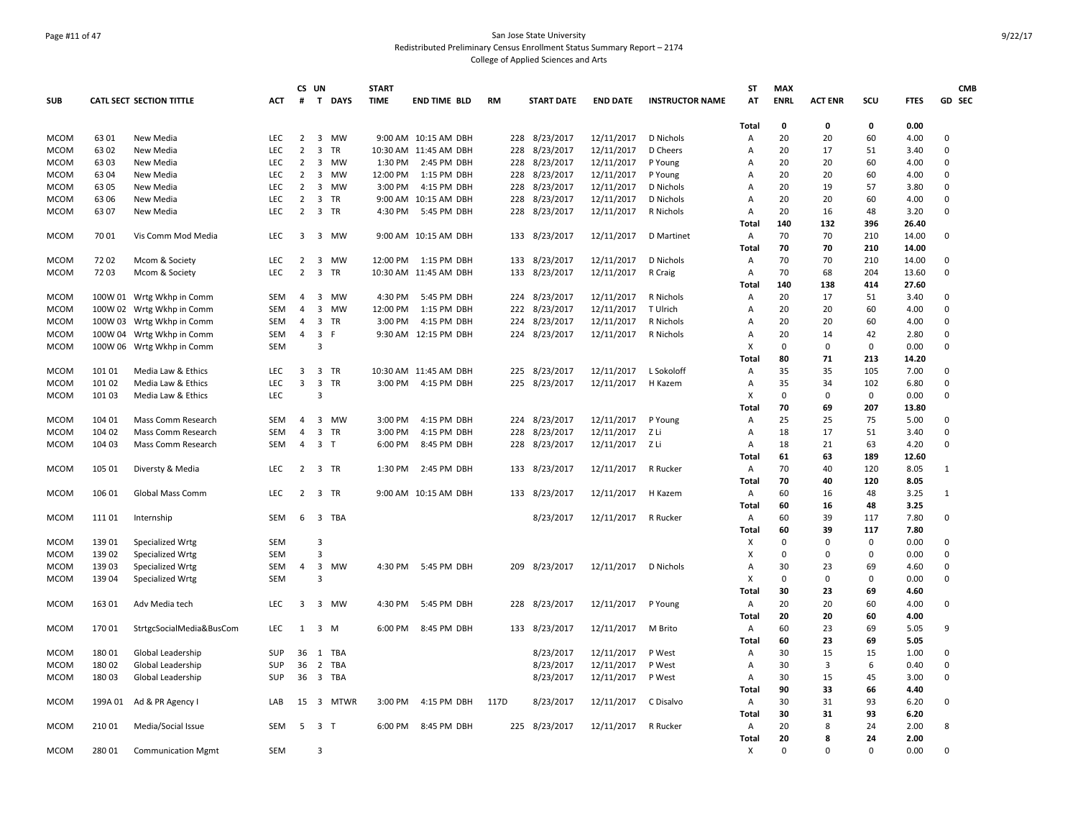### Page #11 of 47 San Jose State University Redistributed Preliminary Census Enrollment Status Summary Report – 2174 College of Applied Sciences and Arts

| <b>SUB</b>  |         | <b>CATL SECT SECTION TITTLE</b> | <b>ACT</b> | #                   | CS UN<br>$\mathbf{T}$   | <b>DAYS</b> | <b>START</b><br><b>TIME</b> | <b>END TIME BLD</b>   | <b>RM</b> |     | <b>START DATE</b> | <b>END DATE</b> | <b>INSTRUCTOR NAME</b> | <b>ST</b><br>AT | <b>MAX</b><br><b>ENRL</b> | <b>ACT ENR</b> | SCU         | <b>FTES</b> | <b>CMB</b><br>GD SEC |
|-------------|---------|---------------------------------|------------|---------------------|-------------------------|-------------|-----------------------------|-----------------------|-----------|-----|-------------------|-----------------|------------------------|-----------------|---------------------------|----------------|-------------|-------------|----------------------|
|             |         |                                 |            |                     |                         |             |                             |                       |           |     |                   |                 |                        | Total           | 0                         | 0              | 0           | 0.00        |                      |
| <b>MCOM</b> | 6301    | New Media                       | <b>LEC</b> | $\overline{2}$      | $\overline{\mathbf{3}}$ | MW          |                             | 9:00 AM 10:15 AM DBH  |           | 228 | 8/23/2017         | 12/11/2017      | D Nichols              | Α               | 20                        | 20             | 60          | 4.00        | 0                    |
| <b>MCOM</b> | 6302    | New Media                       | LEC        | $\overline{2}$      | 3                       | <b>TR</b>   |                             | 10:30 AM 11:45 AM DBH |           | 228 | 8/23/2017         | 12/11/2017      | D Cheers               | Α               | 20                        | 17             | 51          | 3.40        | $\mathbf 0$          |
| <b>MCOM</b> | 6303    | New Media                       | <b>LEC</b> | $\overline{2}$      | 3                       | <b>MW</b>   | 1:30 PM                     | 2:45 PM DBH           |           | 228 | 8/23/2017         | 12/11/2017      | P Young                | A               | 20                        | 20             | 60          | 4.00        | $\mathbf 0$          |
| <b>MCOM</b> | 63 04   | New Media                       | LEC        | $\overline{2}$      | 3                       | <b>MW</b>   | 12:00 PM                    | 1:15 PM DBH           |           | 228 | 8/23/2017         | 12/11/2017      | P Young                | Α               | 20                        | 20             | 60          | 4.00        | $\mathbf 0$          |
| <b>MCOM</b> | 6305    | New Media                       | <b>LEC</b> | $\overline{2}$      | $\overline{3}$          | <b>MW</b>   | 3:00 PM                     | 4:15 PM DBH           |           | 228 | 8/23/2017         | 12/11/2017      | D Nichols              | Α               | 20                        | 19             | 57          | 3.80        | $\mathbf 0$          |
| <b>MCOM</b> | 63 06   | New Media                       | LEC        | $\overline{2}$      | 3                       | TR          |                             | 9:00 AM 10:15 AM DBH  |           | 228 | 8/23/2017         | 12/11/2017      | D Nichols              | Α               | 20                        | 20             | 60          | 4.00        | $\mathbf 0$          |
| <b>MCOM</b> | 6307    | New Media                       | LEC        | $\overline{2}$      | 3                       | <b>TR</b>   | 4:30 PM                     | 5:45 PM DBH           |           | 228 | 8/23/2017         | 12/11/2017      | R Nichols              | Α               | 20                        | 16             | 48          | 3.20        | $\mathsf 0$          |
|             |         |                                 |            |                     |                         |             |                             |                       |           |     |                   |                 |                        | <b>Total</b>    | 140                       | 132            | 396         | 26.40       |                      |
| <b>MCOM</b> | 70 01   | Vis Comm Mod Media              | <b>LEC</b> | $\overline{3}$      |                         | 3 MW        |                             | 9:00 AM 10:15 AM DBH  |           |     | 133 8/23/2017     | 12/11/2017      | D Martinet             | Α               | 70                        | 70             | 210         | 14.00       | $\mathbf 0$          |
|             |         |                                 |            |                     |                         |             |                             |                       |           |     |                   |                 |                        | Total           | 70                        | 70             | 210         | 14.00       |                      |
| <b>MCOM</b> | 7202    | Mcom & Society                  | LEC        | $\overline{2}$      | 3                       | <b>MW</b>   |                             | 12:00 PM 1:15 PM DBH  |           | 133 | 8/23/2017         | 12/11/2017      | D Nichols              | Α               | 70                        | 70             | 210         | 14.00       | 0                    |
| <b>MCOM</b> | 7203    | Mcom & Society                  | <b>LEC</b> | $\overline{2}$      |                         | 3 TR        |                             | 10:30 AM 11:45 AM DBH |           | 133 | 8/23/2017         | 12/11/2017      | R Craig                | Α               | 70                        | 68             | 204         | 13.60       | $\mathbf 0$          |
|             |         |                                 |            |                     |                         |             |                             |                       |           |     |                   |                 |                        | Total           | 140                       | 138            | 414         | 27.60       |                      |
| <b>MCOM</b> |         | 100W 01 Wrtg Wkhp in Comm       | <b>SEM</b> | $\overline{4}$      | 3                       | <b>MW</b>   | 4:30 PM                     | 5:45 PM DBH           |           | 224 | 8/23/2017         | 12/11/2017      | R Nichols              | Α               | 20                        | 17             | 51          | 3.40        | $\mathbf 0$          |
| <b>MCOM</b> |         | 100W 02 Wrtg Wkhp in Comm       | <b>SEM</b> | $\overline{4}$      | $\overline{3}$          | MW          | 12:00 PM                    | 1:15 PM DBH           |           | 222 | 8/23/2017         | 12/11/2017      | T Ulrich               | Α               | 20                        | 20             | 60          | 4.00        | $\mathbf 0$          |
| <b>MCOM</b> |         | 100W 03 Wrtg Wkhp in Comm       | SEM        | $\overline{4}$      | 3                       | <b>TR</b>   | 3:00 PM                     | 4:15 PM DBH           |           | 224 | 8/23/2017         | 12/11/2017      | R Nichols              | A               | 20                        | 20             | 60          | 4.00        | $\mathbf 0$          |
| <b>MCOM</b> |         | 100W 04 Wrtg Wkhp in Comm       | SEM        | $\overline{4}$      | $\overline{\mathbf{3}}$ | F           |                             | 9:30 AM 12:15 PM DBH  |           | 224 | 8/23/2017         | 12/11/2017      | R Nichols              | Α               | 20                        | 14             | 42          | 2.80        | $\mathsf 0$          |
| <b>MCOM</b> |         |                                 | SEM        |                     | 3                       |             |                             |                       |           |     |                   |                 |                        | х               | $\Omega$                  | $\mathbf 0$    | $\mathbf 0$ | 0.00        | $\mathbf 0$          |
|             |         | 100W 06 Wrtg Wkhp in Comm       |            |                     |                         |             |                             |                       |           |     |                   |                 |                        | <b>Total</b>    | 80                        | 71             | 213         | 14.20       |                      |
|             |         |                                 |            |                     |                         |             |                             |                       |           |     |                   |                 |                        |                 |                           |                |             |             |                      |
| <b>MCOM</b> | 101 01  | Media Law & Ethics              | LEC        | 3<br>$\overline{3}$ |                         | 3 TR        |                             | 10:30 AM 11:45 AM DBH |           | 225 | 8/23/2017         | 12/11/2017      | L Sokoloff             | Α               | 35                        | 35             | 105         | 7.00        | 0                    |
| <b>MCOM</b> | 101 02  | Media Law & Ethics              | <b>LEC</b> |                     | $\overline{3}$          | <b>TR</b>   | 3:00 PM                     | 4:15 PM DBH           |           | 225 | 8/23/2017         | 12/11/2017      | H Kazem                | Α               | 35                        | 34             | 102         | 6.80        | $\mathbf 0$          |
| <b>MCOM</b> | 101 03  | Media Law & Ethics              | LEC        |                     | $\overline{3}$          |             |                             |                       |           |     |                   |                 |                        | X               | $\mathbf 0$               | $\Omega$       | $\mathbf 0$ | 0.00        | $\mathbf 0$          |
|             |         |                                 |            |                     |                         |             |                             |                       |           |     |                   |                 |                        | Total           | 70                        | 69             | 207         | 13.80       |                      |
| <b>MCOM</b> | 104 01  | Mass Comm Research              | <b>SEM</b> | 4                   |                         | 3 MW        | 3:00 PM                     | 4:15 PM DBH           |           |     | 224 8/23/2017     | 12/11/2017      | P Young                | Α               | 25                        | 25             | 75          | 5.00        | 0                    |
| <b>MCOM</b> | 104 02  | Mass Comm Research              | <b>SEM</b> | $\overline{4}$      | $\overline{\mathbf{3}}$ | <b>TR</b>   | 3:00 PM                     | 4:15 PM DBH           |           | 228 | 8/23/2017         | 12/11/2017      | Z Li                   | Α               | 18                        | 17             | 51          | 3.40        | $\mathbf 0$          |
| <b>MCOM</b> | 104 03  | Mass Comm Research              | <b>SEM</b> | $\overline{4}$      | 3 <sub>1</sub>          |             | 6:00 PM                     | 8:45 PM DBH           |           | 228 | 8/23/2017         | 12/11/2017      | Z Li                   | Α               | 18                        | 21             | 63          | 4.20        | $\mathbf 0$          |
|             |         |                                 |            |                     |                         |             |                             |                       |           |     |                   |                 |                        | Total           | 61                        | 63             | 189         | 12.60       |                      |
| <b>MCOM</b> | 105 01  | Diversty & Media                | <b>LEC</b> | 2                   |                         | 3 TR        | 1:30 PM                     | 2:45 PM DBH           |           | 133 | 8/23/2017         | 12/11/2017      | R Rucker               | Α               | 70                        | 40             | 120         | 8.05        | 1                    |
|             |         |                                 |            |                     |                         |             |                             |                       |           |     |                   |                 |                        | Total           | 70                        | 40             | 120         | 8.05        |                      |
| <b>MCOM</b> | 106 01  | <b>Global Mass Comm</b>         | <b>LEC</b> | $\overline{2}$      |                         | 3 TR        |                             | 9:00 AM 10:15 AM DBH  |           | 133 | 8/23/2017         | 12/11/2017      | H Kazem                | Α               | 60                        | 16             | 48          | 3.25        | 1                    |
|             |         |                                 |            |                     |                         |             |                             |                       |           |     |                   |                 |                        | Total           | 60                        | 16             | 48          | 3.25        |                      |
| <b>MCOM</b> | 111 01  | Internship                      | SEM        | 6                   |                         | 3 TBA       |                             |                       |           |     | 8/23/2017         | 12/11/2017      | R Rucker               | Α               | 60                        | 39             | 117         | 7.80        | 0                    |
|             |         |                                 |            |                     |                         |             |                             |                       |           |     |                   |                 |                        | Total           | 60                        | 39             | 117         | 7.80        |                      |
| <b>MCOM</b> | 13901   | Specialized Wrtg                | <b>SEM</b> |                     | 3                       |             |                             |                       |           |     |                   |                 |                        | X               | $\Omega$                  | $\Omega$       | 0           | 0.00        | $\mathbf 0$          |
| <b>MCOM</b> | 139 02  | Specialized Wrtg                | <b>SEM</b> |                     | $\overline{3}$          |             |                             |                       |           |     |                   |                 |                        | х               | $\Omega$                  | $\Omega$       | $\Omega$    | 0.00        | $\mathbf 0$          |
| <b>MCOM</b> | 139 03  | Specialized Wrtg                | SEM        | 4                   | 3                       | MW          | 4:30 PM                     | 5:45 PM DBH           |           | 209 | 8/23/2017         | 12/11/2017      | D Nichols              | Α               | 30                        | 23             | 69          | 4.60        | 0                    |
| <b>MCOM</b> | 139 04  | Specialized Wrtg                | <b>SEM</b> |                     | 3                       |             |                             |                       |           |     |                   |                 |                        | X               | $\Omega$                  | $\Omega$       | $\Omega$    | 0.00        | $\mathbf 0$          |
|             |         |                                 |            |                     |                         |             |                             |                       |           |     |                   |                 |                        | Total           | 30                        | 23             | 69          | 4.60        |                      |
| MCOM        | 163 01  | Adv Media tech                  | <b>LEC</b> | 3                   | 3                       | <b>MW</b>   | 4:30 PM                     | 5:45 PM DBH           |           | 228 | 8/23/2017         | 12/11/2017      | P Young                | A               | 20                        | 20             | 60          | 4.00        | $\mathbf 0$          |
|             |         |                                 |            |                     |                         |             |                             |                       |           |     |                   |                 |                        | <b>Total</b>    | 20                        | 20             | 60          | 4.00        |                      |
| <b>MCOM</b> | 17001   | StrtgcSocialMedia&BusCom        | LEC        | 1                   |                         | 3 M         | 6:00 PM                     | 8:45 PM DBH           |           |     | 133 8/23/2017     | 12/11/2017      | M Brito                | Α               | 60                        | 23             | 69          | 5.05        | 9                    |
|             |         |                                 |            |                     |                         |             |                             |                       |           |     |                   |                 |                        | <b>Total</b>    | 60                        | 23             | 69          | 5.05        |                      |
| <b>MCOM</b> | 18001   | Global Leadership               | SUP        | 36                  |                         | 1 TBA       |                             |                       |           |     | 8/23/2017         | 12/11/2017      | P West                 | Α               | 30                        | 15             | 15          | 1.00        | 0                    |
| <b>MCOM</b> | 18002   | Global Leadership               | SUP        | 36                  |                         | 2 TBA       |                             |                       |           |     | 8/23/2017         | 12/11/2017      | P West                 | Α               | 30                        | 3              | 6           | 0.40        | $\mathbf 0$          |
| <b>MCOM</b> | 18003   | Global Leadership               | SUP        | 36                  |                         | 3 TBA       |                             |                       |           |     | 8/23/2017         | 12/11/2017      | P West                 | Α               | 30                        | 15             | 45          | 3.00        | $\mathbf 0$          |
|             |         |                                 |            |                     |                         |             |                             |                       |           |     |                   |                 |                        | Total           | 90                        | 33             | 66          | 4.40        |                      |
| <b>MCOM</b> | 199A 01 | Ad & PR Agency I                | LAB        | 15                  |                         | 3 MTWR      | 3:00 PM                     | 4:15 PM DBH           | 117D      |     | 8/23/2017         | 12/11/2017      | C Disalvo              | Α               | 30                        | 31             | 93          | 6.20        | $\mathbf 0$          |
|             |         |                                 |            |                     |                         |             |                             |                       |           |     |                   |                 |                        | Total           | 30                        | 31             | 93          | 6.20        |                      |
| <b>MCOM</b> | 210 01  | Media/Social Issue              | <b>SEM</b> | 5                   | 3 <sub>1</sub>          |             | 6:00 PM                     | 8:45 PM DBH           |           |     | 225 8/23/2017     | 12/11/2017      | R Rucker               | Α               | 20                        | 8              | 24          | 2.00        | 8                    |
|             |         |                                 |            |                     |                         |             |                             |                       |           |     |                   |                 |                        | Total           | 20                        | 8              | 24          | 2.00        |                      |
| <b>MCOM</b> | 280 01  | <b>Communication Mgmt</b>       | <b>SEM</b> |                     | 3                       |             |                             |                       |           |     |                   |                 |                        | X               | $\Omega$                  | $\Omega$       | $\mathbf 0$ | 0.00        | $\mathbf 0$          |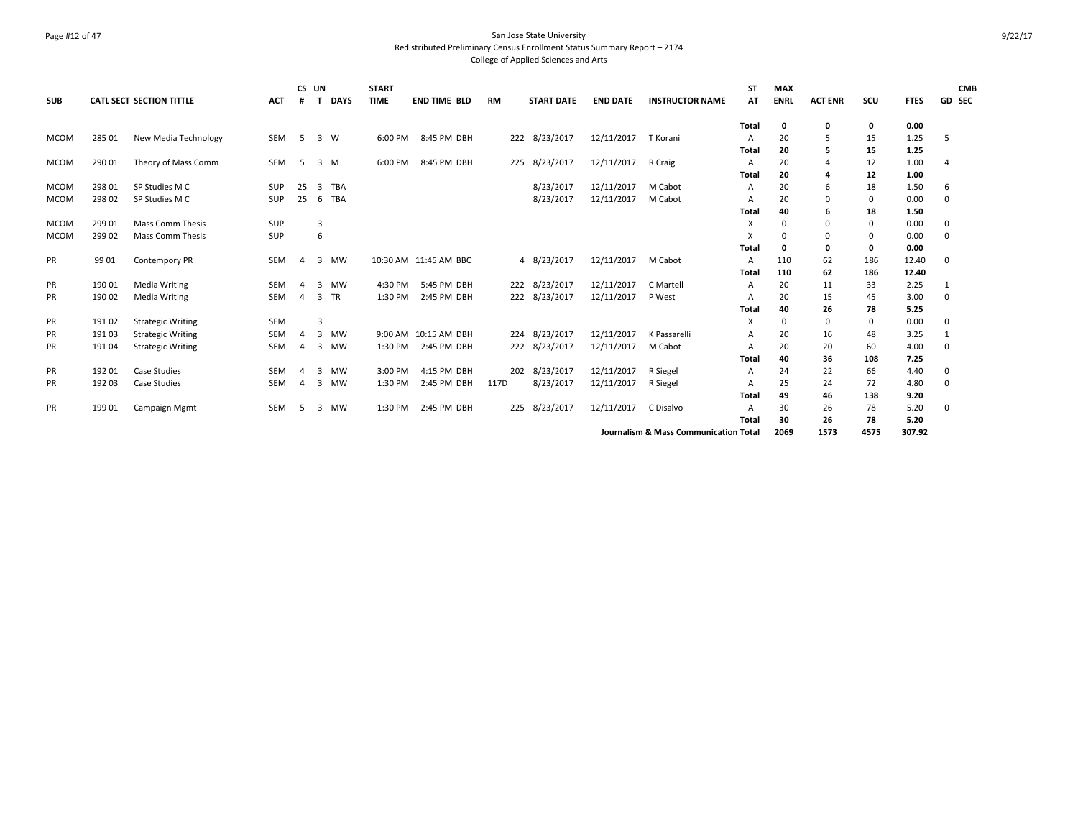### Page #12 of 47 San Jose State University Redistributed Preliminary Census Enrollment Status Summary Report – 2174 College of Applied Sciences and Arts

| <b>SUB</b>  |        | <b>CATL SECT SECTION TITTLE</b> | <b>ACT</b> | CS UN          | <b>DAYS</b>          | <b>START</b><br><b>TIME</b> | <b>END TIME BLD</b>   | <b>RM</b> | <b>START DATE</b> | <b>END DATE</b> | <b>INSTRUCTOR NAME</b>                           | <b>ST</b><br>AT | <b>MAX</b><br><b>ENRL</b> | <b>ACT ENR</b> | SCU  | <b>FTES</b> | <b>CMB</b><br>GD SEC |
|-------------|--------|---------------------------------|------------|----------------|----------------------|-----------------------------|-----------------------|-----------|-------------------|-----------------|--------------------------------------------------|-----------------|---------------------------|----------------|------|-------------|----------------------|
|             |        |                                 |            |                |                      |                             |                       |           |                   |                 |                                                  | Total           | 0                         | 0              | 0    | 0.00        |                      |
| <b>MCOM</b> | 285 01 | New Media Technology            | <b>SEM</b> | -5             | 3 W                  | 6:00 PM                     | 8:45 PM DBH           |           | 222 8/23/2017     | 12/11/2017      | T Korani                                         | A               | 20                        | 5              | 15   | 1.25        | 5                    |
|             |        |                                 |            |                |                      |                             |                       |           |                   |                 |                                                  | Total           | 20                        | 5              | 15   | 1.25        |                      |
| <b>MCOM</b> | 290 01 | Theory of Mass Comm             | <b>SEM</b> | -5             | 3 M                  | 6:00 PM                     | 8:45 PM DBH           |           | 225 8/23/2017     | 12/11/2017      | R Craig                                          | $\overline{A}$  | 20                        | 4              | 12   | 1.00        | 4                    |
|             |        |                                 |            |                |                      |                             |                       |           |                   |                 |                                                  | Total           | 20                        | 4              | 12   | 1.00        |                      |
| <b>MCOM</b> | 298 01 | SP Studies M C                  | SUP        | 25             | <b>TBA</b><br>3      |                             |                       |           | 8/23/2017         | 12/11/2017      | M Cabot                                          | A               | 20                        | 6              | 18   | 1.50        | 6                    |
| <b>MCOM</b> | 298 02 | SP Studies M C                  | SUP        | 25             | <b>TBA</b><br>6      |                             |                       |           | 8/23/2017         | 12/11/2017      | M Cabot                                          | A               | 20                        | $\mathbf 0$    | 0    | 0.00        | 0                    |
|             |        |                                 |            |                |                      |                             |                       |           |                   |                 |                                                  | <b>Total</b>    | 40                        | 6              | 18   | 1.50        |                      |
| <b>MCOM</b> | 299 01 | Mass Comm Thesis                | <b>SUP</b> |                | 3                    |                             |                       |           |                   |                 |                                                  | х               | $\Omega$                  | 0              | 0    | 0.00        | 0                    |
| <b>MCOM</b> | 299 02 | <b>Mass Comm Thesis</b>         | SUP        |                | 6                    |                             |                       |           |                   |                 |                                                  | х               | $\Omega$                  | 0              | 0    | 0.00        | 0                    |
|             |        |                                 |            |                |                      |                             |                       |           |                   |                 |                                                  | <b>Total</b>    | 0                         | 0              | 0    | 0.00        |                      |
| PR          | 99 01  | Contempory PR                   | SEM        | $\overline{A}$ | 3<br><b>MW</b>       |                             | 10:30 AM 11:45 AM BBC |           | 4 8/23/2017       | 12/11/2017      | M Cabot                                          | A               | 110                       | 62             | 186  | 12.40       | 0                    |
|             |        |                                 |            |                |                      |                             |                       |           |                   |                 |                                                  | <b>Total</b>    | 110                       | 62             | 186  | 12.40       |                      |
| PR          | 190 01 | <b>Media Writing</b>            | <b>SEM</b> | $\overline{a}$ | 3<br>MW              | 4:30 PM                     | 5:45 PM DBH           |           | 222 8/23/2017     | 12/11/2017      | C Martell                                        | $\overline{A}$  | 20                        | 11             | 33   | 2.25        | 1                    |
| <b>PR</b>   | 190 02 | <b>Media Writing</b>            | <b>SEM</b> | $\overline{A}$ | <b>TR</b><br>3       | 1:30 PM                     | 2:45 PM DBH           |           | 222 8/23/2017     | 12/11/2017      | P West                                           | A               | 20                        | 15             | 45   | 3.00        | 0                    |
|             |        |                                 |            |                |                      |                             |                       |           |                   |                 |                                                  | <b>Total</b>    | 40                        | 26             | 78   | 5.25        |                      |
| PR          | 191 02 | <b>Strategic Writing</b>        | SEM        |                | 3                    |                             |                       |           |                   |                 |                                                  | X               | $\Omega$                  | 0              | 0    | 0.00        | 0                    |
| PR          | 19103  | <b>Strategic Writing</b>        | <b>SEM</b> | Δ              | $\overline{3}$<br>MW |                             | 9:00 AM 10:15 AM DBH  |           | 224 8/23/2017     | 12/11/2017      | K Passarelli                                     | A               | 20                        | 16             | 48   | 3.25        |                      |
| PR          | 191 04 | <b>Strategic Writing</b>        | <b>SEM</b> | $\overline{4}$ | <b>MW</b><br>3       | 1:30 PM                     | 2:45 PM DBH           |           | 222 8/23/2017     | 12/11/2017      | M Cabot                                          | A               | 20                        | 20             | 60   | 4.00        | 0                    |
|             |        |                                 |            |                |                      |                             |                       |           |                   |                 |                                                  | Total           | 40                        | 36             | 108  | 7.25        |                      |
| PR          | 19201  | <b>Case Studies</b>             | <b>SEM</b> | $\overline{a}$ | MW<br>3              | 3:00 PM                     | 4:15 PM DBH           |           | 202 8/23/2017     | 12/11/2017      | R Siegel                                         | A               | 24                        | 22             | 66   | 4.40        | 0                    |
| <b>PR</b>   | 192 03 | <b>Case Studies</b>             | <b>SEM</b> | 4              | <b>MW</b><br>3       | 1:30 PM                     | 2:45 PM DBH           | 117D      | 8/23/2017         | 12/11/2017      | R Siegel                                         | A               | 25                        | 24             | 72   | 4.80        | $\mathbf 0$          |
|             |        |                                 |            |                |                      |                             |                       |           |                   |                 |                                                  | <b>Total</b>    | 49                        | 46             | 138  | 9.20        |                      |
| <b>PR</b>   | 19901  | Campaign Mgmt                   | SEM        | -5             | 3 MW                 | 1:30 PM                     | 2:45 PM DBH           |           | 225 8/23/2017     | 12/11/2017      | C Disalvo                                        | A               | 30                        | 26             | 78   | 5.20        | 0                    |
|             |        |                                 |            |                |                      |                             |                       |           |                   |                 |                                                  | <b>Total</b>    | 30                        | 26             | 78   | 5.20        |                      |
|             |        |                                 |            |                |                      |                             |                       |           |                   |                 | <b>Journalism &amp; Mass Communication Total</b> |                 | 2069                      | 1573           | 4575 | 307.92      |                      |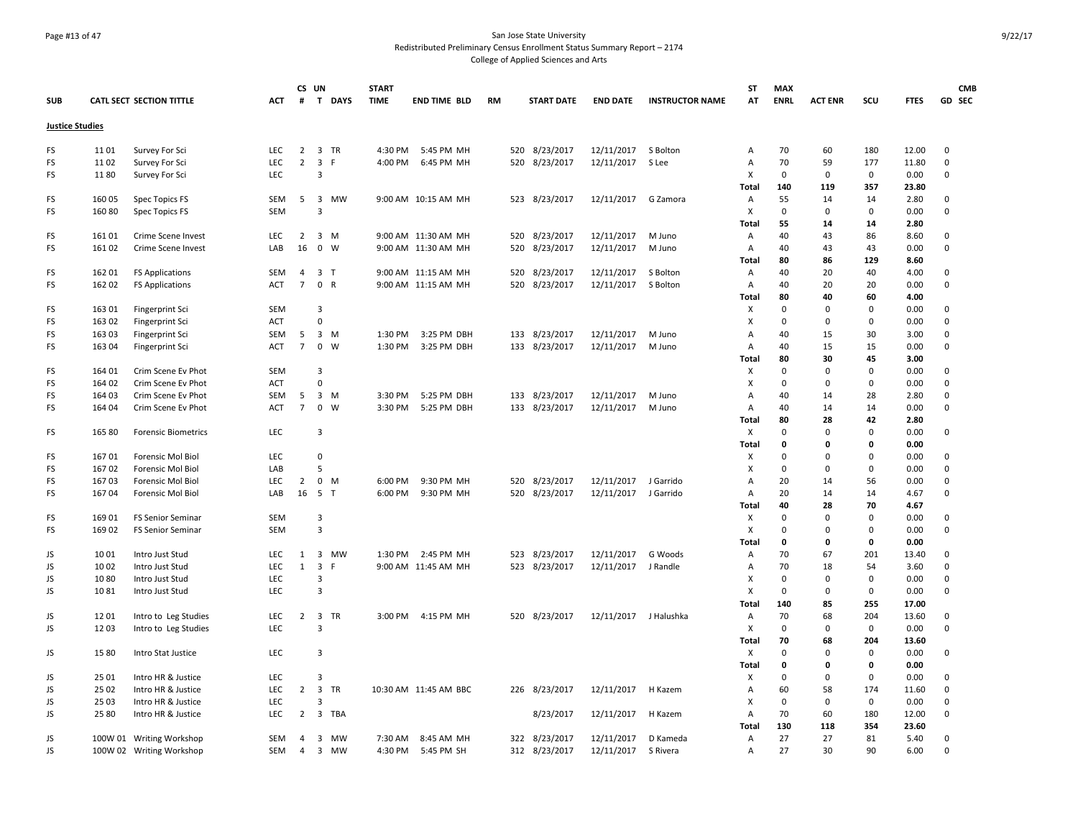### Page #13 of 47 San Jose State University Redistributed Preliminary Census Enrollment Status Summary Report – 2174 College of Applied Sciences and Arts

| <b>SUB</b>             |        | <b>CATL SECT SECTION TITTLE</b> | <b>ACT</b> | #               | CS UN<br>T                           | <b>START</b><br><b>DAYS</b><br><b>TIME</b> |         | <b>END TIME BLD</b>   | RM |     | <b>START DATE</b> | <b>END DATE</b> | <b>INSTRUCTOR NAME</b> | ST<br>ΑT     | <b>MAX</b><br><b>ENRL</b> | <b>ACT ENR</b> | SCU          | <b>FTES</b> | <b>CMB</b><br>GD SEC |
|------------------------|--------|---------------------------------|------------|-----------------|--------------------------------------|--------------------------------------------|---------|-----------------------|----|-----|-------------------|-----------------|------------------------|--------------|---------------------------|----------------|--------------|-------------|----------------------|
|                        |        |                                 |            |                 |                                      |                                            |         |                       |    |     |                   |                 |                        |              |                           |                |              |             |                      |
| <b>Justice Studies</b> |        |                                 |            |                 |                                      |                                            |         |                       |    |     |                   |                 |                        |              |                           |                |              |             |                      |
| FS                     | 1101   | Survey For Sci                  | <b>LEC</b> | $\overline{2}$  | $\overline{\mathbf{3}}$<br><b>TR</b> |                                            | 4:30 PM | 5:45 PM MH            |    |     | 520 8/23/2017     | 12/11/2017      | S Bolton               | Α            | 70                        | 60             | 180          | 12.00       | 0                    |
| FS                     | 1102   | Survey For Sci                  | LEC        | $\overline{2}$  | $\overline{\mathbf{3}}$<br>F         |                                            | 4:00 PM | 6:45 PM MH            |    | 520 | 8/23/2017         | 12/11/2017      | S Lee                  | Α            | 70                        | 59             | 177          | 11.80       | 0                    |
| FS                     | 1180   | Survey For Sci                  | LEC        |                 | 3                                    |                                            |         |                       |    |     |                   |                 |                        | X            | $\mathbf 0$               | $\mathbf 0$    | $\mathbf 0$  | 0.00        | 0                    |
|                        |        |                                 |            |                 |                                      |                                            |         |                       |    |     |                   |                 |                        | Total        | 140                       | 119            | 357          | 23.80       |                      |
| FS                     | 160 05 | Spec Topics FS                  | SEM        | 5               | 3 MW                                 |                                            |         | 9:00 AM 10:15 AM MH   |    |     | 523 8/23/2017     | 12/11/2017      | G Zamora               | Α            | 55                        | 14             | 14           | 2.80        | 0                    |
| FS                     | 160 80 | Spec Topics FS                  | SEM        |                 | 3                                    |                                            |         |                       |    |     |                   |                 |                        | x            | $\mathbf 0$               | $\mathbf 0$    | $\mathbf 0$  | 0.00        | 0                    |
|                        |        |                                 |            |                 |                                      |                                            |         |                       |    |     |                   |                 |                        | Total        | 55                        | 14             | 14           | 2.80        |                      |
| FS                     | 16101  | Crime Scene Invest              | LEC        | $\overline{2}$  | 3 M                                  |                                            |         | 9:00 AM 11:30 AM MH   |    |     | 520 8/23/2017     | 12/11/2017      | M Juno                 | Α            | 40                        | 43             | 86           | 8.60        | 0                    |
| FS                     | 16102  | Crime Scene Invest              | LAB        | 16              | $\mathbf 0$<br>W                     |                                            |         | 9:00 AM 11:30 AM MH   |    | 520 | 8/23/2017         | 12/11/2017      | M Juno                 | Α            | 40                        | 43             | 43           | 0.00        | 0                    |
|                        |        |                                 |            |                 |                                      |                                            |         |                       |    |     |                   |                 |                        | Total        | 80                        | 86             | 129          | 8.60        |                      |
| FS                     | 16201  | <b>FS Applications</b>          | SEM        | $\overline{4}$  | 3 <sub>1</sub>                       |                                            |         | 9:00 AM 11:15 AM MH   |    |     | 520 8/23/2017     | 12/11/2017      | S Bolton               | Α            | 40                        | 20             | 40           | 4.00        | 0                    |
| FS                     | 162 02 | <b>FS Applications</b>          | <b>ACT</b> | $7\overline{ }$ | $\mathbf 0$<br>R                     |                                            |         | 9:00 AM 11:15 AM MH   |    | 520 | 8/23/2017         | 12/11/2017      | S Bolton               | Α            | 40                        | 20             | 20           | 0.00        | 0                    |
|                        |        |                                 |            |                 |                                      |                                            |         |                       |    |     |                   |                 |                        | Total        | 80                        | 40             | 60           | 4.00        |                      |
| FS                     | 163 01 | Fingerprint Sci                 | SEM        |                 | 3                                    |                                            |         |                       |    |     |                   |                 |                        | x            | $\Omega$                  | $\mathbf 0$    | $\mathbf 0$  | 0.00        | 0                    |
| FS                     | 163 02 | Fingerprint Sci                 | <b>ACT</b> |                 | $\mathsf 0$                          |                                            |         |                       |    |     |                   |                 |                        | x            | $\mathbf 0$               | $\mathbf 0$    | $\mathbf 0$  | 0.00        | 0                    |
| FS                     | 163 03 | Fingerprint Sci                 | SEM        | 5               | $\overline{3}$<br>M                  |                                            | 1:30 PM | 3:25 PM DBH           |    | 133 | 8/23/2017         | 12/11/2017      | M Juno                 | Α            | 40                        | 15             | 30           | 3.00        | 0                    |
| FS                     | 163 04 | Fingerprint Sci                 | <b>ACT</b> | $\overline{7}$  | $\mathbf 0$<br>W                     |                                            | 1:30 PM | 3:25 PM DBH           |    |     | 133 8/23/2017     | 12/11/2017      | M Juno                 | Α            | 40                        | 15             | 15           | 0.00        | 0                    |
|                        |        |                                 |            |                 |                                      |                                            |         |                       |    |     |                   |                 |                        | Total        | 80                        | 30             | 45           | 3.00        |                      |
| FS                     | 164 01 | Crim Scene Ev Phot              | <b>SEM</b> |                 | 3                                    |                                            |         |                       |    |     |                   |                 |                        | х            | $\Omega$                  | $\Omega$       | $\mathbf 0$  | 0.00        | 0                    |
| FS                     | 164 02 | Crim Scene Ev Phot              | <b>ACT</b> |                 | $\mathsf 0$                          |                                            |         |                       |    |     |                   |                 |                        | X            | $\Omega$                  | $\mathbf 0$    | $\mathbf 0$  | 0.00        | 0                    |
| FS                     | 164 03 | Crim Scene Ev Phot              | SEM        | 5               | 3<br>M                               |                                            | 3:30 PM | 5:25 PM DBH           |    | 133 | 8/23/2017         | 12/11/2017      | M Juno                 | Α            | 40                        | 14             | 28           | 2.80        | 0                    |
| FS                     | 164 04 | Crim Scene Ev Phot              | <b>ACT</b> | $\overline{7}$  | $\mathbf 0$<br>W                     |                                            | 3:30 PM | 5:25 PM DBH           |    |     | 133 8/23/2017     | 12/11/2017      | M Juno                 | Α            | 40                        | 14             | 14           | 0.00        | 0                    |
|                        |        |                                 |            |                 |                                      |                                            |         |                       |    |     |                   |                 |                        | Total        | 80                        | 28             | 42           | 2.80        |                      |
| FS                     | 165 80 | <b>Forensic Biometrics</b>      | LEC        |                 | 3                                    |                                            |         |                       |    |     |                   |                 |                        | X            | $\Omega$                  | $\mathbf 0$    | $\mathbf 0$  | 0.00        | 0                    |
|                        |        |                                 |            |                 |                                      |                                            |         |                       |    |     |                   |                 |                        | Total        | 0                         | 0              | $\mathbf{0}$ | 0.00        |                      |
| FS                     | 16701  | Forensic Mol Biol               | LEC        |                 | $\mathbf 0$                          |                                            |         |                       |    |     |                   |                 |                        | х            | $\Omega$                  | $\Omega$       | $\Omega$     | 0.00        | 0                    |
| FS                     | 167 02 | Forensic Mol Biol               | LAB        |                 | 5                                    |                                            |         |                       |    |     |                   |                 |                        | х            | $\Omega$                  | $\Omega$       | $\mathbf 0$  | 0.00        | $\mathbf 0$          |
| FS                     | 16703  | Forensic Mol Biol               | LEC        | $\overline{2}$  | $\pmb{0}$<br>M                       |                                            | 6:00 PM | 9:30 PM MH            |    | 520 | 8/23/2017         | 12/11/2017      | J Garrido              | Α            | 20                        | 14             | 56           | 0.00        | 0                    |
| FS                     | 16704  | Forensic Mol Biol               | LAB        | 16              | 5 <sub>T</sub>                       |                                            | 6:00 PM | 9:30 PM MH            |    | 520 | 8/23/2017         | 12/11/2017      | J Garrido              | Α            | 20                        | 14             | 14           | 4.67        | 0                    |
|                        |        |                                 |            |                 |                                      |                                            |         |                       |    |     |                   |                 |                        | Total        | 40                        | 28             | 70           | 4.67        |                      |
| FS                     | 169 01 | <b>FS Senior Seminar</b>        | SEM        |                 | 3                                    |                                            |         |                       |    |     |                   |                 |                        | X            | $\mathbf 0$               | $\mathbf 0$    | $\mathbf 0$  | 0.00        | 0                    |
| FS                     | 16902  | FS Senior Seminar               | <b>SEM</b> |                 | $\overline{3}$                       |                                            |         |                       |    |     |                   |                 |                        | X            | $\Omega$                  | $\Omega$       | $\Omega$     | 0.00        | $\mathbf 0$          |
|                        |        |                                 |            |                 |                                      |                                            |         |                       |    |     |                   |                 |                        | Total        | 0                         | $\mathbf 0$    | $\mathbf 0$  | 0.00        |                      |
| JS                     | 1001   | Intro Just Stud                 | LEC        | 1               | $\overline{\mathbf{3}}$              | <b>MW</b>                                  | 1:30 PM | 2:45 PM MH            |    | 523 | 8/23/2017         | 12/11/2017      | G Woods                | Α            | 70                        | 67             | 201          | 13.40       | 0                    |
| JS                     | 1002   | Intro Just Stud                 | LEC        | $\mathbf{1}$    | $\overline{3}$<br>F                  |                                            |         | 9:00 AM 11:45 AM MH   |    |     | 523 8/23/2017     | 12/11/2017      | J Randle               | Α            | 70                        | 18             | 54           | 3.60        | $\mathbf 0$          |
| JS                     | 1080   | Intro Just Stud                 | LEC        |                 | 3                                    |                                            |         |                       |    |     |                   |                 |                        | x            | $\Omega$                  | $\mathbf 0$    | $\mathbf 0$  | 0.00        | 0                    |
| JS                     | 1081   | Intro Just Stud                 | LEC        |                 | $\overline{3}$                       |                                            |         |                       |    |     |                   |                 |                        | х            | 0                         | $\mathbf 0$    | 0            | 0.00        | 0                    |
|                        |        |                                 |            |                 |                                      |                                            |         |                       |    |     |                   |                 |                        | <b>Total</b> | 140                       | 85             | 255          | 17.00       |                      |
| JS                     | 1201   | Intro to Leg Studies            | LEC        | $2^{\circ}$     | 3 TR                                 |                                            | 3:00 PM | 4:15 PM MH            |    |     | 520 8/23/2017     | 12/11/2017      | J Halushka             | Α            | 70                        | 68             | 204          | 13.60       | 0                    |
| JS                     | 1203   | Intro to Leg Studies            | LEC        |                 | 3                                    |                                            |         |                       |    |     |                   |                 |                        | x            | $\mathbf 0$               | $\mathbf 0$    | $\mathbf 0$  | 0.00        | 0                    |
|                        |        |                                 |            |                 |                                      |                                            |         |                       |    |     |                   |                 |                        | <b>Total</b> | 70                        | 68             | 204          | 13.60       |                      |
| JS                     | 1580   | Intro Stat Justice              | LEC        |                 | 3                                    |                                            |         |                       |    |     |                   |                 |                        | Χ            | $\Omega$                  | $\mathbf 0$    | $\mathbf 0$  | 0.00        | 0                    |
|                        |        |                                 |            |                 |                                      |                                            |         |                       |    |     |                   |                 |                        | <b>Total</b> | $\mathbf 0$               | $\mathbf 0$    | $\mathbf 0$  | 0.00        |                      |
| JS                     | 25 01  | Intro HR & Justice              | LEC        |                 | 3                                    |                                            |         |                       |    |     |                   |                 |                        | x            | $\Omega$                  | $\mathbf 0$    | $\mathbf 0$  | 0.00        | 0                    |
| JS                     | 25 02  | Intro HR & Justice              | LEC        | $\overline{2}$  | $\overline{3}$<br>TR                 |                                            |         | 10:30 AM 11:45 AM BBC |    |     | 226 8/23/2017     | 12/11/2017      | H Kazem                | Α            | 60                        | 58             | 174          | 11.60       | 0                    |
| JS                     | 25 03  | Intro HR & Justice              | LEC        |                 | $\overline{3}$                       |                                            |         |                       |    |     |                   |                 |                        | x            | $\mathbf 0$               | $^{\circ}$     | $\mathbf 0$  | 0.00        | 0                    |
| JS                     | 25 80  | Intro HR & Justice              | LEC        | 2               | $\overline{\mathbf{3}}$              | <b>TBA</b>                                 |         |                       |    |     | 8/23/2017         | 12/11/2017      | H Kazem                | Α            | 70                        | 60             | 180          | 12.00       | 0                    |
|                        |        |                                 |            |                 |                                      |                                            |         |                       |    |     |                   |                 |                        | Total        | 130                       | 118            | 354          | 23.60       |                      |
| JS                     |        | 100W 01 Writing Workshop        | SEM        | $\overline{a}$  | 3                                    | MW                                         | 7:30 AM | 8:45 AM MH            |    |     | 322 8/23/2017     | 12/11/2017      | D Kameda               | Α            | 27                        | 27             | 81           | 5.40        | 0                    |
| JS                     |        | 100W 02 Writing Workshop        | SEM        | 4               | 3                                    | <b>MW</b>                                  | 4:30 PM | 5:45 PM SH            |    |     | 312 8/23/2017     | 12/11/2017      | S Rivera               | Α            | 27                        | 30             | 90           | 6.00        | $\mathbf 0$          |
|                        |        |                                 |            |                 |                                      |                                            |         |                       |    |     |                   |                 |                        |              |                           |                |              |             |                      |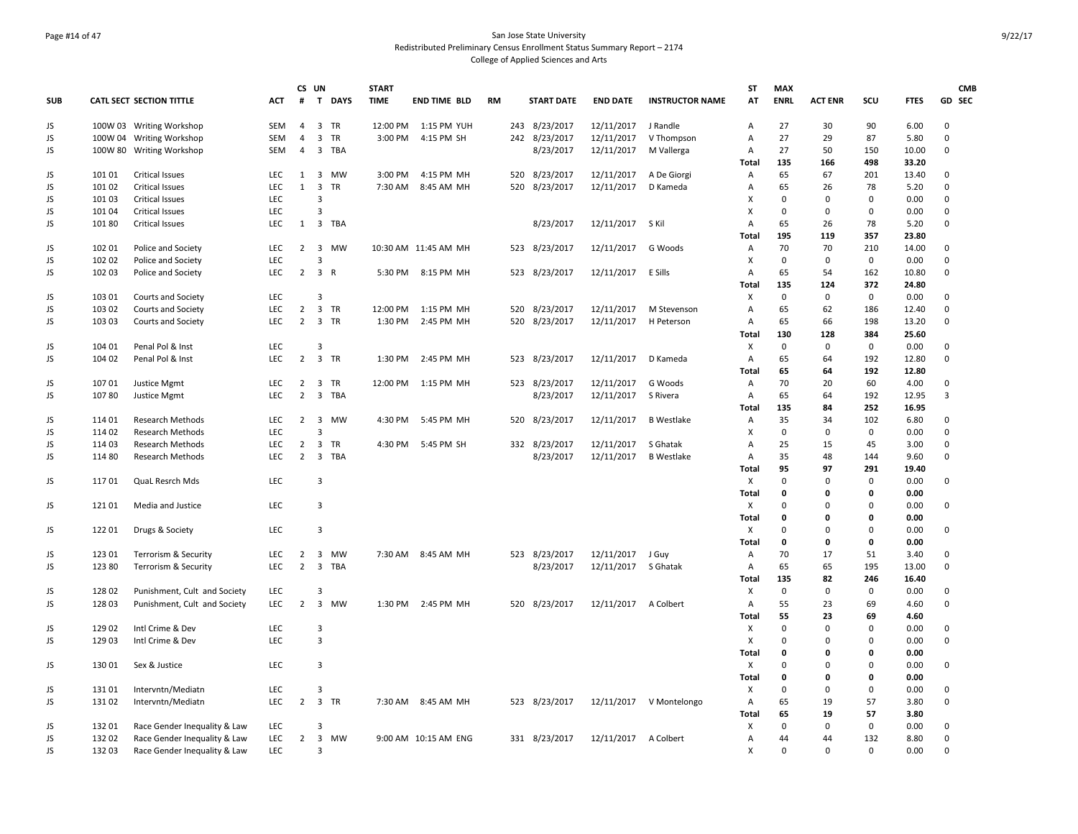### Page #14 of 47 San Jose State University Redistributed Preliminary Census Enrollment Status Summary Report – 2174 College of Applied Sciences and Arts

|            |        |                                 |            |                | CS UN                   |            | <b>START</b> |                      |           |     |                   |                  |                        | <b>ST</b>      | <b>MAX</b>   |                |              |             | <b>CMB</b>  |
|------------|--------|---------------------------------|------------|----------------|-------------------------|------------|--------------|----------------------|-----------|-----|-------------------|------------------|------------------------|----------------|--------------|----------------|--------------|-------------|-------------|
| <b>SUB</b> |        | <b>CATL SECT SECTION TITTLE</b> | <b>ACT</b> | #              |                         | T DAYS     | <b>TIME</b>  | <b>END TIME BLD</b>  | <b>RM</b> |     | <b>START DATE</b> | <b>END DATE</b>  | <b>INSTRUCTOR NAME</b> | AT             | <b>ENRL</b>  | <b>ACT ENR</b> | SCU          | <b>FTES</b> | GD SEC      |
| JS         |        | 100W 03 Writing Workshop        | <b>SEM</b> | 4              |                         | 3 TR       |              | 12:00 PM 1:15 PM YUH |           |     | 243 8/23/2017     | 12/11/2017       | J Randle               | Α              | 27           | 30             | 90           | 6.00        | 0           |
| JS         |        | 100W 04 Writing Workshop        | <b>SEM</b> | $\overline{4}$ | $\overline{3}$          | <b>TR</b>  | 3:00 PM      | 4:15 PM SH           |           |     | 242 8/23/2017     | 12/11/2017       | V Thompson             | $\overline{A}$ | 27           | 29             | 87           | 5.80        | $\Omega$    |
| JS         |        | 100W 80 Writing Workshop        | SEM        | $\overline{4}$ | $\overline{3}$          | <b>TBA</b> |              |                      |           |     | 8/23/2017         | 12/11/2017       | M Vallerga             | Α              | 27           | 50             | 150          | 10.00       | 0           |
|            |        |                                 |            |                |                         |            |              |                      |           |     |                   |                  |                        | Total          | 135          | 166            | 498          | 33.20       |             |
| JS         | 101 01 | <b>Critical Issues</b>          | <b>LEC</b> | 1              | $\overline{3}$          | <b>MW</b>  | 3:00 PM      | 4:15 PM MH           |           | 520 | 8/23/2017         | 12/11/2017       | A De Giorgi            | Α              | 65           | 67             | 201          | 13.40       | 0           |
| JS         | 101 02 | <b>Critical Issues</b>          | LEC        | $\mathbf{1}$   | $\overline{3}$          | <b>TR</b>  | 7:30 AM      | 8:45 AM MH           |           | 520 | 8/23/2017         | 12/11/2017       | D Kameda               | $\overline{A}$ | 65           | 26             | 78           | 5.20        | 0           |
| JS         | 101 03 | <b>Critical Issues</b>          | <b>LEC</b> |                | $\mathbf{3}$            |            |              |                      |           |     |                   |                  |                        | X              | $\Omega$     | $\mathbf 0$    | $\mathbf 0$  | 0.00        | 0           |
| JS         | 101 04 | <b>Critical Issues</b>          | <b>LEC</b> |                | $\overline{3}$          |            |              |                      |           |     |                   |                  |                        | X              | 0            | 0              | $\mathbf 0$  | 0.00        | $\mathbf 0$ |
| JS         | 101 80 | <b>Critical Issues</b>          | LEC        | 1              | $\overline{3}$          | <b>TBA</b> |              |                      |           |     | 8/23/2017         | 12/11/2017 S Kil |                        | $\overline{A}$ | 65           | 26             | 78           | 5.20        | $\mathbf 0$ |
|            |        |                                 |            |                |                         |            |              |                      |           |     |                   |                  |                        | Total          | 195          | 119            | 357          | 23.80       |             |
| JS         | 102 01 | Police and Society              | <b>LEC</b> | 2              |                         | 3 MW       |              | 10:30 AM 11:45 AM MH |           | 523 | 8/23/2017         | 12/11/2017       | G Woods                | Α              | 70           | 70             | 210          | 14.00       | 0           |
| JS         | 102 02 | Police and Society              | LEC        |                | 3                       |            |              |                      |           |     |                   |                  |                        | X              | $\mathbf 0$  | $\mathbf 0$    | $\mathbf 0$  | 0.00        | $\mathbf 0$ |
| JS         | 102 03 | Police and Society              | LEC        | $2^{\circ}$    | 3 R                     |            |              | 5:30 PM 8:15 PM MH   |           |     | 523 8/23/2017     | 12/11/2017       | E Sills                | Α              | 65           | 54             | 162          | 10.80       | 0           |
|            |        |                                 |            |                |                         |            |              |                      |           |     |                   |                  |                        | Total          | 135          | 124            | 372          | 24.80       |             |
| JS         | 103 01 | Courts and Society              | LEC        |                | $\overline{3}$          |            |              |                      |           |     |                   |                  |                        | х              | $\mathbf 0$  | $\mathbf 0$    | $\mathbf 0$  | 0.00        | 0           |
| JS         | 103 02 | Courts and Society              | LEC        | $\overline{2}$ | $\overline{3}$          | TR         |              | 12:00 PM 1:15 PM MH  |           | 520 | 8/23/2017         | 12/11/2017       | M Stevenson            | Α              | 65           | 62             | 186          | 12.40       | 0           |
| JS         | 103 03 | Courts and Society              | <b>LEC</b> | $\overline{2}$ | $\overline{3}$          | <b>TR</b>  | 1:30 PM      | 2:45 PM MH           |           | 520 | 8/23/2017         | 12/11/2017       | H Peterson             | Α              | 65           | 66             | 198          | 13.20       | 0           |
|            |        |                                 |            |                |                         |            |              |                      |           |     |                   |                  |                        | Total          | 130          | 128            | 384          | 25.60       |             |
| JS         | 104 01 | Penal Pol & Inst                | LEC        |                | $\mathbf{3}$            |            |              |                      |           |     |                   |                  |                        | х              | $\mathbf 0$  | $\mathbf 0$    | $\mathbf{0}$ | 0.00        | 0           |
| JS         | 104 02 | Penal Pol & Inst                | <b>LEC</b> | $\overline{2}$ | $\overline{3}$          | TR         | 1:30 PM      | 2:45 PM MH           |           | 523 | 8/23/2017         | 12/11/2017       | D Kameda               | Α              | 65           | 64             | 192          | 12.80       | $\mathbf 0$ |
|            |        |                                 |            |                |                         |            |              |                      |           |     |                   |                  |                        | Total          | 65           | 64             | 192          | 12.80       |             |
| JS         | 107 01 | Justice Mgmt                    | LEC        | $\overline{2}$ |                         | 3 TR       |              | 12:00 PM 1:15 PM MH  |           |     | 523 8/23/2017     | 12/11/2017       | G Woods                | Α              | 70           | 20             | 60           | 4.00        | 0           |
| JS         | 10780  | Justice Mgmt                    | <b>LEC</b> | $\overline{2}$ | $\overline{3}$          | <b>TBA</b> |              |                      |           |     | 8/23/2017         | 12/11/2017       | S Rivera               | Α              | 65           | 64             | 192          | 12.95       | 3           |
|            |        |                                 |            |                |                         |            |              |                      |           |     |                   |                  |                        | Total          | 135          | 84             | 252          | 16.95       |             |
| JS         | 114 01 | <b>Research Methods</b>         | LEC        | $\overline{2}$ | $\overline{\mathbf{3}}$ | MW         | 4:30 PM      | 5:45 PM MH           |           | 520 | 8/23/2017         | 12/11/2017       | <b>B</b> Westlake      | Α              | 35           | 34             | 102          | 6.80        | 0           |
| JS         | 114 02 | <b>Research Methods</b>         | LEC        |                | $\overline{\mathbf{a}}$ |            |              |                      |           |     |                   |                  |                        | х              | $\Omega$     | $\mathbf 0$    | $\mathbf 0$  | 0.00        | 0           |
| JS         | 114 03 | Research Methods                | LEC        | $\overline{2}$ | $\overline{\mathbf{3}}$ | TR         | 4:30 PM      | 5:45 PM SH           |           |     | 332 8/23/2017     | 12/11/2017       | S Ghatak               | A              | 25           | 15             | 45           | 3.00        | 0           |
| JS         | 114 80 | <b>Research Methods</b>         | <b>LEC</b> | $\overline{2}$ | $\overline{3}$          | TBA        |              |                      |           |     | 8/23/2017         | 12/11/2017       | <b>B</b> Westlake      | Α              | 35           | 48             | 144          | 9.60        | 0           |
|            |        |                                 |            |                |                         |            |              |                      |           |     |                   |                  |                        | Total          | 95           | 97             | 291          | 19.40       |             |
| JS         | 11701  | QuaL Resrch Mds                 | LEC        |                | 3                       |            |              |                      |           |     |                   |                  |                        | X              | $\Omega$     | $\mathbf 0$    | $\mathsf 0$  | 0.00        | 0           |
|            |        |                                 |            |                |                         |            |              |                      |           |     |                   |                  |                        | Total          | $\Omega$     | $\mathbf 0$    | 0            | 0.00        |             |
| JS         | 121 01 | Media and Justice               | <b>LEC</b> |                | 3                       |            |              |                      |           |     |                   |                  |                        | Χ              | $\Omega$     | $\Omega$       | $\Omega$     | 0.00        | $\mathbf 0$ |
|            |        |                                 |            |                |                         |            |              |                      |           |     |                   |                  |                        | <b>Total</b>   | $\Omega$     | $\mathbf 0$    | $\Omega$     | 0.00        |             |
| JS         | 122 01 | Drugs & Society                 | <b>LEC</b> |                | 3                       |            |              |                      |           |     |                   |                  |                        | Χ              | $\Omega$     | 0              | $\mathbf 0$  | 0.00        | 0           |
|            |        |                                 |            |                |                         |            |              |                      |           |     |                   |                  |                        | <b>Total</b>   | $\Omega$     | $\mathbf 0$    | $\mathbf{0}$ | 0.00        |             |
| JS         | 123 01 | Terrorism & Security            | LEC        | $\overline{2}$ | $\overline{3}$          | <b>MW</b>  |              | 7:30 AM 8:45 AM MH   |           |     | 523 8/23/2017     | 12/11/2017       | J Guy                  | Α              | 70           | 17             | 51           | 3.40        | 0           |
| JS         | 123 80 | Terrorism & Security            | LEC        | $\overline{2}$ | 3                       | TBA        |              |                      |           |     | 8/23/2017         | 12/11/2017       | S Ghatak               | Α              | 65           | 65             | 195          | 13.00       | $\mathbf 0$ |
|            |        |                                 |            |                |                         |            |              |                      |           |     |                   |                  |                        | <b>Total</b>   | 135          | 82             | 246          | 16.40       |             |
| JS         | 128 02 | Punishment, Cult and Society    | LEC        |                | $\overline{3}$          |            |              |                      |           |     |                   |                  |                        | х              | $\mathbf 0$  | $\mathbf 0$    | $\mathbf 0$  | 0.00        | 0           |
| JS         | 128 03 | Punishment, Cult and Society    | LEC        | $\overline{2}$ | $\overline{3}$          | <b>MW</b>  | 1:30 PM      | 2:45 PM MH           |           | 520 | 8/23/2017         | 12/11/2017       | A Colbert              | Α              | 55           | 23             | 69           | 4.60        | 0           |
|            |        |                                 |            |                |                         |            |              |                      |           |     |                   |                  |                        | Total          | 55           | 23             | 69           | 4.60        |             |
| JS         | 129 02 | Intl Crime & Dev                | LEC        |                | 3                       |            |              |                      |           |     |                   |                  |                        | X              | $\Omega$     | $\pmb{0}$      | $\mathbf 0$  | 0.00        | 0           |
| JS         | 129 03 | Intl Crime & Dev                | LEC        |                | $\overline{3}$          |            |              |                      |           |     |                   |                  |                        | X              | $\Omega$     | 0              | $\Omega$     | 0.00        | 0           |
|            |        |                                 |            |                |                         |            |              |                      |           |     |                   |                  |                        | Total          | 0            | $\mathbf 0$    | $\mathbf{0}$ | 0.00        |             |
| JS         | 130 01 | Sex & Justice                   | <b>LEC</b> |                | 3                       |            |              |                      |           |     |                   |                  |                        | х              | $\Omega$     | $\Omega$       | $\Omega$     | 0.00        | 0           |
|            |        |                                 |            |                |                         |            |              |                      |           |     |                   |                  |                        | Total          | <sup>0</sup> | 0              | 0            | 0.00        |             |
| JS         | 13101  | Intervntn/Mediatn               | <b>LEC</b> |                | $\mathbf{3}$            |            |              |                      |           |     |                   |                  |                        | X              | $\Omega$     | $\mathbf 0$    | $\mathbf 0$  | 0.00        | 0           |
| JS         | 131 02 | Intervntn/Mediatn               | LEC        | $\overline{2}$ | $\overline{3}$          | TR         |              | 7:30 AM 8:45 AM MH   |           |     | 523 8/23/2017     | 12/11/2017       | V Montelongo           | Α              | 65           | 19             | 57           | 3.80        | 0           |
|            |        |                                 |            |                |                         |            |              |                      |           |     |                   |                  |                        | Total          | 65           | 19             | 57           | 3.80        |             |
| JS         | 13201  | Race Gender Inequality & Law    | LEC        |                | $\mathbf{3}$            |            |              |                      |           |     |                   |                  |                        | х              | $\Omega$     | $\mathbf 0$    | $\mathbf{0}$ | 0.00        | 0           |
| JS         | 13202  | Race Gender Inequality & Law    | <b>LEC</b> | $\overline{2}$ | $\overline{3}$          | MW         |              | 9:00 AM 10:15 AM ENG |           |     | 331 8/23/2017     | 12/11/2017       | A Colbert              | Α              | 44           | 44             | 132          | 8.80        | 0           |
| JS         | 13203  | Race Gender Inequality & Law    | <b>LEC</b> |                | 3                       |            |              |                      |           |     |                   |                  |                        | X              | $\Omega$     | $\Omega$       | $\Omega$     | 0.00        | 0           |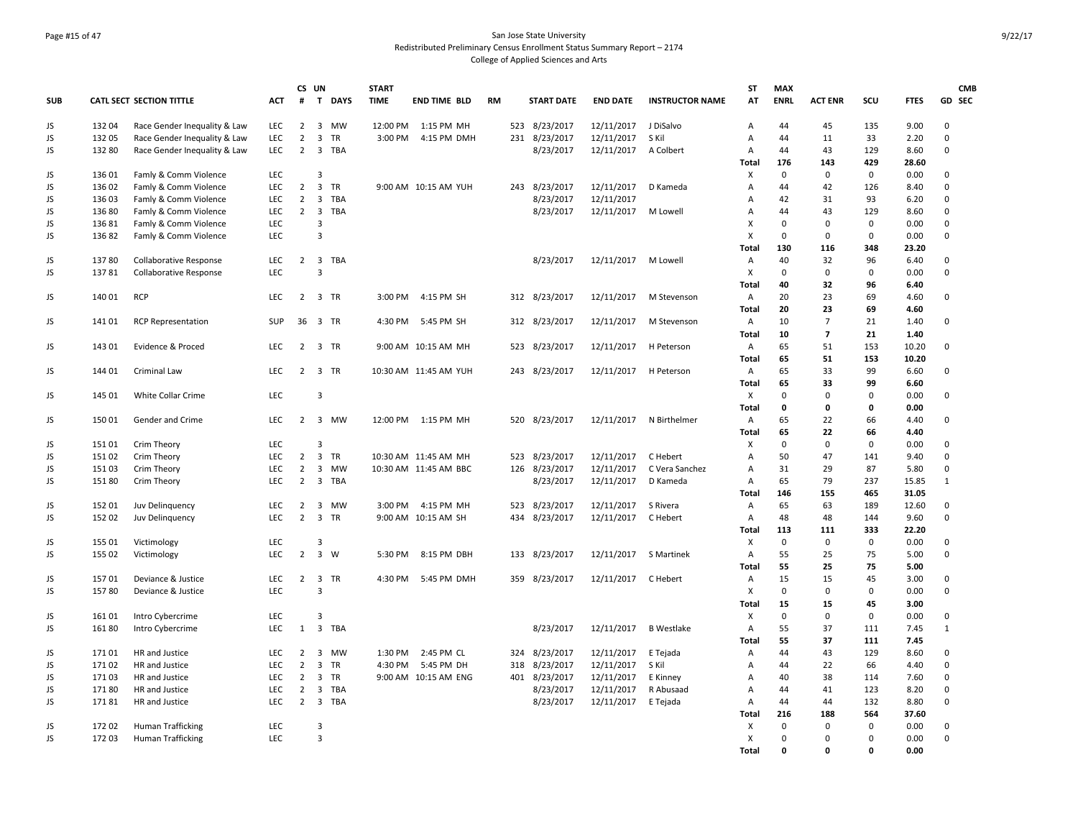### Page #15 of 47 San Jose State University Redistributed Preliminary Census Enrollment Status Summary Report – 2174 College of Applied Sciences and Arts

| <b>SUB</b> |        | <b>CATL SECT SECTION TITTLE</b> | ACT        | #              | CS UN                        | T DAYS     | <b>START</b><br><b>TIME</b> | <b>END TIME BLD</b>   | <b>RM</b> |     | <b>START DATE</b> | <b>END DATE</b>       | <b>INSTRUCTOR NAME</b>  | <b>ST</b><br>AT   | <b>MAX</b><br><b>ENRL</b> | <b>ACT ENR</b>                            | scu         | <b>FTES</b>  | <b>CMB</b><br>GD SEC |
|------------|--------|---------------------------------|------------|----------------|------------------------------|------------|-----------------------------|-----------------------|-----------|-----|-------------------|-----------------------|-------------------------|-------------------|---------------------------|-------------------------------------------|-------------|--------------|----------------------|
|            |        |                                 |            |                |                              |            |                             |                       |           |     |                   |                       |                         |                   |                           |                                           |             |              |                      |
| JS         | 13204  | Race Gender Inequality & Law    | LEC        | $\overline{2}$ |                              | 3 MW       |                             | 12:00 PM 1:15 PM MH   |           |     | 523 8/23/2017     | 12/11/2017 J DiSalvo  |                         | Α                 | 44                        | 45                                        | 135         | 9.00         | $\mathbf 0$          |
| JS         | 13205  | Race Gender Inequality & Law    | LEC        | $\overline{2}$ | $\overline{3}$               | TR         | 3:00 PM                     | 4:15 PM DMH           |           | 231 | 8/23/2017         | 12/11/2017            | S Kil                   | A                 | 44                        | 11                                        | 33          | 2.20         | $\pmb{0}$            |
| JS         | 132 80 | Race Gender Inequality & Law    | <b>LEC</b> | $\overline{2}$ | $\overline{3}$               | TBA        |                             |                       |           |     | 8/23/2017         | 12/11/2017            | A Colbert               | A                 | 44                        | 43                                        | 129         | 8.60         | $\mathbf 0$          |
|            |        |                                 |            |                |                              |            |                             |                       |           |     |                   |                       |                         | Total             | 176                       | 143                                       | 429         | 28.60        |                      |
| JS         | 136 01 | Famly & Comm Violence           | <b>LEC</b> |                | $\overline{3}$               |            |                             |                       |           |     |                   |                       |                         | X                 | $\mathbf 0$               | $\mathbf 0$                               | 0           | 0.00         | 0                    |
| JS         | 136 02 | Famly & Comm Violence           | LEC        | $\overline{2}$ | $\overline{3}$               | <b>TR</b>  |                             | 9:00 AM 10:15 AM YUH  |           |     | 243 8/23/2017     | 12/11/2017            | D Kameda                | Α                 | 44                        | 42                                        | 126         | 8.40         | $\mathbf 0$          |
| JS         | 136 03 | Famly & Comm Violence           | LEC        | $\overline{2}$ | 3                            | <b>TBA</b> |                             |                       |           |     | 8/23/2017         | 12/11/2017            |                         | А                 | 42                        | 31                                        | 93          | 6.20         | $\pmb{0}$            |
| JS         | 136 80 | Famly & Comm Violence           | LEC        | $\overline{2}$ | $\overline{3}$               | TBA        |                             |                       |           |     | 8/23/2017         | 12/11/2017            | M Lowell                | Α                 | 44                        | 43                                        | 129         | 8.60         | 0                    |
| JS         | 13681  | Famly & Comm Violence           | LEC        |                | 3<br>$\overline{\mathbf{3}}$ |            |                             |                       |           |     |                   |                       |                         | X                 | $\mathbf 0$               | $\mathbf 0$                               | 0           | 0.00         | $\mathbf 0$          |
| JS         | 136 82 | Famly & Comm Violence           | LEC.       |                |                              |            |                             |                       |           |     |                   |                       |                         | X                 | $\Omega$                  | $\Omega$                                  | 0           | 0.00         | 0                    |
|            |        |                                 |            |                |                              |            |                             |                       |           |     |                   |                       |                         | Total             | 130                       | 116                                       | 348         | 23.20        |                      |
| JS         | 13780  | <b>Collaborative Response</b>   | <b>LEC</b> | $\overline{2}$ | $\overline{\mathbf{3}}$      | <b>TBA</b> |                             |                       |           |     | 8/23/2017         | 12/11/2017            | M Lowell                | $\overline{A}$    | 40                        | 32                                        | 96          | 6.40         | 0                    |
| JS         | 13781  | <b>Collaborative Response</b>   | LEC        |                | $\overline{3}$               |            |                             |                       |           |     |                   |                       |                         | X                 | 0                         | $\mathbf 0$                               | 0           | 0.00         | 0                    |
|            |        |                                 |            |                |                              |            |                             | 4:15 PM SH            |           |     |                   |                       |                         | Total             | 40<br>20                  | 32<br>23                                  | 96          | 6.40         |                      |
| JS         | 14001  | <b>RCP</b>                      | <b>LEC</b> | $\overline{2}$ |                              | 3 TR       | 3:00 PM                     |                       |           |     | 312 8/23/2017     | 12/11/2017            | M Stevenson             | A                 |                           |                                           | 69          | 4.60         | 0                    |
|            |        |                                 |            |                |                              |            |                             |                       |           |     |                   |                       |                         | <b>Total</b>      | 20                        | 23                                        | 69          | 4.60         |                      |
| JS         | 14101  | <b>RCP Representation</b>       | SUP        | 36             |                              | 3 TR       | 4:30 PM                     | 5:45 PM SH            |           |     | 312 8/23/2017     | 12/11/2017            | M Stevenson             | $\mathsf{A}$      | 10<br>10                  | $\overline{7}$<br>$\overline{\mathbf{z}}$ | 21<br>21    | 1.40<br>1.40 | 0                    |
|            | 143 01 | Evidence & Proced               | LEC        | $\overline{2}$ |                              | 3 TR       |                             | 9:00 AM 10:15 AM MH   |           | 523 | 8/23/2017         | 12/11/2017            | H Peterson              | <b>Total</b><br>A | 65                        | 51                                        | 153         | 10.20        | 0                    |
| JS         |        |                                 |            |                |                              |            |                             |                       |           |     |                   |                       |                         | Total             | 65                        | 51                                        | 153         | 10.20        |                      |
|            | 144 01 |                                 | LEC        | $2^{\circ}$    |                              | 3 TR       |                             | 10:30 AM 11:45 AM YUH |           |     | 243 8/23/2017     | 12/11/2017 H Peterson |                         | Α                 | 65                        | 33                                        | 99          | 6.60         | $\mathbf 0$          |
| JS         |        | Criminal Law                    |            |                |                              |            |                             |                       |           |     |                   |                       |                         | Total             | 65                        | 33                                        | 99          | 6.60         |                      |
| JS         | 145 01 | White Collar Crime              | LEC        |                | 3                            |            |                             |                       |           |     |                   |                       |                         | Χ                 | 0                         | $\mathbf 0$                               | 0           | 0.00         | 0                    |
|            |        |                                 |            |                |                              |            |                             |                       |           |     |                   |                       |                         | <b>Total</b>      | 0                         | $\mathbf 0$                               | 0           | 0.00         |                      |
| JS         | 150 01 | Gender and Crime                | LEC        | $\overline{2}$ |                              | 3 MW       |                             | 12:00 PM 1:15 PM MH   |           | 520 | 8/23/2017         |                       | 12/11/2017 N Birthelmer | A                 | 65                        | 22                                        | 66          | 4.40         | 0                    |
|            |        |                                 |            |                |                              |            |                             |                       |           |     |                   |                       |                         | Total             | 65                        | 22                                        | 66          | 4.40         |                      |
| JS         | 151 01 | Crim Theory                     | <b>LEC</b> |                | $\overline{3}$               |            |                             |                       |           |     |                   |                       |                         | х                 | 0                         | $\Omega$                                  | 0           | 0.00         | $\mathbf 0$          |
| JS         | 15102  | Crim Theory                     | LEC        | $\overline{2}$ | $\overline{3}$               | TR         |                             | 10:30 AM 11:45 AM MH  |           | 523 | 8/23/2017         | 12/11/2017            | C Hebert                | А                 | 50                        | 47                                        | 141         | 9.40         | $\pmb{0}$            |
| JS         | 15103  | Crim Theory                     | <b>LEC</b> | $\overline{2}$ | $\overline{3}$               | <b>MW</b>  |                             | 10:30 AM 11:45 AM BBC |           | 126 | 8/23/2017         | 12/11/2017            | C Vera Sanchez          | $\overline{A}$    | 31                        | 29                                        | 87          | 5.80         | $\mathbf 0$          |
| JS         | 15180  | Crim Theory                     | LEC        | $\overline{2}$ | $\overline{\mathbf{3}}$      | TBA        |                             |                       |           |     | 8/23/2017         | 12/11/2017            | D Kameda                | Α                 | 65                        | 79                                        | 237         | 15.85        | $\mathbf{1}$         |
|            |        |                                 |            |                |                              |            |                             |                       |           |     |                   |                       |                         | Total             | 146                       | 155                                       | 465         | 31.05        |                      |
| JS         | 152 01 | Juv Delinquency                 | <b>LEC</b> | $\overline{2}$ | 3                            | <b>MW</b>  |                             | 3:00 PM 4:15 PM MH    |           | 523 | 8/23/2017         | 12/11/2017            | S Rivera                | Α                 | 65                        | 63                                        | 189         | 12.60        | 0                    |
| JS         | 152 02 | Juv Delinquency                 | LEC        | $\overline{2}$ |                              | 3 TR       |                             | 9:00 AM 10:15 AM SH   |           | 434 | 8/23/2017         | 12/11/2017            | C Hebert                | Α                 | 48                        | 48                                        | 144         | 9.60         | 0                    |
|            |        |                                 |            |                |                              |            |                             |                       |           |     |                   |                       |                         | Total             | 113                       | 111                                       | 333         | 22.20        |                      |
| JS         | 155 01 | Victimology                     | LEC        |                | $\overline{3}$               |            |                             |                       |           |     |                   |                       |                         | X                 | $\mathbf 0$               | $\mathbf 0$                               | 0           | 0.00         | 0                    |
| JS         | 155 02 | Victimology                     | LEC        | $\overline{2}$ | $\overline{3}$               | W          | 5:30 PM                     | 8:15 PM DBH           |           |     | 133 8/23/2017     | 12/11/2017            | S Martinek              | Α                 | 55                        | 25                                        | 75          | 5.00         | $\pmb{0}$            |
|            |        |                                 |            |                |                              |            |                             |                       |           |     |                   |                       |                         | Total             | 55                        | 25                                        | 75          | 5.00         |                      |
| JS         | 15701  | Deviance & Justice              | LEC        | $\overline{2}$ |                              | 3 TR       | 4:30 PM                     | 5:45 PM DMH           |           |     | 359 8/23/2017     | 12/11/2017 C Hebert   |                         | Α                 | 15                        | 15                                        | 45          | 3.00         | 0                    |
| JS         | 15780  | Deviance & Justice              | LEC        |                | 3                            |            |                             |                       |           |     |                   |                       |                         | X                 | 0                         | $\mathbf 0$                               | 0           | 0.00         | 0                    |
|            |        |                                 |            |                |                              |            |                             |                       |           |     |                   |                       |                         | Total             | 15                        | 15                                        | 45          | 3.00         |                      |
| JS         | 161 01 | Intro Cybercrime                | <b>LEC</b> |                | 3                            |            |                             |                       |           |     |                   |                       |                         | X                 | $\mathbf 0$               | $\mathbf 0$                               | 0           | 0.00         | 0                    |
| JS         | 161 80 | Intro Cybercrime                | LEC        | $\mathbf{1}$   | $\overline{3}$               | <b>TBA</b> |                             |                       |           |     | 8/23/2017         | 12/11/2017            | <b>B</b> Westlake       | A                 | 55                        | 37                                        | 111         | 7.45         | $\,1\,$              |
|            |        |                                 |            |                |                              |            |                             |                       |           |     |                   |                       |                         | Total             | 55                        | 37                                        | 111         | 7.45         |                      |
| JS         | 17101  | HR and Justice                  | <b>LEC</b> | $\overline{2}$ | $\overline{3}$               | <b>MW</b>  |                             | 1:30 PM 2:45 PM CL    |           |     | 324 8/23/2017     | 12/11/2017 E Tejada   |                         | Α                 | 44                        | 43                                        | 129         | 8.60         | $\mathbf 0$          |
| JS         | 171 02 | HR and Justice                  | LEC        | $\overline{2}$ | $\overline{3}$               | TR         | 4:30 PM                     | 5:45 PM DH            |           | 318 | 8/23/2017         | 12/11/2017            | S Kil                   | Α                 | 44                        | 22                                        | 66          | 4.40         | 0                    |
| JS         | 17103  | HR and Justice                  | <b>LEC</b> | $\overline{2}$ | 3                            | <b>TR</b>  |                             | 9:00 AM 10:15 AM ENG  |           |     | 401 8/23/2017     | 12/11/2017            | E Kinney                | A                 | 40                        | 38                                        | 114         | 7.60         | 0                    |
| JS         | 17180  | HR and Justice                  | LEC        | $\overline{2}$ | $\overline{3}$               | <b>TBA</b> |                             |                       |           |     | 8/23/2017         | 12/11/2017            | R Abusaad               | Α                 | 44                        | 41                                        | 123         | 8.20         | $\mathbf 0$          |
| JS         | 17181  | HR and Justice                  | LEC        | $\overline{2}$ | $\overline{3}$               | TBA        |                             |                       |           |     | 8/23/2017         | 12/11/2017            | E Tejada                | Α                 | 44                        | 44                                        | 132         | 8.80         | $\pmb{0}$            |
|            |        |                                 |            |                |                              |            |                             |                       |           |     |                   |                       |                         | Total             | 216                       | 188                                       | 564         | 37.60        |                      |
| JS         | 172 02 | <b>Human Trafficking</b>        | LEC        |                | $\overline{3}$               |            |                             |                       |           |     |                   |                       |                         | х                 | $\mathbf 0$               | $\mathbf 0$                               | $\mathbf 0$ | 0.00         | $\mathbf 0$          |
| JS         | 172 03 | <b>Human Trafficking</b>        | <b>LEC</b> |                | $\overline{3}$               |            |                             |                       |           |     |                   |                       |                         | X                 | $\Omega$                  | $\Omega$                                  | 0           | 0.00         | $\mathbf 0$          |
|            |        |                                 |            |                |                              |            |                             |                       |           |     |                   |                       |                         | <b>Total</b>      | $\Omega$                  | <sup>0</sup>                              | 0           | 0.00         |                      |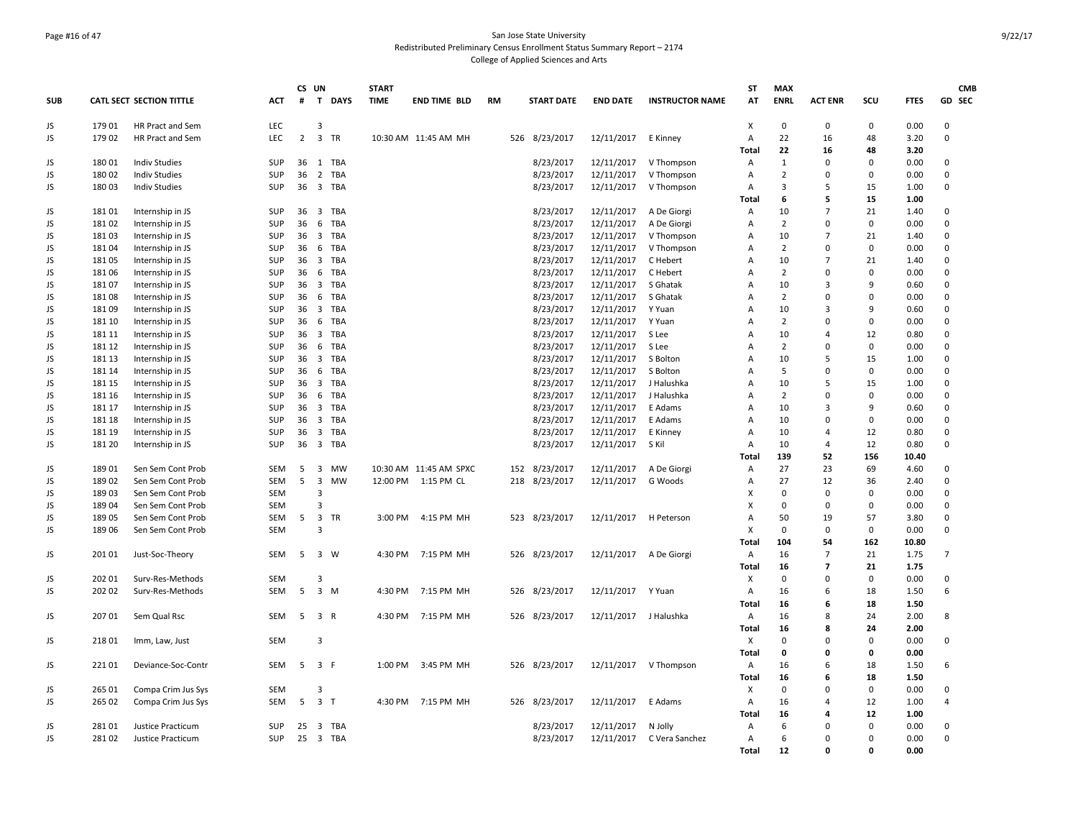### Page #16 of 47 San Jose State University Redistributed Preliminary Census Enrollment Status Summary Report – 2174 College of Applied Sciences and Arts

|            |        |                                 |            | CS UN          |                                       | <b>START</b> |                        |           |                   |                 |                        | <b>ST</b>      | <b>MAX</b>     |                |              |               | <b>CMB</b>     |
|------------|--------|---------------------------------|------------|----------------|---------------------------------------|--------------|------------------------|-----------|-------------------|-----------------|------------------------|----------------|----------------|----------------|--------------|---------------|----------------|
| <b>SUB</b> |        | <b>CATL SECT SECTION TITTLE</b> | <b>ACT</b> | #              | T DAYS                                | <b>TIME</b>  | <b>END TIME BLD</b>    | <b>RM</b> | <b>START DATE</b> | <b>END DATE</b> | <b>INSTRUCTOR NAME</b> | AT             | <b>ENRL</b>    | <b>ACT ENR</b> | SCU          | <b>FTES</b>   | GD SEC         |
| JS         | 179 01 | HR Pract and Sem                | LEC        |                | $\overline{3}$                        |              |                        |           |                   |                 |                        | Χ              | $\mathbf 0$    | $\mathbf 0$    | $\mathbf 0$  | 0.00          | 0              |
| JS         | 17902  | HR Pract and Sem                | <b>LEC</b> | $\overline{2}$ | 3 TR                                  |              | 10:30 AM 11:45 AM MH   |           | 526 8/23/2017     | 12/11/2017      | E Kinney               | Α              | 22             | 16             | 48           | 3.20          | 0              |
|            |        |                                 |            |                |                                       |              |                        |           |                   |                 |                        | Total          | 22             | 16             | 48           | 3.20          |                |
| JS         | 180 01 | <b>Indiv Studies</b>            | <b>SUP</b> | 36             | 1 TBA                                 |              |                        |           | 8/23/2017         | 12/11/2017      | V Thompson             | Α              | 1              | 0              | $\mathbf 0$  | 0.00          | 0              |
| JS         | 180 02 | <b>Indiv Studies</b>            | SUP        | 36             | 2 TBA                                 |              |                        |           | 8/23/2017         | 12/11/2017      | V Thompson             | Α              | $\overline{2}$ | $\mathbf 0$    | $\mathbf 0$  | 0.00          | $\mathbf 0$    |
| JS         | 18003  | <b>Indiv Studies</b>            | <b>SUP</b> | 36             | 3 TBA                                 |              |                        |           | 8/23/2017         | 12/11/2017      | V Thompson             | A              | 3              | 5              | 15           | 1.00          | 0              |
|            |        |                                 |            |                |                                       |              |                        |           |                   |                 |                        | Total          | 6              | 5              | 15           | 1.00          |                |
| JS         | 18101  | Internship in JS                | SUP        | 36             | 3 TBA                                 |              |                        |           | 8/23/2017         | 12/11/2017      | A De Giorgi            | Α              | 10             | $\overline{7}$ | 21           | 1.40          | 0              |
| JS         | 18102  | Internship in JS                | SUP        | 36             | 6 TBA                                 |              |                        |           | 8/23/2017         | 12/11/2017      | A De Giorgi            | Α              | $\overline{2}$ | $\Omega$       | $\mathbf 0$  | 0.00          | 0              |
| JS         | 18103  | Internship in JS                | SUP        | 36             | 3 TBA                                 |              |                        |           | 8/23/2017         | 12/11/2017      | V Thompson             | Α              | 10             | $\overline{7}$ | 21           | 1.40          | 0              |
| JS         | 18104  | Internship in JS                | SUP        | 36             | 6<br>TBA                              |              |                        |           | 8/23/2017         | 12/11/2017      | V Thompson             | Α              | $\overline{2}$ | $\Omega$       | $\mathbf 0$  | 0.00          | $\mathbf 0$    |
| JS         | 18105  | Internship in JS                | SUP        | 36             | 3 TBA                                 |              |                        |           | 8/23/2017         | 12/11/2017      | C Hebert               | Α              | 10             | $\overline{7}$ | 21           | 1.40          | $\mathbf 0$    |
| JS         | 18106  | Internship in JS                | <b>SUP</b> | 36             | 6 TBA                                 |              |                        |           | 8/23/2017         | 12/11/2017      | C Hebert               | Α              | $\overline{2}$ | 0              | $\mathbf 0$  | 0.00          | 0              |
| JS         | 18107  | Internship in JS                | SUP        | 36             | 3 TBA                                 |              |                        |           | 8/23/2017         | 12/11/2017      | S Ghatak               | А              | 10             | $\overline{3}$ | 9            | 0.60          | 0              |
| JS         | 18108  | Internship in JS                | <b>SUP</b> | 36             | 6 TBA                                 |              |                        |           | 8/23/2017         | 12/11/2017      | S Ghatak               | A              | $\overline{2}$ | $\Omega$       | $\Omega$     | 0.00          | $\mathbf 0$    |
| JS         | 18109  | Internship in JS                | SUP        | 36             | 3 TBA                                 |              |                        |           | 8/23/2017         | 12/11/2017      | Y Yuan                 | Α              | 10             | 3              | 9            | 0.60          | $\mathbf 0$    |
| JS         | 181 10 | Internship in JS                | SUP        | 36             | 6<br>TBA                              |              |                        |           | 8/23/2017         | 12/11/2017      | Y Yuan                 | $\overline{A}$ | $\overline{2}$ | 0              | $\mathbf 0$  | 0.00          | 0              |
| JS         | 181 11 | Internship in JS                | SUP        | 36             | $\overline{\mathbf{3}}$<br>TBA        |              |                        |           | 8/23/2017         | 12/11/2017      | S Lee                  | Α              | 10             | 4              | 12           | 0.80          | $\mathbf 0$    |
| JS         | 181 12 | Internship in JS                | SUP        | 36             | 6<br>TBA                              |              |                        |           | 8/23/2017         | 12/11/2017      | S Lee                  | $\overline{A}$ | $\overline{2}$ | $\Omega$       | $\mathbf 0$  | 0.00          | $\mathbf 0$    |
| JS         | 181 13 | Internship in JS                | <b>SUP</b> | 36             | 3 TBA                                 |              |                        |           | 8/23/2017         | 12/11/2017      | S Bolton               | Α              | 10             | 5              | 15           | 1.00          | 0              |
| JS         | 181 14 | Internship in JS                | <b>SUP</b> | 36             | 6 TBA                                 |              |                        |           | 8/23/2017         | 12/11/2017      | S Bolton               | $\overline{A}$ | 5              | $\mathbf 0$    | $\mathbf 0$  | 0.00          | $\mathbf 0$    |
| JS         | 181 15 | Internship in JS                | <b>SUP</b> | 36             | $\overline{\mathbf{3}}$<br>TBA        |              |                        |           | 8/23/2017         | 12/11/2017      | J Halushka             | Α              | 10             | 5              | 15           | 1.00          | $\mathbf 0$    |
| JS         | 181 16 | Internship in JS                | SUP        | 36             | 6 TBA                                 |              |                        |           | 8/23/2017         | 12/11/2017      | J Halushka             | Α              | $\overline{2}$ | $\Omega$       | $\Omega$     | 0.00          | 0              |
| JS         | 181 17 | Internship in JS                | SUP        | 36             | 3 TBA                                 |              |                        |           | 8/23/2017         | 12/11/2017      | E Adams                | A              | 10             | $\overline{3}$ | 9            | 0.60          | 0              |
| JS         | 181 18 | Internship in JS                | SUP        | 36             | $\overline{\mathbf{3}}$<br>TBA        |              |                        |           | 8/23/2017         | 12/11/2017      | E Adams                | Α              | 10             | $\Omega$       | $\mathbf 0$  | 0.00          | $\mathbf 0$    |
| JS         | 181 19 | Internship in JS                | SUP        | 36             | $\overline{\mathbf{3}}$<br><b>TBA</b> |              |                        |           | 8/23/2017         | 12/11/2017      | E Kinney               | $\overline{A}$ | 10             | 4              | 12           | 0.80          | $\mathbf 0$    |
| JS         | 181 20 | Internship in JS                | <b>SUP</b> | 36             | 3 TBA                                 |              |                        |           | 8/23/2017         | 12/11/2017      | S Kil                  | Α              | 10             | $\overline{4}$ | 12           | 0.80          | 0              |
| JS         | 18901  | Sen Sem Cont Prob               | <b>SEM</b> | 5              | 3<br><b>MW</b>                        |              | 10:30 AM 11:45 AM SPXC |           | 152 8/23/2017     | 12/11/2017      | A De Giorgi            | Total<br>Α     | 139<br>27      | 52<br>23       | 156<br>69    | 10.40<br>4.60 | 0              |
| JS         | 18902  | Sen Sem Cont Prob               | SEM        | 5              | $\overline{3}$<br>MW                  |              | 12:00 PM 1:15 PM CL    |           | 218 8/23/2017     | 12/11/2017      | G Woods                | Α              | 27             | 12             | 36           | 2.40          | $\Omega$       |
| JS         | 18903  | Sen Sem Cont Prob               | <b>SEM</b> |                | $\overline{3}$                        |              |                        |           |                   |                 |                        | X              | $\mathbf 0$    | 0              | $\mathbf 0$  | 0.00          | 0              |
| JS         | 18904  | Sen Sem Cont Prob               | <b>SEM</b> |                | $\mathbf{a}$                          |              |                        |           |                   |                 |                        | X              | $\Omega$       | $\mathbf 0$    | $\mathbf 0$  | 0.00          | 0              |
| JS         | 189 05 | Sen Sem Cont Prob               | <b>SEM</b> | 5              | 3 TR                                  | 3:00 PM      | 4:15 PM MH             |           | 523 8/23/2017     | 12/11/2017      | H Peterson             | $\overline{A}$ | 50             | 19             | 57           | 3.80          | $\mathbf 0$    |
| JS         | 189 06 | Sen Sem Cont Prob               | <b>SEM</b> |                | $\overline{3}$                        |              |                        |           |                   |                 |                        | X              | $\mathbf 0$    | $\mathsf 0$    | $\mathbf 0$  | 0.00          | $\mathbf 0$    |
|            |        |                                 |            |                |                                       |              |                        |           |                   |                 |                        | Total          | 104            | 54             | 162          | 10.80         |                |
| JS         | 201 01 | Just-Soc-Theory                 | <b>SEM</b> | 5              | 3 W                                   | 4:30 PM      | 7:15 PM MH             |           | 526 8/23/2017     | 12/11/2017      | A De Giorgi            | Α              | 16             | $\overline{7}$ | 21           | 1.75          | $\overline{7}$ |
|            |        |                                 |            |                |                                       |              |                        |           |                   |                 |                        | <b>Total</b>   | 16             | $\overline{7}$ | 21           | 1.75          |                |
| JS         | 202 01 | Surv-Res-Methods                | <b>SEM</b> |                | 3                                     |              |                        |           |                   |                 |                        | X              | $\mathbf 0$    | 0              | $\mathbf 0$  | 0.00          | 0              |
| JS         | 20202  | Surv-Res-Methods                | <b>SEM</b> | 5              | $\overline{3}$<br>M                   | 4:30 PM      | 7:15 PM MH             |           | 526 8/23/2017     | 12/11/2017      | Y Yuan                 | A              | 16             | 6              | 18           | 1.50          | 6              |
|            |        |                                 |            |                |                                       |              |                        |           |                   |                 |                        | Total          | 16             | 6              | 18           | 1.50          |                |
| JS         | 207 01 | Sem Qual Rsc                    | SEM        | 5              | 3 R                                   |              | 4:30 PM 7:15 PM MH     |           | 526 8/23/2017     | 12/11/2017      | J Halushka             | Α              | 16             | 8              | 24           | 2.00          | 8              |
|            |        |                                 |            |                |                                       |              |                        |           |                   |                 |                        | Total          | 16             | 8              | 24           | 2.00          |                |
| JS         | 218 01 | Imm, Law, Just                  | <b>SEM</b> |                | $\overline{3}$                        |              |                        |           |                   |                 |                        | х              | $\Omega$       | $\Omega$       | $\mathbf 0$  | 0.00          | 0              |
|            |        |                                 |            |                |                                       |              |                        |           |                   |                 |                        | Total          | 0              | $\mathbf 0$    | 0            | 0.00          |                |
| JS         | 221 01 | Deviance-Soc-Contr              | SEM        | 5              | 3 F                                   | 1:00 PM      | 3:45 PM MH             |           | 526 8/23/2017     | 12/11/2017      | V Thompson             | Α              | 16             | 6              | 18           | 1.50          | 6              |
|            |        |                                 |            |                |                                       |              |                        |           |                   |                 |                        | <b>Total</b>   | 16             | 6              | 18           | 1.50          |                |
| JS         | 265 01 | Compa Crim Jus Sys              | <b>SEM</b> |                | 3                                     |              |                        |           |                   |                 |                        | х              | $\mathbf 0$    | $\mathbf 0$    | $\mathbf{0}$ | 0.00          | 0              |
| JS         | 265 02 | Compa Crim Jus Sys              | SEM        | 5              | 3 <sub>T</sub>                        | 4:30 PM      | 7:15 PM MH             |           | 526 8/23/2017     | 12/11/2017      | E Adams                | Α              | 16             | $\overline{4}$ | 12           | 1.00          | 4              |
|            |        |                                 |            |                |                                       |              |                        |           |                   |                 |                        | <b>Total</b>   | 16             | 4              | 12           | 1.00          |                |
| JS         | 28101  | Justice Practicum               | <b>SUP</b> | 25             | 3 TBA                                 |              |                        |           | 8/23/2017         | 12/11/2017      | N Jolly                | Α              | 6              | $\Omega$       | $\Omega$     | 0.00          | 0              |
| JS         | 28102  | Justice Practicum               | <b>SUP</b> | 25             | 3 TBA                                 |              |                        |           | 8/23/2017         | 12/11/2017      | C Vera Sanchez         | $\overline{A}$ | 6              | $\Omega$       | $\Omega$     | 0.00          | $\mathbf 0$    |
|            |        |                                 |            |                |                                       |              |                        |           |                   |                 |                        | Total          | 12             | <sup>n</sup>   | Û            | 0.00          |                |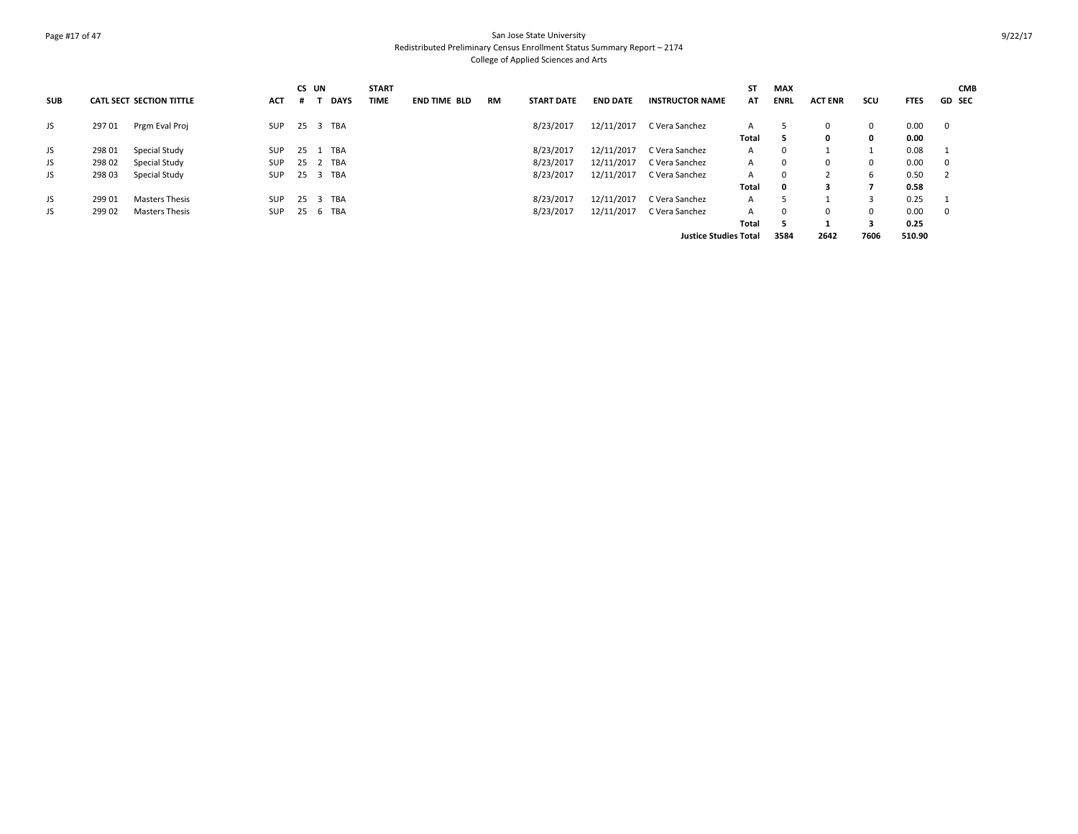### Page #17 of 47 San Jose State University Redistributed Preliminary Census Enrollment Status Summary Report – 2174 College of Applied Sciences and Arts

|            |        |                                 |            |      | CS UN       | <b>START</b> |                     |    |                   |                 |                              | <b>ST</b> | MAX          |                |              |             | <b>CMB</b>    |
|------------|--------|---------------------------------|------------|------|-------------|--------------|---------------------|----|-------------------|-----------------|------------------------------|-----------|--------------|----------------|--------------|-------------|---------------|
| <b>SUB</b> |        | <b>CATL SECT SECTION TITTLE</b> | <b>ACT</b> |      | <b>DAYS</b> | <b>TIME</b>  | <b>END TIME BLD</b> | RM | <b>START DATE</b> | <b>END DATE</b> | <b>INSTRUCTOR NAME</b>       | AT        | <b>ENRL</b>  | <b>ACT ENR</b> | scu          | <b>FTES</b> | <b>GD SEC</b> |
| JS         | 29701  | Prgm Eval Proj                  | SUP        |      | 25 3 TBA    |              |                     |    | 8/23/2017         | 12/11/2017      | C Vera Sanchez               | A         |              | $\Omega$       | $\mathbf{0}$ | 0.00        | $\mathbf 0$   |
|            |        |                                 |            |      |             |              |                     |    |                   |                 |                              | Total     |              | 0              | 0            | 0.00        |               |
| JS         | 298 01 | Special Study                   | <b>SUP</b> | - 25 | 1 TBA       |              |                     |    | 8/23/2017         | 12/11/2017      | C Vera Sanchez               | A         | $\Omega$     |                |              | 0.08        |               |
| JS         | 298 02 | Special Study                   | <b>SUP</b> |      | 25 2 TBA    |              |                     |    | 8/23/2017         | 12/11/2017      | C Vera Sanchez               | A         | $\Omega$     | $\Omega$       | $\mathbf{0}$ | 0.00        | 0             |
| JS         | 29803  | Special Study                   | <b>SUP</b> |      | 25 3 TBA    |              |                     |    | 8/23/2017         | 12/11/2017      | C Vera Sanchez               | A         | $\Omega$     |                | 6            | 0.50        | -2            |
|            |        |                                 |            |      |             |              |                     |    |                   |                 |                              | Total     | $\mathbf{o}$ | 3              | 7            | 0.58        |               |
| JS         | 299 01 | Masters Thesis                  | <b>SUP</b> | 25   | 3 TBA       |              |                     |    | 8/23/2017         | 12/11/2017      | C Vera Sanchez               | A         |              |                |              | 0.25        |               |
| JS         | 299 02 | <b>Masters Thesis</b>           | <b>SUP</b> |      | 25 6 TBA    |              |                     |    | 8/23/2017         | 12/11/2017      | C Vera Sanchez               | A         |              | $\Omega$       | $\mathbf{0}$ | 0.00        | $\mathbf 0$   |
|            |        |                                 |            |      |             |              |                     |    |                   |                 |                              | Total     | 5            |                | 3            | 0.25        |               |
|            |        |                                 |            |      |             |              |                     |    |                   |                 | <b>Justice Studies Total</b> |           | 3584         | 2642           | 7606         | 510.90      |               |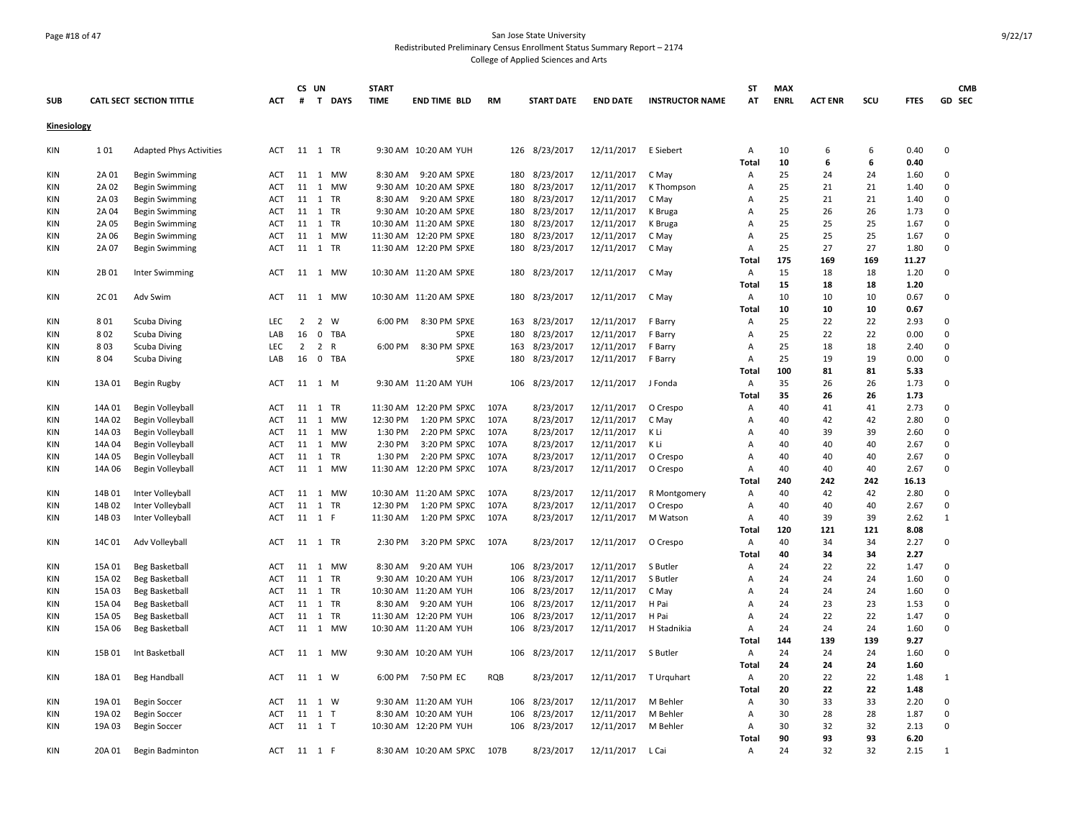### Page #18 of 47 San Jose State University Redistributed Preliminary Census Enrollment Status Summary Report – 2174 College of Applied Sciences and Arts

| <b>SUB</b>  |        | <b>CATL SECT SECTION TITTLE</b> | <b>ACT</b>        | #              | CS UN                            | T DAYS          | <b>START</b><br><b>TIME</b> | <b>END TIME BLD</b>                           | <b>RM</b> |     | <b>START DATE</b>          | <b>END DATE</b>          | <b>INSTRUCTOR NAME</b> | <b>ST</b><br>AT | <b>MAX</b><br><b>ENRL</b> | <b>ACT ENR</b> | SCU      | <b>FTES</b>  | <b>CMB</b><br>GD SEC |
|-------------|--------|---------------------------------|-------------------|----------------|----------------------------------|-----------------|-----------------------------|-----------------------------------------------|-----------|-----|----------------------------|--------------------------|------------------------|-----------------|---------------------------|----------------|----------|--------------|----------------------|
| Kinesiology |        |                                 |                   |                |                                  |                 |                             |                                               |           |     |                            |                          |                        |                 |                           |                |          |              |                      |
| KIN         | 101    | <b>Adapted Phys Activities</b>  | ACT               |                | 11 1 TR                          |                 |                             | 9:30 AM 10:20 AM YUH                          |           |     | 126 8/23/2017              | 12/11/2017               | E Siebert              | Α               | 10                        | 6              | 6        | 0.40         | 0                    |
|             |        |                                 |                   |                |                                  |                 |                             |                                               |           |     |                            |                          |                        | Total           | 10                        | 6              | 6        | 0.40         |                      |
| <b>KIN</b>  | 2A 01  | <b>Begin Swimming</b>           | ACT               | 11             | 1 MW                             | MW              | 8:30 AM                     | 9:20 AM SPXE                                  |           | 180 | 8/23/2017                  | 12/11/2017               | C May                  | Α               | 25<br>25                  | 24             | 24<br>21 | 1.60         | 0                    |
| <b>KIN</b>  | 2A 02  | <b>Begin Swimming</b>           | ACT<br><b>ACT</b> | 11             | <sup>1</sup><br>11 1 TR          |                 |                             | 9:30 AM 10:20 AM SPXE                         |           | 180 | 8/23/2017                  | 12/11/2017               | K Thompson             | Α               | 25                        | 21<br>21       | 21       | 1.40<br>1.40 | 0<br>$\Omega$        |
| <b>KIN</b>  | 2A 03  | <b>Begin Swimming</b>           |                   |                |                                  |                 |                             | 8:30 AM 9:20 AM SPXE<br>9:30 AM 10:20 AM SPXE |           |     | 180 8/23/2017<br>8/23/2017 | 12/11/2017<br>12/11/2017 | C May                  | Α               | 25                        | 26             | 26       |              | 0                    |
| <b>KIN</b>  | 2A 04  | <b>Begin Swimming</b>           | ACT<br><b>ACT</b> | 11<br>11       | $\overline{1}$<br>$\overline{1}$ | TR<br><b>TR</b> |                             | 10:30 AM 11:20 AM SPXE                        |           | 180 |                            |                          | K Bruga                | Α               | 25                        | 25             | 25       | 1.73<br>1.67 | 0                    |
| <b>KIN</b>  | 2A 05  | <b>Begin Swimming</b>           |                   |                |                                  |                 |                             |                                               |           | 180 | 8/23/2017                  | 12/11/2017               | K Bruga                | Α               | 25                        | 25             | 25       |              | $\mathbf 0$          |
| <b>KIN</b>  | 2A 06  | <b>Begin Swimming</b>           | <b>ACT</b>        | 11             | 1 MW                             |                 |                             | 11:30 AM 12:20 PM SPXE                        |           | 180 | 8/23/2017                  | 12/11/2017               | C May                  | Α               |                           |                |          | 1.67         |                      |
| <b>KIN</b>  | 2A 07  | <b>Begin Swimming</b>           | ACT               | 11             | $\overline{1}$                   | TR              |                             | 11:30 AM 12:20 PM SPXE                        |           | 180 | 8/23/2017                  | 12/11/2017               | C May                  | Α               | 25                        | 27             | 27       | 1.80         | $\mathbf 0$          |
|             |        |                                 |                   |                |                                  |                 |                             |                                               |           |     |                            |                          |                        | <b>Total</b>    | 175                       | 169            | 169      | 11.27        |                      |
| <b>KIN</b>  | 2B 01  | Inter Swimming                  | ACT               |                | 11 1 MW                          |                 |                             | 10:30 AM 11:20 AM SPXE                        |           |     | 180 8/23/2017              | 12/11/2017               | C May                  | Α               | 15                        | 18             | 18       | 1.20         | 0                    |
|             |        |                                 |                   |                |                                  |                 |                             |                                               |           |     |                            |                          |                        | Total           | 15                        | 18             | 18       | 1.20         |                      |
| <b>KIN</b>  | 2C01   | Adv Swim                        | <b>ACT</b>        |                | 11  1  MW                        |                 |                             | 10:30 AM 11:20 AM SPXE                        |           | 180 | 8/23/2017                  | 12/11/2017               | C May                  | Α               | 10                        | 10             | 10       | 0.67         | 0                    |
|             |        |                                 |                   |                |                                  |                 |                             |                                               |           |     |                            |                          |                        | Total           | 10                        | 10             | 10       | 0.67         |                      |
| <b>KIN</b>  | 801    | Scuba Diving                    | LEC               | $\overline{2}$ | $\overline{2}$                   | W               | 6:00 PM                     | 8:30 PM SPXE                                  |           |     | 163 8/23/2017              | 12/11/2017               | F Barry                | Α               | 25                        | 22             | 22       | 2.93         | 0                    |
| <b>KIN</b>  | 802    | Scuba Diving                    | LAB               | 16             | $\mathbf 0$                      | TBA             |                             | SPXE                                          |           | 180 | 8/23/2017                  | 12/11/2017               | F Barry                | Α               | 25                        | 22             | 22       | 0.00         | 0                    |
| <b>KIN</b>  | 803    | Scuba Diving                    | <b>LEC</b>        | $\overline{2}$ | $\overline{2}$                   | $\mathsf{R}$    | 6:00 PM                     | 8:30 PM SPXE                                  |           | 163 | 8/23/2017                  | 12/11/2017               | F Barry                | Α               | 25                        | 18             | 18       | 2.40         | $\Omega$             |
| <b>KIN</b>  | 804    | Scuba Diving                    | LAB               | 16             | $\mathbf 0$                      | <b>TBA</b>      |                             | SPXE                                          |           | 180 | 8/23/2017                  | 12/11/2017               | F Barry                | Α               | 25                        | 19             | 19       | 0.00         | $\mathbf 0$          |
|             |        |                                 |                   |                |                                  |                 |                             |                                               |           |     |                            |                          |                        | Total           | 100                       | 81             | 81       | 5.33         |                      |
| KIN         | 13A 01 | Begin Rugby                     | ACT               |                | 11 1 M                           |                 |                             | 9:30 AM 11:20 AM YUH                          |           |     | 106 8/23/2017              | 12/11/2017               | J Fonda                | Α               | 35                        | 26             | 26       | 1.73         | 0                    |
|             |        |                                 |                   |                |                                  |                 |                             |                                               |           |     |                            |                          |                        | Total           | 35                        | 26             | 26       | 1.73         |                      |
| <b>KIN</b>  | 14A 01 | Begin Volleyball                | <b>ACT</b>        | 11             | $\overline{1}$                   | <b>TR</b>       |                             | 11:30 AM 12:20 PM SPXC                        | 107A      |     | 8/23/2017                  | 12/11/2017               | O Crespo               | Α               | 40                        | 41             | 41       | 2.73         | 0                    |
| KIN         | 14A 02 | Begin Volleyball                | ACT               | 11             |                                  | 1 MW            | 12:30 PM                    | 1:20 PM SPXC                                  | 107A      |     | 8/23/2017                  | 12/11/2017               | C May                  | Α               | 40                        | 42             | 42       | 2.80         | 0                    |
| <b>KIN</b>  | 14A 03 | Begin Volleyball                | ACT               | 11             | $\overline{1}$                   | MW              | 1:30 PM                     | 2:20 PM SPXC                                  | 107A      |     | 8/23/2017                  | 12/11/2017               | K Li                   | Α               | 40                        | 39             | 39       | 2.60         | 0                    |
| <b>KIN</b>  | 14A 04 | Begin Volleyball                | <b>ACT</b>        |                | 11 1 MW                          |                 | 2:30 PM                     | 3:20 PM SPXC                                  | 107A      |     | 8/23/2017                  | 12/11/2017               | K Li                   | Α               | 40                        | 40             | 40       | 2.67         | 0                    |
| KIN         | 14A 05 | Begin Volleyball                | ACT               | 11             | 1                                | TR              | 1:30 PM                     | 2:20 PM SPXC                                  | 107A      |     | 8/23/2017                  | 12/11/2017               | O Crespo               | Α               | 40                        | 40             | 40       | 2.67         | 0                    |
| KIN         | 14A 06 | Begin Volleyball                | <b>ACT</b>        | 11             | 1 MW                             |                 |                             | 11:30 AM 12:20 PM SPXC                        | 107A      |     | 8/23/2017                  | 12/11/2017               | O Crespo               | A               | 40                        | 40             | 40       | 2.67         | $\Omega$             |
|             |        |                                 |                   |                |                                  |                 |                             |                                               |           |     |                            |                          |                        | Total           | 240                       | 242            | 242      | 16.13        |                      |
| <b>KIN</b>  | 14B01  | Inter Volleyball                | ACT               | 11             | 1                                | MW              |                             | 10:30 AM 11:20 AM SPXC                        | 107A      |     | 8/23/2017                  | 12/11/2017               | R Montgomery           | Α               | 40                        | 42             | 42       | 2.80         | 0                    |
| <b>KIN</b>  | 14B02  | Inter Volleyball                | <b>ACT</b>        | 11             | $\mathbf{1}$                     | TR              | 12:30 PM                    | 1:20 PM SPXC                                  | 107A      |     | 8/23/2017                  | 12/11/2017               | O Crespo               | Α               | 40                        | 40             | 40       | 2.67         | 0                    |
| <b>KIN</b>  | 14B03  | Inter Volleyball                | <b>ACT</b>        |                | 11 1 F                           |                 | 11:30 AM                    | 1:20 PM SPXC                                  | 107A      |     | 8/23/2017                  | 12/11/2017               | M Watson               | Α               | 40                        | 39             | 39       | 2.62         | $\mathbf{1}$         |
|             |        |                                 |                   |                |                                  |                 |                             |                                               |           |     |                            |                          |                        | Total           | 120                       | 121            | 121      | 8.08         |                      |
| KIN         | 14C 01 | Adv Volleyball                  | ACT               |                | 11 1 TR                          |                 | 2:30 PM                     | 3:20 PM SPXC                                  | 107A      |     | 8/23/2017                  | 12/11/2017               | O Crespo               | Α               | 40                        | 34             | 34       | 2.27         | 0                    |
|             |        |                                 |                   |                |                                  |                 |                             |                                               |           |     |                            |                          |                        | Total           | 40                        | 34             | 34       | 2.27         |                      |
| <b>KIN</b>  | 15A 01 | Beg Basketball                  | <b>ACT</b>        | 11             | $\overline{1}$                   | MW              | 8:30 AM                     | 9:20 AM YUH                                   |           |     | 106 8/23/2017              | 12/11/2017               | S Butler               | Α               | 24                        | 22             | 22       | 1.47         | 0                    |
| <b>KIN</b>  | 15A 02 | Beg Basketball                  | <b>ACT</b>        | 11             | $\overline{1}$                   | TR              |                             | 9:30 AM 10:20 AM YUH                          |           | 106 | 8/23/2017                  | 12/11/2017               | S Butler               | Α               | 24                        | 24             | 24       | 1.60         | 0                    |
| <b>KIN</b>  | 15A03  | Beg Basketball                  | <b>ACT</b>        | 11             | $\overline{1}$                   | TR              |                             | 10:30 AM 11:20 AM YUH                         |           | 106 | 8/23/2017                  | 12/11/2017               | C May                  | Α               | 24                        | 24             | 24       | 1.60         | $\Omega$             |
| <b>KIN</b>  | 15A 04 | Beg Basketball                  | <b>ACT</b>        | 11 1           |                                  | <b>TR</b>       | 8:30 AM                     | 9:20 AM YUH                                   |           | 106 | 8/23/2017                  | 12/11/2017               | H Pai                  | Α               | 24                        | 23             | 23       | 1.53         | 0                    |
| <b>KIN</b>  | 15A 05 | Beg Basketball                  | <b>ACT</b>        | 11             | $\overline{1}$                   | TR              |                             | 11:30 AM 12:20 PM YUH                         |           | 106 | 8/23/2017                  | 12/11/2017               | H Pai                  | Α               | 24                        | 22             | 22       | 1.47         | 0                    |
| <b>KIN</b>  | 15A 06 | Beg Basketball                  | <b>ACT</b>        | 11             | 1 MW                             |                 |                             | 10:30 AM 11:20 AM YUH                         |           | 106 | 8/23/2017                  | 12/11/2017               | H Stadnikia            | Α               | 24                        | 24             | 24       | 1.60         | 0                    |
|             |        |                                 |                   |                |                                  |                 |                             |                                               |           |     |                            |                          |                        | Total           | 144                       | 139            | 139      | 9.27         |                      |
| KIN         | 15B01  | Int Basketball                  | <b>ACT</b>        |                | 11 1 MW                          |                 |                             | 9:30 AM 10:20 AM YUH                          |           |     | 106 8/23/2017              | 12/11/2017               | S Butler               | Α               | 24                        | 24             | 24       | 1.60         | 0                    |
|             |        |                                 |                   |                |                                  |                 |                             |                                               |           |     |                            |                          |                        | Total           | 24                        | 24             | 24       | 1.60         |                      |
| <b>KIN</b>  | 18A01  | Beg Handball                    | ACT               |                | 11 1 W                           |                 |                             | 6:00 PM 7:50 PM EC                            | RQB       |     | 8/23/2017                  | 12/11/2017               | T Urquhart             | Α               | 20                        | 22             | 22       | 1.48         | 1                    |
|             |        |                                 |                   |                |                                  |                 |                             |                                               |           |     |                            |                          |                        | Total           | 20                        | 22             | 22       | 1.48         |                      |
| <b>KIN</b>  | 19A 01 | <b>Begin Soccer</b>             | <b>ACT</b>        | 11             | 1 W                              |                 |                             | 9:30 AM 11:20 AM YUH                          |           | 106 | 8/23/2017                  | 12/11/2017               | M Behler               | Α               | 30                        | 33             | 33       | 2.20         | 0                    |
| <b>KIN</b>  | 19A 02 | <b>Begin Soccer</b>             | <b>ACT</b>        | 11             | $1$ T                            |                 |                             | 8:30 AM 10:20 AM YUH                          |           | 106 | 8/23/2017                  | 12/11/2017               | M Behler               | Α               | 30                        | 28             | 28       | 1.87         | $\mathbf 0$          |
| <b>KIN</b>  | 19A 03 | <b>Begin Soccer</b>             | <b>ACT</b>        |                | 11 1 T                           |                 |                             | 10:30 AM 12:20 PM YUH                         |           |     | 106 8/23/2017              | 12/11/2017               | M Behler               | Α               | 30                        | 32             | 32       | 2.13         | 0                    |
|             |        |                                 |                   |                |                                  |                 |                             |                                               |           |     |                            |                          |                        | Total           | 90                        | 93             | 93       | 6.20         |                      |
| <b>KIN</b>  | 20A 01 | Begin Badminton                 | ACT               |                | 11 1 F                           |                 |                             | 8:30 AM 10:20 AM SPXC                         | 107B      |     | 8/23/2017                  | 12/11/2017               | L Cai                  | $\overline{A}$  | 24                        | 32             | 32       | 2.15         | $\mathbf{1}$         |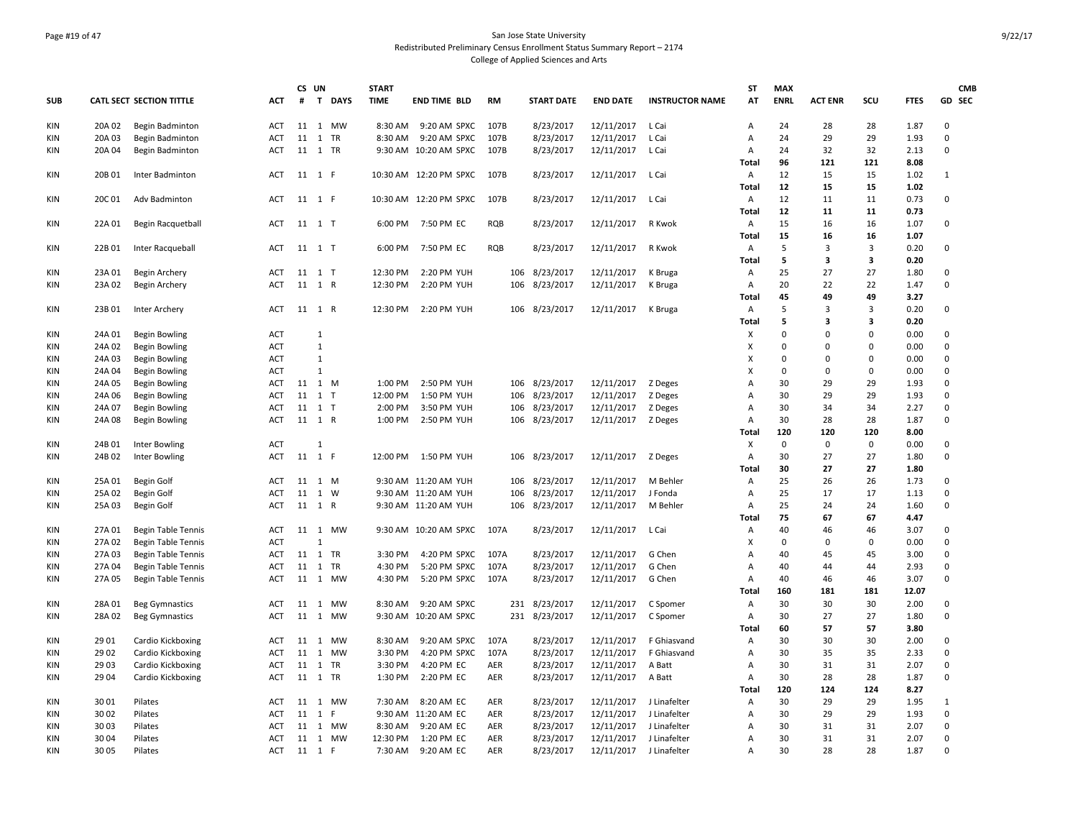### Page #19 of 47 San Jose State University Redistributed Preliminary Census Enrollment Status Summary Report – 2174 College of Applied Sciences and Arts

|            |        |                                 |            | CS UN |                             | <b>START</b> |                        |            |                   |                    |                        | <b>ST</b>      | <b>MAX</b>  |                |             |             | <b>CMB</b>  |
|------------|--------|---------------------------------|------------|-------|-----------------------------|--------------|------------------------|------------|-------------------|--------------------|------------------------|----------------|-------------|----------------|-------------|-------------|-------------|
| <b>SUB</b> |        | <b>CATL SECT SECTION TITTLE</b> | <b>ACT</b> | #     | $\mathbf{T}$<br><b>DAYS</b> | <b>TIME</b>  | <b>END TIME BLD</b>    | <b>RM</b>  | <b>START DATE</b> | <b>END DATE</b>    | <b>INSTRUCTOR NAME</b> | AT             | <b>ENRL</b> | <b>ACT ENR</b> | SCU         | <b>FTES</b> | GD SEC      |
| KIN        | 20A 02 | Begin Badminton                 | <b>ACT</b> |       | 11  1  MW                   | 8:30 AM      | 9:20 AM SPXC           | 107B       | 8/23/2017         | 12/11/2017         | L Cai                  | Α              | 24          | 28             | 28          | 1.87        | $\Omega$    |
| KIN        | 20A 03 | Begin Badminton                 | ACT        |       | 11 1 TR                     | 8:30 AM      | 9:20 AM SPXC           | 107B       | 8/23/2017         | 12/11/2017         | L Cai                  | Α              | 24          | 29             | 29          | 1.93        | $\mathbf 0$ |
| KIN        | 20A 04 | Begin Badminton                 | ACT        |       | 11 1 TR                     |              | 9:30 AM 10:20 AM SPXC  | 107B       | 8/23/2017         | 12/11/2017         | L Cai                  | Α              | 24          | 32             | 32          | 2.13        | $\mathbf 0$ |
|            |        |                                 |            |       |                             |              |                        |            |                   |                    |                        | Total          | 96          | 121            | 121         | 8.08        |             |
| KIN        | 20B 01 | Inter Badminton                 | ACT        |       | 11 1 F                      |              | 10:30 AM 12:20 PM SPXC | 107B       | 8/23/2017         | 12/11/2017         | L Cai                  | Α              | 12          | 15             | 15          | 1.02        | 1           |
|            |        |                                 |            |       |                             |              |                        |            |                   |                    |                        | Total          | 12          | 15             | 15          | 1.02        |             |
| KIN        | 20C 01 | Adv Badminton                   | ACT        |       | 11 1 F                      |              | 10:30 AM 12:20 PM SPXC | 107B       | 8/23/2017         | 12/11/2017         | L Cai                  | Α              | 12          | 11             | 11          | 0.73        | 0           |
|            |        |                                 |            |       |                             |              |                        |            |                   |                    |                        | Total          | 12          | 11             | 11          | 0.73        |             |
| KIN        | 22A 01 | Begin Racquetball               | ACT        |       | 11 1 T                      | 6:00 PM      | 7:50 PM EC             | RQB        | 8/23/2017         | 12/11/2017         | R Kwok                 | Α              | 15          | 16             | 16          | 1.07        | $\mathbf 0$ |
|            |        |                                 |            |       |                             |              |                        |            |                   |                    |                        | Total          | 15          | 16             | 16          | 1.07        |             |
| KIN        | 22B01  | Inter Racqueball                | ACT        |       | 11 1 T                      |              | 6:00 PM 7:50 PM EC     | <b>RQB</b> | 8/23/2017         | 12/11/2017         | R Kwok                 | Α              | 5           | 3              | 3           | 0.20        | 0           |
|            |        |                                 |            |       |                             |              |                        |            |                   |                    |                        | <b>Total</b>   | 5           | 3              | 3           | 0.20        |             |
| KIN        | 23A 01 | Begin Archery                   | ACT        |       | 11 1 T                      | 12:30 PM     | 2:20 PM YUH            |            | 106 8/23/2017     | 12/11/2017         | K Bruga                | Α              | 25          | 27             | 27          | 1.80        | 0           |
| KIN        | 23A 02 | Begin Archery                   | <b>ACT</b> |       | 11 1 R                      | 12:30 PM     | 2:20 PM YUH            | 106        | 8/23/2017         | 12/11/2017         | K Bruga                | Α              | 20          | 22             | 22          | 1.47        | $\mathbf 0$ |
|            |        |                                 |            |       |                             |              |                        |            |                   |                    |                        | Total          | 45          | 49             | 49          | 3.27        |             |
| KIN        | 23B01  | Inter Archery                   | ACT        |       | 11 1 R                      |              | 12:30 PM 2:20 PM YUH   |            | 106 8/23/2017     | 12/11/2017         | K Bruga                | Α              | 5           | 3              | 3           | 0.20        | $\mathbf 0$ |
|            |        |                                 |            |       |                             |              |                        |            |                   |                    |                        | <b>Total</b>   | 5           | 3              | 3           | 0.20        |             |
| KIN        | 24A 01 | Begin Bowling                   | <b>ACT</b> |       | $\mathbf{1}$                |              |                        |            |                   |                    |                        | х              | $\Omega$    | $\Omega$       | $\Omega$    | 0.00        | $\mathbf 0$ |
| KIN        | 24A 02 | Begin Bowling                   | ACT        |       | $\mathbf{1}$                |              |                        |            |                   |                    |                        | X              | $\Omega$    | $\Omega$       | $\Omega$    | 0.00        | $\mathbf 0$ |
| KIN        | 24A 03 | <b>Begin Bowling</b>            | <b>ACT</b> |       | $\mathbf{1}$                |              |                        |            |                   |                    |                        | X              | $\Omega$    | $\Omega$       | $\Omega$    | 0.00        | $\mathbf 0$ |
| KIN        | 24A 04 | <b>Begin Bowling</b>            | ACT        |       | $\mathbf{1}$                |              |                        |            |                   |                    |                        | X              | $\Omega$    | $\Omega$       | 0           | 0.00        | $\mathbf 0$ |
| KIN        | 24A 05 | Begin Bowling                   | ACT        |       | 11 1 M                      | 1:00 PM      | 2:50 PM YUH            |            | 106 8/23/2017     | 12/11/2017         | Z Deges                | Α              | 30          | 29             | 29          | 1.93        | $\mathbf 0$ |
| KIN        | 24A 06 | <b>Begin Bowling</b>            | <b>ACT</b> |       | 11 1 T                      | 12:00 PM     | 1:50 PM YUH            | 106        | 8/23/2017         | 12/11/2017         | Z Deges                | Α              | 30          | 29             | 29          | 1.93        | 0           |
| KIN        | 24A 07 | Begin Bowling                   | <b>ACT</b> |       | 11 1 T                      | 2:00 PM      | 3:50 PM YUH            | 106        | 8/23/2017         | 12/11/2017         | Z Deges                | Α              | 30          | 34             | 34          | 2.27        | $\mathbf 0$ |
| KIN        | 24A 08 | <b>Begin Bowling</b>            | ACT        |       | 11 1 R                      | 1:00 PM      | 2:50 PM YUH            |            | 106 8/23/2017     | 12/11/2017 Z Deges |                        | Α              | 30          | 28             | 28          | 1.87        | $\mathbf 0$ |
|            |        |                                 |            |       |                             |              |                        |            |                   |                    |                        | Total          | 120         | 120            | 120         | 8.00        |             |
| KIN        | 24B 01 | Inter Bowling                   | <b>ACT</b> |       | $\mathbf{1}$                |              |                        |            |                   |                    |                        | Х              | $\Omega$    | $\mathsf 0$    | $\mathbf 0$ | 0.00        | 0           |
| KIN        | 24B02  | Inter Bowling                   | ACT        |       | 11 1 F                      |              | 12:00 PM  1:50 PM YUH  |            | 106 8/23/2017     | 12/11/2017 Z Deges |                        | Α              | 30          | 27             | 27          | 1.80        | $\mathbf 0$ |
|            |        |                                 |            |       |                             |              |                        |            |                   |                    |                        | Total          | 30          | 27             | 27          | 1.80        |             |
| KIN        | 25A 01 | Begin Golf                      | ACT        | 11    | 1 M                         |              | 9:30 AM 11:20 AM YUH   | 106        | 8/23/2017         | 12/11/2017         | M Behler               | Α              | 25          | 26             | 26          | 1.73        | 0           |
| KIN        | 25A 02 | Begin Golf                      | ACT        |       | 11 1 W                      |              | 9:30 AM 11:20 AM YUH   | 106        | 8/23/2017         | 12/11/2017         | J Fonda                | Α              | 25          | 17             | 17          | 1.13        | $\mathbf 0$ |
| KIN        | 25A03  | Begin Golf                      | ACT        |       | 11 1 R                      |              | 9:30 AM 11:20 AM YUH   | 106        | 8/23/2017         | 12/11/2017         | M Behler               | Α              | 25          | 24             | 24          | 1.60        | $\mathbf 0$ |
|            |        |                                 |            |       |                             |              |                        |            |                   |                    |                        | Total          | 75          | 67             | 67          | 4.47        |             |
| KIN        | 27A 01 | <b>Begin Table Tennis</b>       | ACT        |       | 11 1 MW                     |              | 9:30 AM 10:20 AM SPXC  | 107A       | 8/23/2017         | 12/11/2017         | L Cai                  | Α              | 40          | 46             | 46          | 3.07        | $\mathbf 0$ |
| KIN        | 27A 02 | <b>Begin Table Tennis</b>       | <b>ACT</b> |       | $\mathbf{1}$                |              |                        |            |                   |                    |                        | X              | $\Omega$    | $\Omega$       | $\mathbf 0$ | 0.00        | $\mathbf 0$ |
| KIN        | 27A 03 | <b>Begin Table Tennis</b>       | ACT        |       | 11 1 TR                     | 3:30 PM      | 4:20 PM SPXC           | 107A       | 8/23/2017         | 12/11/2017         | G Chen                 | Α              | 40          | 45             | 45          | 3.00        | $\mathbf 0$ |
| <b>KIN</b> | 27A 04 | <b>Begin Table Tennis</b>       | <b>ACT</b> | 11    | 1 TR                        | 4:30 PM      | 5:20 PM SPXC           | 107A       | 8/23/2017         | 12/11/2017         | G Chen                 | $\overline{A}$ | 40          | 44             | 44          | 2.93        | $\mathbf 0$ |
| KIN        | 27A 05 | Begin Table Tennis              | ACT        |       | 11 1 MW                     | 4:30 PM      | 5:20 PM SPXC           | 107A       | 8/23/2017         | 12/11/2017         | G Chen                 | A              | 40          | 46             | 46          | 3.07        | $\mathbf 0$ |
|            |        |                                 |            |       |                             |              |                        |            |                   |                    |                        | Total          | 160         | 181            | 181         | 12.07       |             |
| KIN        | 28A01  | <b>Beg Gymnastics</b>           | <b>ACT</b> | 11    | MW<br>1                     | 8:30 AM      | 9:20 AM SPXC           |            | 231 8/23/2017     | 12/11/2017         | C Spomer               | Α              | 30          | 30             | 30          | 2.00        | 0           |
| KIN        | 28A02  | <b>Beg Gymnastics</b>           | ACT        |       | 11 1 MW                     |              | 9:30 AM 10:20 AM SPXC  |            | 231 8/23/2017     | 12/11/2017         | C Spomer               | Α              | 30          | 27             | 27          | 1.80        | $\mathbf 0$ |
|            |        |                                 |            |       |                             |              |                        |            |                   |                    |                        | <b>Total</b>   | 60          | 57             | 57          | 3.80        |             |
| KIN        | 29 01  | Cardio Kickboxing               | ACT        | 11    | <b>MW</b><br>$\mathbf{1}$   | 8:30 AM      | 9:20 AM SPXC           | 107A       | 8/23/2017         | 12/11/2017         | F Ghiasvand            | Α              | 30          | 30             | 30          | 2.00        | $\mathbf 0$ |
| KIN        | 29 02  | Cardio Kickboxing               | ACT        | 11    | 1<br><b>MW</b>              | 3:30 PM      | 4:20 PM SPXC           | 107A       | 8/23/2017         | 12/11/2017         | F Ghiasvand            | Α              | 30          | 35             | 35          | 2.33        | $\mathbf 0$ |
| KIN        | 29 03  | Cardio Kickboxing               | ACT        |       | 11 1 TR                     | 3:30 PM      | 4:20 PM EC             | AER        | 8/23/2017         | 12/11/2017         | A Batt                 | Α              | 30          | 31             | 31          | 2.07        | $\mathbf 0$ |
| KIN        | 29 04  | Cardio Kickboxing               | ACT        |       | 11 1 TR                     | 1:30 PM      | 2:20 PM EC             | AER        | 8/23/2017         | 12/11/2017         | A Batt                 | Α              | 30          | 28             | 28          | 1.87        | $\mathbf 0$ |
|            |        |                                 |            |       |                             |              |                        |            |                   |                    |                        | <b>Total</b>   | 120         | 124            | 124         | 8.27        |             |
| KIN        | 3001   | Pilates                         | ACT        |       | 11 1 MW                     | 7:30 AM      | 8:20 AM EC             | AER        | 8/23/2017         | 12/11/2017         | J Linafelter           | Α              | 30          | 29             | 29          | 1.95        | 1           |
| KIN        | 30 02  | Pilates                         | ACT        | 11    | 1 F                         |              | 9:30 AM 11:20 AM EC    | AER        | 8/23/2017         | 12/11/2017         | J Linafelter           | Α              | 30          | 29             | 29          | 1.93        | $\mathbf 0$ |
| KIN        | 3003   | Pilates                         | ACT        |       | 11 1 MW                     | 8:30 AM      | 9:20 AM EC             | AER        | 8/23/2017         | 12/11/2017         | J Linafelter           | Α              | 30          | 31             | 31          | 2.07        | 0           |
| KIN        | 30 04  | Pilates                         | ACT        |       | 11 1 MW                     | 12:30 PM     | 1:20 PM EC             | AER        | 8/23/2017         | 12/11/2017         | J Linafelter           | Α              | 30          | 31             | 31          | 2.07        | $\mathbf 0$ |
| <b>KIN</b> | 30 05  | Pilates                         | ACT        |       | 11 1 F                      | 7:30 AM      | 9:20 AM EC             | <b>AER</b> | 8/23/2017         | 12/11/2017         | J Linafelter           | $\overline{A}$ | 30          | 28             | 28          | 1.87        | $\Omega$    |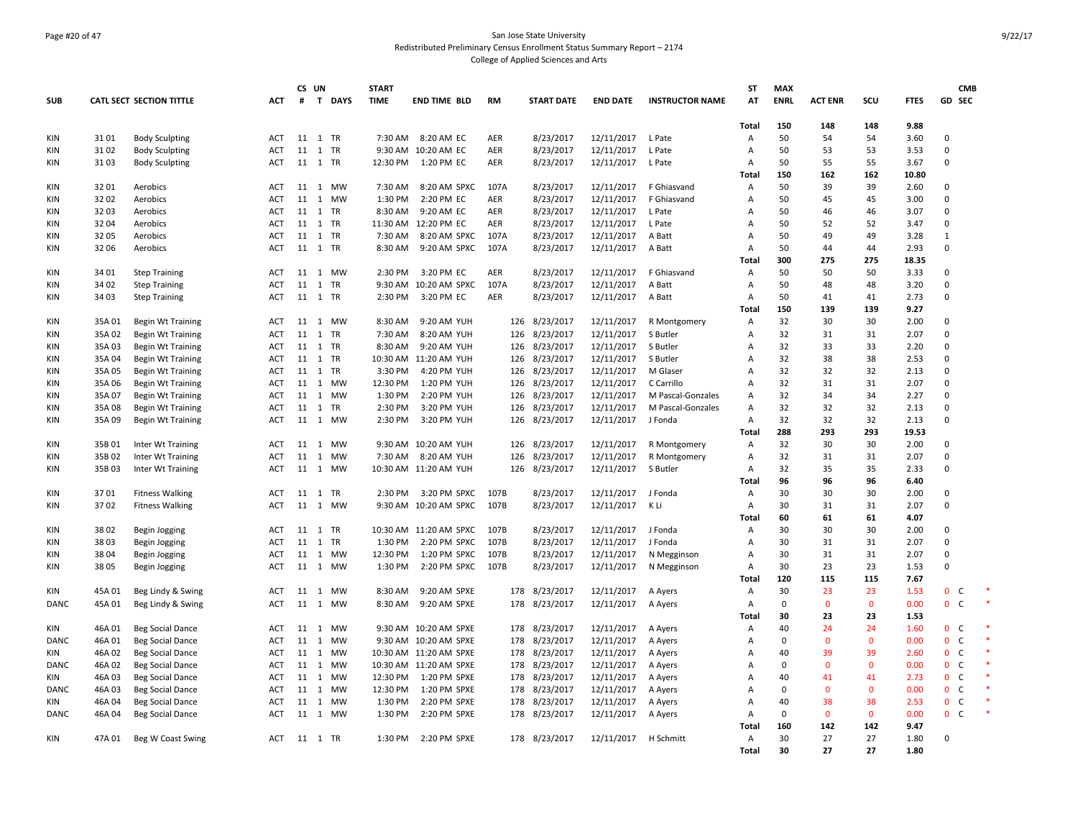### Page #20 of 47 San Jose State University Redistributed Preliminary Census Enrollment Status Summary Report – 2174 College of Applied Sciences and Arts

|             |        |                                 |            |              | CS UN          |           | <b>START</b> |                        |           |                   |                 |                        | <b>ST</b>    | <b>MAX</b>  |                |              |             |                              | <b>CMB</b> |
|-------------|--------|---------------------------------|------------|--------------|----------------|-----------|--------------|------------------------|-----------|-------------------|-----------------|------------------------|--------------|-------------|----------------|--------------|-------------|------------------------------|------------|
| <b>SUB</b>  |        | <b>CATL SECT SECTION TITTLE</b> | <b>ACT</b> | #            |                | T DAYS    | <b>TIME</b>  | <b>END TIME BLD</b>    | <b>RM</b> | <b>START DATE</b> | <b>END DATE</b> | <b>INSTRUCTOR NAME</b> | AT           | <b>ENRL</b> | <b>ACT ENR</b> | scu          | <b>FTES</b> | GD SEC                       |            |
|             |        |                                 |            |              |                |           |              |                        |           |                   |                 |                        |              |             |                |              |             |                              |            |
|             |        |                                 |            |              |                |           |              |                        |           |                   |                 |                        | <b>Total</b> | 150         | 148            | 148          | 9.88        |                              |            |
| KIN         | 3101   | <b>Body Sculpting</b>           | <b>ACT</b> |              | 11 1 TR        |           | 7:30 AM      | 8:20 AM EC             | AER       | 8/23/2017         | 12/11/2017      | L Pate                 | Α            | 50          | 54             | 54           | 3.60        | $\mathbf 0$                  |            |
| KIN         | 3102   | <b>Body Sculpting</b>           | ACT        | 11           | 1              | <b>TR</b> | 9:30 AM      | 10:20 AM EC            | AER       | 8/23/2017         | 12/11/2017      | L Pate                 | A            | 50          | 53             | 53           | 3.53        | $\Omega$                     |            |
| KIN         | 3103   | <b>Body Sculpting</b>           | ACT        |              | 11 1 TR        |           | 12:30 PM     | 1:20 PM EC             | AER       | 8/23/2017         | 12/11/2017      | L Pate                 | A            | 50          | 55             | 55           | 3.67        | $\Omega$                     |            |
|             |        |                                 |            |              |                |           |              |                        |           |                   |                 |                        | Total        | 150         | 162            | 162          | 10.80       |                              |            |
| <b>KIN</b>  | 3201   | Aerobics                        | <b>ACT</b> | 11           | 1              | <b>MW</b> | 7:30 AM      | 8:20 AM SPXC           | 107A      | 8/23/2017         | 12/11/2017      | F Ghiasvand            | A            | 50          | 39             | 39           | 2.60        | $\Omega$                     |            |
| KIN         | 3202   | Aerobics                        | ACT        | 11           | $\mathbf{1}$   | <b>MW</b> | 1:30 PM      | 2:20 PM EC             | AER       | 8/23/2017         | 12/11/2017      | F Ghiasvand            | A            | 50          | 45             | 45           | 3.00        | $\Omega$                     |            |
| <b>KIN</b>  | 3203   | Aerobics                        | <b>ACT</b> | 11 1         |                | <b>TR</b> | 8:30 AM      | 9:20 AM EC             | AER       | 8/23/2017         | 12/11/2017      | L Pate                 | A            | 50          | 46             | 46           | 3.07        | $\Omega$                     |            |
| KIN         | 3204   | Aerobics                        | <b>ACT</b> | 11 1         |                | <b>TR</b> | 11:30 AM     | 12:20 PM EC            | AER       | 8/23/2017         | 12/11/2017      | L Pate                 | A            | 50          | 52             | 52           | 3.47        | $\Omega$                     |            |
| KIN         | 32 05  | Aerobics                        | <b>ACT</b> |              | 11 1 TR        |           | 7:30 AM      | 8:20 AM SPXC           | 107A      | 8/23/2017         | 12/11/2017      | A Batt                 | A            | 50          | 49             | 49           | 3.28        | $\mathbf{1}$                 |            |
| KIN         | 32 06  | Aerobics                        | <b>ACT</b> |              | 11 1 TR        |           | 8:30 AM      | 9:20 AM SPXC           | 107A      | 8/23/2017         | 12/11/2017      | A Batt                 | A            | 50          | 44             | 44           | 2.93        | $\Omega$                     |            |
|             |        |                                 |            |              |                |           |              |                        |           |                   |                 |                        | Total        | 300         | 275            | 275          | 18.35       |                              |            |
| KIN         | 34 01  | <b>Step Training</b>            | ACT        | 11 1         |                | <b>MW</b> | 2:30 PM      | 3:20 PM EC             | AER       | 8/23/2017         | 12/11/2017      | F Ghiasvand            | A            | 50          | 50             | 50           | 3.33        | $\Omega$                     |            |
| KIN         | 34 02  | <b>Step Training</b>            | <b>ACT</b> | 11           | 1 TR           |           | 9:30 AM      | 10:20 AM SPXC          | 107A      | 8/23/2017         | 12/11/2017      | A Batt                 | A            | 50          | 48             | 48           | 3.20        | $\Omega$                     |            |
| KIN         | 34 03  | <b>Step Training</b>            | ACT        |              | 11 1 TR        |           | 2:30 PM      | 3:20 PM EC             | AER       | 8/23/2017         | 12/11/2017      | A Batt                 | Α            | 50          | 41             | 41           | 2.73        | $\Omega$                     |            |
|             |        |                                 |            |              |                |           |              |                        |           |                   |                 |                        | <b>Total</b> | 150         | 139            | 139          | 9.27        |                              |            |
| KIN         | 35A01  | <b>Begin Wt Training</b>        | ACT        | 11           | $\mathbf{1}$   | <b>MW</b> | 8:30 AM      | 9:20 AM YUH            | 126       | 8/23/2017         | 12/11/2017      | R Montgomery           | Α            | 32          | 30             | 30           | 2.00        | $\Omega$                     |            |
| <b>KIN</b>  | 35A02  | <b>Begin Wt Training</b>        | <b>ACT</b> | 11 1         |                | <b>TR</b> | 7:30 AM      | 8:20 AM YUH            | 126       | 8/23/2017         | 12/11/2017      | S Butler               | A            | 32          | 31             | 31           | 2.07        | $\Omega$                     |            |
| KIN         | 35A03  | <b>Begin Wt Training</b>        | ACT        |              | 11 1 TR        |           | 8:30 AM      | 9:20 AM YUH            | 126       | 8/23/2017         | 12/11/2017      | S Butler               | A            | 32          | 33             | 33           | 2.20        | $\Omega$                     |            |
| KIN         | 35A 04 | <b>Begin Wt Training</b>        | ACT        |              | 11 1 TR        |           | 10:30 AM     | 11:20 AM YUH           | 126       | 8/23/2017         | 12/11/2017      | S Butler               | A            | 32          | 38             | 38           | 2.53        | $\mathbf 0$                  |            |
| <b>KIN</b>  | 35A05  | <b>Begin Wt Training</b>        | <b>ACT</b> | 11 1         |                | <b>TR</b> | 3:30 PM      | 4:20 PM YUH            | 126       | 8/23/2017         | 12/11/2017      | M Glaser               | A            | 32          | 32             | 32           | 2.13        | $\Omega$                     |            |
| KIN         | 35A06  | <b>Begin Wt Training</b>        | ACT        |              | 11 1 MW        |           | 12:30 PM     | 1:20 PM YUH            | 126       | 8/23/2017         | 12/11/2017      | C Carrillo             | A            | 32          | 31             | 31           | 2.07        | $\Omega$                     |            |
| KIN         | 35A 07 | <b>Begin Wt Training</b>        | ACT        | 11           | 1              | <b>MW</b> | 1:30 PM      | 2:20 PM YUH            | 126       | 8/23/2017         | 12/11/2017      | M Pascal-Gonzales      | A            | 32          | 34             | 34           | 2.27        | $\Omega$                     |            |
| KIN         | 35A08  | <b>Begin Wt Training</b>        | ACT        | 11 1         |                | TR        | 2:30 PM      | 3:20 PM YUH            | 126       | 8/23/2017         | 12/11/2017      | M Pascal-Gonzales      | A            | 32          | 32             | 32           | 2.13        | $\Omega$                     |            |
| KIN         | 35A09  | <b>Begin Wt Training</b>        | ACT        | 11 1         |                | MW        | 2:30 PM      | 3:20 PM YUH            | 126       | 8/23/2017         | 12/11/2017      | J Fonda                | A            | 32          | 32             | 32           | 2.13        | $\Omega$                     |            |
|             |        |                                 |            |              |                |           |              |                        |           |                   |                 |                        | <b>Total</b> | 288         | 293            | 293          | 19.53       |                              |            |
| KIN         | 35B01  | Inter Wt Training               | ACT        | 11           | <sup>1</sup>   | <b>MW</b> |              | 9:30 AM 10:20 AM YUH   | 126       | 8/23/2017         | 12/11/2017      | R Montgomery           | Α            | 32          | 30             | 30           | 2.00        | $\Omega$                     |            |
| KIN         | 35B02  | Inter Wt Training               | <b>ACT</b> | 11           | $\mathbf{1}$   | MW        | 7:30 AM      | 8:20 AM YUH            | 126       | 8/23/2017         | 12/11/2017      | R Montgomery           | Α            | 32          | 31             | 31           | 2.07        | $\Omega$                     |            |
| KIN         | 35B03  | Inter Wt Training               | ACT        | 11 1         |                | MW        |              | 10:30 AM 11:20 AM YUH  | 126       | 8/23/2017         | 12/11/2017      | S Butler               | A            | 32          | 35             | 35           | 2.33        | $\Omega$                     |            |
|             |        |                                 |            |              |                |           |              |                        |           |                   |                 |                        | Total        | 96          | 96             | 96           | 6.40        |                              |            |
| <b>KIN</b>  | 3701   | <b>Fitness Walking</b>          | <b>ACT</b> | 11 1         |                | <b>TR</b> | 2:30 PM      | 3:20 PM SPXC           | 107B      | 8/23/2017         | 12/11/2017      | J Fonda                | A            | 30          | 30             | 30           | 2.00        | $\Omega$                     |            |
| KIN         | 3702   | <b>Fitness Walking</b>          | ACT        |              | 11 1 MW        |           |              | 9:30 AM 10:20 AM SPXC  | 107B      | 8/23/2017         | 12/11/2017      | K Li                   | Α            | 30          | 31             | 31           | 2.07        | $\Omega$                     |            |
|             |        |                                 |            |              |                |           |              |                        |           |                   |                 |                        | Total        | 60          | 61             | 61           | 4.07        |                              |            |
| <b>KIN</b>  | 3802   | Begin Jogging                   | <b>ACT</b> |              | 11 1 TR        |           |              | 10:30 AM 11:20 AM SPXC | 107B      | 8/23/2017         | 12/11/2017      | J Fonda                | A            | 30          | 30             | 30           | 2.00        | $\Omega$                     |            |
| KIN         | 3803   | Begin Jogging                   | ACT        | $11 \quad 1$ |                | TR        | 1:30 PM      | 2:20 PM SPXC           | 107B      | 8/23/2017         | 12/11/2017      | J Fonda                | Α            | 30          | 31             | 31           | 2.07        | $\Omega$                     |            |
| <b>KIN</b>  | 3804   | Begin Jogging                   | <b>ACT</b> | 11 1         |                | <b>MW</b> | 12:30 PM     | 1:20 PM SPXC           | 107B      | 8/23/2017         | 12/11/2017      | N Megginson            | A            | 30          | 31             | 31           | 2.07        | $\Omega$                     |            |
| KIN         | 3805   | Begin Jogging                   | ACT        | 11           | 1              | <b>MW</b> | 1:30 PM      | 2:20 PM SPXC           | 107B      | 8/23/2017         | 12/11/2017      | N Megginson            | Α            | 30          | 23             | 23           | 1.53        | $\Omega$                     |            |
|             |        |                                 |            |              |                |           |              |                        |           |                   |                 |                        | Total        | 120         | 115            | 115          | 7.67        |                              |            |
| KIN         | 45A01  | Beg Lindy & Swing               | <b>ACT</b> | 11 1         |                | <b>MW</b> | 8:30 AM      | 9:20 AM SPXE           | 178       | 8/23/2017         | 12/11/2017      | A Ayers                | A            | 30          | 23             | 23           | 1.53        | $\mathbf{0}$<br>$\mathsf{C}$ |            |
| DANC        | 45A01  | Beg Lindy & Swing               | ACT        | 11           | <sup>1</sup>   | <b>MW</b> | 8:30 AM      | 9:20 AM SPXE           | 178       | 8/23/2017         | 12/11/2017      | A Ayers                | Α            | $\mathbf 0$ | $\mathbf{0}$   | $\mathbf{0}$ | 0.00        | $\mathbf 0$<br>$\mathsf{C}$  |            |
|             |        |                                 |            |              |                |           |              |                        |           |                   |                 |                        | Total        | 30          | 23             | 23           | 1.53        |                              |            |
| KIN         | 46A01  | <b>Beg Social Dance</b>         | ACT        | 11 1         |                | <b>MW</b> |              | 9:30 AM 10:20 AM SPXE  | 178       | 8/23/2017         | 12/11/2017      | A Ayers                | Α            | 40          | 24             | 24           | 1.60        | 0 <sub>c</sub>               |            |
| DANC        | 46A01  | Beg Social Dance                | ACT        | 11           | 1              | <b>MW</b> | 9:30 AM      | 10:20 AM SPXE          | 178       | 8/23/2017         | 12/11/2017      | A Ayers                | A            | $\mathbf 0$ | $\Omega$       | $\mathbf{0}$ | 0.00        | $\mathbf{0}$<br>C            |            |
| KIN         | 46A02  | <b>Beg Social Dance</b>         | <b>ACT</b> | 11 1         |                | <b>MW</b> |              | 10:30 AM 11:20 AM SPXE | 178       | 8/23/2017         | 12/11/2017      | A Ayers                | A            | 40          | 39             | 39           | 2.60        | $\mathsf{C}$<br>$\mathbf{0}$ |            |
| DANC        | 46A02  | Beg Social Dance                | ACT        | 11 1         |                | MW        |              | 10:30 AM 11:20 AM SPXE | 178       | 8/23/2017         | 12/11/2017      | A Ayers                | A            | $\mathbf 0$ | $\overline{0}$ | $\mathbf{0}$ | 0.00        | 0 <sub>c</sub>               |            |
| KIN         | 46A03  | <b>Beg Social Dance</b>         | <b>ACT</b> | 11 1         |                | <b>MW</b> | 12:30 PM     | 1:20 PM SPXE           | 178       | 8/23/2017         | 12/11/2017      | A Ayers                | A            | 40          | 41             | 41           | 2.73        | $\mathbf{0}$<br>C            |            |
| <b>DANC</b> | 46A03  | <b>Beg Social Dance</b>         | ACT        | 11 1         |                | <b>MW</b> | 12:30 PM     | 1:20 PM SPXE           | 178       | 8/23/2017         | 12/11/2017      | A Ayers                | Α            | $\mathbf 0$ | $\mathbf 0$    | $\mathbf{0}$ | 0.00        | $\mathbf{0}$<br>$\mathsf{C}$ |            |
| KIN         | 46A04  | Beg Social Dance                | ACT        | 11           | $\overline{1}$ | MW        | 1:30 PM      | 2:20 PM SPXE           | 178       | 8/23/2017         | 12/11/2017      | A Ayers                | A            | 40          | 38             | 38           | 2.53        | $\mathsf{C}$<br>$\mathbf{0}$ |            |
| <b>DANC</b> | 46A04  | <b>Beg Social Dance</b>         | <b>ACT</b> | 11 1         |                | MW        | 1:30 PM      | 2:20 PM SPXE           | 178       | 8/23/2017         | 12/11/2017      | A Ayers                | A            | $\mathbf 0$ | $\mathbf{0}$   | $\mathbf{0}$ | 0.00        | $\mathbf{0}$<br>$\mathsf{C}$ |            |
|             |        |                                 |            |              |                |           |              |                        |           |                   |                 |                        | Total        | 160         | 142            | 142          | 9.47        |                              |            |
| <b>KIN</b>  | 47A 01 | Beg W Coast Swing               | ACT        |              | 11 1 TR        |           |              | 1:30 PM 2:20 PM SPXE   |           | 178 8/23/2017     | 12/11/2017      | H Schmitt              | A            | 30          | 27             | 27           | 1.80        | $\Omega$                     |            |
|             |        |                                 |            |              |                |           |              |                        |           |                   |                 |                        | Total        | 30          | 27             | 27           | 1.80        |                              |            |
|             |        |                                 |            |              |                |           |              |                        |           |                   |                 |                        |              |             |                |              |             |                              |            |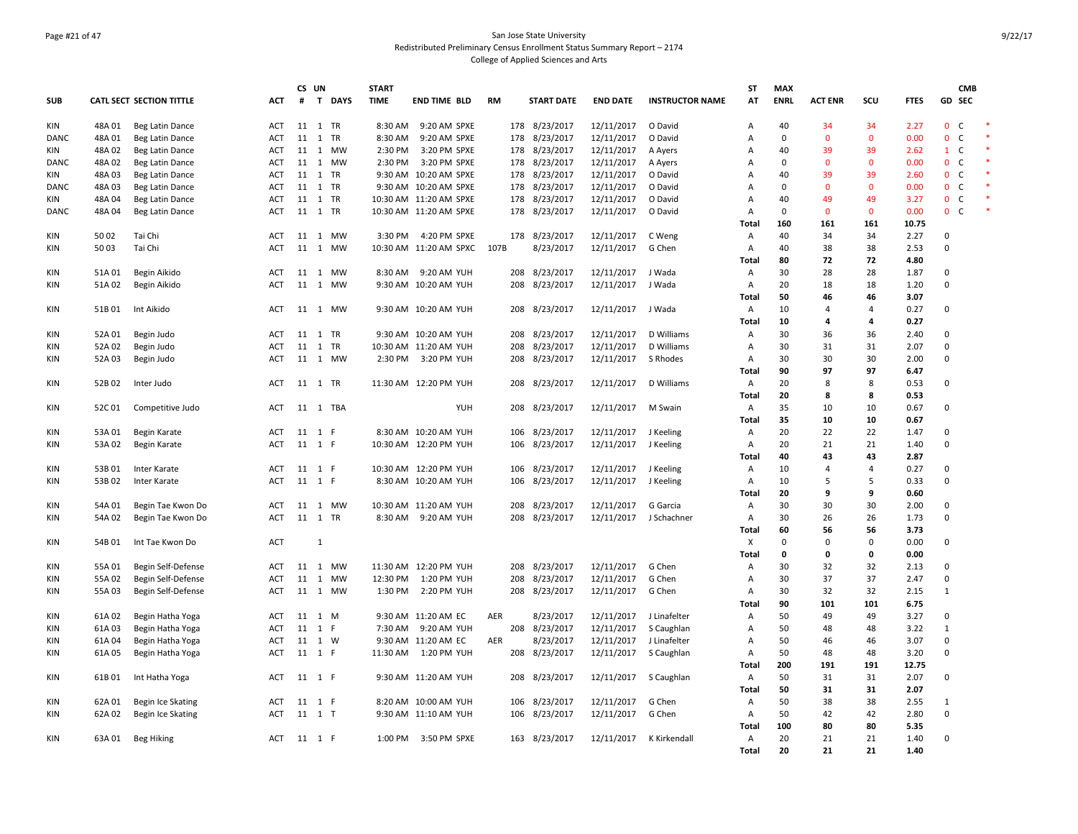### Page #21 of 47 San Jose State University Redistributed Preliminary Census Enrollment Status Summary Report – 2174 College of Applied Sciences and Arts

|            |        |                              |            |         | CS UN          |           | <b>START</b> |                        |           |     |                   |                 |                        | <b>ST</b>               | <b>MAX</b>         |                     |                      |               |                | <b>CMB</b>   |  |
|------------|--------|------------------------------|------------|---------|----------------|-----------|--------------|------------------------|-----------|-----|-------------------|-----------------|------------------------|-------------------------|--------------------|---------------------|----------------------|---------------|----------------|--------------|--|
| <b>SUB</b> |        | CATL SECT SECTION TITTLE     | ACT        | #       |                | T DAYS    | <b>TIME</b>  | END TIME BLD           | <b>RM</b> |     | <b>START DATE</b> | <b>END DATE</b> | <b>INSTRUCTOR NAME</b> | AT                      | <b>ENRL</b>        | <b>ACT ENR</b>      | SCU                  | <b>FTES</b>   | <b>GD SEC</b>  |              |  |
| KIN        | 48A01  | Beg Latin Dance              | ACT        | 11 1 TR |                |           | 8:30 AM      | 9:20 AM SPXE           |           |     | 178 8/23/2017     | 12/11/2017      | O David                | A                       | 40                 | 34                  | 34                   | 2.27          | $\mathbf{0}$   | $\mathsf{C}$ |  |
| DANC       | 48A01  | Beg Latin Dance              | ACT        | 11 1    |                | TR        | 8:30 AM      | 9:20 AM SPXE           |           | 178 | 8/23/2017         | 12/11/2017      | O David                | Α                       | $\mathbf 0$        | $\overline{0}$      | $\mathbf 0$          | 0.00          | $0-$           |              |  |
| KIN        | 48A02  | Beg Latin Dance              | <b>ACT</b> | 11 1    |                | MW        | 2:30 PM      | 3:20 PM SPXE           |           | 178 | 8/23/2017         | 12/11/2017      | A Ayers                | Α                       | 40                 | 39                  | 39                   | 2.62          | $1 \quad C$    |              |  |
| DANC       | 48A02  | Beg Latin Dance              | ACT        | 11 1    |                | MW        | 2:30 PM      | 3:20 PM SPXE           |           |     | 178 8/23/2017     | 12/11/2017      | A Ayers                | Α                       | $\mathbf 0$        | $\Omega$            | $\mathbf{0}$         | 0.00          | 0 <sup>o</sup> |              |  |
| <b>KIN</b> | 48A03  | Beg Latin Dance              | <b>ACT</b> | 11 1    |                | <b>TR</b> |              | 9:30 AM 10:20 AM SPXE  |           |     | 178 8/23/2017     | 12/11/2017      | O David                | A                       | 40                 | 39                  | 39                   | 2.60          | $0-$           |              |  |
| DANC       | 48A03  | Beg Latin Dance              | ACT        | 11 1    |                | TR        |              | 9:30 AM 10:20 AM SPXE  |           | 178 | 8/23/2017         | 12/11/2017      | O David                | Α                       | $\mathbf 0$        | $\Omega$            | $\mathbf{0}$         | 0.00          | 0 <sup>o</sup> |              |  |
| KIN        | 48A04  | Beg Latin Dance              | <b>ACT</b> | 11 1 TR |                |           |              | 10:30 AM 11:20 AM SPXE |           |     | 178 8/23/2017     | 12/11/2017      | O David                | Α                       | 40                 | 49                  | 49                   | 3.27          | 0 <sup>o</sup> |              |  |
| DANC       | 48A04  | Beg Latin Dance              | ACT        | 11 1 TR |                |           |              | 10:30 AM 11:20 AM SPXE |           |     | 178 8/23/2017     | 12/11/2017      | O David                | $\overline{A}$<br>Total | $\mathbf 0$<br>160 | $\mathbf{0}$<br>161 | $\mathbf{0}$<br>161  | 0.00<br>10.75 | 0 <sub>c</sub> |              |  |
| KIN        | 5002   | Tai Chi                      | ACT        |         |                | 11 1 MW   |              | 3:30 PM 4:20 PM SPXE   |           |     | 178 8/23/2017     | 12/11/2017      | C Weng                 | A                       | 40                 | 34                  | 34                   | 2.27          | 0              |              |  |
| KIN        | 5003   | Tai Chi                      | ACT        |         |                | 11 1 MW   |              | 10:30 AM 11:20 AM SPXC | 107B      |     | 8/23/2017         | 12/11/2017      | G Chen                 | Α                       | 40                 | 38                  | 38                   | 2.53          | 0              |              |  |
|            |        |                              |            |         |                |           |              |                        |           |     |                   |                 |                        | <b>Total</b>            | 80                 | 72                  | 72                   | 4.80          |                |              |  |
| KIN        | 51A01  | Begin Aikido                 | ACT        |         |                | 11 1 MW   |              | 8:30 AM 9:20 AM YUH    |           |     | 208 8/23/2017     | 12/11/2017      | J Wada                 | Α                       | 30                 | 28                  | 28                   | 1.87          | $\mathbf 0$    |              |  |
| KIN        | 51A02  | Begin Aikido                 | ACT        | 11      | $\overline{1}$ | MW        |              | 9:30 AM 10:20 AM YUH   |           |     | 208 8/23/2017     | 12/11/2017      | J Wada                 | Α                       | 20                 | 18                  | 18                   | 1.20          | 0              |              |  |
|            |        |                              |            |         |                |           |              |                        |           |     |                   |                 |                        | Total                   | 50                 | 46                  | 46                   | 3.07          |                |              |  |
| KIN        | 51B01  | Int Aikido                   | ACT        |         |                | 11 1 MW   |              | 9:30 AM 10:20 AM YUH   |           |     | 208 8/23/2017     | 12/11/2017      | J Wada                 | A                       | 10                 | $\overline{4}$      | $\overline{4}$       | 0.27          | 0              |              |  |
|            |        |                              |            |         |                |           |              |                        |           |     |                   |                 |                        | <b>Total</b>            | 10                 | 4                   | 4                    | 0.27          |                |              |  |
| KIN        | 52A01  | Begin Judo                   | ACT        | 11 1 TR |                |           |              | 9:30 AM 10:20 AM YUH   |           | 208 | 8/23/2017         | 12/11/2017      | D Williams             | Α                       | 30                 | 36                  | 36                   | 2.40          | 0              |              |  |
| KIN        | 52A 02 | Begin Judo                   | ACT        | 11 1    |                | TR        |              | 10:30 AM 11:20 AM YUH  |           | 208 | 8/23/2017         | 12/11/2017      | D Williams             | Α                       | 30                 | 31                  | 31                   | 2.07          | 0              |              |  |
| KIN        | 52A03  | Begin Judo                   | ACT        |         |                | 11 1 MW   |              | 2:30 PM 3:20 PM YUH    |           | 208 | 8/23/2017         | 12/11/2017      | S Rhodes               | Α                       | 30                 | 30                  | 30                   | 2.00          | $\mathbf 0$    |              |  |
|            |        |                              |            |         |                |           |              |                        |           |     |                   |                 |                        | <b>Total</b>            | 90                 | 97                  | 97                   | 6.47          |                |              |  |
| KIN        | 52B02  | Inter Judo                   | ACT        | 11 1 TR |                |           |              | 11:30 AM 12:20 PM YUH  |           |     | 208 8/23/2017     | 12/11/2017      | D Williams             | A                       | 20                 | 8                   | 8                    | 0.53          | 0              |              |  |
|            |        |                              |            |         |                |           |              |                        |           |     |                   |                 |                        | Total                   | 20                 | 8                   | 8                    | 0.53          |                |              |  |
| KIN        | 52C01  | Competitive Judo             | ACT        |         |                | 11 1 TBA  |              | <b>YUH</b>             |           |     | 208 8/23/2017     | 12/11/2017      | M Swain                | $\mathsf{A}$            | 35                 | 10                  | 10                   | 0.67          | 0              |              |  |
|            |        |                              |            |         |                |           |              |                        |           |     |                   |                 |                        | Total                   | 35                 | 10                  | 10                   | 0.67          |                |              |  |
| KIN        | 53A01  | Begin Karate                 | ACT        | 11 1 F  |                |           |              | 8:30 AM 10:20 AM YUH   |           |     | 106 8/23/2017     | 12/11/2017      | J Keeling              | Α                       | 20                 | 22                  | 22                   | 1.47          | 0              |              |  |
| KIN        | 53A02  | Begin Karate                 | ACT        | 11 1 F  |                |           |              | 10:30 AM 12:20 PM YUH  |           | 106 | 8/23/2017         | 12/11/2017      | J Keeling              | Α                       | 20                 | 21                  | 21                   | 1.40          | 0              |              |  |
| KIN        | 53B01  |                              | <b>ACT</b> | 11 1 F  |                |           |              | 10:30 AM 12:20 PM YUH  |           | 106 | 8/23/2017         | 12/11/2017      |                        | <b>Total</b><br>A       | 40<br>10           | 43<br>$\Delta$      | 43<br>$\overline{4}$ | 2.87<br>0.27  | $\mathbf 0$    |              |  |
| KIN        | 53B02  | Inter Karate<br>Inter Karate | ACT        | 11 1 F  |                |           |              | 8:30 AM 10:20 AM YUH   |           |     | 106 8/23/2017     | 12/11/2017      | J Keeling<br>J Keeling | Α                       | 10                 | 5                   | 5                    | 0.33          | 0              |              |  |
|            |        |                              |            |         |                |           |              |                        |           |     |                   |                 |                        | <b>Total</b>            | 20                 | 9                   | 9                    | 0.60          |                |              |  |
| KIN        | 54A 01 | Begin Tae Kwon Do            | ACT        |         |                | 11  1  MW |              | 10:30 AM 11:20 AM YUH  |           | 208 | 8/23/2017         | 12/11/2017      | G Garcia               | Α                       | 30                 | 30                  | 30                   | 2.00          | 0              |              |  |
| KIN        | 54A 02 | Begin Tae Kwon Do            | <b>ACT</b> | 11 1 TR |                |           |              | 8:30 AM 9:20 AM YUH    |           |     | 208 8/23/2017     | 12/11/2017      | J Schachner            | $\overline{A}$          | 30                 | 26                  | 26                   | 1.73          | $\mathbf 0$    |              |  |
|            |        |                              |            |         |                |           |              |                        |           |     |                   |                 |                        | Total                   | 60                 | 56                  | 56                   | 3.73          |                |              |  |
| KIN        | 54B01  | Int Tae Kwon Do              | <b>ACT</b> |         | $\mathbf{1}$   |           |              |                        |           |     |                   |                 |                        | X                       | $\mathbf 0$        | $\Omega$            | $\mathbf 0$          | 0.00          | 0              |              |  |
|            |        |                              |            |         |                |           |              |                        |           |     |                   |                 |                        | Total                   | $\mathbf 0$        | 0                   | 0                    | 0.00          |                |              |  |
| <b>KIN</b> | 55A01  | Begin Self-Defense           | <b>ACT</b> | 11 1    |                | <b>MW</b> |              | 11:30 AM 12:20 PM YUH  |           | 208 | 8/23/2017         | 12/11/2017      | G Chen                 | A                       | 30                 | 32                  | 32                   | 2.13          | 0              |              |  |
| KIN        | 55A02  | Begin Self-Defense           | ACT        | 11 1    |                | <b>MW</b> |              | 12:30 PM 1:20 PM YUH   |           | 208 | 8/23/2017         | 12/11/2017      | G Chen                 | Α                       | 30                 | 37                  | 37                   | 2.47          | 0              |              |  |
| KIN        | 55A03  | Begin Self-Defense           | ACT        |         |                | 11 1 MW   | 1:30 PM      | 2:20 PM YUH            |           |     | 208 8/23/2017     | 12/11/2017      | G Chen                 | Α                       | 30                 | 32                  | 32                   | 2.15          | $\mathbf{1}$   |              |  |
|            |        |                              |            |         |                |           |              |                        |           |     |                   |                 |                        | Total                   | 90                 | 101                 | 101                  | 6.75          |                |              |  |
| KIN        | 61A02  | Begin Hatha Yoga             | <b>ACT</b> | 11 1 M  |                |           |              | 9:30 AM 11:20 AM EC    | AER       |     | 8/23/2017         | 12/11/2017      | J Linafelter           | Α                       | 50                 | 49                  | 49                   | 3.27          | $\mathbf 0$    |              |  |
| KIN        | 61A03  | Begin Hatha Yoga             | ACT        | 11 1 F  |                |           | 7:30 AM      | 9:20 AM YUH            |           |     | 208 8/23/2017     | 12/11/2017      | S Caughlan             | Α                       | 50                 | 48                  | 48                   | 3.22          | $\mathbf{1}$   |              |  |
| KIN        | 61A04  | Begin Hatha Yoga             | ACT        | 11 1 W  |                |           |              | 9:30 AM 11:20 AM EC    | AER       |     | 8/23/2017         | 12/11/2017      | J Linafelter           | Α                       | 50                 | 46                  | 46                   | 3.07          | 0              |              |  |
| KIN        | 61A05  | Begin Hatha Yoga             | <b>ACT</b> | 11 1 F  |                |           |              | 11:30 AM   1:20 PM YUH |           |     | 208 8/23/2017     | 12/11/2017      | S Caughlan             | $\overline{A}$          | 50                 | 48                  | 48                   | 3.20          | 0              |              |  |
|            |        |                              |            |         |                |           |              |                        |           |     |                   |                 |                        | Total                   | 200                | 191                 | 191                  | 12.75         |                |              |  |
| KIN        | 61B01  | Int Hatha Yoga               | <b>ACT</b> | 11 1 F  |                |           |              | 9:30 AM 11:20 AM YUH   |           |     | 208 8/23/2017     | 12/11/2017      | S Caughlan             | A                       | 50                 | 31                  | 31                   | 2.07          | 0              |              |  |
|            |        |                              |            |         |                |           |              |                        |           |     |                   |                 |                        | Total                   | 50                 | 31                  | 31                   | 2.07          |                |              |  |
| KIN        | 62A01  | Begin Ice Skating            | ACT        | 11 1 F  |                |           |              | 8:20 AM 10:00 AM YUH   |           | 106 | 8/23/2017         | 12/11/2017      | G Chen                 | Α                       | 50                 | 38                  | 38                   | 2.55          | $\mathbf{1}$   |              |  |
| KIN        | 62A02  | Begin Ice Skating            | <b>ACT</b> | 11 1 T  |                |           |              | 9:30 AM 11:10 AM YUH   |           |     | 106 8/23/2017     | 12/11/2017      | G Chen                 | A                       | 50                 | 42                  | 42                   | 2.80          | 0              |              |  |
|            |        |                              |            |         |                |           |              |                        |           |     |                   |                 |                        | Total                   | 100                | 80                  | 80                   | 5.35          |                |              |  |
| <b>KIN</b> | 63A 01 | Beg Hiking                   | ACT        | 11 1 F  |                |           |              | 1:00 PM 3:50 PM SPXE   |           |     | 163 8/23/2017     | 12/11/2017      | K Kirkendall           | $\overline{A}$          | 20                 | 21                  | 21                   | 1.40          | $\mathbf 0$    |              |  |
|            |        |                              |            |         |                |           |              |                        |           |     |                   |                 |                        | Total                   | 20                 | 21                  | 21                   | 1.40          |                |              |  |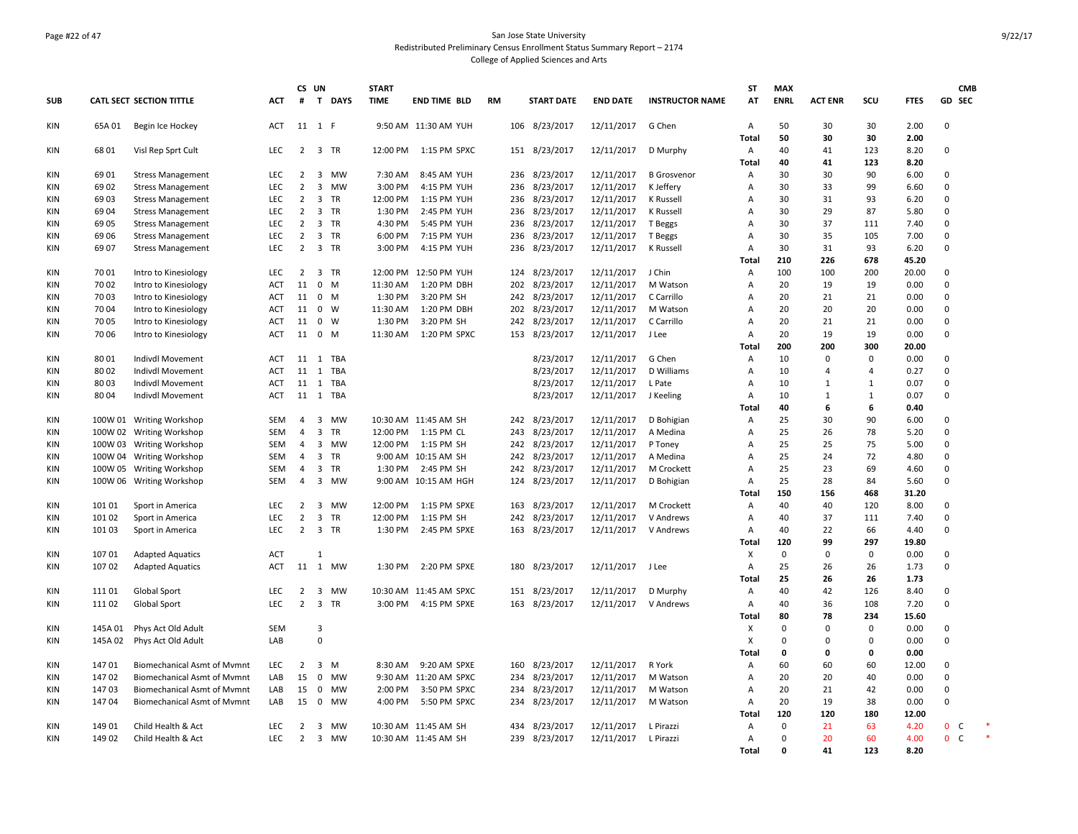### Page #22 of 47 San Jose State University Redistributed Preliminary Census Enrollment Status Summary Report – 2174 College of Applied Sciences and Arts

|            |                    |                                                    |                   |                | CS UN                   |                 | <b>START</b> |                                   |           |            |                        |                          |                        | ST                        | <b>MAX</b>  |                |                |              | <b>CMB</b>                   |  |
|------------|--------------------|----------------------------------------------------|-------------------|----------------|-------------------------|-----------------|--------------|-----------------------------------|-----------|------------|------------------------|--------------------------|------------------------|---------------------------|-------------|----------------|----------------|--------------|------------------------------|--|
| <b>SUB</b> |                    | <b>CATL SECT SECTION TITTLE</b>                    | <b>ACT</b>        | #              | $\mathbf{T}$            | <b>DAYS</b>     | <b>TIME</b>  | <b>END TIME BLD</b>               | <b>RM</b> |            | <b>START DATE</b>      | <b>END DATE</b>          | <b>INSTRUCTOR NAME</b> | AT                        | <b>ENRL</b> | <b>ACT ENR</b> | SCU            | <b>FTES</b>  | GD SEC                       |  |
| KIN        | 65A 01             | Begin Ice Hockey                                   | <b>ACT</b>        |                | 11 1 F                  |                 |              | 9:50 AM 11:30 AM YUH              |           |            | 106 8/23/2017          | 12/11/2017               | G Chen                 | Α                         | 50          | 30             | 30             | 2.00         | $\Omega$                     |  |
|            |                    |                                                    |                   |                |                         |                 |              |                                   |           |            |                        |                          |                        | <b>Total</b>              | 50          | 30             | 30             | 2.00         |                              |  |
| KIN        | 6801               | Visl Rep Sprt Cult                                 | LEC               | $\overline{2}$ | $\overline{\mathbf{3}}$ | TR              | 12:00 PM     | 1:15 PM SPXC                      |           | 151        | 8/23/2017              | 12/11/2017               | D Murphy               | Α<br>Total                | 40<br>40    | 41<br>41       | 123<br>123     | 8.20<br>8.20 | $\mathbf 0$                  |  |
| KIN        | 6901               | <b>Stress Management</b>                           | LEC               | $\overline{2}$ | $\overline{\mathbf{3}}$ | MW              | 7:30 AM      | 8:45 AM YUH                       |           | 236        | 8/23/2017              | 12/11/2017               | <b>B</b> Grosvenor     | Α                         | 30          | 30             | 90             | 6.00         | $\mathbf 0$                  |  |
| <b>KIN</b> | 6902               | <b>Stress Management</b>                           | <b>LEC</b>        | $\overline{2}$ | 3                       | <b>MW</b>       | 3:00 PM      | 4:15 PM YUH                       |           | 236        | 8/23/2017              | 12/11/2017               | K Jeffery              | Α                         | 30          | 33             | 99             | 6.60         | $\Omega$                     |  |
| KIN        | 6903               | <b>Stress Management</b>                           | LEC               | $\overline{2}$ | 3                       | <b>TR</b>       | 12:00 PM     | 1:15 PM YUH                       |           | 236        | 8/23/2017              | 12/11/2017               | K Russell              | $\overline{A}$            | 30          | 31             | 93             | 6.20         | 0                            |  |
| <b>KIN</b> | 6904               | <b>Stress Management</b>                           | <b>LEC</b>        | $\overline{2}$ | $\overline{\mathbf{3}}$ | <b>TR</b>       | 1:30 PM      | 2:45 PM YUH                       |           | 236        | 8/23/2017              | 12/11/2017               | K Russell              | Α                         | 30          | 29             | 87             | 5.80         | 0                            |  |
| <b>KIN</b> | 6905               | <b>Stress Management</b>                           | LEC               | $\overline{2}$ | $\overline{\mathbf{3}}$ | TR              | 4:30 PM      | 5:45 PM YUH                       |           | 236        | 8/23/2017              | 12/11/2017               | T Beggs                | Α                         | 30          | 37             | 111            | 7.40         | 0                            |  |
| <b>KIN</b> | 69 06              | <b>Stress Management</b>                           | <b>LEC</b>        | $\overline{2}$ | $\overline{\mathbf{3}}$ | <b>TR</b>       | 6:00 PM      | 7:15 PM YUH                       |           | 236        | 8/23/2017              | 12/11/2017               | T Beggs                | $\overline{A}$            | 30          | 35             | 105            | 7.00         | $\Omega$                     |  |
| <b>KIN</b> | 69 07              | <b>Stress Management</b>                           | <b>LEC</b>        | $\overline{2}$ | 3                       | <b>TR</b>       | 3:00 PM      | 4:15 PM YUH                       |           | 236        | 8/23/2017              | 12/11/2017               | K Russell              | Α                         | 30          | 31             | 93             | 6.20         | $\mathbf 0$                  |  |
|            |                    |                                                    |                   |                |                         |                 |              |                                   |           |            |                        |                          |                        | Total                     | 210         | 226            | 678            | 45.20        |                              |  |
| KIN        | 7001               | Intro to Kinesiology                               | <b>LEC</b>        | $\overline{2}$ | $\overline{\mathbf{3}}$ | <b>TR</b>       |              | 12:00 PM 12:50 PM YUH             |           |            | 124 8/23/2017          | 12/11/2017               | J Chin                 | $\overline{A}$            | 100         | 100            | 200            | 20.00        | $\mathbf 0$                  |  |
| <b>KIN</b> | 7002               | Intro to Kinesiology                               | ACT               | 11             | $\mathbf 0$             | M               | 11:30 AM     | 1:20 PM DBH                       |           | 202        | 8/23/2017              | 12/11/2017               | M Watson               | $\overline{A}$            | 20          | 19             | 19             | 0.00         | 0                            |  |
| <b>KIN</b> | 7003               | Intro to Kinesiology                               | <b>ACT</b>        | 11             | $\mathbf 0$             | M               | 1:30 PM      | 3:20 PM SH                        |           | 242        | 8/23/2017              | 12/11/2017               | C Carrillo             | $\overline{A}$            | 20          | 21             | 21             | 0.00         | $\Omega$                     |  |
| <b>KIN</b> | 7004               | Intro to Kinesiology                               | ACT               | 11             | $\mathbf 0$             | W               | 11:30 AM     | 1:20 PM DBH                       |           | 202        | 8/23/2017              | 12/11/2017               | M Watson               | $\overline{A}$            | 20          | 20             | 20             | 0.00         | $\mathbf 0$                  |  |
| <b>KIN</b> | 70 05              | Intro to Kinesiology                               | ACT               | 11             | 0                       | W               | 1:30 PM      | 3:20 PM SH                        |           | 242        | 8/23/2017              | 12/11/2017               | C Carrillo             | Α                         | 20          | 21             | 21             | 0.00         | 0                            |  |
| <b>KIN</b> | 70 06              | Intro to Kinesiology                               | <b>ACT</b>        | 11             | $\mathbf 0$             | M               | 11:30 AM     | 1:20 PM SPXC                      |           |            | 153 8/23/2017          | 12/11/2017               | J Lee                  | Α                         | 20          | 19             | 19             | 0.00         | $\Omega$                     |  |
|            |                    |                                                    |                   |                |                         |                 |              |                                   |           |            |                        |                          |                        | Total                     | 200         | 200            | 300            | 20.00        |                              |  |
| <b>KIN</b> | 8001               | Indivdl Movement                                   | <b>ACT</b>        | 11             | 1                       | <b>TBA</b>      |              |                                   |           |            | 8/23/2017              | 12/11/2017               | G Chen                 | $\overline{A}$            | 10          | $\mathbf 0$    | $\Omega$       | 0.00         | $\Omega$                     |  |
| KIN        | 8002               | Indivdl Movement                                   | ACT               | 11             | <sup>1</sup>            | <b>TBA</b>      |              |                                   |           |            | 8/23/2017              | 12/11/2017               | D Williams             | A                         | 10          | 4              | $\overline{4}$ | 0.27         | $\mathbf 0$                  |  |
| <b>KIN</b> | 8003               | Indivdl Movement                                   | <b>ACT</b>        | 11             | 1                       | TBA             |              |                                   |           |            | 8/23/2017              | 12/11/2017               | L Pate                 | A                         | 10          | $\mathbf{1}$   | 1              | 0.07         | $\mathbf 0$                  |  |
| KIN        | 8004               | Indivdl Movement                                   | ACT               |                | 11 1                    | TBA             |              |                                   |           |            | 8/23/2017              | 12/11/2017               | J Keeling              | A                         | 10          | $\mathbf{1}$   | 1              | 0.07         | $\mathbf 0$                  |  |
|            |                    |                                                    |                   |                |                         |                 |              |                                   |           |            |                        |                          |                        | Total                     | 40          | 6              | 6              | 0.40         |                              |  |
| KIN        |                    | 100W 01 Writing Workshop                           | SEM               | 4              | 3                       | MW              |              | 10:30 AM 11:45 AM SH              |           | 242        | 8/23/2017              | 12/11/2017               | D Bohigian             | Α                         | 25          | 30             | 90             | 6.00         | 0                            |  |
| <b>KIN</b> | 100W 02            | <b>Writing Workshop</b>                            | SEM               | $\overline{4}$ | 3<br>3                  | <b>TR</b><br>MW | 12:00 PM     | 1:15 PM CL                        |           | 243        | 8/23/2017              | 12/11/2017               | A Medina               | Α                         | 25<br>25    | 26<br>25       | 78             | 5.20<br>5.00 | $\mathbf 0$<br>0             |  |
| KIN<br>KIN | 100W 03<br>100W 04 | <b>Writing Workshop</b>                            | SEM<br><b>SEM</b> | 4<br>4         | 3                       | <b>TR</b>       | 12:00 PM     | 1:15 PM SH<br>9:00 AM 10:15 AM SH |           | 242<br>242 | 8/23/2017<br>8/23/2017 | 12/11/2017<br>12/11/2017 | P Toney<br>A Medina    | Α<br>A                    | 25          | 24             | 75<br>72       | 4.80         | 0                            |  |
| <b>KIN</b> | 100W 05            | <b>Writing Workshop</b><br><b>Writing Workshop</b> | SEM               | $\overline{4}$ | 3                       | <b>TR</b>       | 1:30 PM      | 2:45 PM SH                        |           | 242        | 8/23/2017              | 12/11/2017               | M Crockett             | Α                         | 25          | 23             | 69             | 4.60         | $\mathbf 0$                  |  |
| KIN        |                    | 100W 06 Writing Workshop                           | SEM               | $\overline{4}$ | 3                       | MW              |              | 9:00 AM 10:15 AM HGH              |           |            | 124 8/23/2017          | 12/11/2017               | D Bohigian             | Α                         | 25          | 28             | 84             | 5.60         | 0                            |  |
|            |                    |                                                    |                   |                |                         |                 |              |                                   |           |            |                        |                          |                        | <b>Total</b>              | 150         | 156            | 468            | 31.20        |                              |  |
| KIN        | 101 01             | Sport in America                                   | LEC               | $\overline{2}$ | $\overline{\mathbf{3}}$ | MW              | 12:00 PM     | 1:15 PM SPXE                      |           | 163        | 8/23/2017              | 12/11/2017               | M Crockett             | Α                         | 40          | 40             | 120            | 8.00         | $\mathbf 0$                  |  |
| KIN        | 10102              | Sport in America                                   | <b>LEC</b>        | $\overline{2}$ | 3                       | <b>TR</b>       | 12:00 PM     | 1:15 PM SH                        |           | 242        | 8/23/2017              | 12/11/2017               | V Andrews              | $\overline{A}$            | 40          | 37             | 111            | 7.40         | $\Omega$                     |  |
| KIN        | 10103              | Sport in America                                   | LEC               | $\overline{2}$ | $\overline{\mathbf{3}}$ | TR              | 1:30 PM      | 2:45 PM SPXE                      |           | 163        | 8/23/2017              | 12/11/2017               | V Andrews              | Α                         | 40          | 22             | 66             | 4.40         | $\mathbf 0$                  |  |
|            |                    |                                                    |                   |                |                         |                 |              |                                   |           |            |                        |                          |                        | Total                     | 120         | 99             | 297            | 19.80        |                              |  |
| KIN        | 10701              | <b>Adapted Aquatics</b>                            | ACT               |                | $\mathbf{1}$            |                 |              |                                   |           |            |                        |                          |                        | $\boldsymbol{\mathsf{x}}$ | $\mathbf 0$ | $\mathbf 0$    | $\mathbf 0$    | 0.00         | $\mathbf 0$                  |  |
| <b>KIN</b> | 107 02             | <b>Adapted Aquatics</b>                            | ACT               | 11             | 1                       | MW              | 1:30 PM      | 2:20 PM SPXE                      |           | 180        | 8/23/2017              | 12/11/2017               | J Lee                  | Α                         | 25          | 26             | 26             | 1.73         | $\mathbf 0$                  |  |
|            |                    |                                                    |                   |                |                         |                 |              |                                   |           |            |                        |                          |                        | <b>Total</b>              | 25          | 26             | 26             | 1.73         |                              |  |
| KIN        | 111 01             | Global Sport                                       | LEC               | $\overline{2}$ | $\overline{\mathbf{3}}$ | MW              |              | 10:30 AM 11:45 AM SPXC            |           | 151        | 8/23/2017              | 12/11/2017               | D Murphy               | Α                         | 40          | 42             | 126            | 8.40         | $\mathbf 0$                  |  |
| KIN        | 11102              | <b>Global Sport</b>                                | <b>LEC</b>        | $\overline{2}$ | 3                       | <b>TR</b>       | 3:00 PM      | 4:15 PM SPXE                      |           | 163        | 8/23/2017              | 12/11/2017               | V Andrews              | Α                         | 40          | 36             | 108            | 7.20         | $\mathbf 0$                  |  |
|            |                    |                                                    |                   |                |                         |                 |              |                                   |           |            |                        |                          |                        | <b>Total</b>              | 80          | 78             | 234            | 15.60        |                              |  |
| KIN        | 145A 01            | Phys Act Old Adult                                 | <b>SEM</b>        |                | 3                       |                 |              |                                   |           |            |                        |                          |                        | х                         | $\Omega$    | $\mathbf 0$    | $\mathbf 0$    | 0.00         | $\mathbf 0$                  |  |
| KIN        | 145A 02            | Phys Act Old Adult                                 | LAB               |                | $\mathsf 0$             |                 |              |                                   |           |            |                        |                          |                        | х                         | $\Omega$    | $\Omega$       | $\Omega$       | 0.00         | 0                            |  |
|            |                    |                                                    |                   |                |                         |                 |              |                                   |           |            |                        |                          |                        | <b>Total</b>              | 0           | 0              | 0              | 0.00         |                              |  |
| KIN        | 14701              | <b>Biomechanical Asmt of Mymnt</b>                 | <b>LEC</b>        | 2              | $\overline{\mathbf{3}}$ | M               | 8:30 AM      | 9:20 AM SPXE                      |           | 160        | 8/23/2017              | 12/11/2017               | R York                 | A                         | 60          | 60             | 60             | 12.00        | $\mathbf 0$                  |  |
| KIN        | 14702              | <b>Biomechanical Asmt of Mymnt</b>                 | LAB               | 15             | $\mathbf 0$             | <b>MW</b>       |              | 9:30 AM 11:20 AM SPXC             |           | 234        | 8/23/2017              | 12/11/2017               | M Watson               | $\overline{A}$            | 20          | 20             | 40             | 0.00         | 0                            |  |
| <b>KIN</b> | 14703              | <b>Biomechanical Asmt of Mymnt</b>                 | LAB               | 15             | 0                       | <b>MW</b>       | 2:00 PM      | 3:50 PM SPXC                      |           | 234        | 8/23/2017              | 12/11/2017               | M Watson               | Α                         | 20          | 21             | 42             | 0.00         | 0                            |  |
| <b>KIN</b> | 14704              | <b>Biomechanical Asmt of Mymnt</b>                 | LAB               | 15             | $\mathbf 0$             | MW              | 4:00 PM      | 5:50 PM SPXC                      |           | 234        | 8/23/2017              | 12/11/2017               | M Watson               | Α                         | 20          | 19             | 38             | 0.00         | 0                            |  |
|            |                    |                                                    |                   |                |                         |                 |              |                                   |           |            |                        |                          |                        | <b>Total</b>              | 120         | 120            | 180            | 12.00        |                              |  |
| <b>KIN</b> | 149 01             | Child Health & Act                                 | LEC               | $\overline{2}$ | 3                       | MW              |              | 10:30 AM 11:45 AM SH              |           | 434        | 8/23/2017              | 12/11/2017               | L Pirazzi              | A                         | 0           | 21             | 63             | 4.20         | $\mathbf 0$<br>C             |  |
| <b>KIN</b> | 149 02             | Child Health & Act                                 | <b>LEC</b>        | 2              |                         | 3 MW            |              | 10:30 AM 11:45 AM SH              |           |            | 239 8/23/2017          | 12/11/2017               | L Pirazzi              | $\overline{A}$            | $\Omega$    | 20             | 60             | 4.00         | $\mathbf{0}$<br>$\mathsf{C}$ |  |
|            |                    |                                                    |                   |                |                         |                 |              |                                   |           |            |                        |                          |                        | <b>Total</b>              | $\Omega$    | 41             | 123            | 8.20         |                              |  |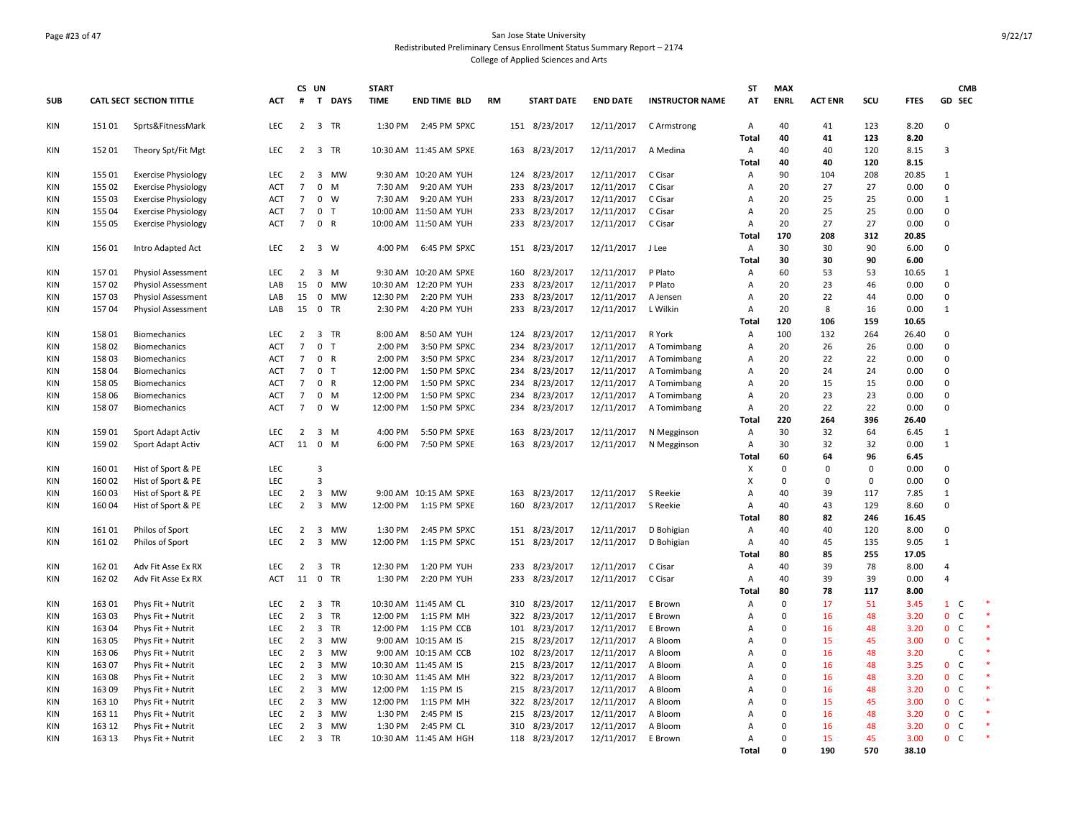### Page #23 of 47 San Jose State University Redistributed Preliminary Census Enrollment Status Summary Report – 2174 College of Applied Sciences and Arts

|                          |                 |                                        |                   | CS UN                            |                                                            | <b>START</b>       |                                    |           |            |                        |                          |                            | <b>ST</b>           | <b>MAX</b>        |                |             |               |                              | <b>CMB</b> |  |
|--------------------------|-----------------|----------------------------------------|-------------------|----------------------------------|------------------------------------------------------------|--------------------|------------------------------------|-----------|------------|------------------------|--------------------------|----------------------------|---------------------|-------------------|----------------|-------------|---------------|------------------------------|------------|--|
| <b>SUB</b>               |                 | <b>CATL SECT SECTION TITTLE</b>        | ACT               | #                                | T DAYS                                                     | <b>TIME</b>        | <b>END TIME BLD</b>                | <b>RM</b> |            | <b>START DATE</b>      | <b>END DATE</b>          | <b>INSTRUCTOR NAME</b>     | AT                  | <b>ENRL</b>       | <b>ACT ENR</b> | scu         | <b>FTES</b>   | GD SEC                       |            |  |
| KIN                      | 15101           | Sprts&FitnessMark                      | <b>LEC</b>        |                                  | 2 3 TR                                                     |                    | 1:30 PM 2:45 PM SPXC               |           |            | 151 8/23/2017          | 12/11/2017               | C Armstrong                | Α                   | 40                | 41             | 123         | 8.20          | $\Omega$                     |            |  |
| KIN                      | 152 01          | Theory Spt/Fit Mgt                     | <b>LEC</b>        | $\overline{2}$                   | $\overline{3}$<br><b>TR</b>                                |                    | 10:30 AM 11:45 AM SPXE             |           | 163        | 8/23/2017              | 12/11/2017               | A Medina                   | Total<br>A          | 40<br>40          | 41<br>40       | 123<br>120  | 8.20<br>8.15  | $\overline{3}$               |            |  |
|                          |                 |                                        |                   |                                  |                                                            |                    |                                    |           |            |                        |                          |                            | Total               | 40                | 40             | 120         | 8.15          |                              |            |  |
| <b>KIN</b>               | 155 01          | <b>Exercise Physiology</b>             | LEC               | $\overline{2}$                   | $\overline{3}$<br><b>MW</b>                                |                    | 9:30 AM 10:20 AM YUH               |           | 124        | 8/23/2017              | 12/11/2017               | C Cisar                    | Α                   | 90                | 104            | 208         | 20.85         | $\mathbf{1}$                 |            |  |
| <b>KIN</b>               | 155 02          | <b>Exercise Physiology</b>             | <b>ACT</b>        | $7\overline{ }$                  | $\mathbf 0$<br>M                                           | 7:30 AM            | 9:20 AM YUH                        |           | 233        | 8/23/2017              | 12/11/2017               | C Cisar                    | Α                   | 20                | 27             | 27          | 0.00          | $\mathbf 0$                  |            |  |
| <b>KIN</b>               | 155 03          | <b>Exercise Physiology</b>             | <b>ACT</b>        | $\overline{7}$                   | $\mathbf 0$<br>W                                           | 7:30 AM            | 9:20 AM YUH                        |           | 233        | 8/23/2017              | 12/11/2017               | C Cisar                    | Α                   | 20                | 25             | 25          | 0.00          | $\mathbf{1}$                 |            |  |
| <b>KIN</b>               | 155 04          | <b>Exercise Physiology</b>             | ACT               | $\overline{7}$                   | $\mathbf 0$<br>T                                           |                    | 10:00 AM 11:50 AM YUH              |           | 233        | 8/23/2017              | 12/11/2017               | C Cisar                    | Α                   | 20                | 25             | 25          | 0.00          | 0                            |            |  |
| <b>KIN</b>               | 155 05          | <b>Exercise Physiology</b>             | <b>ACT</b>        | $7\overline{ }$                  | $\mathbf 0$<br>$\mathsf{R}$                                |                    | 10:00 AM 11:50 AM YUH              |           | 233        | 8/23/2017              | 12/11/2017               | C Cisar                    | Α                   | 20                | 27             | 27          | 0.00          | $\mathbf 0$                  |            |  |
|                          |                 |                                        |                   |                                  |                                                            |                    |                                    |           |            |                        |                          |                            | <b>Total</b>        | 170               | 208            | 312         | 20.85         |                              |            |  |
| <b>KIN</b>               | 156 01          | Intro Adapted Act                      | LEC               | $\overline{2}$                   | $\overline{3}$<br>W                                        | 4:00 PM            | 6:45 PM SPXC                       |           | 151        | 8/23/2017              | 12/11/2017               | J Lee                      | Α                   | 30                | 30             | 90          | 6.00          | $\mathbf 0$                  |            |  |
|                          |                 |                                        |                   |                                  |                                                            |                    |                                    |           |            |                        |                          |                            | <b>Total</b>        | 30                | 30             | 90          | 6.00          |                              |            |  |
| <b>KIN</b>               | 157 01          | <b>Physiol Assessment</b>              | LEC               | $2 \quad 3$                      | M                                                          |                    | 9:30 AM 10:20 AM SPXE              |           | 160        | 8/23/2017              | 12/11/2017               | P Plato                    | Α                   | 60                | 53             | 53          | 10.65         | $\mathbf{1}$                 |            |  |
| <b>KIN</b>               | 15702           | <b>Physiol Assessment</b>              | LAB               | 15                               | $\mathbf 0$<br>MW                                          | 10:30 AM           | 12:20 PM YUH                       |           | 233        | 8/23/2017              | 12/11/2017               | P Plato                    | Α                   | 20                | 23             | 46          | 0.00          | 0                            |            |  |
| <b>KIN</b>               | 15703           | Physiol Assessment                     | LAB               | 15                               | $^{\circ}$<br><b>MW</b>                                    | 12:30 PM           | 2:20 PM YUH                        |           | 233        | 8/23/2017              | 12/11/2017               | A Jensen                   | Α                   | 20                | 22             | 44          | 0.00          | 0                            |            |  |
| <b>KIN</b>               | 157 04          | <b>Physiol Assessment</b>              | LAB               | 15                               | $\mathbf 0$<br>TR                                          | 2:30 PM            | 4:20 PM YUH                        |           | 233        | 8/23/2017              | 12/11/2017               | L Wilkin                   | Α                   | 20                | 8              | 16          | 0.00          | $\mathbf{1}$                 |            |  |
|                          |                 |                                        |                   |                                  |                                                            |                    |                                    |           |            |                        |                          |                            | Total               | 120               | 106            | 159         | 10.65         |                              |            |  |
| <b>KIN</b><br><b>KIN</b> | 158 01<br>15802 | <b>Biomechanics</b><br>Biomechanics    | LEC<br><b>ACT</b> | $\overline{2}$<br>$\overline{7}$ | $\overline{3}$<br><b>TR</b><br>$\mathbf 0$<br>$\mathsf{T}$ | 8:00 AM<br>2:00 PM | 8:50 AM YUH<br>3:50 PM SPXC        |           | 124<br>234 | 8/23/2017              | 12/11/2017               | R York                     | Α<br>Α              | 100<br>20         | 132<br>26      | 264<br>26   | 26.40<br>0.00 | $\mathbf 0$<br>0             |            |  |
| <b>KIN</b>               | 15803           | Biomechanics                           | <b>ACT</b>        | $\overline{7}$                   | $\mathbf 0$<br>$\mathsf{R}$                                | 2:00 PM            | 3:50 PM SPXC                       |           | 234        | 8/23/2017<br>8/23/2017 | 12/11/2017<br>12/11/2017 | A Tomimbang<br>A Tomimbang | Α                   | 20                | 22             | 22          | 0.00          | 0                            |            |  |
| <b>KIN</b>               | 158 04          | <b>Biomechanics</b>                    | <b>ACT</b>        | $7\overline{ }$                  | $\mathbf 0$<br>T                                           | 12:00 PM           | 1:50 PM SPXC                       |           | 234        | 8/23/2017              | 12/11/2017               | A Tomimbang                | A                   | 20                | 24             | 24          | 0.00          | $\mathbf 0$                  |            |  |
| <b>KIN</b>               | 158 05          | Biomechanics                           | ACT               | $\overline{7}$                   | $\mathbf{0}$<br>$\mathsf{R}$                               | 12:00 PM           | 1:50 PM SPXC                       |           | 234        | 8/23/2017              | 12/11/2017               | A Tomimbang                | Α                   | 20                | 15             | 15          | 0.00          | 0                            |            |  |
| <b>KIN</b>               | 158 06          | Biomechanics                           | ACT               | $\overline{7}$                   | $\mathbf 0$<br>M                                           | 12:00 PM           | 1:50 PM SPXC                       |           | 234        | 8/23/2017              | 12/11/2017               | A Tomimbang                | Α                   | 20                | 23             | 23          | 0.00          | $\mathbf 0$                  |            |  |
| <b>KIN</b>               | 158 07          | Biomechanics                           | <b>ACT</b>        | $\overline{7}$                   | $\mathbf{0}$<br>W                                          | 12:00 PM           | 1:50 PM SPXC                       |           |            | 234 8/23/2017          | 12/11/2017               | A Tomimbang                | $\overline{A}$      | 20                | 22             | 22          | 0.00          | $\mathbf 0$                  |            |  |
|                          |                 |                                        |                   |                                  |                                                            |                    |                                    |           |            |                        |                          |                            | Total               | 220               | 264            | 396         | 26.40         |                              |            |  |
| <b>KIN</b>               | 159 01          | Sport Adapt Activ                      | LEC               | $\overline{2}$                   | $\overline{3}$<br>M                                        | 4:00 PM            | 5:50 PM SPXE                       |           | 163        | 8/23/2017              | 12/11/2017               | N Megginson                | A                   | 30                | 32             | 64          | 6.45          | $\mathbf{1}$                 |            |  |
| KIN                      | 159 02          | Sport Adapt Activ                      | <b>ACT</b>        | 11                               | $\mathbf{0}$<br>M                                          | 6:00 PM            | 7:50 PM SPXE                       |           |            | 163 8/23/2017          | 12/11/2017               | N Megginson                | Α                   | 30                | 32             | 32          | 0.00          | 1                            |            |  |
|                          |                 |                                        |                   |                                  |                                                            |                    |                                    |           |            |                        |                          |                            | Total               | 60                | 64             | 96          | 6.45          |                              |            |  |
| <b>KIN</b>               | 160 01          | Hist of Sport & PE                     | <b>LEC</b>        |                                  | 3                                                          |                    |                                    |           |            |                        |                          |                            | X                   | $\Omega$          | $\mathbf 0$    | $\mathbf 0$ | 0.00          | $\mathbf 0$                  |            |  |
| <b>KIN</b>               | 160 02          | Hist of Sport & PE                     | LEC               |                                  | 3                                                          |                    |                                    |           |            |                        |                          |                            | X                   | $\Omega$          | 0              | $\mathsf 0$ | 0.00          | $\mathbf 0$                  |            |  |
| <b>KIN</b>               | 160 03          | Hist of Sport & PE                     | LEC               | $\overline{2}$                   | $\overline{3}$<br>MW                                       |                    | 9:00 AM 10:15 AM SPXE              |           | 163        | 8/23/2017              | 12/11/2017               | S Reekie                   | A                   | 40                | 39             | 117         | 7.85          | $\mathbf{1}$                 |            |  |
| KIN                      | 160 04          | Hist of Sport & PE                     | <b>LEC</b>        | $\overline{2}$                   | $\overline{3}$<br><b>MW</b>                                | 12:00 PM           | 1:15 PM SPXE                       |           | 160        | 8/23/2017              | 12/11/2017               | S Reekie                   | Α                   | 40                | 43             | 129         | 8.60          | $\mathbf 0$                  |            |  |
|                          |                 |                                        |                   |                                  |                                                            |                    |                                    |           |            |                        |                          |                            | Total               | 80                | 82             | 246         | 16.45         |                              |            |  |
| <b>KIN</b>               | 161 01          | Philos of Sport                        | <b>LEC</b>        | $\overline{2}$                   | 3<br>MW                                                    | 1:30 PM            | 2:45 PM SPXC                       |           | 151        | 8/23/2017              | 12/11/2017               | D Bohigian                 | $\mathsf{A}$        | 40                | 40             | 120         | 8.00          | 0                            |            |  |
| <b>KIN</b>               | 161 02          | Philos of Sport                        | LEC               | $\overline{2}$                   | $\overline{\mathbf{3}}$<br>MW                              | 12:00 PM           | 1:15 PM SPXC                       |           |            | 151 8/23/2017          | 12/11/2017               | D Bohigian                 | Α                   | 40                | 45             | 135         | 9.05          | $\mathbf{1}$                 |            |  |
|                          |                 |                                        |                   |                                  |                                                            |                    |                                    |           |            |                        |                          |                            | <b>Total</b>        | 80                | 85             | 255         | 17.05         |                              |            |  |
| <b>KIN</b>               | 162 01          | Adv Fit Asse Ex RX                     | LEC               | $\overline{2}$                   | 3<br><b>TR</b>                                             | 12:30 PM           | 1:20 PM YUH                        |           | 233        | 8/23/2017              | 12/11/2017               | C Cisar                    | A                   | 40                | 39             | 78          | 8.00          | $\overline{4}$               |            |  |
| <b>KIN</b>               | 162 02          | Adv Fit Asse Ex RX                     | <b>ACT</b>        | $11\quad 0$                      | TR                                                         | 1:30 PM            | 2:20 PM YUH                        |           |            | 233 8/23/2017          | 12/11/2017               | C Cisar                    | Α                   | 40                | 39<br>78       | 39          | 0.00          | $\overline{4}$               |            |  |
|                          | 163 01          |                                        | LEC               | $\overline{2}$                   | 3<br><b>TR</b>                                             |                    |                                    |           |            | 8/23/2017              | 12/11/2017               |                            | <b>Total</b>        | 80<br>$\mathbf 0$ | 17             | 117<br>51   | 8.00<br>3.45  | $\mathbf{1}$<br>C            |            |  |
| <b>KIN</b><br><b>KIN</b> | 163 03          | Phys Fit + Nutrit<br>Phys Fit + Nutrit | <b>LEC</b>        | $\overline{2}$                   | $\overline{\mathbf{3}}$<br><b>TR</b>                       | 12:00 PM           | 10:30 AM 11:45 AM CL<br>1:15 PM MH |           | 310<br>322 | 8/23/2017              | 12/11/2017               | E Brown<br>E Brown         | Α<br>$\overline{A}$ | $\Omega$          | 16             | 48          | 3.20          | $\mathbf{0}$<br>$\mathsf{C}$ |            |  |
| KIN                      | 163 04          | Phys Fit + Nutrit                      | LEC               | $\overline{2}$                   | $\overline{\mathbf{3}}$<br><b>TR</b>                       | 12:00 PM           | 1:15 PM CCB                        |           | 101        | 8/23/2017              | 12/11/2017               | E Brown                    | Α                   | $\mathbf 0$       | 16             | 48          | 3.20          | $\mathbf{0}$<br>$\mathsf{C}$ |            |  |
| <b>KIN</b>               | 163 05          | Phys Fit + Nutrit                      | <b>LEC</b>        | $\overline{2}$                   | 3<br>MW                                                    |                    | 9:00 AM 10:15 AM IS                |           | 215        | 8/23/2017              | 12/11/2017               | A Bloom                    | Α                   | $\Omega$          | 15             | 45          | 3.00          | $\mathsf{C}$<br>$\mathbf{0}$ |            |  |
| <b>KIN</b>               | 163 06          | Phys Fit + Nutrit                      | <b>LEC</b>        | $\overline{2}$                   | $\overline{3}$<br><b>MW</b>                                |                    | 9:00 AM 10:15 AM CCB               |           |            | 102 8/23/2017          | 12/11/2017               | A Bloom                    | A                   | $\Omega$          | 16             | 48          | 3.20          | $\mathsf{C}$                 |            |  |
| <b>KIN</b>               | 163 07          | Phys Fit + Nutrit                      | LEC               | $\overline{2}$                   | 3<br>MW                                                    |                    | 10:30 AM 11:45 AM IS               |           | 215        | 8/23/2017              | 12/11/2017               | A Bloom                    | A                   | $\mathbf 0$       | 16             | 48          | 3.25          | $\mathbf{0}$<br>$\mathsf{C}$ |            |  |
| <b>KIN</b>               | 16308           | Phys Fit + Nutrit                      | <b>LEC</b>        | $\overline{2}$                   | 3<br><b>MW</b>                                             |                    | 10:30 AM 11:45 AM MH               |           |            | 322 8/23/2017          | 12/11/2017               | A Bloom                    | $\mathsf{A}$        | $\Omega$          | 16             | 48          | 3.20          | $\mathsf{C}$<br>$\mathbf{0}$ |            |  |
| <b>KIN</b>               | 16309           | Phys Fit + Nutrit                      | LEC               | $\overline{2}$                   | $\overline{3}$<br>MW                                       | 12:00 PM           | 1:15 PM IS                         |           | 215        | 8/23/2017              | 12/11/2017               | A Bloom                    | A                   | $\mathbf 0$       | 16             | 48          | 3.20          | $\mathbf{0}$<br>$\mathsf{C}$ |            |  |
| <b>KIN</b>               | 163 10          | Phys Fit + Nutrit                      | LEC               | $\overline{2}$                   | 3<br>MW                                                    | 12:00 PM           | 1:15 PM MH                         |           | 322        | 8/23/2017              | 12/11/2017               | A Bloom                    | Α                   | $\mathbf 0$       | 15             | 45          | 3.00          | $\mathbf{0}$<br>$\mathsf{C}$ |            |  |
| <b>KIN</b>               | 163 11          | Phys Fit + Nutrit                      | LEC               | $\overline{2}$                   | 3<br><b>MW</b>                                             | 1:30 PM            | 2:45 PM IS                         |           | 215        | 8/23/2017              | 12/11/2017               | A Bloom                    | Α                   | 0                 | 16             | 48          | 3.20          | $\mathbf{0}$<br>C            |            |  |
| <b>KIN</b>               | 163 12          | Phys Fit + Nutrit                      | <b>LEC</b>        | $\overline{2}$                   | $\overline{3}$<br><b>MW</b>                                | 1:30 PM            | 2:45 PM CL                         |           | 310        | 8/23/2017              | 12/11/2017               | A Bloom                    | A                   | $\Omega$          | 16             | 48          | 3.20          | $\mathsf{C}$<br>$\mathbf{0}$ |            |  |
| <b>KIN</b>               | 163 13          | Phys Fit + Nutrit                      | <b>LEC</b>        | $\overline{2}$                   | $\overline{3}$<br><b>TR</b>                                |                    | 10:30 AM 11:45 AM HGH              |           |            | 118 8/23/2017          | 12/11/2017               | E Brown                    | A                   | $\Omega$          | 15             | 45          | 3.00          | $\mathbf{0}$<br><b>C</b>     |            |  |
|                          |                 |                                        |                   |                                  |                                                            |                    |                                    |           |            |                        |                          |                            | <b>Total</b>        | $\Omega$          | 190            | 570         | 38.10         |                              |            |  |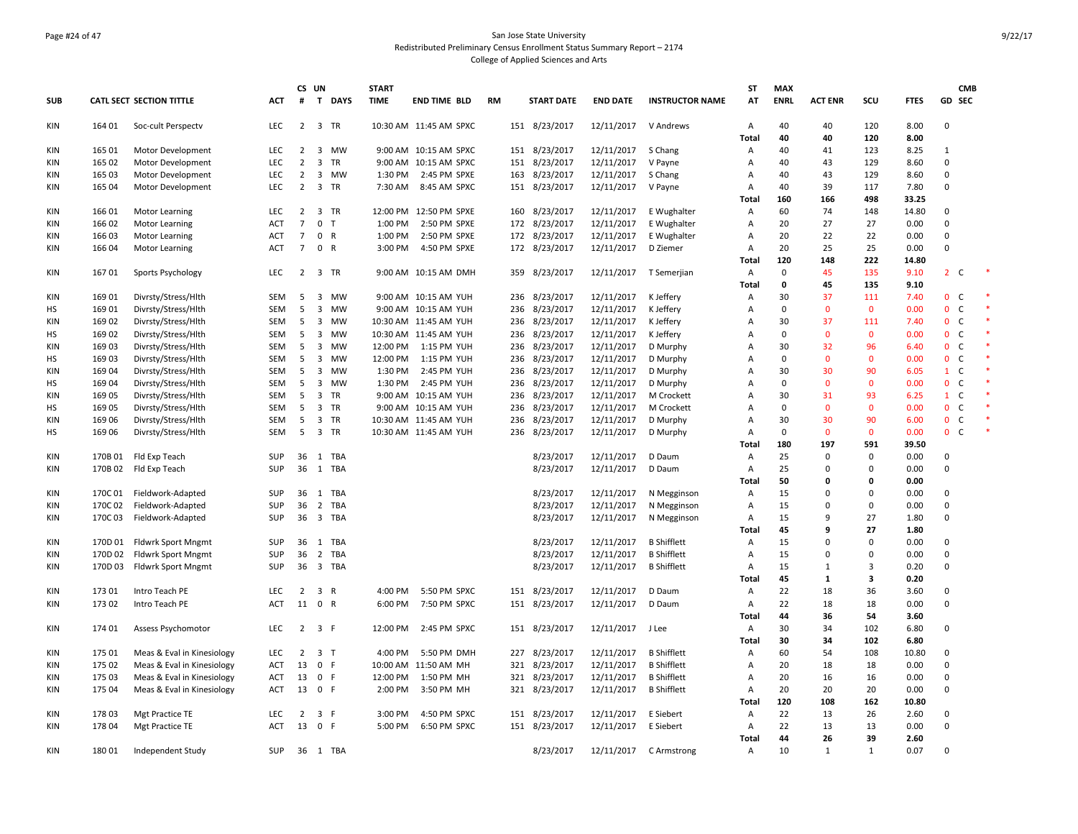### Page #24 of 47 San Jose State University Redistributed Preliminary Census Enrollment Status Summary Report – 2174 College of Applied Sciences and Arts

|            |         |                                                         |            | CS UN          |                         |              | <b>START</b> |                        |           |     |                   |                        |                        | ST                | <b>MAX</b>  |                |                   |              |              | <b>CMB</b>   |  |
|------------|---------|---------------------------------------------------------|------------|----------------|-------------------------|--------------|--------------|------------------------|-----------|-----|-------------------|------------------------|------------------------|-------------------|-------------|----------------|-------------------|--------------|--------------|--------------|--|
| <b>SUB</b> |         | <b>CATL SECT SECTION TITTLE</b>                         | ACT        | #              | $\mathbf{T}$            | <b>DAYS</b>  | <b>TIME</b>  | <b>END TIME BLD</b>    | <b>RM</b> |     | <b>START DATE</b> | <b>END DATE</b>        | <b>INSTRUCTOR NAME</b> | AT                | <b>ENRL</b> | <b>ACT ENR</b> | scu               | <b>FTES</b>  |              | GD SEC       |  |
| KIN        | 164 01  | Soc-cult Perspectv                                      | LEC        | $\overline{2}$ | $\overline{\mathbf{3}}$ | <b>TR</b>    |              | 10:30 AM 11:45 AM SPXC |           |     | 151 8/23/2017     | 12/11/2017             | V Andrews              | Α<br><b>Total</b> | 40<br>40    | 40<br>40       | 120<br>120        | 8.00<br>8.00 | $\mathbf 0$  |              |  |
| KIN        | 165 01  | Motor Development                                       | LEC        | $\overline{2}$ | 3                       | MW           |              | 9:00 AM 10:15 AM SPXC  |           | 151 | 8/23/2017         | 12/11/2017             | S Chang                | Α                 | 40          | 41             | 123               | 8.25         | 1            |              |  |
| KIN        | 165 02  | Motor Development                                       | <b>LEC</b> | 2              | 3                       | <b>TR</b>    |              | 9:00 AM 10:15 AM SPXC  |           | 151 | 8/23/2017         | 12/11/2017             | V Payne                | Α                 | 40          | 43             | 129               | 8.60         | $\mathbf 0$  |              |  |
| KIN        | 165 03  | Motor Development                                       | LEC        | $\overline{2}$ | 3                       | MW           | 1:30 PM      | 2:45 PM SPXE           |           |     | 163 8/23/2017     | 12/11/2017             | S Chang                | Α                 | 40          | 43             | 129               | 8.60         | $\mathbf 0$  |              |  |
| KIN        | 165 04  | Motor Development                                       | LEC        | $\overline{2}$ | 3                       | TR           | 7:30 AM      | 8:45 AM SPXC           |           | 151 | 8/23/2017         | 12/11/2017             | V Payne                | Α                 | 40          | 39             | 117               | 7.80         | $\mathbf 0$  |              |  |
|            |         |                                                         |            |                |                         |              |              |                        |           |     |                   |                        |                        | Total             | 160         | 166            | 498               | 33.25        |              |              |  |
| KIN        | 166 01  | <b>Motor Learning</b>                                   | LEC        | $\overline{2}$ | $\overline{\mathbf{3}}$ | <b>TR</b>    |              | 12:00 PM 12:50 PM SPXE |           | 160 | 8/23/2017         | 12/11/2017             | E Wughalter            | A                 | 60          | 74             | 148               | 14.80        | $\mathbf 0$  |              |  |
| KIN        | 166 02  | Motor Learning                                          | ACT        | $\overline{7}$ | $\mathbf{0}$            | $\mathsf{T}$ | 1:00 PM      | 2:50 PM SPXE           |           | 172 | 8/23/2017         | 12/11/2017             | E Wughalter            | $\overline{A}$    | 20          | 27             | 27                | 0.00         | $\mathbf 0$  |              |  |
| KIN        | 166 03  | <b>Motor Learning</b>                                   | ACT        | $\overline{7}$ | $\mathbf 0$             | $\mathsf{R}$ | 1:00 PM      | 2:50 PM SPXE           |           |     | 172 8/23/2017     | 12/11/2017             | E Wughalter            | Α                 | 20          | 22             | 22                | 0.00         | $\mathbf 0$  |              |  |
| KIN        | 166 04  | Motor Learning                                          | ACT        | $\overline{7}$ | $\mathbf 0$             | $\mathsf{R}$ | 3:00 PM      | 4:50 PM SPXE           |           |     | 172 8/23/2017     | 12/11/2017             | D Ziemer               | Α                 | 20          | 25             | 25                | 0.00         | $\mathbf 0$  |              |  |
|            |         |                                                         |            |                |                         |              |              |                        |           |     |                   |                        |                        | <b>Total</b>      | 120         | 148            | 222               | 14.80        |              |              |  |
| KIN        | 167 01  | Sports Psychology                                       | LEC        | $\overline{2}$ |                         | 3 TR         |              | 9:00 AM 10:15 AM DMH   |           | 359 | 8/23/2017         | 12/11/2017 T Semerjian |                        | Α                 | $\mathbf 0$ | 45             | 135               | 9.10         | $2^{\circ}$  | C            |  |
|            |         |                                                         |            |                |                         |              |              |                        |           |     |                   |                        |                        | Total             | 0           | 45             | 135               | 9.10         |              |              |  |
| KIN        | 169 01  | Divrsty/Stress/Hlth                                     | SEM        | 5              | 3                       | <b>MW</b>    |              | 9:00 AM 10:15 AM YUH   |           | 236 | 8/23/2017         | 12/11/2017             | K Jeffery              | Α                 | 30          | 37             | 111               | 7.40         | $\mathbf 0$  | C            |  |
| НS         | 169 01  | Divrsty/Stress/Hlth                                     | SEM        | 5              | 3                       | MW           |              | 9:00 AM 10:15 AM YUH   |           | 236 | 8/23/2017         | 12/11/2017             | K Jeffery              | Α                 | 0           | $\mathbf 0$    | $\mathbf 0$       | 0.00         | $\mathbf{0}$ | C            |  |
| <b>KIN</b> | 169 02  | Divrsty/Stress/Hlth                                     | <b>SEM</b> | 5              | 3                       | <b>MW</b>    |              | 10:30 AM 11:45 AM YUH  |           | 236 | 8/23/2017         | 12/11/2017             | K Jeffery              | $\overline{A}$    | 30          | 37             | 111               | 7.40         | $\mathbf{0}$ | <sub>c</sub> |  |
| HS         | 169 02  | Divrsty/Stress/Hlth                                     | SEM        | 5              | 3                       | <b>MW</b>    |              | 10:30 AM 11:45 AM YUH  |           | 236 | 8/23/2017         | 12/11/2017             | K Jeffery              | Α                 | 0           | $\mathbf{0}$   | $\mathbf 0$       | 0.00         | $\mathbf{0}$ | $\mathsf{C}$ |  |
| KIN        | 16903   | Divrsty/Stress/Hlth                                     | SEM        | 5              | 3                       | <b>MW</b>    | 12:00 PM     | 1:15 PM YUH            |           | 236 | 8/23/2017         | 12/11/2017             | D Murphy               | $\overline{A}$    | 30          | 32             | 96                | 6.40         | $\mathbf{0}$ | $\mathsf{C}$ |  |
| HS         | 169 03  | Divrsty/Stress/Hlth                                     | <b>SEM</b> | 5              | 3                       | <b>MW</b>    | 12:00 PM     | 1:15 PM YUH            |           | 236 | 8/23/2017         | 12/11/2017             | D Murphy               | A                 | 0           | $\mathbf{0}$   | $\mathbf{0}$      | 0.00         | $\mathbf{0}$ | C            |  |
| KIN        | 16904   | Divrsty/Stress/Hlth                                     | SEM        | 5              | 3                       | <b>MW</b>    | 1:30 PM      | 2:45 PM YUH            |           | 236 | 8/23/2017         | 12/11/2017             | D Murphy               | Α                 | 30          | 30             | 90                | 6.05         | $\mathbf{1}$ | $\mathsf{C}$ |  |
| НS         | 169 04  | Divrsty/Stress/Hlth                                     | SEM        | 5              | 3                       | <b>MW</b>    | 1:30 PM      | 2:45 PM YUH            |           | 236 | 8/23/2017         | 12/11/2017             | D Murphy               | $\overline{A}$    | 0           | $\mathbf{0}$   | $\mathbf{0}$      | 0.00         | $\mathbf{0}$ | <sub>c</sub> |  |
| KIN        | 169 05  | Divrsty/Stress/Hlth                                     | SEM        | 5              | 3                       | TR           |              | 9:00 AM 10:15 AM YUH   |           | 236 | 8/23/2017         | 12/11/2017             | M Crockett             | Α                 | 30          | 31             | 93                | 6.25         | $\mathbf{1}$ | $\mathsf{C}$ |  |
| НS         | 16905   | Divrsty/Stress/Hlth                                     | SEM        | 5              | 3                       | TR           |              | 9:00 AM 10:15 AM YUH   |           | 236 | 8/23/2017         | 12/11/2017             | M Crockett             | $\overline{A}$    | 0           | $\mathbf{0}$   | $\mathbf 0$       | 0.00         | $\mathbf{0}$ | $\mathsf{C}$ |  |
| KIN        | 169 06  | Divrsty/Stress/Hlth                                     | SEM        | 5              | $\overline{3}$          | <b>TR</b>    |              | 10:30 AM 11:45 AM YUH  |           | 236 | 8/23/2017         | 12/11/2017             | D Murphy               | $\overline{A}$    | 30          | 30             | 90                | 6.00         | $\mathbf{0}$ | C            |  |
| HS         | 169 06  | Divrsty/Stress/Hlth                                     | SEM        | 5              | 3                       | TR           |              | 10:30 AM 11:45 AM YUH  |           | 236 | 8/23/2017         | 12/11/2017             | D Murphy               | Α                 | 0           | $\mathbf 0$    | $\mathbf 0$       | 0.00         | $\mathbf{0}$ | C            |  |
|            |         |                                                         |            |                |                         |              |              |                        |           |     |                   |                        |                        | <b>Total</b>      | 180         | 197            | 591               | 39.50        |              |              |  |
| KIN        |         | 170B 01 Fld Exp Teach                                   | SUP        | 36             |                         | 1 TBA        |              |                        |           |     | 8/23/2017         | 12/11/2017             | D Daum                 | Α                 | 25          | $\Omega$       | $\mathbf 0$       | 0.00         | $\mathbf 0$  |              |  |
| KIN        | 170B 02 | Fld Exp Teach                                           | <b>SUP</b> | 36             | 1                       | TBA          |              |                        |           |     | 8/23/2017         | 12/11/2017             | D Daum                 | Α                 | 25          | $\Omega$       | $\Omega$          | 0.00         | $\pmb{0}$    |              |  |
|            |         |                                                         |            |                |                         |              |              |                        |           |     |                   |                        |                        | Total             | 50          | 0              | 0                 | 0.00         |              |              |  |
| KIN        | 170C01  | Fieldwork-Adapted                                       | <b>SUP</b> |                |                         | 36 1 TBA     |              |                        |           |     | 8/23/2017         | 12/11/2017             | N Megginson            | Α                 | 15          | $\Omega$       | $\Omega$          | 0.00         | $\mathbf 0$  |              |  |
| KIN        | 170C 02 | Fieldwork-Adapted                                       | <b>SUP</b> | 36             | 2                       | <b>TBA</b>   |              |                        |           |     | 8/23/2017         | 12/11/2017             | N Megginson            | A                 | 15          | $\Omega$<br>9  | $\Omega$          | 0.00         | $\mathbf 0$  |              |  |
| KIN        | 170C03  | Fieldwork-Adapted                                       | SUP        | 36             |                         | 3 TBA        |              |                        |           |     | 8/23/2017         | 12/11/2017             | N Megginson            | Α                 | 15          | 9              | 27                | 1.80         | $\mathbf 0$  |              |  |
| KIN        |         |                                                         | <b>SUP</b> | 36 1           |                         | <b>TBA</b>   |              |                        |           |     | 8/23/2017         | 12/11/2017             | <b>B</b> Shifflett     | <b>Total</b><br>A | 45<br>15    | $\Omega$       | 27<br>$\mathbf 0$ | 1.80<br>0.00 | $\mathbf 0$  |              |  |
|            | 170D 02 | 170D 01 Fldwrk Sport Mngmt<br><b>Fldwrk Sport Mngmt</b> | SUP        | 36             | $\overline{2}$          | TBA          |              |                        |           |     | 8/23/2017         | 12/11/2017             | <b>B</b> Shifflett     | $\overline{A}$    | 15          | $\Omega$       | $\mathbf 0$       | 0.00         | $\mathbf 0$  |              |  |
| KIN<br>KIN | 170D 03 | Fldwrk Sport Mngmt                                      | <b>SUP</b> | 36             |                         | 3 TBA        |              |                        |           |     | 8/23/2017         | 12/11/2017             | <b>B</b> Shifflett     | Α                 | 15          | 1              | 3                 | 0.20         | $\mathbf 0$  |              |  |
|            |         |                                                         |            |                |                         |              |              |                        |           |     |                   |                        |                        | Total             | 45          | 1              | 3                 | 0.20         |              |              |  |
| KIN        | 173 01  | Intro Teach PE                                          | LEC        | $\overline{2}$ | $\overline{\mathbf{3}}$ | $\mathsf{R}$ | 4:00 PM      | 5:50 PM SPXC           |           | 151 | 8/23/2017         | 12/11/2017             | D Daum                 | Α                 | 22          | 18             | 36                | 3.60         | 0            |              |  |
| KIN        | 173 02  | Intro Teach PE                                          | ACT        | 11             | $\overline{0}$          | $\mathsf{R}$ | 6:00 PM      | 7:50 PM SPXC           |           | 151 | 8/23/2017         | 12/11/2017             | D Daum                 | Α                 | 22          | 18             | 18                | 0.00         | $\pmb{0}$    |              |  |
|            |         |                                                         |            |                |                         |              |              |                        |           |     |                   |                        |                        | Total             | 44          | 36             | 54                | 3.60         |              |              |  |
| KIN        | 174 01  | Assess Psychomotor                                      | LEC        | $2 \t3 \tF$    |                         |              | 12:00 PM     | 2:45 PM SPXC           |           |     | 151 8/23/2017     | 12/11/2017             | J Lee                  | Α                 | 30          | 34             | 102               | 6.80         | $\mathbf 0$  |              |  |
|            |         |                                                         |            |                |                         |              |              |                        |           |     |                   |                        |                        | Total             | 30          | 34             | 102               | 6.80         |              |              |  |
| <b>KIN</b> | 175 01  | Meas & Eval in Kinesiology                              | <b>LEC</b> | 2              | 3 T                     |              | 4:00 PM      | 5:50 PM DMH            |           | 227 | 8/23/2017         | 12/11/2017             | <b>B</b> Shifflett     | A                 | 60          | 54             | 108               | 10.80        | $\mathbf 0$  |              |  |
| KIN        | 175 02  | Meas & Eval in Kinesiology                              | ACT        | 13             | 0 F                     |              |              | 10:00 AM 11:50 AM MH   |           |     | 321 8/23/2017     | 12/11/2017             | <b>B</b> Shifflett     | Α                 | 20          | 18             | 18                | 0.00         | $\mathbf 0$  |              |  |
| KIN        | 175 03  | Meas & Eval in Kinesiology                              | ACT        | 13             | $\mathbf{0}$            |              | 12:00 PM     | 1:50 PM MH             |           | 321 | 8/23/2017         | 12/11/2017             | <b>B</b> Shifflett     | A                 | 20          | 16             | 16                | 0.00         | $\mathbf 0$  |              |  |
| KIN        | 175 04  | Meas & Eval in Kinesiology                              | ACT        | 13 0 F         |                         |              | 2:00 PM      | 3:50 PM MH             |           |     | 321 8/23/2017     | 12/11/2017             | <b>B</b> Shifflett     | Α                 | 20          | 20             | 20                | 0.00         | $\mathbf 0$  |              |  |
|            |         |                                                         |            |                |                         |              |              |                        |           |     |                   |                        |                        | Total             | 120         | 108            | 162               | 10.80        |              |              |  |
| KIN        | 178 03  | Mgt Practice TE                                         | <b>LEC</b> | $\overline{2}$ | 3                       |              | 3:00 PM      | 4:50 PM SPXC           |           | 151 | 8/23/2017         | 12/11/2017             | E Siebert              | A                 | 22          | 13             | 26                | 2.60         | $\mathbf 0$  |              |  |
| KIN        | 178 04  | Mgt Practice TE                                         | ACT        | 13 0 F         |                         |              | 5:00 PM      | 6:50 PM SPXC           |           |     | 151 8/23/2017     | 12/11/2017             | E Siebert              | Α                 | 22          | 13             | 13                | 0.00         | $\mathbf 0$  |              |  |
|            |         |                                                         |            |                |                         |              |              |                        |           |     |                   |                        |                        | Total             | 44          | 26             | 39                | 2.60         |              |              |  |
| KIN        | 180 01  | Independent Study                                       | <b>SUP</b> |                |                         | 36 1 TBA     |              |                        |           |     | 8/23/2017         |                        | 12/11/2017 C Armstrong | Α                 | 10          | $\mathbf{1}$   | 1                 | 0.07         | $\Omega$     |              |  |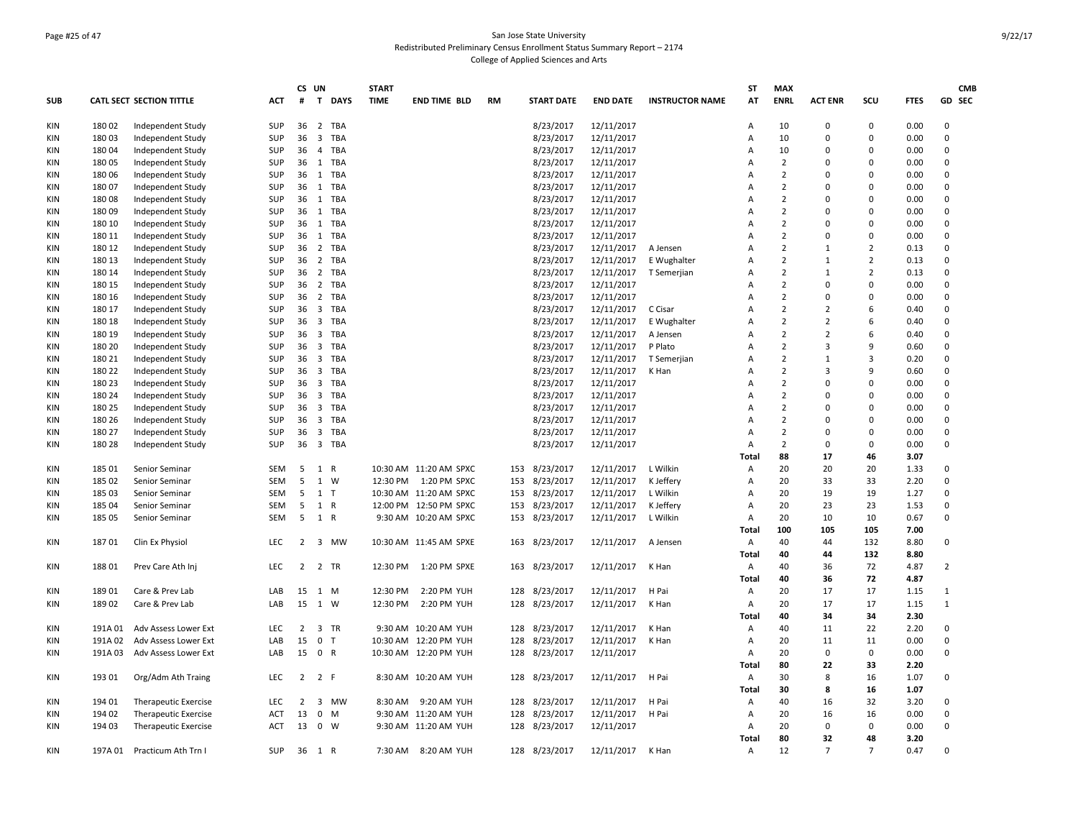### Page #25 of 47 San Jose State University Redistributed Preliminary Census Enrollment Status Summary Report – 2174 College of Applied Sciences and Arts

|            |         |                             |            | CS UN          |                                       | <b>START</b> |                        |           |                   |                 |                        | <b>ST</b> | <b>MAX</b>     |                |                |             | <b>CMB</b>     |
|------------|---------|-----------------------------|------------|----------------|---------------------------------------|--------------|------------------------|-----------|-------------------|-----------------|------------------------|-----------|----------------|----------------|----------------|-------------|----------------|
| <b>SUB</b> |         | CATL SECT SECTION TITTLE    | ACT        | #              | $\mathbf{T}$<br><b>DAYS</b>           | <b>TIME</b>  | <b>END TIME BLD</b>    | <b>RM</b> | <b>START DATE</b> | <b>END DATE</b> | <b>INSTRUCTOR NAME</b> | AT        | <b>ENRL</b>    | <b>ACT ENR</b> | scu            | <b>FTES</b> | GD SEC         |
| KIN        | 18002   | Independent Study           | SUP        | 36             | 2 TBA                                 |              |                        |           | 8/23/2017         | 12/11/2017      |                        | Α         | 10             | $\mathbf 0$    | $\mathbf 0$    | 0.00        | 0              |
| KIN        | 18003   | Independent Study           | <b>SUP</b> | 36             | $\overline{3}$<br><b>TBA</b>          |              |                        |           | 8/23/2017         | 12/11/2017      |                        | A         | 10             | 0              | $\Omega$       | 0.00        | 0              |
| <b>KIN</b> | 18004   | Independent Study           | <b>SUP</b> | 36             | $\overline{4}$<br><b>TBA</b>          |              |                        |           | 8/23/2017         | 12/11/2017      |                        | A         | 10             | $\Omega$       | $\Omega$       | 0.00        | $\Omega$       |
| KIN        | 18005   | Independent Study           | SUP        | 36             | 1 TBA                                 |              |                        |           | 8/23/2017         | 12/11/2017      |                        | A         | $\overline{2}$ | $\Omega$       | $\Omega$       | 0.00        | 0              |
| KIN        | 18006   | Independent Study           | SUP        | 36             | 1 TBA                                 |              |                        |           | 8/23/2017         | 12/11/2017      |                        | A         | $\overline{2}$ | $\Omega$       | $\Omega$       | 0.00        | 0              |
| KIN        | 18007   | Independent Study           | SUP        | 36             | 1 TBA                                 |              |                        |           | 8/23/2017         | 12/11/2017      |                        | A         | $\overline{2}$ | $\Omega$       | $\Omega$       | 0.00        | 0              |
| KIN        | 18008   | Independent Study           | SUP        | 36             | 1 TBA                                 |              |                        |           | 8/23/2017         | 12/11/2017      |                        | A         | $\overline{2}$ | $\mathbf 0$    | $\Omega$       | 0.00        | 0              |
| KIN        | 18009   | Independent Study           | SUP        | 36             | 1 TBA                                 |              |                        |           | 8/23/2017         | 12/11/2017      |                        | A         | $\overline{2}$ | $\mathbf 0$    | $\mathbf 0$    | 0.00        | 0              |
| <b>KIN</b> | 180 10  | Independent Study           | SUP        | 36             | <b>TBA</b><br>1                       |              |                        |           | 8/23/2017         | 12/11/2017      |                        | A         | $\overline{2}$ | $\mathbf 0$    | $\Omega$       | 0.00        | 0              |
| KIN        | 180 11  | Independent Study           | SUP        | 36             | 1 TBA                                 |              |                        |           | 8/23/2017         | 12/11/2017      |                        | A         | $\mathcal{P}$  | $\mathbf 0$    | $\Omega$       | 0.00        | 0              |
| <b>KIN</b> | 180 12  | Independent Study           | SUP        | 36             | 2 TBA                                 |              |                        |           | 8/23/2017         | 12/11/2017      | A Jensen               | A         | $\overline{2}$ | 1              | $\overline{2}$ | 0.13        | 0              |
| <b>KIN</b> | 180 13  | Independent Study           | SUP        | 36             | $\overline{2}$<br><b>TBA</b>          |              |                        |           | 8/23/2017         | 12/11/2017      | E Wughalter            | A         | $\overline{2}$ | $\mathbf{1}$   | $\overline{2}$ | 0.13        | 0              |
| KIN        | 180 14  | Independent Study           | SUP        | 36             | 2 TBA                                 |              |                        |           | 8/23/2017         | 12/11/2017      | T Semerjian            | Α         | $\overline{2}$ | $\mathbf{1}$   | $\overline{2}$ | 0.13        | 0              |
| <b>KIN</b> | 180 15  | Independent Study           | SUP        | 36             | 2 TBA                                 |              |                        |           | 8/23/2017         | 12/11/2017      |                        | A         | $\overline{2}$ | $\Omega$       | $\Omega$       | 0.00        | $\Omega$       |
| KIN        | 180 16  | Independent Study           | SUP        | 36             | 2 TBA                                 |              |                        |           | 8/23/2017         | 12/11/2017      |                        | A         | $\overline{2}$ | $\mathbf 0$    | $\Omega$       | 0.00        | 0              |
| <b>KIN</b> | 180 17  | Independent Study           | SUP        | 36             | $\overline{\mathbf{3}}$<br><b>TBA</b> |              |                        |           | 8/23/2017         | 12/11/2017      | C Cisar                | A         | $\overline{2}$ | $\overline{2}$ | 6              | 0.40        | 0              |
| KIN        | 180 18  | Independent Study           | SUP        | 36             | 3 TBA                                 |              |                        |           | 8/23/2017         | 12/11/2017      | E Wughalter            | A         | $\overline{2}$ | $\overline{2}$ | 6              | 0.40        | 0              |
| KIN        | 180 19  | Independent Study           | SUP        | 36             | 3 TBA                                 |              |                        |           | 8/23/2017         | 12/11/2017      | A Jensen               | A         | $\overline{2}$ | $\overline{2}$ | 6              | 0.40        | 0              |
| <b>KIN</b> | 180 20  | Independent Study           | SUP        | 36             | 3 TBA                                 |              |                        |           | 8/23/2017         | 12/11/2017      | P Plato                | A         | $\overline{2}$ | $\overline{3}$ | 9              | 0.60        | 0              |
| KIN        | 180 21  | Independent Study           | SUP        | 36             | 3 TBA                                 |              |                        |           | 8/23/2017         | 12/11/2017      | T Semerjian            | Α         | $\overline{2}$ | $\mathbf{1}$   | $\overline{3}$ | 0.20        | 0              |
| <b>KIN</b> | 180 22  | Independent Study           | SUP        | 36             | 3 TBA                                 |              |                        |           | 8/23/2017         | 12/11/2017      | K Han                  | A         | $\overline{2}$ | $\overline{3}$ | 9              | 0.60        | 0              |
| <b>KIN</b> | 180 23  | Independent Study           | SUP        | 36             | 3 TBA                                 |              |                        |           | 8/23/2017         | 12/11/2017      |                        | A         | $\overline{2}$ | $\Omega$       | $\Omega$       | 0.00        | 0              |
| <b>KIN</b> | 180 24  | Independent Study           | SUP        | 36             | $\overline{3}$<br><b>TBA</b>          |              |                        |           | 8/23/2017         | 12/11/2017      |                        | A         | $\overline{2}$ | $\mathbf 0$    | $\mathbf 0$    | 0.00        | 0              |
| KIN        | 180 25  | Independent Study           | SUP        | 36             | $\overline{\mathbf{3}}$<br>TBA        |              |                        |           | 8/23/2017         | 12/11/2017      |                        | A         | $\overline{2}$ | $\Omega$       | $\Omega$       | 0.00        | $\mathbf 0$    |
| <b>KIN</b> | 180 26  | Independent Study           | SUP        | 36             | 3 TBA                                 |              |                        |           | 8/23/2017         | 12/11/2017      |                        | A         | $\overline{2}$ | $\mathbf 0$    | $\mathbf 0$    | 0.00        | $\mathbf 0$    |
| KIN        | 180 27  | Independent Study           | SUP        | 36             | 3 TBA                                 |              |                        |           | 8/23/2017         | 12/11/2017      |                        | A         | $\overline{2}$ | 0              | $\mathbf 0$    | 0.00        | 0              |
| KIN        | 180 28  | Independent Study           | SUP        | 36             | 3 TBA                                 |              |                        |           | 8/23/2017         | 12/11/2017      |                        | Α         | $\overline{2}$ | $\mathbf 0$    | 0              | 0.00        | $\mathbf 0$    |
|            |         |                             |            |                |                                       |              |                        |           |                   |                 |                        | Total     | 88             | 17             | 46             | 3.07        |                |
| KIN        | 185 01  | Senior Seminar              | SEM        | 5              | $\mathbf{1}$<br>$\mathsf{R}$          |              | 10:30 AM 11:20 AM SPXC | 153       | 8/23/2017         | 12/11/2017      | L Wilkin               | Α         | 20             | 20             | 20             | 1.33        | 0              |
| KIN        | 185 02  | Senior Seminar              | SEM        | 5              | 1<br>W                                |              | 12:30 PM  1:20 PM SPXC | 153       | 8/23/2017         | 12/11/2017      | K Jeffery              | Α         | 20             | 33             | 33             | 2.20        | 0              |
| <b>KIN</b> | 185 03  | Senior Seminar              | <b>SEM</b> | 5              | $1$ T                                 |              | 10:30 AM 11:20 AM SPXC | 153       | 8/23/2017         | 12/11/2017      | L Wilkin               | Α         | 20             | 19             | 19             | 1.27        | 0              |
| KIN        | 185 04  | Senior Seminar              | <b>SEM</b> | 5              | 1<br>$\mathsf{R}$                     |              | 12:00 PM 12:50 PM SPXC | 153       | 8/23/2017         | 12/11/2017      | K Jeffery              | Α         | 20             | 23             | 23             | 1.53        | 0              |
| KIN        | 185 05  | Senior Seminar              | SEM        | 5              | 1 R                                   |              | 9:30 AM 10:20 AM SPXC  |           | 153 8/23/2017     | 12/11/2017      | L Wilkin               | Α         | 20             | 10             | 10             | 0.67        | 0              |
|            |         |                             |            |                |                                       |              |                        |           |                   |                 |                        | Total     | 100            | 105            | 105            | 7.00        |                |
| KIN        | 18701   | Clin Ex Physiol             | LEC        | $2^{\circ}$    | 3 MW                                  |              | 10:30 AM 11:45 AM SPXE | 163       | 8/23/2017         | 12/11/2017      | A Jensen               | Α         | 40             | 44             | 132            | 8.80        | 0              |
|            |         |                             |            |                |                                       |              |                        |           |                   |                 |                        | Total     | 40             | 44             | 132            | 8.80        |                |
| KIN        | 188 01  | Prev Care Ath Inj           | LEC        | $\overline{2}$ | 2 TR                                  | 12:30 PM     | 1:20 PM SPXE           | 163       | 8/23/2017         | 12/11/2017      | K Han                  | Α         | 40             | 36             | 72             | 4.87        | $\overline{2}$ |
|            |         |                             |            |                |                                       |              |                        |           |                   |                 |                        | Total     | 40             | 36             | 72             | 4.87        |                |
| KIN        | 189 01  | Care & Prev Lab             | LAB        | 15             | 1 M                                   | 12:30 PM     | 2:20 PM YUH            | 128       | 8/23/2017         | 12/11/2017      | H Pai                  | Α         | 20             | 17             | 17             | 1.15        | $\mathbf{1}$   |
| KIN        | 18902   | Care & Prev Lab             | LAB        | 15             | 1<br>W                                | 12:30 PM     | 2:20 PM YUH            | 128       | 8/23/2017         | 12/11/2017      | K Han                  | Α         | 20             | 17             | 17             | 1.15        | $\mathbf{1}$   |
|            |         |                             |            |                |                                       |              |                        |           |                   |                 |                        | Total     | 40             | 34             | 34             | 2.30        |                |
| KIN        | 191A 01 | Adv Assess Lower Ext        | LEC        | $\overline{2}$ | 3 TR                                  |              | 9:30 AM 10:20 AM YUH   |           | 128 8/23/2017     | 12/11/2017      | K Han                  | Α         | 40             | 11             | 22             | 2.20        | 0              |
| KIN        | 191A 02 | Adv Assess Lower Ext        | LAB        | 15             | $\mathbf 0$<br>$\mathsf{T}$           |              | 10:30 AM 12:20 PM YUH  | 128       | 8/23/2017         | 12/11/2017      | K Han                  | Α         | 20             | 11             | 11             | 0.00        | 0              |
| KIN        | 191A03  | Adv Assess Lower Ext        | LAB        |                | 15 0 R                                |              | 10:30 AM 12:20 PM YUH  | 128       | 8/23/2017         | 12/11/2017      |                        | A         | 20             | $\mathbf 0$    | $\mathbf 0$    | 0.00        | 0              |
|            |         |                             |            |                |                                       |              |                        |           |                   |                 |                        | Total     | 80             | 22             | 33             | 2.20        |                |
| KIN        | 193 01  | Org/Adm Ath Traing          | LEC        | $\overline{2}$ | 2 F                                   |              | 8:30 AM 10:20 AM YUH   | 128       | 8/23/2017         | 12/11/2017      | H Pai                  | Α         | 30             | 8              | 16             | 1.07        | 0              |
|            |         |                             |            |                |                                       |              |                        |           |                   |                 |                        | Total     | 30             | 8              | 16             | 1.07        |                |
| KIN        | 194 01  | Therapeutic Exercise        | LEC        | $\overline{2}$ | 3 MW                                  | 8:30 AM      | 9:20 AM YUH            | 128       | 8/23/2017         | 12/11/2017      | H Pai                  | Α         | 40             | 16             | 32             | 3.20        | 0              |
| KIN        | 194 02  | <b>Therapeutic Exercise</b> | ACT        | 13             | 0<br>M                                |              | 9:30 AM 11:20 AM YUH   | 128       | 8/23/2017         | 12/11/2017      | H Pai                  | Α         | 20             | 16             | 16             | 0.00        | 0              |
| KIN        | 194 03  | Therapeutic Exercise        | <b>ACT</b> | 13             | $0 \quad W$                           |              | 9:30 AM 11:20 AM YUH   |           | 128 8/23/2017     | 12/11/2017      |                        | A         | 20             | $\mathbf{0}$   | $\mathbf 0$    | 0.00        | 0              |
|            |         |                             |            |                |                                       |              |                        |           |                   |                 |                        | Total     | 80             | 32             | 48             | 3.20        |                |
| KIN        |         | 197A 01 Practicum Ath Trn I | SUP        |                | 36 1 R                                |              | 7:30 AM 8:20 AM YUH    |           | 128 8/23/2017     | 12/11/2017      | K Han                  | Α         | 12             | $\overline{7}$ | $\overline{7}$ | 0.47        | $\mathbf 0$    |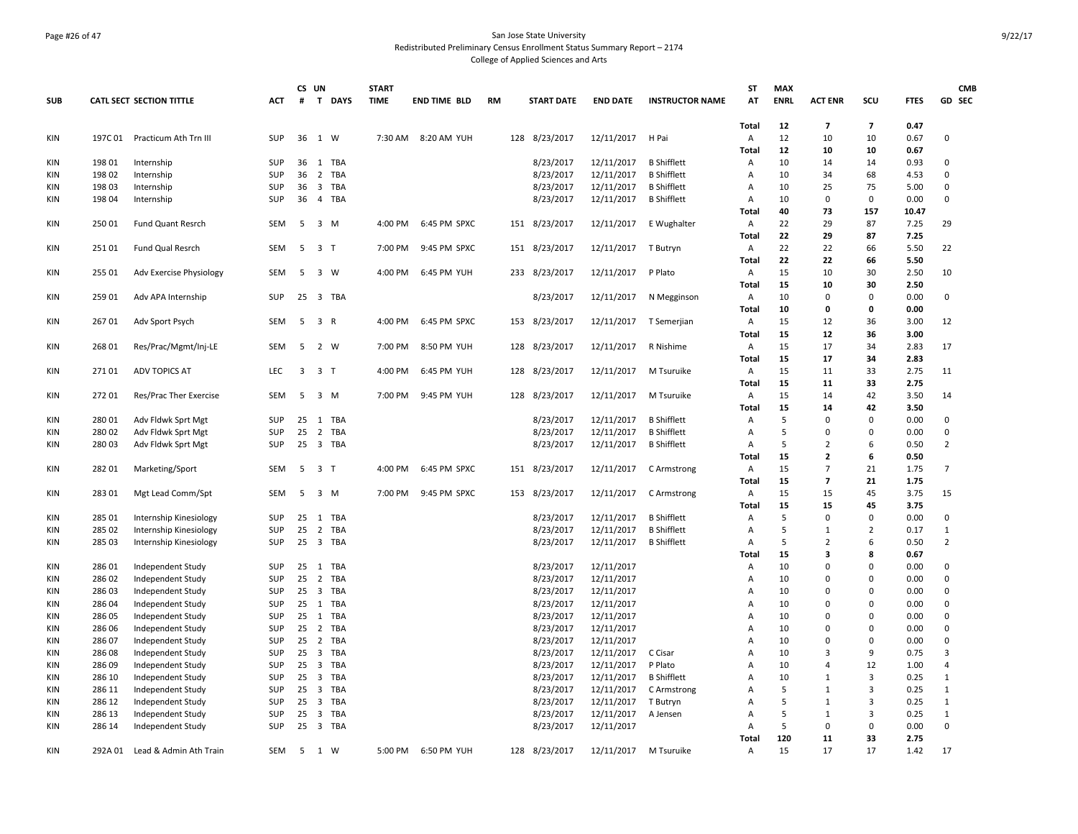### Page #26 of 47 San Jose State University Redistributed Preliminary Census Enrollment Status Summary Report – 2174 College of Applied Sciences and Arts

| <b>SUB</b>               |                  | <b>CATL SECT SECTION TITTLE</b> | <b>ACT</b>        | CS UN<br>#              | T DAYS                         | <b>START</b><br><b>TIME</b> | <b>END TIME BLD</b> | <b>RM</b> |     | <b>START DATE</b> | <b>END DATE</b> | <b>INSTRUCTOR NAME</b> | <b>ST</b><br>AT | <b>MAX</b><br><b>ENRL</b> | <b>ACT ENR</b>       | SCU                  | <b>FTES</b>  | <b>CMB</b><br><b>GD SEC</b>  |
|--------------------------|------------------|---------------------------------|-------------------|-------------------------|--------------------------------|-----------------------------|---------------------|-----------|-----|-------------------|-----------------|------------------------|-----------------|---------------------------|----------------------|----------------------|--------------|------------------------------|
|                          |                  |                                 |                   |                         |                                |                             |                     |           |     |                   |                 |                        |                 |                           |                      |                      |              |                              |
| KIN                      | 197C 01          | Practicum Ath Trn III           | <b>SUP</b>        | 36                      | 1 W                            | 7:30 AM                     | 8:20 AM YUH         |           | 128 | 8/23/2017         | 12/11/2017      | H Pai                  | Total<br>Α      | 12<br>12                  | $\overline{7}$<br>10 | $\overline{7}$<br>10 | 0.47<br>0.67 | 0                            |
|                          |                  |                                 |                   |                         |                                |                             |                     |           |     |                   |                 |                        | Total           | 12                        | 10                   | 10                   | 0.67         |                              |
| <b>KIN</b>               | 198 01           | Internship                      | <b>SUP</b>        | 36                      | 1 TBA                          |                             |                     |           |     | 8/23/2017         | 12/11/2017      | <b>B</b> Shifflett     | Α               | 10                        | 14                   | 14                   | 0.93         | 0                            |
| <b>KIN</b>               | 198 02           | Internship                      | SUP               | 36                      | $\overline{2}$<br>TBA          |                             |                     |           |     | 8/23/2017         | 12/11/2017      | <b>B</b> Shifflett     | Α               | 10                        | 34                   | 68                   | 4.53         | 0                            |
| <b>KIN</b>               | 198 03           | Internship                      | SUP               | 36                      | 3<br>TBA                       |                             |                     |           |     | 8/23/2017         | 12/11/2017      | <b>B</b> Shifflett     | Α               | 10                        | 25                   | 75                   | 5.00         | 0                            |
| <b>KIN</b>               | 198 04           | Internship                      | <b>SUP</b>        | 36                      | $\overline{4}$<br>TBA          |                             |                     |           |     | 8/23/2017         | 12/11/2017      | <b>B</b> Shifflett     | Α               | 10                        | $\mathbf 0$          | $\mathbf 0$          | 0.00         | 0                            |
|                          |                  |                                 |                   |                         |                                |                             |                     |           |     |                   |                 |                        | Total           | 40                        | 73                   | 157                  | 10.47        |                              |
| KIN                      | 250 01           | Fund Quant Resrch               | <b>SEM</b>        | 5                       | 3 M                            | 4:00 PM                     | 6:45 PM SPXC        |           |     | 151 8/23/2017     | 12/11/2017      | E Wughalter            | Α               | 22                        | 29                   | 87                   | 7.25         | 29                           |
|                          |                  |                                 |                   |                         |                                |                             |                     |           |     |                   |                 |                        | Total           | 22                        | 29                   | 87                   | 7.25         |                              |
| KIN                      | 25101            | Fund Qual Resrch                | <b>SEM</b>        | 5                       | 3 <sub>T</sub>                 | 7:00 PM                     | 9:45 PM SPXC        |           |     | 151 8/23/2017     | 12/11/2017      | T Butryn               | Α               | 22                        | 22                   | 66                   | 5.50         | 22                           |
|                          |                  |                                 |                   |                         |                                |                             |                     |           |     |                   |                 |                        | Total           | 22                        | 22                   | 66                   | 5.50         |                              |
| KIN                      | 255 01           | Adv Exercise Physiology         | <b>SEM</b>        | 5                       | 3 W                            | 4:00 PM                     | 6:45 PM YUH         |           |     | 233 8/23/2017     | 12/11/2017      | P Plato                | Α               | 15                        | 10                   | 30                   | 2.50         | 10                           |
|                          |                  |                                 |                   |                         |                                |                             |                     |           |     |                   |                 |                        | Total           | 15                        | 10                   | 30                   | 2.50         |                              |
| KIN                      | 259 01           | Adv APA Internship              | <b>SUP</b>        | 25                      | 3 TBA                          |                             |                     |           |     | 8/23/2017         | 12/11/2017      | N Megginson            | Α               | 10                        | $\mathbf 0$          | $\mathbf 0$          | 0.00         | 0                            |
|                          |                  |                                 |                   |                         |                                |                             |                     |           |     |                   |                 |                        | Total           | 10                        | 0                    | $\mathbf 0$          | 0.00         |                              |
| KIN                      | 26701            | Adv Sport Psych                 | <b>SEM</b>        | -5                      | $\overline{3}$<br>$\mathsf{R}$ | 4:00 PM                     | 6:45 PM SPXC        |           | 153 | 8/23/2017         | 12/11/2017      | T Semerjian            | Α               | 15                        | 12                   | 36                   | 3.00         | 12                           |
|                          |                  |                                 |                   |                         |                                |                             |                     |           |     |                   |                 |                        | <b>Total</b>    | 15                        | 12                   | 36                   | 3.00         |                              |
| KIN                      | 268 01           | Res/Prac/Mgmt/Inj-LE            | SEM               | 5                       | 2 W                            | 7:00 PM                     | 8:50 PM YUH         |           | 128 | 8/23/2017         | 12/11/2017      | R Nishime              | Α               | 15                        | 17                   | 34                   | 2.83         | 17                           |
|                          |                  |                                 |                   |                         |                                |                             |                     |           |     |                   |                 |                        | Total           | 15                        | 17                   | 34                   | 2.83         |                              |
| KIN                      | 27101            | ADV TOPICS AT                   | LEC               | $\overline{\mathbf{3}}$ | 3 <sub>T</sub>                 | 4:00 PM                     | 6:45 PM YUH         |           |     | 128 8/23/2017     | 12/11/2017      | M Tsuruike             | Α               | 15                        | 11                   | 33                   | 2.75         | 11                           |
|                          |                  |                                 |                   |                         |                                |                             |                     |           |     |                   |                 |                        | Total           | 15                        | 11                   | 33                   | 2.75         |                              |
| KIN                      | 27201            | Res/Prac Ther Exercise          | <b>SEM</b>        | 5                       | $3 \, M$                       | 7:00 PM                     | 9:45 PM YUH         |           |     | 128 8/23/2017     | 12/11/2017      | M Tsuruike             | Α               | 15                        | 14                   | 42                   | 3.50         | 14                           |
|                          |                  |                                 |                   |                         |                                |                             |                     |           |     |                   |                 |                        | Total           | 15                        | 14                   | 42                   | 3.50         |                              |
| KIN                      | 280 01           | Adv Fldwk Sprt Mgt              | <b>SUP</b>        | 25                      | TBA<br>1                       |                             |                     |           |     | 8/23/2017         | 12/11/2017      | <b>B</b> Shifflett     | Α               | 5                         | $\Omega$             | $\Omega$             | 0.00         | 0                            |
| <b>KIN</b>               | 280 02           | Adv Fldwk Sprt Mgt              | <b>SUP</b>        | 25                      | 2 TBA                          |                             |                     |           |     | 8/23/2017         | 12/11/2017      | <b>B</b> Shifflett     | Α               | 5                         | 0                    | $\Omega$             | 0.00         | $\mathbf 0$                  |
| KIN                      | 280 03           | Adv Fldwk Sprt Mgt              | <b>SUP</b>        | 25                      | 3 TBA                          |                             |                     |           |     | 8/23/2017         | 12/11/2017      | <b>B</b> Shifflett     | Α               | 5                         | 2                    | 6                    | 0.50         | $\overline{2}$               |
|                          |                  |                                 |                   |                         |                                |                             |                     |           |     |                   |                 |                        | Total           | 15                        | $\overline{2}$       | 6                    | 0.50         |                              |
| <b>KIN</b>               | 282 01           | Marketing/Sport                 | <b>SEM</b>        | 5                       | 3 <sub>1</sub>                 | 4:00 PM                     | 6:45 PM SPXC        |           |     | 151 8/23/2017     | 12/11/2017      | C Armstrong            | Α               | 15                        | $\overline{7}$       | 21                   | 1.75         | $\overline{7}$               |
|                          |                  |                                 |                   |                         |                                |                             |                     |           |     |                   |                 |                        | Total           | 15                        | $\overline{7}$       | 21                   | 1.75         |                              |
| KIN                      | 28301            | Mgt Lead Comm/Spt               | <b>SEM</b>        | 5                       | 3 M                            | 7:00 PM                     | 9:45 PM SPXC        |           | 153 | 8/23/2017         | 12/11/2017      | C Armstrong            | Α               | 15                        | 15                   | 45                   | 3.75         | 15                           |
|                          |                  |                                 |                   |                         |                                |                             |                     |           |     |                   |                 |                        | Total           | 15                        | 15                   | 45                   | 3.75         |                              |
| KIN                      | 285 01           | Internship Kinesiology          | <b>SUP</b>        | 25                      | 1 TBA                          |                             |                     |           |     | 8/23/2017         | 12/11/2017      | <b>B</b> Shifflett     | Α               | 5                         | $\mathbf 0$          | $\mathbf 0$          | 0.00         | 0                            |
| KIN                      | 285 02           | Internship Kinesiology          | SUP               | 25                      | $\overline{2}$<br>TBA          |                             |                     |           |     | 8/23/2017         | 12/11/2017      | <b>B</b> Shifflett     | A               | 5                         | $\mathbf{1}$         | $\overline{2}$       | 0.17         | $\mathbf{1}$                 |
| KIN                      | 285 03           | Internship Kinesiology          | <b>SUP</b>        |                         | 25 3 TBA                       |                             |                     |           |     | 8/23/2017         | 12/11/2017      | <b>B</b> Shifflett     | Α               | 5                         | $\overline{2}$       | 6                    | 0.50         | $\overline{2}$               |
|                          |                  |                                 |                   |                         |                                |                             |                     |           |     |                   |                 |                        | Total           | 15                        | 3                    | 8                    | 0.67         |                              |
| <b>KIN</b>               | 286 01           | Independent Study               | SUP               | 25                      | 1<br>TBA                       |                             |                     |           |     | 8/23/2017         | 12/11/2017      |                        | A               | 10                        | $\Omega$             | $\Omega$             | 0.00         | 0                            |
| KIN                      | 286 02           | Independent Study               | <b>SUP</b>        | 25                      | $\overline{2}$<br>TBA          |                             |                     |           |     | 8/23/2017         | 12/11/2017      |                        | $\overline{A}$  | 10                        | $\mathbf 0$          | $\Omega$             | 0.00         | 0                            |
| KIN                      | 28603            | Independent Study               | SUP               | 25                      | 3 TBA                          |                             |                     |           |     | 8/23/2017         | 12/11/2017      |                        | A               | 10                        | 0                    | $\Omega$             | 0.00         | 0                            |
| KIN                      | 286 04           | Independent Study               | <b>SUP</b>        | 25                      | 1<br>TBA                       |                             |                     |           |     | 8/23/2017         | 12/11/2017      |                        | A               | 10                        | $\Omega$             | $\Omega$             | 0.00         | $\mathbf 0$                  |
| KIN                      | 286 05           | Independent Study               | SUP               | 25                      | TBA<br>$\mathbf{1}$            |                             |                     |           |     | 8/23/2017         | 12/11/2017      |                        | A               | 10                        | 0                    | $\mathbf 0$          | 0.00         | 0                            |
| <b>KIN</b>               | 28606            | Independent Study               | SUP               | 25                      | 2 TBA                          |                             |                     |           |     | 8/23/2017         | 12/11/2017      |                        | A               | 10                        | $\Omega$             | $\Omega$             | 0.00         | $\mathbf 0$                  |
| <b>KIN</b>               | 286 07           | Independent Study               | <b>SUP</b>        | 25                      | $\overline{2}$<br>TBA          |                             |                     |           |     | 8/23/2017         | 12/11/2017      |                        | $\overline{A}$  | 10                        | $\Omega$             | $\Omega$             | 0.00         | $\mathbf 0$                  |
| <b>KIN</b>               | 28608            | Independent Study               | <b>SUP</b>        | 25                      | $\overline{3}$<br>TBA          |                             |                     |           |     | 8/23/2017         | 12/11/2017      | C Cisar                | $\overline{A}$  | 10                        | 3                    | 9                    | 0.75         | 3                            |
| <b>KIN</b>               | 286 09           | Independent Study               | <b>SUP</b>        | 25                      | $\overline{3}$<br>TBA          |                             |                     |           |     | 8/23/2017         | 12/11/2017      | P Plato                | A               | 10                        | $\overline{4}$       | 12                   | 1.00         | 4                            |
| <b>KIN</b>               | 286 10           | Independent Study               | <b>SUP</b>        | 25                      | 3<br>TBA<br>$\overline{3}$     |                             |                     |           |     | 8/23/2017         | 12/11/2017      | <b>B</b> Shifflett     | A               | 10<br>5                   | $\mathbf{1}$         | 3<br>$\overline{3}$  | 0.25         | $\mathbf{1}$<br>$\mathbf{1}$ |
| <b>KIN</b>               | 286 11           | Independent Study               | SUP               | 25<br>25                | TBA<br>TBA                     |                             |                     |           |     | 8/23/2017         | 12/11/2017      | C Armstrong            | A               |                           | 1                    | $\overline{3}$       | 0.25         | $\mathbf{1}$                 |
| <b>KIN</b>               | 286 12<br>286 13 | Independent Study               | SUP<br><b>SUP</b> | 25                      | $\overline{3}$<br>3<br>TBA     |                             |                     |           |     | 8/23/2017         | 12/11/2017      | T Butryn               | A               | 5<br>5                    | 1<br>1               | $\overline{3}$       | 0.25<br>0.25 | $\mathbf{1}$                 |
| <b>KIN</b><br><b>KIN</b> | 286 14           | Independent Study               | <b>SUP</b>        | 25                      | 3 TBA                          |                             |                     |           |     | 8/23/2017         | 12/11/2017      | A Jensen               | Α<br>A          | 5                         | 0                    | 0                    | 0.00         | $\mathbf 0$                  |
|                          |                  | Independent Study               |                   |                         |                                |                             |                     |           |     | 8/23/2017         | 12/11/2017      |                        | Total           | 120                       | 11                   | 33                   | 2.75         |                              |
| KIN                      | 292A 01          | Lead & Admin Ath Train          | SEM               | 5                       | 1 W                            | 5:00 PM                     | 6:50 PM YUH         |           |     | 128 8/23/2017     | 12/11/2017      | M Tsuruike             | Α               | 15                        | 17                   | 17                   | 1.42         | 17                           |
|                          |                  |                                 |                   |                         |                                |                             |                     |           |     |                   |                 |                        |                 |                           |                      |                      |              |                              |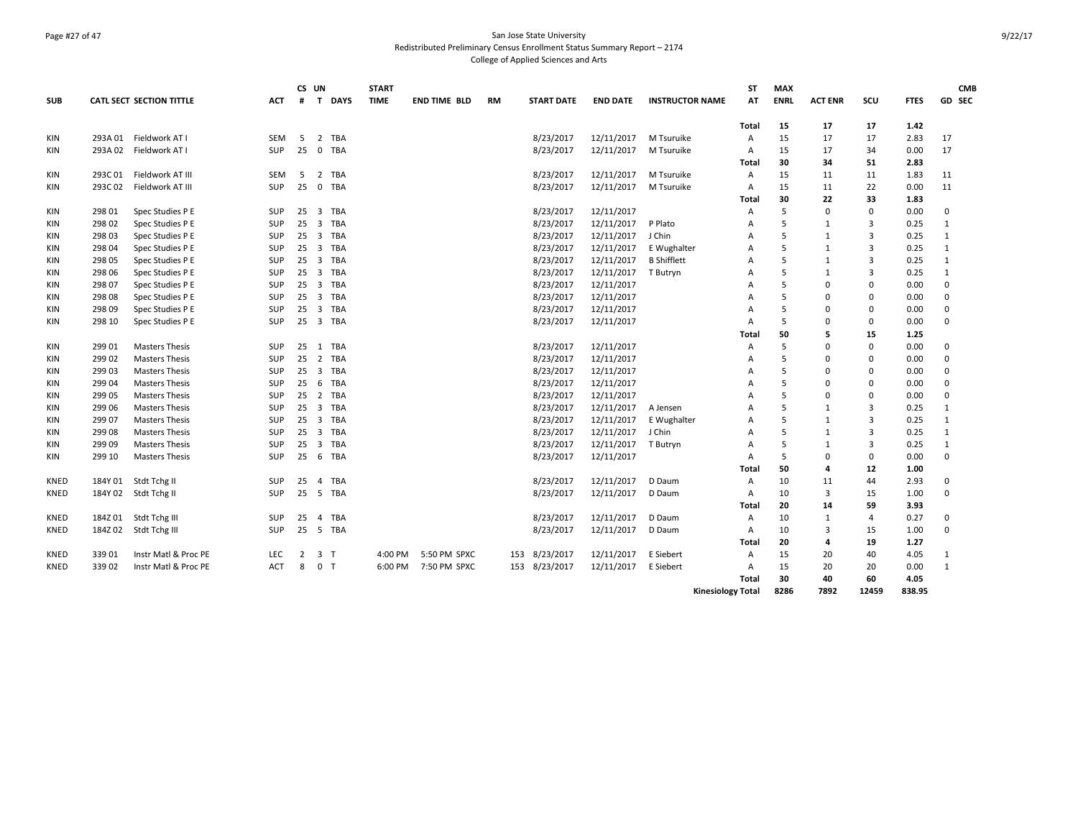### Page #27 of 47 San Jose State University Redistributed Preliminary Census Enrollment Status Summary Report – 2174 College of Applied Sciences and Arts

|             |         |                          |            |    | CS UN                          | <b>START</b> |              |           |                   |                 |                          | <b>ST</b>      | <b>MAX</b>  |                |          |             | <b>CMB</b>   |
|-------------|---------|--------------------------|------------|----|--------------------------------|--------------|--------------|-----------|-------------------|-----------------|--------------------------|----------------|-------------|----------------|----------|-------------|--------------|
| <b>SUB</b>  |         | CATL SECT SECTION TITTLE | <b>ACT</b> | #  | T DAYS                         | <b>TIME</b>  | END TIME BLD | <b>RM</b> | <b>START DATE</b> | <b>END DATE</b> | <b>INSTRUCTOR NAME</b>   | AT             | <b>ENRL</b> | <b>ACT ENR</b> | SCU      | <b>FTES</b> | GD SEC       |
|             |         |                          |            |    |                                |              |              |           |                   |                 |                          | Total          | 15          | 17             | 17       | 1.42        |              |
| KIN         |         | 293A 01 Fieldwork AT I   | <b>SEM</b> | 5  | 2 TBA                          |              |              |           | 8/23/2017         | 12/11/2017      | M Tsuruike               | A              | 15          | 17             | 17       | 2.83        | 17           |
| KIN         | 293A 02 | Fieldwork AT I           | <b>SUP</b> | 25 | 0 TBA                          |              |              |           | 8/23/2017         | 12/11/2017      | M Tsuruike               | Α              | 15          | 17             | 34       | 0.00        | 17           |
|             |         |                          |            |    |                                |              |              |           |                   |                 |                          | Total          | 30          | 34             | 51       | 2.83        |              |
| KIN         | 293C01  | Fieldwork AT III         | <b>SEM</b> | -5 | TBA<br>2                       |              |              |           | 8/23/2017         | 12/11/2017      | M Tsuruike               | $\overline{A}$ | 15          | 11             | 11       | 1.83        | 11           |
| KIN         | 293C02  | Fieldwork AT III         | SUP        | 25 | $\mathbf 0$<br>TBA             |              |              |           | 8/23/2017         | 12/11/2017      | M Tsuruike               | Α              | 15          | 11             | 22       | 0.00        | 11           |
|             |         |                          |            |    |                                |              |              |           |                   |                 |                          | Total          | 30          | 22             | 33       | 1.83        |              |
| KIN         | 298 01  | Spec Studies P E         | SUP        | 25 | TBA<br>3                       |              |              |           | 8/23/2017         | 12/11/2017      |                          | A              | 5           | $\mathbf 0$    | 0        | 0.00        | 0            |
| KIN         | 298 02  | Spec Studies P E         | <b>SUP</b> | 25 | TBA<br>$\overline{3}$          |              |              |           | 8/23/2017         | 12/11/2017      | P Plato                  | A              | 5           | $\mathbf{1}$   | 3        | 0.25        | $\mathbf{1}$ |
| KIN         | 298 03  | Spec Studies P E         | <b>SUP</b> | 25 | $\overline{3}$<br>TBA          |              |              |           | 8/23/2017         | 12/11/2017      | J Chin                   | Α              | 5           | 1              | 3        | 0.25        | $\mathbf{1}$ |
| KIN         | 298 04  | Spec Studies P E         | <b>SUP</b> | 25 | 3 TBA                          |              |              |           | 8/23/2017         | 12/11/2017      | E Wughalter              | A              | 5           | 1              | 3        | 0.25        | 1            |
| KIN         | 298 05  | Spec Studies P E         | SUP        | 25 | $\overline{\mathbf{3}}$<br>TBA |              |              |           | 8/23/2017         | 12/11/2017      | <b>B</b> Shifflett       | A              | 5           | 1              | 3        | 0.25        | 1            |
| KIN         | 298 06  | Spec Studies P E         | SUP        | 25 | TBA<br>$\overline{\mathbf{3}}$ |              |              |           | 8/23/2017         | 12/11/2017      | T Butryn                 | Α              | 5           | $\mathbf{1}$   | 3        | 0.25        | $\mathbf{1}$ |
| KIN         | 298 07  | Spec Studies P E         | SUP        | 25 | $\overline{3}$<br>TBA          |              |              |           | 8/23/2017         | 12/11/2017      |                          | Α              | 5           | $\Omega$       | $\Omega$ | 0.00        | $\mathsf 0$  |
| <b>KIN</b>  | 298 08  | Spec Studies P E         | SUP        | 25 | 3 TBA                          |              |              |           | 8/23/2017         | 12/11/2017      |                          | A              | 5           | $\Omega$       | $\Omega$ | 0.00        | $\mathbf 0$  |
| KIN         | 298 09  | Spec Studies P E         | SUP        | 25 | TBA<br>$\overline{\mathbf{3}}$ |              |              |           | 8/23/2017         | 12/11/2017      |                          | A              | 5           | $\Omega$       | $\Omega$ | 0.00        | 0            |
| KIN         | 298 10  | Spec Studies P E         | <b>SUP</b> | 25 | 3 TBA                          |              |              |           | 8/23/2017         | 12/11/2017      |                          | A              | 5           | $\Omega$       | 0        | 0.00        | $\mathbf 0$  |
|             |         |                          |            |    |                                |              |              |           |                   |                 |                          | Total          | 50          | 5              | 15       | 1.25        |              |
| KIN         | 299 01  | <b>Masters Thesis</b>    | SUP        | 25 | TBA<br>1                       |              |              |           | 8/23/2017         | 12/11/2017      |                          | Α              | 5           | $\Omega$       | 0        | 0.00        | 0            |
| KIN         | 299 02  | <b>Masters Thesis</b>    | <b>SUP</b> | 25 | 2 TBA                          |              |              |           | 8/23/2017         | 12/11/2017      |                          | A              | 5           | $\Omega$       | $\Omega$ | 0.00        | $\mathbf 0$  |
| KIN         | 299 03  | <b>Masters Thesis</b>    | <b>SUP</b> | 25 | $\overline{3}$<br>TBA          |              |              |           | 8/23/2017         | 12/11/2017      |                          | A              | 5           | $\Omega$       | $\Omega$ | 0.00        | $\mathbf 0$  |
| KIN         | 299 04  | <b>Masters Thesis</b>    | <b>SUP</b> | 25 | TBA<br>6                       |              |              |           | 8/23/2017         | 12/11/2017      |                          | Α              | 5           | $\Omega$       | $\Omega$ | 0.00        | 0            |
| KIN         | 299 05  | <b>Masters Thesis</b>    | SUP        | 25 | $\overline{2}$<br>TBA          |              |              |           | 8/23/2017         | 12/11/2017      |                          | A              | 5           | $\Omega$       | $\Omega$ | 0.00        | 0            |
| KIN         | 299 06  | <b>Masters Thesis</b>    | <b>SUP</b> | 25 | 3 TBA                          |              |              |           | 8/23/2017         | 12/11/2017      | A Jensen                 | A              | 5           | $\mathbf{1}$   | 3        | 0.25        | 1            |
| <b>KIN</b>  | 299 07  | <b>Masters Thesis</b>    | <b>SUP</b> | 25 | $\overline{\mathbf{3}}$<br>TBA |              |              |           | 8/23/2017         | 12/11/2017      | E Wughalter              | A              | 5           | 1              | 3        | 0.25        | 1            |
| KIN         | 299 08  | <b>Masters Thesis</b>    | SUP        | 25 | $\overline{\mathbf{3}}$<br>TBA |              |              |           | 8/23/2017         | 12/11/2017      | J Chin                   | A              | 5           | $\mathbf{1}$   | 3        | 0.25        | $\mathbf{1}$ |
| KIN         | 299 09  | <b>Masters Thesis</b>    | <b>SUP</b> | 25 | $\overline{3}$<br>TBA          |              |              |           | 8/23/2017         | 12/11/2017      | T Butryn                 | A              | 5           | $\mathbf{1}$   | 3        | 0.25        | $\mathbf{1}$ |
| <b>KIN</b>  | 299 10  | <b>Masters Thesis</b>    | <b>SUP</b> | 25 | 6 TBA                          |              |              |           | 8/23/2017         | 12/11/2017      |                          | A              | 5           | $\Omega$       | 0        | 0.00        | $\mathbf 0$  |
|             |         |                          |            |    |                                |              |              |           |                   |                 |                          | Total          | 50          | 4              | 12       | 1.00        |              |
| KNED        | 184Y 01 | Stdt Tchg II             | <b>SUP</b> | 25 | TBA<br>4                       |              |              |           | 8/23/2017         | 12/11/2017      | D Daum                   | Α              | 10          | 11             | 44       | 2.93        | 0            |
| KNED        | 184Y 02 | Stdt Tchg II             | <b>SUP</b> | 25 | 5<br>TBA                       |              |              |           | 8/23/2017         | 12/11/2017      | D Daum                   | Α              | 10          | $\overline{3}$ | 15       | 1.00        | $\mathbf 0$  |
|             |         |                          |            |    |                                |              |              |           |                   |                 |                          | Total          | 20          | 14             | 59       | 3.93        |              |
| KNED        |         | 184Z 01 Stdt Tchg III    | <b>SUP</b> | 25 | TBA<br>$\overline{4}$          |              |              |           | 8/23/2017         | 12/11/2017      | D Daum                   | A              | 10          | 1              | 4        | 0.27        | 0            |
| KNED        | 184Z 02 | Stdt Tchg III            | <b>SUP</b> | 25 | 5 TBA                          |              |              |           | 8/23/2017         | 12/11/2017      | D Daum                   | Α              | 10          | 3              | 15       | 1.00        | $\mathbf 0$  |
|             |         |                          |            |    |                                |              |              |           |                   |                 |                          | Total          | 20          | 4              | 19       | 1.27        |              |
| <b>KNED</b> | 339 01  | Instr Matl & Proc PE     | <b>LEC</b> | 2  | 3 <sub>1</sub>                 | 4:00 PM      | 5:50 PM SPXC |           | 153 8/23/2017     | 12/11/2017      | E Siebert                | A              | 15          | 20             | 40       | 4.05        | 1            |
| <b>KNED</b> | 339 02  | Instr Matl & Proc PE     | <b>ACT</b> | 8  | $\mathbf 0$<br>T               | 6:00 PM      | 7:50 PM SPXC |           | 153 8/23/2017     | 12/11/2017      | E Siebert                | $\overline{A}$ | 15          | 20             | 20       | 0.00        | $\mathbf{1}$ |
|             |         |                          |            |    |                                |              |              |           |                   |                 |                          | Total          | 30          | 40             | 60       | 4.05        |              |
|             |         |                          |            |    |                                |              |              |           |                   |                 | <b>Kinesiology Total</b> |                | 8286        | 7892           | 12459    | 838.95      |              |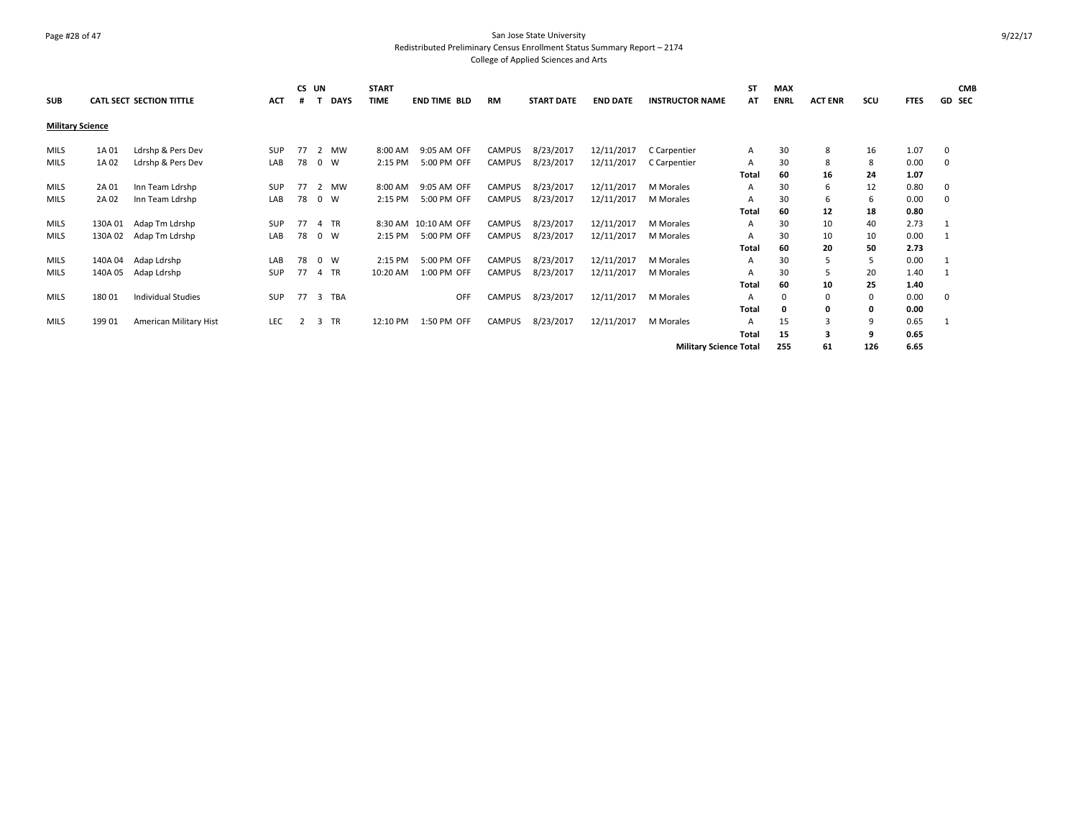### Page #28 of 47 San Jose State University Redistributed Preliminary Census Enrollment Status Summary Report – 2174 College of Applied Sciences and Arts

| <b>SUB</b>              |         | <b>CATL SECT SECTION TITTLE</b> | ACT        | #  | CS UN<br><b>DAYS</b> | <b>START</b><br><b>TIME</b> | <b>END TIME BLD</b>  | <b>RM</b> | <b>START DATE</b> | <b>END DATE</b> | <b>INSTRUCTOR NAME</b>        | <b>ST</b><br>AT | <b>MAX</b><br><b>ENRL</b> | <b>ACT ENR</b> | scu | <b>FTES</b> | <b>CMB</b><br><b>GD SEC</b> |
|-------------------------|---------|---------------------------------|------------|----|----------------------|-----------------------------|----------------------|-----------|-------------------|-----------------|-------------------------------|-----------------|---------------------------|----------------|-----|-------------|-----------------------------|
| <b>Military Science</b> |         |                                 |            |    |                      |                             |                      |           |                   |                 |                               |                 |                           |                |     |             |                             |
| <b>MILS</b>             | 1A 01   | Ldrshp & Pers Dev               | <b>SUP</b> | 77 | MW<br>2              | 8:00 AM                     | 9:05 AM OFF          | CAMPUS    | 8/23/2017         | 12/11/2017      | C Carpentier                  | A               | 30                        | 8              | 16  | 1.07        | 0                           |
| <b>MILS</b>             | 1A 02   | Ldrshp & Pers Dev               | LAB        | 78 | $0 \quad W$          | 2:15 PM                     | 5:00 PM OFF          | CAMPUS    | 8/23/2017         | 12/11/2017      | C Carpentier                  | A               | 30                        | 8              | 8   | 0.00        | 0                           |
|                         |         |                                 |            |    |                      |                             |                      |           |                   |                 |                               | Total           | 60                        | 16             | 24  | 1.07        |                             |
| <b>MILS</b>             | 2A 01   | Inn Team Ldrshp                 | <b>SUP</b> | 77 | 2 MW                 | 8:00 AM                     | 9:05 AM OFF          | CAMPUS    | 8/23/2017         | 12/11/2017      | M Morales                     | A               | 30                        | 6              | 12  | 0.80        | 0                           |
| <b>MILS</b>             | 2A 02   | Inn Team Ldrshp                 | LAB        | 78 | 0 W                  | 2:15 PM                     | 5:00 PM OFF          | CAMPUS    | 8/23/2017         | 12/11/2017      | M Morales                     | A               | 30                        | 6              | 6   | 0.00        | $\Omega$                    |
|                         |         |                                 |            |    |                      |                             |                      |           |                   |                 |                               | Total           | 60                        | 12             | 18  | 0.80        |                             |
| MILS                    | 130A 01 | Adap Tm Ldrshp                  | SUP        | 77 | 4 TR                 |                             | 8:30 AM 10:10 AM OFF | CAMPUS    | 8/23/2017         | 12/11/2017      | M Morales                     | A               | 30                        | 10             | 40  | 2.73        |                             |
| <b>MILS</b>             | 130A 02 | Adap Tm Ldrshp                  | LAB        | 78 | $0 \quad W$          | 2:15 PM                     | 5:00 PM OFF          | CAMPUS    | 8/23/2017         | 12/11/2017      | M Morales                     | A               | 30                        | 10             | 10  | 0.00        |                             |
|                         |         |                                 |            |    |                      |                             |                      |           |                   |                 |                               | Total           | 60                        | 20             | 50  | 2.73        |                             |
| <b>MILS</b>             | 140A 04 | Adap Ldrshp                     | LAB        | 78 | $0 \quad W$          | 2:15 PM                     | 5:00 PM OFF          | CAMPUS    | 8/23/2017         | 12/11/2017      | M Morales                     | A               | 30                        | 5              | 5   | 0.00        |                             |
| <b>MILS</b>             | 140A 05 | Adap Ldrshp                     | SUP        | 77 | 4 TR                 | 10:20 AM                    | 1:00 PM OFF          | CAMPUS    | 8/23/2017         | 12/11/2017      | M Morales                     | A               | 30                        | 5              | 20  | 1.40        |                             |
|                         |         |                                 |            |    |                      |                             |                      |           |                   |                 |                               | Total           | 60                        | 10             | 25  | 1.40        |                             |
| MILS                    | 180 01  | Individual Studies              | SUP        | 77 | 3 TBA                |                             | <b>OFF</b>           | CAMPUS    | 8/23/2017         | 12/11/2017      | M Morales                     | A               | $\Omega$                  | $\Omega$       | 0   | 0.00        | $\mathbf 0$                 |
|                         |         |                                 |            |    |                      |                             |                      |           |                   |                 |                               | Total           | 0                         | 0              | 0   | 0.00        |                             |
| <b>MILS</b>             | 199 01  | American Military Hist          | LEC        |    | <b>TR</b><br>3       | 12:10 PM                    | 1:50 PM OFF          | CAMPUS    | 8/23/2017         | 12/11/2017      | M Morales                     | A               | 15                        | 3              | 9   | 0.65        |                             |
|                         |         |                                 |            |    |                      |                             |                      |           |                   |                 |                               | <b>Total</b>    | 15                        | 3              | 9   | 0.65        |                             |
|                         |         |                                 |            |    |                      |                             |                      |           |                   |                 | <b>Military Science Total</b> |                 | 255                       | 61             | 126 | 6.65        |                             |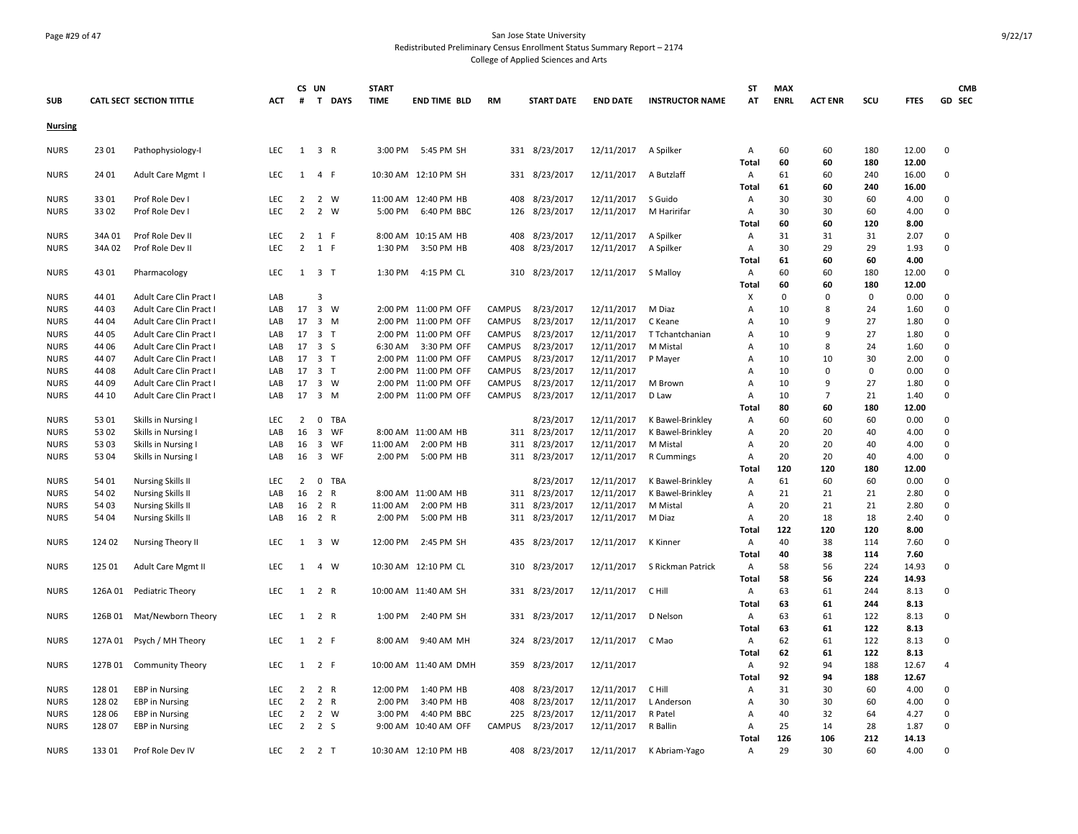### Page #29 of 47 San Jose State University Redistributed Preliminary Census Enrollment Status Summary Report – 2174 College of Applied Sciences and Arts

| <b>SUB</b>     |         | <b>CATL SECT SECTION TITTLE</b> | <b>ACT</b> | #              | CS UN                   | T DAYS       | <b>START</b><br><b>TIME</b> | <b>END TIME BLD</b>   | RM            | <b>START DATE</b> | <b>END DATE</b> | <b>INSTRUCTOR NAME</b> | ST<br>AT     | <b>MAX</b><br><b>ENRL</b> | <b>ACT ENR</b> | SCU         | <b>FTES</b>    | <b>CMB</b><br>GD SEC |
|----------------|---------|---------------------------------|------------|----------------|-------------------------|--------------|-----------------------------|-----------------------|---------------|-------------------|-----------------|------------------------|--------------|---------------------------|----------------|-------------|----------------|----------------------|
| <b>Nursing</b> |         |                                 |            |                |                         |              |                             |                       |               |                   |                 |                        |              |                           |                |             |                |                      |
| <b>NURS</b>    | 23 01   | Pathophysiology-I               | <b>LEC</b> |                | $1 \quad 3 \quad R$     |              |                             | 3:00 PM 5:45 PM SH    |               | 331 8/23/2017     | 12/11/2017      | A Spilker              | Α            | 60                        | 60             | 180         | 12.00          | $\mathbf 0$          |
|                |         |                                 |            |                |                         |              |                             |                       |               |                   |                 |                        | <b>Total</b> | 60                        | 60             | 180         | 12.00          |                      |
| <b>NURS</b>    | 24 01   | Adult Care Mgmt I               | <b>LEC</b> | 1              | $\overline{4}$          | - F          |                             | 10:30 AM 12:10 PM SH  |               | 331 8/23/2017     | 12/11/2017      | A Butzlaff             | Α<br>Total   | 61<br>61                  | 60<br>60       | 240<br>240  | 16.00<br>16.00 | 0                    |
| NURS           | 3301    | Prof Role Dev I                 | LEC        | $\overline{2}$ | 2 W                     |              |                             | 11:00 AM 12:40 PM HB  | 408           | 8/23/2017         | 12/11/2017      | S Guido                | Α            | 30                        | 30             | 60          | 4.00           | 0                    |
| NURS           | 3302    | Prof Role Dev I                 | <b>LEC</b> | $\overline{2}$ | $\overline{2}$          | W            | 5:00 PM                     | 6:40 PM BBC           | 126           | 8/23/2017         | 12/11/2017      | M Haririfar            | Α            | 30                        | 30             | 60          | 4.00           | $\mathbf 0$          |
|                |         |                                 |            |                |                         |              |                             |                       |               |                   |                 |                        | Total        | 60                        | 60             | 120         | 8.00           |                      |
| NURS           | 34A 01  | Prof Role Dev II                | <b>LEC</b> | $\overline{2}$ | 1 F                     |              |                             | 8:00 AM 10:15 AM HB   | 408           | 8/23/2017         | 12/11/2017      | A Spilker              | Α            | 31                        | 31             | 31          | 2.07           | 0                    |
| <b>NURS</b>    | 34A 02  | Prof Role Dev II                | <b>LEC</b> | $\overline{2}$ | 1 F                     |              | 1:30 PM                     | 3:50 PM HB            | 408           | 8/23/2017         | 12/11/2017      | A Spilker              | Α            | 30                        | 29             | 29          | 1.93           | $\Omega$             |
|                |         |                                 |            |                |                         |              |                             |                       |               |                   |                 |                        | Total        | 61                        | 60             | 60          | 4.00           |                      |
| <b>NURS</b>    | 4301    | Pharmacology                    | <b>LEC</b> |                | $1 \quad 3 \quad T$     |              | 1:30 PM                     | 4:15 PM CL            |               | 310 8/23/2017     | 12/11/2017      | S Malloy               | Α            | 60                        | 60             | 180         | 12.00          | $\mathbf 0$          |
|                |         |                                 |            |                |                         |              |                             |                       |               |                   |                 |                        | Total        | 60                        | 60             | 180         | 12.00          |                      |
| NURS           | 44 01   | Adult Care Clin Pract I         | LAB        |                | 3                       |              |                             |                       |               |                   |                 |                        | х            | $\mathbf 0$               | 0              | $\mathbf 0$ | 0.00           | $\mathbf 0$          |
| <b>NURS</b>    | 44 03   | Adult Care Clin Pract I         | LAB        | 17             | $\overline{\mathbf{3}}$ | <b>W</b>     |                             | 2:00 PM 11:00 PM OFF  | CAMPUS        | 8/23/2017         | 12/11/2017      | M Diaz                 | Α            | 10                        | 8              | 24          | 1.60           | $\mathbf 0$          |
| <b>NURS</b>    | 44 04   | Adult Care Clin Pract I         | LAB        | 17             | $\overline{\mathbf{3}}$ | M            |                             | 2:00 PM 11:00 PM OFF  | <b>CAMPUS</b> | 8/23/2017         | 12/11/2017      | C Keane                | A            | 10                        | 9              | 27          | 1.80           | $\mathbf 0$          |
| <b>NURS</b>    | 44 05   | Adult Care Clin Pract I         | LAB        | 17             | 3 <sub>1</sub>          |              |                             | 2:00 PM 11:00 PM OFF  | CAMPUS        | 8/23/2017         | 12/11/2017      | T Tchantchanian        | Α            | 10                        | 9              | 27          | 1.80           | $\mathbf 0$          |
| <b>NURS</b>    | 44 06   | Adult Care Clin Pract I         | LAB        | 17             | 3S                      |              | 6:30 AM                     | 3:30 PM OFF           | <b>CAMPUS</b> | 8/23/2017         | 12/11/2017      | M Mistal               | Α            | 10                        | 8              | 24          | 1.60           | 0                    |
| <b>NURS</b>    | 44 07   | Adult Care Clin Pract I         | LAB        | 17             | 3 <sub>T</sub>          |              |                             | 2:00 PM 11:00 PM OFF  | <b>CAMPUS</b> | 8/23/2017         | 12/11/2017      | P Mayer                | Α            | 10                        | 10             | 30          | 2.00           | $\mathbf 0$          |
| <b>NURS</b>    | 44 08   | Adult Care Clin Pract I         | LAB        | 17             | 3 <sub>1</sub>          |              |                             | 2:00 PM 11:00 PM OFF  | <b>CAMPUS</b> | 8/23/2017         | 12/11/2017      |                        | Α            | 10                        | 0              | $\mathbf 0$ | 0.00           | $\mathbf 0$          |
| <b>NURS</b>    | 44 09   | Adult Care Clin Pract I         | LAB        | 17             | 3 W                     |              |                             | 2:00 PM 11:00 PM OFF  | <b>CAMPUS</b> | 8/23/2017         | 12/11/2017      | M Brown                | Α            | 10                        | 9              | 27          | 1.80           | 0                    |
| <b>NURS</b>    | 44 10   | Adult Care Clin Pract I         | LAB        | 17             | 3 M                     |              |                             | 2:00 PM 11:00 PM OFF  | CAMPUS        | 8/23/2017         | 12/11/2017      | D Law                  | Α            | 10                        | $\overline{7}$ | 21          | 1.40           | 0                    |
|                |         |                                 |            |                |                         |              |                             |                       |               |                   |                 |                        | Total        | 80                        | 60             | 180         | 12.00          |                      |
| NURS           | 5301    | Skills in Nursing               | <b>LEC</b> | $\overline{2}$ | $\mathbf 0$             | <b>TBA</b>   |                             |                       |               | 8/23/2017         | 12/11/2017      | K Bawel-Brinkley       | Α            | 60                        | 60             | 60          | 0.00           | $\mathbf 0$          |
| NURS           | 53 02   | Skills in Nursing I             | LAB        | 16             | $\overline{\mathbf{3}}$ | WF           |                             | 8:00 AM 11:00 AM HB   |               | 311 8/23/2017     | 12/11/2017      | K Bawel-Brinkley       | Α            | 20                        | 20             | 40          | 4.00           | $\mathbf 0$          |
| NURS           | 53 03   | Skills in Nursing I             | LAB        | 16             | $\overline{\mathbf{3}}$ | WF           | 11:00 AM                    | 2:00 PM HB            | 311           | 8/23/2017         | 12/11/2017      | M Mistal               | Α            | 20                        | 20             | 40          | 4.00           | $\mathbf 0$          |
| <b>NURS</b>    | 53 04   | Skills in Nursing I             | LAB        | 16             | $\overline{\mathbf{3}}$ | WF           | 2:00 PM                     | 5:00 PM HB            | 311           | 8/23/2017         | 12/11/2017      | R Cummings             | Α            | 20                        | 20             | 40          | 4.00           | $\mathbf 0$          |
|                |         |                                 |            |                |                         |              |                             |                       |               |                   |                 |                        | Total        | 120                       | 120            | 180         | 12.00          |                      |
| <b>NURS</b>    | 54 01   | <b>Nursing Skills II</b>        | LEC        | 2              |                         | 0 TBA        |                             |                       |               | 8/23/2017         | 12/11/2017      | K Bawel-Brinkley       | Α            | 61                        | 60             | 60          | 0.00           | 0                    |
| <b>NURS</b>    | 54 02   | <b>Nursing Skills II</b>        | LAB        | 16             | $\overline{2}$          | R            |                             | 8:00 AM 11:00 AM HB   | 311           | 8/23/2017         | 12/11/2017      | K Bawel-Brinkley       | Α            | 21                        | 21             | 21          | 2.80           | $\mathbf 0$          |
| <b>NURS</b>    | 54 03   | <b>Nursing Skills II</b>        | LAB        | 16             | 2 R                     |              | 11:00 AM                    | 2:00 PM HB            |               | 311 8/23/2017     | 12/11/2017      | M Mistal               | Α            | 20                        | 21             | 21          | 2.80           | $\mathbf 0$          |
| <b>NURS</b>    | 54 04   | <b>Nursing Skills II</b>        | LAB        | 16             | 2 R                     |              | 2:00 PM                     | 5:00 PM HB            |               | 311 8/23/2017     | 12/11/2017      | M Diaz                 | Α            | 20                        | 18             | 18          | 2.40           | $\mathbf 0$          |
|                |         |                                 |            |                |                         |              |                             |                       |               |                   |                 |                        | <b>Total</b> | 122                       | 120            | 120         | 8.00           |                      |
| <b>NURS</b>    | 124 02  | Nursing Theory II               | LEC        |                | 1 3 W                   |              |                             | 12:00 PM 2:45 PM SH   |               | 435 8/23/2017     | 12/11/2017      | <b>K</b> Kinner        | Α            | 40                        | 38             | 114         | 7.60           | $\mathbf 0$          |
|                |         |                                 |            |                |                         |              |                             |                       |               |                   |                 |                        | Total        | 40                        | 38             | 114         | 7.60           |                      |
| <b>NURS</b>    | 125 01  | Adult Care Mgmt II              | LEC        | $\mathbf{1}$   | $\overline{4}$          | W            |                             | 10:30 AM 12:10 PM CL  | 310           | 8/23/2017         | 12/11/2017      | S Rickman Patrick      | Α            | 58                        | 56             | 224         | 14.93          | $\Omega$             |
|                |         |                                 |            |                |                         |              |                             |                       |               |                   |                 |                        | Total        | 58                        | 56             | 224         | 14.93          |                      |
| <b>NURS</b>    | 126A 01 | Pediatric Theory                | <b>LEC</b> | $\mathbf{1}$   | 2 R                     |              |                             | 10:00 AM 11:40 AM SH  |               | 331 8/23/2017     | 12/11/2017      | C Hill                 | Α            | 63                        | 61             | 244         | 8.13           | 0                    |
|                |         |                                 |            |                |                         |              |                             |                       |               |                   |                 |                        | Total        | 63                        | 61             | 244         | 8.13           |                      |
| <b>NURS</b>    | 126B01  | Mat/Newborn Theory              | <b>LEC</b> |                | 1 2 R                   |              |                             | 1:00 PM 2:40 PM SH    |               | 331 8/23/2017     | 12/11/2017      | D Nelson               | Α            | 63                        | 61             | 122         | 8.13           | $\mathbf 0$          |
|                |         |                                 |            |                |                         |              |                             |                       |               |                   |                 |                        | <b>Total</b> | 63                        | 61             | 122         | 8.13           |                      |
| NURS           | 127A 01 | Psych / MH Theory               | <b>LEC</b> | 1              | 2 F                     |              | 8:00 AM                     | 9:40 AM MH            | 324           | 8/23/2017         | 12/11/2017      | C Mao                  | Α            | 62                        | 61             | 122         | 8.13           | 0                    |
|                |         |                                 |            |                |                         |              |                             |                       |               |                   |                 |                        | <b>Total</b> | 62                        | 61             | 122         | 8.13           |                      |
| <b>NURS</b>    | 127B 01 | <b>Community Theory</b>         | LEC        |                | $1 \quad 2 \quad F$     |              |                             | 10:00 AM 11:40 AM DMH | 359           | 8/23/2017         | 12/11/2017      |                        | Α            | 92                        | 94             | 188         | 12.67          | 4                    |
|                |         |                                 |            |                |                         |              |                             |                       |               |                   |                 |                        | <b>Total</b> | 92                        | 94             | 188         | 12.67          |                      |
| <b>NURS</b>    | 128 01  | <b>EBP</b> in Nursing           | LEC        | $\overline{2}$ | 2 R                     |              | 12:00 PM                    | 1:40 PM HB            |               | 408 8/23/2017     | 12/11/2017      | C Hill                 | Α            | 31                        | 30             | 60          | 4.00           | $\mathbf 0$          |
| NURS           | 128 02  | <b>EBP</b> in Nursing           | <b>LEC</b> | $\overline{2}$ | $\overline{2}$          | $\mathsf{R}$ | 2:00 PM                     | 3:40 PM HB            | 408           | 8/23/2017         | 12/11/2017      | L Anderson             | Α            | 30                        | 30             | 60          | 4.00           | $\mathbf 0$          |
| <b>NURS</b>    | 128 06  | <b>EBP</b> in Nursing           | LEC        | $\overline{2}$ | 2 W                     |              | 3:00 PM                     | 4:40 PM BBC           | 225           | 8/23/2017         | 12/11/2017      | R Patel                | Α            | 40                        | 32             | 64          | 4.27           | $\mathbf 0$          |
| <b>NURS</b>    | 128 07  | <b>EBP</b> in Nursing           | <b>LEC</b> | $\overline{2}$ | 2 S                     |              |                             | 9:00 AM 10:40 AM OFF  | <b>CAMPUS</b> | 8/23/2017         | 12/11/2017      | R Ballin               | A            | 25                        | 14             | 28          | 1.87           | $\mathbf 0$          |
|                |         |                                 |            |                |                         |              |                             |                       |               |                   |                 |                        | <b>Total</b> | 126                       | 106            | 212         | 14.13          |                      |
| <b>NURS</b>    | 13301   | Prof Role Dev IV                | LEC.       |                | $2 \t2 \tT$             |              |                             | 10:30 AM 12:10 PM HB  |               | 408 8/23/2017     | 12/11/2017      | K Abriam-Yago          | Α            | 29                        | 30             | 60          | 4.00           | $\Omega$             |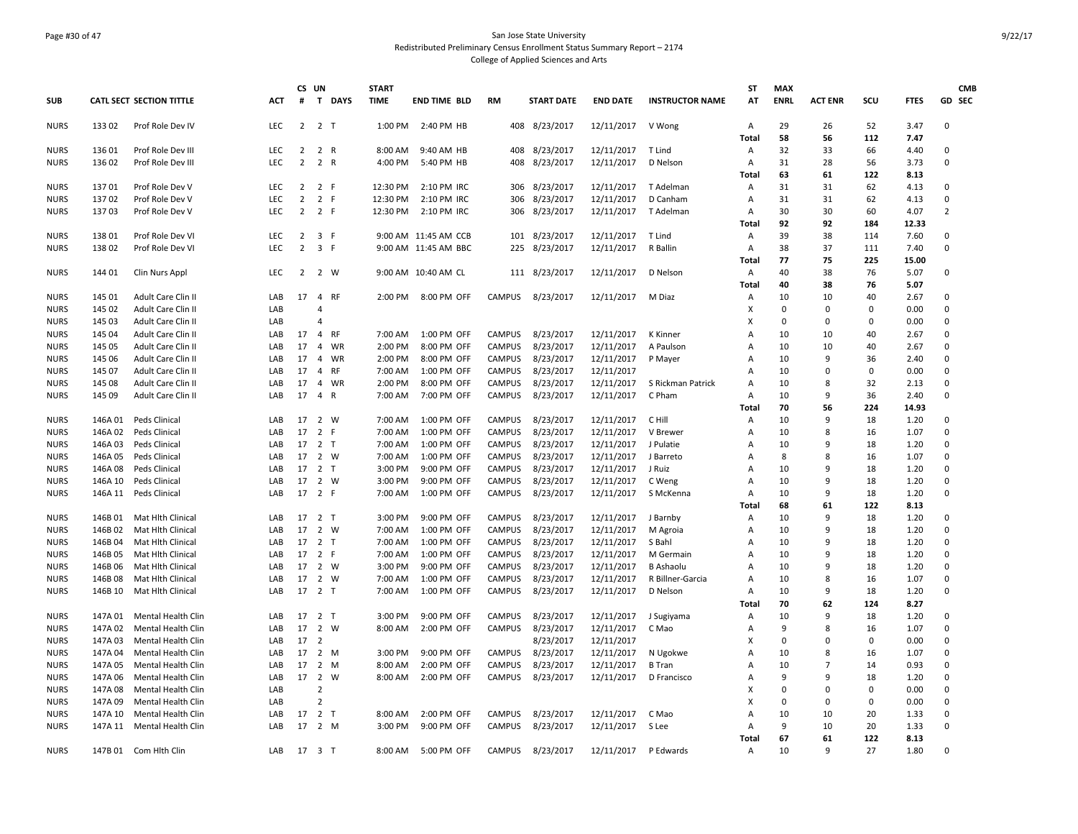### Page #30 of 47 San Jose State University Redistributed Preliminary Census Enrollment Status Summary Report – 2174 College of Applied Sciences and Arts

|             |         |                                 |            | CS UN                            |                                |              | <b>START</b> |                      |               |            |                   |                 |                        | <b>ST</b>    | <b>MAX</b>  |                |             |             | <b>CMB</b>     |
|-------------|---------|---------------------------------|------------|----------------------------------|--------------------------------|--------------|--------------|----------------------|---------------|------------|-------------------|-----------------|------------------------|--------------|-------------|----------------|-------------|-------------|----------------|
| <b>SUB</b>  |         | <b>CATL SECT SECTION TITTLE</b> | <b>ACT</b> | #                                |                                | T DAYS       | <b>TIME</b>  | <b>END TIME BLD</b>  | <b>RM</b>     |            | <b>START DATE</b> | <b>END DATE</b> | <b>INSTRUCTOR NAME</b> | AT           | <b>ENRL</b> | <b>ACT ENR</b> | scu         | <b>FTES</b> | GD SEC         |
| <b>NURS</b> | 13302   | Prof Role Dev IV                | <b>LEC</b> |                                  | $2 \t2 \tT$                    |              |              | 1:00 PM 2:40 PM HB   |               |            | 408 8/23/2017     | 12/11/2017      | V Wong                 | Α            | 29<br>58    | 26<br>56       | 52<br>112   | 3.47        | 0              |
|             | 136 01  |                                 | LEC        |                                  | $\overline{2}$                 | R            | 8:00 AM      |                      |               |            | 8/23/2017         | 12/11/2017      |                        | <b>Total</b> | 32          | 33             | 66          | 7.47        | 0              |
| <b>NURS</b> | 13602   | Prof Role Dev III               | <b>LEC</b> | 2                                |                                |              |              | 9:40 AM HB           |               | 408<br>408 |                   |                 | T Lind                 | Α            | 31          | 28             |             | 4.40        | $\Omega$       |
| <b>NURS</b> |         | Prof Role Dev III               |            | $\overline{2}$                   | 2 R                            |              |              | 4:00 PM 5:40 PM HB   |               |            | 8/23/2017         | 12/11/2017      | D Nelson               | А            | 63          | 61             | 56<br>122   | 3.73        |                |
|             |         |                                 |            |                                  |                                |              |              |                      |               |            |                   |                 |                        | Total        |             |                |             | 8.13        |                |
| <b>NURS</b> | 13701   | Prof Role Dev V                 | <b>LEC</b> | $\overline{2}$                   | $\overline{2}$                 | -F           | 12:30 PM     | 2:10 PM IRC          |               | 306        | 8/23/2017         | 12/11/2017      | T Adelman              | Α            | 31          | 31             | 62          | 4.13        | 0              |
| <b>NURS</b> | 13702   | Prof Role Dev V                 | LEC        | $\overline{2}$                   | $\overline{2}$                 | $\mathsf F$  | 12:30 PM     | 2:10 PM IRC          |               | 306        | 8/23/2017         | 12/11/2017      | D Canham               | A            | 31          | 31             | 62          | 4.13        | 0              |
| <b>NURS</b> | 13703   | Prof Role Dev V                 | LEC        | $\overline{2}$                   | 2 F                            |              | 12:30 PM     | 2:10 PM IRC          |               | 306        | 8/23/2017         | 12/11/2017      | T Adelman              | Α            | 30          | 30             | 60          | 4.07        | $\overline{2}$ |
|             |         |                                 |            |                                  |                                |              |              |                      |               |            |                   |                 |                        | <b>Total</b> | 92          | 92             | 184         | 12.33       |                |
| <b>NURS</b> | 13801   | Prof Role Dev VI                | LEC        | $\overline{2}$<br>$\overline{2}$ | 3 F                            |              |              | 9:00 AM 11:45 AM CCB |               |            | 101 8/23/2017     | 12/11/2017      | T Lind                 | Α            | 39          | 38             | 114         | 7.60        | 0              |
| <b>NURS</b> | 13802   | Prof Role Dev VI                | <b>LEC</b> |                                  | $\overline{\mathbf{3}}$<br>- F |              |              | 9:00 AM 11:45 AM BBC |               | 225        | 8/23/2017         | 12/11/2017      | R Ballin               | Α            | 38          | 37             | 111         | 7.40        | 0              |
|             |         |                                 |            |                                  |                                |              |              |                      |               |            |                   |                 |                        | Total        | 77          | 75             | 225         | 15.00       |                |
| <b>NURS</b> | 144 01  | Clin Nurs Appl                  | LEC        |                                  | 2 2 W                          |              |              | 9:00 AM 10:40 AM CL  |               |            | 111 8/23/2017     | 12/11/2017      | D Nelson               | Α            | 40          | 38             | 76          | 5.07        | 0              |
|             |         |                                 |            |                                  |                                |              |              |                      |               |            |                   |                 |                        | Total        | 40          | 38             | 76          | 5.07        |                |
| <b>NURS</b> | 145 01  | Adult Care Clin II              | LAB        | 17                               | $\overline{4}$                 | <b>RF</b>    | 2:00 PM      | 8:00 PM OFF          | CAMPUS        |            | 8/23/2017         | 12/11/2017      | M Diaz                 | Α            | 10          | 10             | 40          | 2.67        | 0              |
| <b>NURS</b> | 145 02  | Adult Care Clin II              | LAB        |                                  | $\overline{4}$                 |              |              |                      |               |            |                   |                 |                        | x            | $\mathbf 0$ | $\mathbf 0$    | $\mathbf 0$ | 0.00        | 0              |
| <b>NURS</b> | 145 03  | Adult Care Clin II              | LAB        |                                  | $\overline{4}$                 |              |              |                      |               |            |                   |                 |                        | x            | $\mathbf 0$ | $\mathbf 0$    | $\mathbf 0$ | 0.00        | 0              |
| <b>NURS</b> | 145 04  | Adult Care Clin II              | LAB        | 17                               | $\overline{4}$                 | <b>RF</b>    | 7:00 AM      | 1:00 PM OFF          | <b>CAMPUS</b> |            | 8/23/2017         | 12/11/2017      | K Kinner               | A            | 10          | 10             | 40          | 2.67        | $\mathbf 0$    |
| <b>NURS</b> | 145 05  | Adult Care Clin II              | LAB        | 17                               | $\overline{4}$                 | WR           | 2:00 PM      | 8:00 PM OFF          | <b>CAMPUS</b> |            | 8/23/2017         | 12/11/2017      | A Paulson              | Α            | 10          | 10             | 40          | 2.67        | $\mathbf 0$    |
| <b>NURS</b> | 145 06  | Adult Care Clin II              | LAB        | 17                               | $\overline{4}$                 | WR           | 2:00 PM      | 8:00 PM OFF          | <b>CAMPUS</b> |            | 8/23/2017         | 12/11/2017      | P Mayer                | Α            | 10          | 9              | 36          | 2.40        | $\mathbf 0$    |
| <b>NURS</b> | 145 07  | Adult Care Clin II              | LAB        | 17                               | $\overline{4}$                 | <b>RF</b>    | 7:00 AM      | 1:00 PM OFF          | CAMPUS        |            | 8/23/2017         | 12/11/2017      |                        | Α            | 10          | $\mathbf 0$    | $\mathbf 0$ | 0.00        | $\Omega$       |
| <b>NURS</b> | 145 08  | Adult Care Clin II              | LAB        | 17                               | $\overline{4}$                 | WR           | 2:00 PM      | 8:00 PM OFF          | CAMPUS        |            | 8/23/2017         | 12/11/2017      | S Rickman Patrick      | Α            | 10          | 8              | 32          | 2.13        | $\mathbf 0$    |
| <b>NURS</b> | 145 09  | Adult Care Clin II              | LAB        | 17                               | $\overline{4}$                 | $\mathsf{R}$ | 7:00 AM      | 7:00 PM OFF          | CAMPUS        |            | 8/23/2017         | 12/11/2017      | C Pham                 | Α            | 10          | 9              | 36          | 2.40        | $\mathbf 0$    |
|             |         |                                 |            |                                  |                                |              |              |                      |               |            |                   |                 |                        | <b>Total</b> | 70          | 56             | 224         | 14.93       |                |
| <b>NURS</b> | 146A 01 | Peds Clinical                   | LAB        | 17                               | 2 W                            |              | 7:00 AM      | 1:00 PM OFF          | <b>CAMPUS</b> |            | 8/23/2017         | 12/11/2017      | C Hill                 | Α            | 10          | 9              | 18          | 1.20        | 0              |
| <b>NURS</b> | 146A 02 | Peds Clinical                   | LAB        | 17                               | $\overline{2}$                 | F.           | 7:00 AM      | 1:00 PM OFF          | <b>CAMPUS</b> |            | 8/23/2017         | 12/11/2017      | V Brewer               | Α            | 10          | 8              | 16          | 1.07        | 0              |
| <b>NURS</b> | 146A03  | Peds Clinical                   | LAB        |                                  | 17 2 T                         |              | 7:00 AM      | 1:00 PM OFF          | CAMPUS        |            | 8/23/2017         | 12/11/2017      | J Pulatie              | Α            | 10          | 9              | 18          | 1.20        | 0              |
| <b>NURS</b> | 146A 05 | Peds Clinical                   | LAB        |                                  | 17 2 W                         |              | 7:00 AM      | 1:00 PM OFF          | CAMPUS        |            | 8/23/2017         | 12/11/2017      | J Barreto              | Α            | 8           | 8              | 16          | 1.07        | 0              |
| <b>NURS</b> | 146A08  | Peds Clinical                   | LAB        |                                  | 17 2 T                         |              | 3:00 PM      | 9:00 PM OFF          | CAMPUS        |            | 8/23/2017         | 12/11/2017      | J Ruiz                 | Α            | 10          | 9              | 18          | 1.20        | $\mathbf 0$    |
| <b>NURS</b> | 146A 10 | Peds Clinical                   | LAB        |                                  | 17 2 W                         |              | 3:00 PM      | 9:00 PM OFF          | CAMPUS        |            | 8/23/2017         | 12/11/2017      | C Weng                 | Α            | 10          | 9              | 18          | 1.20        | 0              |
| <b>NURS</b> | 146A 11 | Peds Clinical                   | LAB        |                                  | 17 2 F                         |              | 7:00 AM      | 1:00 PM OFF          | CAMPUS        |            | 8/23/2017         | 12/11/2017      | S McKenna              | A            | 10          | 9              | 18          | 1.20        | 0              |
|             |         |                                 |            |                                  |                                |              |              |                      |               |            |                   |                 |                        | Total        | 68          | 61             | 122         | 8.13        |                |
| <b>NURS</b> | 146B 01 | Mat Hlth Clinical               | LAB        |                                  | 17 2 T                         |              | 3:00 PM      | 9:00 PM OFF          | CAMPUS        |            | 8/23/2017         | 12/11/2017      | J Barnby               | Α            | 10          | 9              | 18          | 1.20        | $\mathbf 0$    |
| <b>NURS</b> | 146B 02 | Mat Hith Clinical               | LAB        | 17                               | 2 W                            |              | 7:00 AM      | 1:00 PM OFF          | <b>CAMPUS</b> |            | 8/23/2017         | 12/11/2017      | M Agroia               | Α            | 10          | 9              | 18          | 1.20        | 0              |
| <b>NURS</b> | 146B 04 | Mat Hlth Clinical               | LAB        | 17                               | 2 <sub>T</sub>                 |              | 7:00 AM      | 1:00 PM OFF          | <b>CAMPUS</b> |            | 8/23/2017         | 12/11/2017      | S Bahl                 | Α            | 10          | 9              | 18          | 1.20        | 0              |
| <b>NURS</b> | 146B 05 | Mat Hith Clinical               | LAB        |                                  | 17 2 F                         |              |              | 7:00 AM  1:00 PM OFF | CAMPUS        |            | 8/23/2017         | 12/11/2017      | M Germain              | Α            | 10          | 9              | 18          | 1.20        | $\mathbf 0$    |
| <b>NURS</b> | 146B 06 | Mat Hith Clinical               | LAB        | 17                               | $\overline{2}$                 | W            | 3:00 PM      | 9:00 PM OFF          | <b>CAMPUS</b> |            | 8/23/2017         | 12/11/2017      | <b>B</b> Ashaolu       | A            | 10          | 9              | 18          | 1.20        | $\mathbf 0$    |
| <b>NURS</b> | 146B08  | Mat Hith Clinical               | LAB        | 17                               | 2 W                            |              | 7:00 AM      | 1:00 PM OFF          | CAMPUS        |            | 8/23/2017         | 12/11/2017      | R Billner-Garcia       | Α            | 10          | 8              | 16          | 1.07        | $\mathbf 0$    |
| <b>NURS</b> | 146B 10 | Mat Hith Clinical               | LAB        |                                  | 17 2 T                         |              | 7:00 AM      | 1:00 PM OFF          | CAMPUS        |            | 8/23/2017         | 12/11/2017      | D Nelson               | Α            | 10          | 9              | 18          | 1.20        | $\mathbf 0$    |
|             |         |                                 |            |                                  |                                |              |              |                      |               |            |                   |                 |                        | <b>Total</b> | 70          | 62             | 124         | 8.27        |                |
| <b>NURS</b> | 147A 01 | Mental Health Clin              | LAB        |                                  | 17 2 T                         |              | 3:00 PM      | 9:00 PM OFF          | CAMPUS        |            | 8/23/2017         | 12/11/2017      | J Sugiyama             | Α            | 10          | 9              | 18          | 1.20        | 0              |
| <b>NURS</b> | 147A 02 | Mental Health Clin              | LAB        | 17                               | 2 W                            |              | 8:00 AM      | 2:00 PM OFF          | CAMPUS        |            | 8/23/2017         | 12/11/2017      | C Mao                  | Α            | 9           | 8              | 16          | 1.07        | $\mathbf 0$    |
| <b>NURS</b> | 147A 03 | Mental Health Clin              | LAB        | 17 <sup>2</sup>                  |                                |              |              |                      |               |            | 8/23/2017         | 12/11/2017      |                        | X            | $\Omega$    | $\mathbf 0$    | $\Omega$    | 0.00        | $\Omega$       |
| <b>NURS</b> | 147A 04 | Mental Health Clin              | LAB        |                                  | 17 2 M                         |              | 3:00 PM      | 9:00 PM OFF          | CAMPUS        |            | 8/23/2017         | 12/11/2017      | N Ugokwe               | A            | 10          | 8              | 16          | 1.07        | 0              |
| <b>NURS</b> | 147A 05 | <b>Mental Health Clin</b>       | LAB        | 17                               | $\overline{2}$                 | M            | 8:00 AM      | 2:00 PM OFF          | <b>CAMPUS</b> |            | 8/23/2017         | 12/11/2017      | <b>B</b> Tran          | Α            | 10          | $\overline{7}$ | 14          | 0.93        | 0              |
| <b>NURS</b> | 147A 06 | Mental Health Clin              | LAB        | 17                               | $\overline{2}$                 | W            | 8:00 AM      | 2:00 PM OFF          | CAMPUS        |            | 8/23/2017         | 12/11/2017      | D Francisco            | Α            | 9           | 9              | 18          | 1.20        | 0              |
| <b>NURS</b> | 147A 08 | Mental Health Clin              | LAB        |                                  | $\overline{2}$                 |              |              |                      |               |            |                   |                 |                        | x            | $\Omega$    | $\mathbf 0$    | $\mathbf 0$ | 0.00        | 0              |
| <b>NURS</b> | 147A 09 | <b>Mental Health Clin</b>       | LAB        |                                  | $\overline{2}$                 |              |              |                      |               |            |                   |                 |                        | x            | $\Omega$    | $\mathbf 0$    | $\mathbf 0$ | 0.00        | 0              |
| <b>NURS</b> | 147A 10 | Mental Health Clin              | LAB        | 17                               | $\overline{2}$                 | т            | 8:00 AM      | 2:00 PM OFF          | CAMPUS        |            | 8/23/2017         | 12/11/2017      | C Mao                  | A            | 10          | 10             | 20          | 1.33        | 0              |
| <b>NURS</b> | 147A 11 | Mental Health Clin              | LAB        |                                  | 17 2 M                         |              | 3:00 PM      | 9:00 PM OFF          | CAMPUS        |            | 8/23/2017         | 12/11/2017      | S Lee                  | A            | 9           | 10             | 20          | 1.33        | 0              |
|             |         |                                 |            |                                  |                                |              |              |                      |               |            |                   |                 |                        | Total        | 67          | 61             | 122         | 8.13        |                |
| <b>NURS</b> |         | 147B 01 Com Hith Clin           | LAB        |                                  | 17 3 T                         |              |              | 8:00 AM 5:00 PM OFF  | CAMPUS        |            | 8/23/2017         | 12/11/2017      | P Edwards              | Α            | 10          | 9              | 27          | 1.80        | $\Omega$       |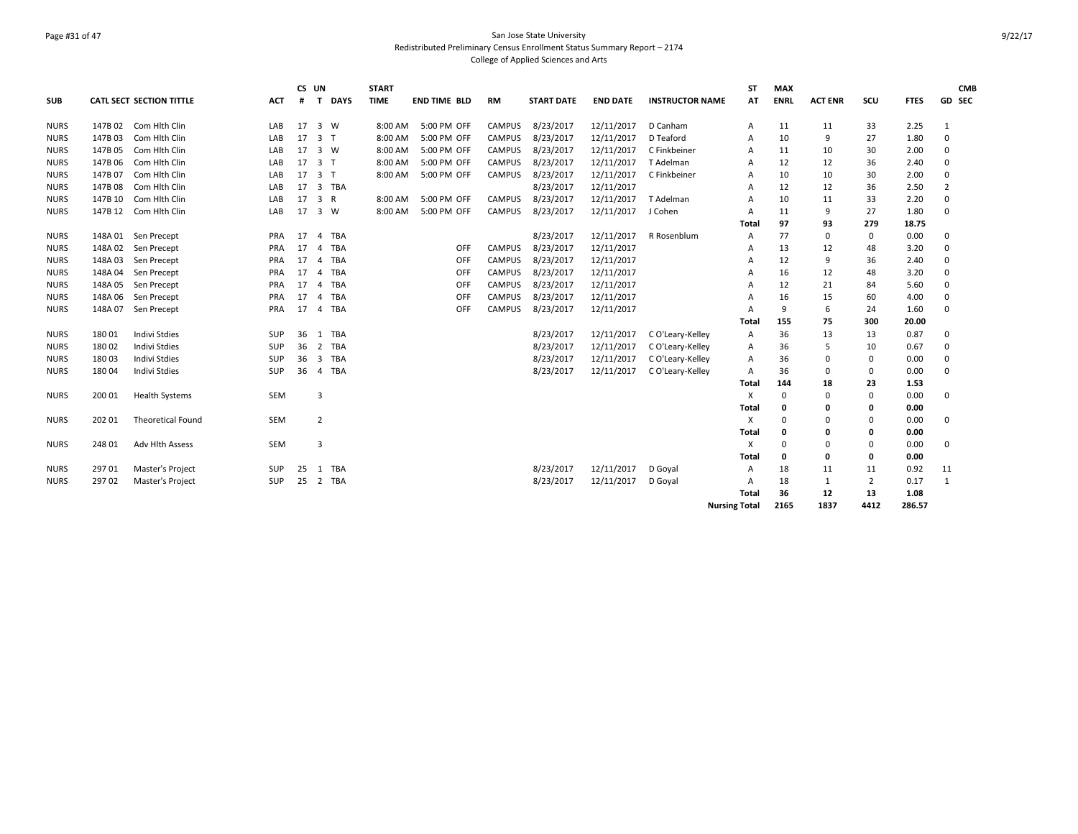### Page #31 of 47 San Jose State University Redistributed Preliminary Census Enrollment Status Summary Report – 2174 College of Applied Sciences and Arts

| <b>SUB</b>  |         | <b>CATL SECT SECTION TITTLE</b> | <b>ACT</b> | CS UN<br># | $\mathbf{T}$<br><b>DAYS</b>      | <b>START</b><br><b>TIME</b> | <b>END TIME BLD</b> | RM            | <b>START DATE</b> | <b>END DATE</b> | <b>INSTRUCTOR NAME</b> | <b>ST</b><br>AT      | <b>MAX</b><br><b>ENRL</b> | <b>ACT ENR</b> | SCU            | <b>FTES</b> | <b>CMB</b><br>GD SEC |
|-------------|---------|---------------------------------|------------|------------|----------------------------------|-----------------------------|---------------------|---------------|-------------------|-----------------|------------------------|----------------------|---------------------------|----------------|----------------|-------------|----------------------|
|             |         |                                 |            |            |                                  |                             |                     |               |                   |                 |                        |                      |                           |                |                |             |                      |
| <b>NURS</b> | 147B 02 | Com Hith Clin                   | LAB        | 17         | 3 W                              | 8:00 AM                     | 5:00 PM OFF         | CAMPUS        | 8/23/2017         | 12/11/2017      | D Canham               | Α                    | 11                        | 11             | 33             | 2.25        | 1                    |
| <b>NURS</b> | 147B 03 | Com Hith Clin                   | LAB        | 17         | 3 <sub>1</sub>                   | 8:00 AM                     | 5:00 PM OFF         | <b>CAMPUS</b> | 8/23/2017         | 12/11/2017      | D Teaford              | A                    | 10                        | 9              | 27             | 1.80        | 0                    |
| <b>NURS</b> | 147B 05 | Com Hith Clin                   | LAB        | 17         | 3 W                              | 8:00 AM                     | 5:00 PM OFF         | <b>CAMPUS</b> | 8/23/2017         | 12/11/2017      | C Finkbeiner           | Α                    | 11                        | 10             | 30             | 2.00        | 0                    |
| <b>NURS</b> | 147B 06 | Com Hlth Clin                   | LAB        | 17         | 3 <sub>1</sub>                   | 8:00 AM                     | 5:00 PM OFF         | <b>CAMPUS</b> | 8/23/2017         | 12/11/2017      | T Adelman              | A                    | 12                        | 12             | 36             | 2.40        | 0                    |
| <b>NURS</b> | 147B 07 | Com Hlth Clin                   | LAB        | 17         | 3 <sub>1</sub>                   | 8:00 AM                     | 5:00 PM OFF         | <b>CAMPUS</b> | 8/23/2017         | 12/11/2017      | C Finkbeiner           | A                    | 10                        | 10             | 30             | 2.00        | 0                    |
| <b>NURS</b> | 147B 08 | Com Hith Clin                   | LAB        | 17         | 3 TBA                            |                             |                     |               | 8/23/2017         | 12/11/2017      |                        | A                    | 12                        | 12             | 36             | 2.50        | $\overline{2}$       |
| <b>NURS</b> | 147B 10 | Com Hlth Clin                   | LAB        | 17         | $\overline{3}$<br>$\overline{R}$ | 8:00 AM                     | 5:00 PM OFF         | <b>CAMPUS</b> | 8/23/2017         | 12/11/2017      | T Adelman              | A                    | 10                        | 11             | 33             | 2.20        | 0                    |
| <b>NURS</b> |         | 147B 12 Com Hith Clin           | LAB        | 17         | 3 W                              | 8:00 AM                     | 5:00 PM OFF         | CAMPUS        | 8/23/2017         | 12/11/2017      | J Cohen                | Α                    | 11                        | 9              | 27             | 1.80        | $\mathbf 0$          |
|             |         |                                 |            |            |                                  |                             |                     |               |                   |                 |                        | Total                | 97                        | 93             | 279            | 18.75       |                      |
| <b>NURS</b> | 148A 01 | Sen Precept                     | PRA        | 17         | <b>TBA</b><br>$\overline{a}$     |                             |                     |               | 8/23/2017         | 12/11/2017      | R Rosenblum            | A                    | 77                        | $\mathbf 0$    | $\mathbf{0}$   | 0.00        | 0                    |
| <b>NURS</b> | 148A 02 | Sen Precept                     | <b>PRA</b> | 17         | <b>TBA</b><br>$\overline{a}$     |                             | OFF                 | <b>CAMPUS</b> | 8/23/2017         | 12/11/2017      |                        | A                    | 13                        | 12             | 48             | 3.20        | 0                    |
| <b>NURS</b> | 148A 03 | Sen Precept                     | PRA        | 17         | <b>TBA</b><br>$\overline{a}$     |                             | OFF                 | <b>CAMPUS</b> | 8/23/2017         | 12/11/2017      |                        | A                    | 12                        | 9              | 36             | 2.40        | 0                    |
| <b>NURS</b> | 148A 04 | Sen Precept                     | PRA        | 17         | TBA<br>4                         |                             | OFF                 | <b>CAMPUS</b> | 8/23/2017         | 12/11/2017      |                        | A                    | 16                        | 12             | 48             | 3.20        | 0                    |
| <b>NURS</b> | 148A 05 | Sen Precept                     | <b>PRA</b> | 17         | TBA<br>$\overline{a}$            |                             | OFF                 | <b>CAMPUS</b> | 8/23/2017         | 12/11/2017      |                        | A                    | 12                        | 21             | 84             | 5.60        | 0                    |
| <b>NURS</b> | 148A 06 | Sen Precept                     | <b>PRA</b> | 17         | <b>TBA</b><br>$\overline{a}$     |                             | OFF                 | <b>CAMPUS</b> | 8/23/2017         | 12/11/2017      |                        | A                    | 16                        | 15             | 60             | 4.00        | 0                    |
| <b>NURS</b> | 148A 07 | Sen Precept                     | PRA        | 17         | <b>TBA</b><br>4                  |                             | OFF                 | <b>CAMPUS</b> | 8/23/2017         | 12/11/2017      |                        | A                    | 9                         | 6              | 24             | 1.60        | $\Omega$             |
|             |         |                                 |            |            |                                  |                             |                     |               |                   |                 |                        | Total                | 155                       | 75             | 300            | 20.00       |                      |
| <b>NURS</b> | 18001   | <b>Indivi Stdies</b>            | SUP        | 36         | 1 TBA                            |                             |                     |               | 8/23/2017         | 12/11/2017      | C O'Leary-Kelley       | Α                    | 36                        | 13             | 13             | 0.87        | 0                    |
| <b>NURS</b> | 18002   | <b>Indivi Stdies</b>            | SUP        | 36         | 2 TBA                            |                             |                     |               | 8/23/2017         | 12/11/2017      | C O'Leary-Kelley       | A                    | 36                        | 5              | 10             | 0.67        | 0                    |
| <b>NURS</b> | 18003   | <b>Indivi Stdies</b>            | SUP        | 36         | 3 TBA                            |                             |                     |               | 8/23/2017         | 12/11/2017      | C O'Leary-Kelley       | Α                    | 36                        | 0              | $\mathbf 0$    | 0.00        | 0                    |
| <b>NURS</b> | 18004   | Indivi Stdies                   | <b>SUP</b> | 36         | TBA<br>$\overline{4}$            |                             |                     |               | 8/23/2017         | 12/11/2017      | C O'Leary-Kelley       | Α                    | 36                        | 0              | $\mathbf 0$    | 0.00        | 0                    |
|             |         |                                 |            |            |                                  |                             |                     |               |                   |                 |                        | Total                | 144                       | 18             | 23             | 1.53        |                      |
| <b>NURS</b> | 200 01  | <b>Health Systems</b>           | SEM        |            | 3                                |                             |                     |               |                   |                 |                        | X                    | $\Omega$                  | $\mathbf 0$    | $\mathbf 0$    | 0.00        | 0                    |
|             |         |                                 |            |            |                                  |                             |                     |               |                   |                 |                        | Total                | 0                         | 0              | 0              | 0.00        |                      |
| <b>NURS</b> | 202 01  | <b>Theoretical Found</b>        | <b>SEM</b> |            | 2                                |                             |                     |               |                   |                 |                        | х                    | $\Omega$                  | 0              | $\mathbf 0$    | 0.00        | 0                    |
|             |         |                                 |            |            |                                  |                             |                     |               |                   |                 |                        | Total                | 0                         | 0              | 0              | 0.00        |                      |
| <b>NURS</b> | 248 01  | Adv Hlth Assess                 | SEM        |            | 3                                |                             |                     |               |                   |                 |                        | X                    | $\Omega$                  | $\Omega$       | $\Omega$       | 0.00        | 0                    |
|             |         |                                 |            |            |                                  |                             |                     |               |                   |                 |                        | Total                | $\mathbf{0}$              | $\mathbf 0$    | 0              | 0.00        |                      |
| <b>NURS</b> | 297 01  | Master's Project                | <b>SUP</b> | 25         | 1 TBA                            |                             |                     |               | 8/23/2017         | 12/11/2017      | D Goyal                | Α                    | 18                        | 11             | 11             | 0.92        | 11                   |
| <b>NURS</b> | 297 02  | Master's Project                | SUP        | 25         | 2 TBA                            |                             |                     |               | 8/23/2017         | 12/11/2017      | D Goyal                | Α                    | 18                        | 1              | $\overline{2}$ | 0.17        | $\mathbf{1}$         |
|             |         |                                 |            |            |                                  |                             |                     |               |                   |                 |                        | <b>Total</b>         | 36                        | 12             | 13             | 1.08        |                      |
|             |         |                                 |            |            |                                  |                             |                     |               |                   |                 |                        | <b>Nursing Total</b> | 2165                      | 1837           | 4412           | 286.57      |                      |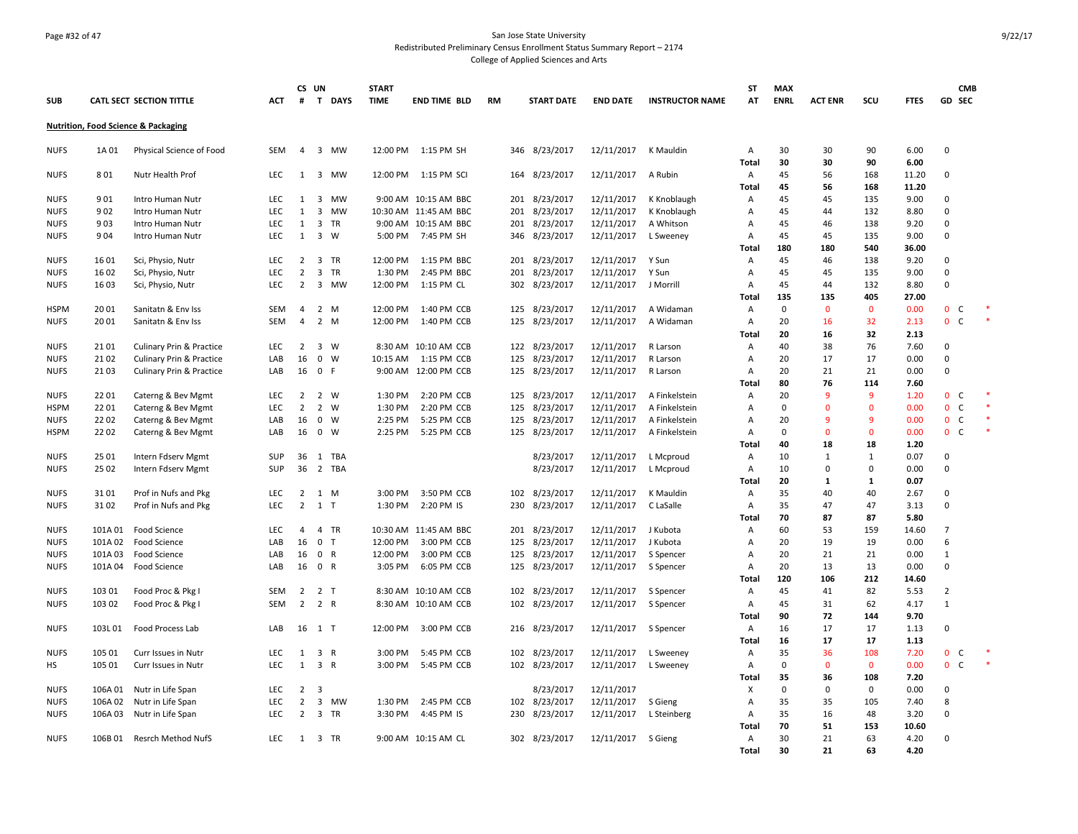#### Page #32 of 47 San Jose State University Redistributed Preliminary Census Enrollment Status Summary Report – 2174 College of Applied Sciences and Arts

**SUB CATL SECT SECTION TITTLE ACT CS UN # T DAYS START TIME END TIME BLD RM START DATE END DATE INSTRUCTOR NAME ST AT MAX ENRL ACT ENR SCU FTES GD CMB SEC Nutrition, Food Science & Packaging** NUFS 1A 01 Physical Science of Food SEM 4 3 MW 12:00 PM 1:15 PM SH 346 8/23/2017 12/11/2017 K Mauldin A 30 30 90 6.00 0 **Total 30 30 90 6.00** NUFS 8 01 Nutr Health Prof LEC 1 3 MW 12:00 PM 1:15 PM SCI 164 8/23/2017 12/11/2017 A Rubin A 45 56 168 11.20 0 **Total 45 56 168 11.20** NUFS 9 01 Intro Human Nutr LEC 1 3 MW 9:00 AM 10:15 AM BBC 201 8/23/2017 12/11/2017 K Knoblaugh A 45 45 135 9.00 0 NUFS 9 02 Intro Human Nutr LEC 1 3 MW 10:30 AM 11:45 AM BBC 201 8/23/2017 12/11/2017 K Knoblaugh A 45 44 132 8.80 0 NUFS 9 03 Intro Human Nutr LEC 1 3 TR 9:00 AM 10:15 AM BBC 201 8/23/2017 12/11/2017 A Whitson A 45 46 138 9.20 0 NUFS 904 Intro<code>Human</code>Nutr LEC 1 3 W 5:00<code>PM 7:45</code> PM SH 346 8/23/2017 12/11/2017 L<code>Sweeney A 45 45 135 9.00 C</code> **Total 180 180 540 36.00** NUFS 16 01 Sci, Physio, Nutr LEC 2 3 TR 12:00 PM 1:15 PM BBC 201 8/23/2017 12/11/2017 Y Sun A 45 46 138 9.20 0 NUFS 16 02 Sci, Physio, Nutr LEC 2 3 TR 1:30 PM 2:45 PM BBC 201 8/23/2017 12/11/2017 Y Sun A 45 45 135 9.00 0 NUFS 16 03 Sci, Physio, Nutr LEC 2 3 MW 12:00 PM 1:15 PM CL 302 8/23/2017 12/11/2017 J Morrill A 45 44 132 8.80 0 **Total 135 135 405 27.00** HSPM 20 01 Sanitatn & Env Iss SEM 4 2 M 12:00 PM 1:40 PM CCB 125 8/23/2017 12/11/2017 A Widaman A 0 0 0 0.00 0 C \* NUFS 20 01 Sanitatn & Env Iss SEM 4 2 M 12:00 PM 1:40 PM CCB 125 8/23/2017 12/11/2017 A Widaman A 20 16 32 2.13 0 C \* **Total 20 16 32 2.13** NUFS 21 01 Culinary Prin & Practice LEC 2 3 W 8:30 AM 10:10 AM CCB 122 8/23/2017 12/11/2017 R Larson A 40 38 76 7.60 0 NUFS 21 02 Culinary Prin & Practice LAB 16 0 W 10:15 AM 1:15 PM CCB 125 8/23/2017 12/11/2017 R Larson A 20 17 17 0.00 0 NUFS 21 03 Culinary Prin & Practice LAB 16 0 F 9:00 AM 12:00 PM CCB 125 8/23/2017 12/11/2017 R Larson A 20 21 21 0.00 0 **Total 80 76 114 7.60** NUFS 22 01 Caterng & Bev Mgmt LEC 2 2 W 1:30 PM 2:20 PM CCB 125 8/23/2017 12/11/2017 A Finkelstein A 20 9 9 1.20 0 C \* HSPM 22 01 Caterng & Bev Mgmt LEC 2 2 W 1:30 PM 2:20 PM CCB 125 8/23/2017 12/11/2017 A Finkelstein A 0 0 0 0.00 0 C \* NUFS 22 02 Caterng & Bev Mgmt LAB 16 0 W 2:25 PM 5:25 PM CCB 125 8/23/2017 12/11/2017 A Finkelstein A 20 9 9 0.00 0 C \* HSPM 22 02 Caterng & Bev Mgmt LAB 16 0 W 2:25 PM 5:25 PM CCB 125 8/23/2017 12/11/2017 A Finkelstein A 0 0 0 0.00 0 C \* **Total 40 18 18 1.20** NUFS 25 01 Intern Fdserv Mgmt SUP 36 1 TBA 8/23/2017 12/11/2017 L Mcproud A 10 1 1 0.07 0 NUFS 25 02 Intern Fdserv Mgmt SUP 36 2 TBA 8/23/2017 12/11/2017 L Mcproud A 10 0 0 0.00 0 **Total 20 1 1 0.07** NUFS 31.01 Prof in Nufs and Pkg LEC 2 1 M 3:00 PM 3:50 PM CCB 102 8/23/2017 12/11/2017 K Mauldin A 35 40 40 2.67 C NUFS 31 02 Prof in Nufs and Pkg LEC 2 1 T 1:30 PM 2:20 PM IS 230 8/23/2017 12/11/2017 C LaSalle A 35 47 47 3.13 0 **Total 70 87 87 5.80** NUFS 101A 01 Food Science LEC 4 4 TR 10:30 AM 11:45 AM BBC 201 8/23/2017 12/11/2017 J Kubota A 60 53 159 14.60 7 NUFS 101A 02 Food Science LAB 16 0 T 12:00 PM 3:00 PM CCB 125 8/23/2017 12/11/2017 J Kubota A 20 19 19 0.00 6 NUFS 101A 03 Food Science LAB 16 0 R 12:00 PM 3:00 PM CCB 125 8/23/2017 12/11/2017 S Spencer A 20 21 21 0.00 1 NUFS 101A 04 Food Science LAB 16 0 R 3:05 PM 6:05 PM CCB 125 8/23/2017 12/11/2017 S Spencer A 20 13 13 0.00 0 **Total 120 106 212 14.60** NUFS 103 01 Food Proc & Pkg I SEM 2 2 T 8:30 AM 10:10 AM CCB 102 8/23/2017 12/11/2017 S Spencer A 45 41 82 5.53 2 NUFS 103 02 Food Proc & Pkg I SEM 2 2 R 8:30 AM 10:10 AM CCB 102 8/23/2017 12/11/2017 S Spencer A 45 31 62 4.17 1 **Total 90 72 144 9.70** NUFS 103L 01 Food Process Lab LAB 16 1 T 12:00 PM 3:00 PM CCB 216 8/23/2017 12/11/2017 S Spencer A 16 17 17 1.13 0 **Total 16 17 17 1.13** NUFS 105 01 Curr Issues in Nutr LEC 1 3 R 3:00 PM 5:45 PM CCB 102 8/23/2017 12/11/2017 L Sweeney A 35 36 108 7.20 0 C \* HS 105 01 Curr Issues in Nutr LEC 1 3 R 3:00 PM 5:45 PM CCB 102 8/23/2017 12/11/2017 L Sweeney A 0 0 0 0.00 0 C \* **Total 35 36 108 7.20** NUFS 106A 01 Nutr in Life Span LEC 2 3 8/23/2017 12/11/2017 X 0 0 0 0.00 0 NUFS 106A 02 Nutr in Life Span LEC 2 3 MW 1:30 PM 2:45 PM CCB 102 8/23/2017 12/11/2017 S Gieng A 35 35 105 7.40 8 NUFS 106A 03 Nutr in Life Span LEC 2 3 TR 3:30 PM 4:45 PM IS 230 8/23/2017 12/11/2017 L Steinberg A 35 16 48 3.20 0 **Total 70 51 153 10.60** NUFS 106B 01 Resrch Method NufS LEC 1 3 TR 9:00 AM 10:15 AM CL 302 8/23/2017 12/11/2017 S Gieng A 30 21 63 4.20 0 **Total 30 21 63 4.20**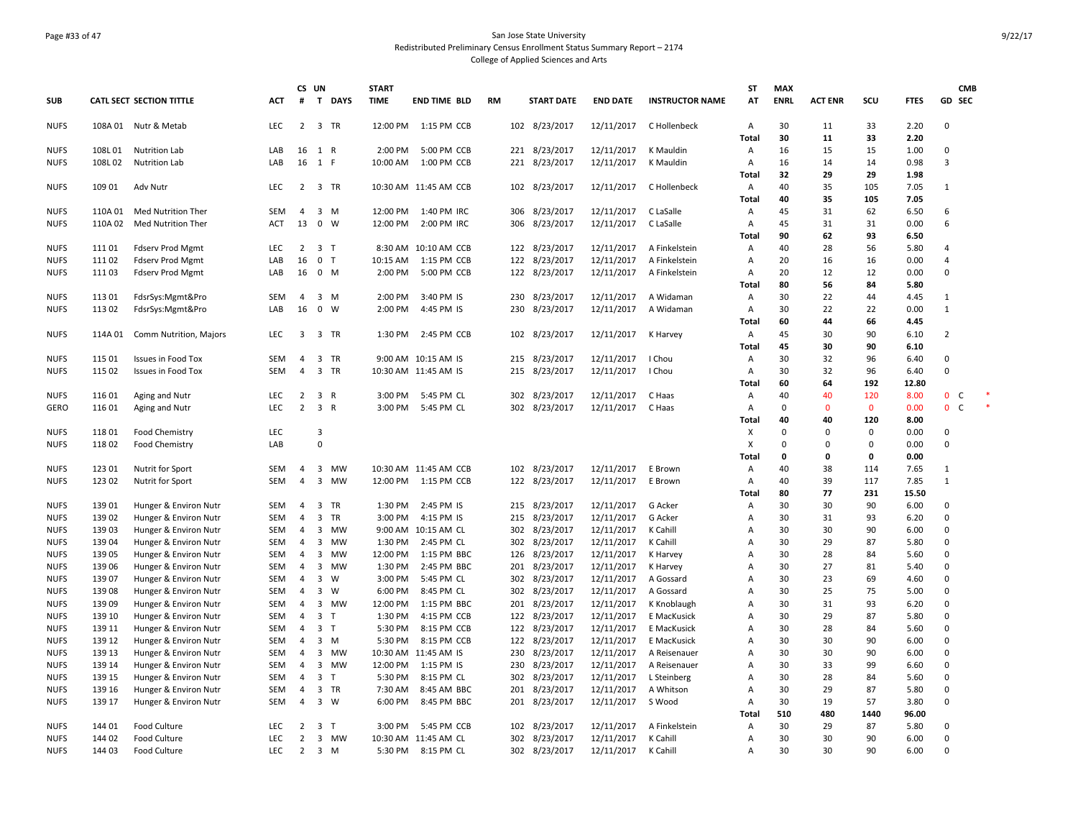### Page #33 of 47 San Jose State University Redistributed Preliminary Census Enrollment Status Summary Report – 2174 College of Applied Sciences and Arts

|             |         |                           |            |                | CS UN                   |              | <b>START</b> |                       |           |     |                   |                 |                        | SΤ                      | <b>MAX</b>  |                |             |              |                | <b>CMB</b>   |        |
|-------------|---------|---------------------------|------------|----------------|-------------------------|--------------|--------------|-----------------------|-----------|-----|-------------------|-----------------|------------------------|-------------------------|-------------|----------------|-------------|--------------|----------------|--------------|--------|
| <b>SUB</b>  |         | CATL SECT SECTION TITTLE  | <b>ACT</b> | #              | $\mathbf{T}$            | <b>DAYS</b>  | <b>TIME</b>  | <b>END TIME BLD</b>   | <b>RM</b> |     | <b>START DATE</b> | <b>END DATE</b> | <b>INSTRUCTOR NAME</b> | AT                      | <b>ENRL</b> | <b>ACT ENR</b> | SCU         | <b>FTES</b>  | GD SEC         |              |        |
| <b>NUFS</b> |         | 108A 01 Nutr & Metab      | <b>LEC</b> | $\overline{2}$ |                         | 3 TR         |              | 12:00 PM 1:15 PM CCB  |           |     | 102 8/23/2017     | 12/11/2017      | C Hollenbeck           | $\overline{A}$          | 30          | 11             | 33          | 2.20         | $\mathbf 0$    |              |        |
|             |         |                           |            |                |                         |              |              |                       |           |     |                   |                 |                        | Total                   | 30          | 11             | 33          | 2.20         |                |              |        |
| <b>NUFS</b> | 108L01  | <b>Nutrition Lab</b>      | LAB        | 16             | 1 R                     |              | 2:00 PM      | 5:00 PM CCB           |           | 221 | 8/23/2017         | 12/11/2017      | K Mauldin              | Α                       | 16          | 15             | 15          | 1.00         | $\Omega$       |              |        |
| <b>NUFS</b> | 108L02  | <b>Nutrition Lab</b>      | LAB        | 16 1           |                         | F            | 10:00 AM     | 1:00 PM CCB           |           | 221 | 8/23/2017         | 12/11/2017      | K Mauldin              | Α                       | 16          | 14             | 14          | 0.98         | 3              |              |        |
|             |         |                           |            |                |                         |              |              |                       |           |     |                   |                 |                        | Total                   | 32<br>40    | 29             | 29          | 1.98         |                |              |        |
| <b>NUFS</b> | 109 01  | Adv Nutr                  | LEC        | $\overline{2}$ |                         | 3 TR         |              | 10:30 AM 11:45 AM CCB |           |     | 102 8/23/2017     | 12/11/2017      | C Hollenbeck           | Α                       | 40          | 35<br>35       | 105<br>105  | 7.05<br>7.05 | $\mathbf{1}$   |              |        |
| <b>NUFS</b> | 110A01  | <b>Med Nutrition Ther</b> | <b>SEM</b> | $\overline{4}$ | 3                       | M            | 12:00 PM     | 1:40 PM IRC           |           | 306 | 8/23/2017         | 12/11/2017      | C LaSalle              | Total<br>$\overline{A}$ | 45          | 31             | 62          | 6.50         | 6              |              |        |
| <b>NUFS</b> | 110A 02 | <b>Med Nutrition Ther</b> | ACT        | 13             | $\mathbf 0$             | W            | 12:00 PM     | 2:00 PM IRC           |           | 306 | 8/23/2017         | 12/11/2017      | C LaSalle              | Α                       | 45          | 31             | 31          | 0.00         | 6              |              |        |
|             |         |                           |            |                |                         |              |              |                       |           |     |                   |                 |                        | Total                   | 90          | 62             | 93          | 6.50         |                |              |        |
| <b>NUFS</b> | 11101   | Fdserv Prod Mgmt          | <b>LEC</b> | $\overline{2}$ | 3 <sub>1</sub>          |              |              | 8:30 AM 10:10 AM CCB  |           | 122 | 8/23/2017         | 12/11/2017      | A Finkelstein          | Α                       | 40          | 28             | 56          | 5.80         | 4              |              |        |
| <b>NUFS</b> | 11102   | <b>Fdserv Prod Mgmt</b>   | LAB        | 16             | $\mathbf 0$             | T            | 10:15 AM     | 1:15 PM CCB           |           | 122 | 8/23/2017         | 12/11/2017      | A Finkelstein          | Α                       | 20          | 16             | 16          | 0.00         | $\overline{4}$ |              |        |
| <b>NUFS</b> | 11103   | <b>Fdserv Prod Mgmt</b>   | LAB        | 16             | $0$ M                   |              | 2:00 PM      | 5:00 PM CCB           |           |     | 122 8/23/2017     | 12/11/2017      | A Finkelstein          | Α                       | 20          | 12             | 12          | 0.00         | $\Omega$       |              |        |
|             |         |                           |            |                |                         |              |              |                       |           |     |                   |                 |                        | Total                   | 80          | 56             | 84          | 5.80         |                |              |        |
| <b>NUFS</b> | 11301   | FdsrSys:Mgmt&Pro          | <b>SEM</b> | 4              | 3                       | M            | 2:00 PM      | 3:40 PM IS            |           | 230 | 8/23/2017         | 12/11/2017      | A Widaman              | Α                       | 30          | 22             | 44          | 4.45         | $\mathbf{1}$   |              |        |
| <b>NUFS</b> | 11302   | FdsrSys:Mgmt&Pro          | LAB        | 16             | $\mathbf 0$             | W            | 2:00 PM      | 4:45 PM IS            |           | 230 | 8/23/2017         | 12/11/2017      | A Widaman              | Α                       | 30          | 22             | 22          | 0.00         | $\mathbf{1}$   |              |        |
|             |         |                           |            |                |                         |              |              |                       |           |     |                   |                 |                        | Total                   | 60          | 44             | 66          | 4.45         |                |              |        |
| <b>NUFS</b> | 114A 01 | Comm Nutrition, Majors    | LEC        | 3              | $\overline{\mathbf{3}}$ | <b>TR</b>    | 1:30 PM      | 2:45 PM CCB           |           |     | 102 8/23/2017     | 12/11/2017      | K Harvey               | Α                       | 45          | 30             | 90          | 6.10         | $\overline{2}$ |              |        |
|             |         |                           |            |                |                         |              |              |                       |           |     |                   |                 |                        | Total                   | 45          | 30             | 90          | 6.10         |                |              |        |
| <b>NUFS</b> | 115 01  | Issues in Food Tox        | <b>SEM</b> | $\overline{4}$ | 3                       | <b>TR</b>    |              | 9:00 AM 10:15 AM IS   |           | 215 | 8/23/2017         | 12/11/2017      | I Chou                 | $\overline{A}$          | 30          | 32             | 96          | 6.40         | $\Omega$       |              |        |
| <b>NUFS</b> | 115 02  | Issues in Food Tox        | SEM        | $\overline{4}$ | $\overline{3}$          | <b>TR</b>    |              | 10:30 AM 11:45 AM IS  |           | 215 | 8/23/2017         | 12/11/2017      | I Chou                 | Α                       | 30          | 32             | 96          | 6.40         | $\mathbf 0$    |              |        |
|             |         |                           |            |                |                         |              |              |                       |           |     |                   |                 |                        | Tota                    | 60          | 64             | 192         | 12.80        |                |              |        |
| <b>NUFS</b> | 116 01  | Aging and Nutr            | <b>LEC</b> | $\overline{2}$ | 3 R                     |              | 3:00 PM      | 5:45 PM CL            |           | 302 | 8/23/2017         | 12/11/2017      | C Haas                 | Α                       | 40          | 40             | 120         | 8.00         | $\mathbf{0}$   | C            | $\ast$ |
| <b>GERO</b> | 116 01  | Aging and Nutr            | LEC        | $\overline{2}$ | 3 R                     |              | 3:00 PM      | 5:45 PM CL            |           |     | 302 8/23/2017     | 12/11/2017      | C Haas                 | Α                       | $\mathbf 0$ | $\mathbf{0}$   | $\mathbf 0$ | 0.00         | $\mathbf{0}$   | $\mathsf{C}$ | $\ast$ |
|             |         |                           |            |                |                         |              |              |                       |           |     |                   |                 |                        | Total                   | 40          | 40             | 120         | 8.00         |                |              |        |
| <b>NUFS</b> | 11801   | Food Chemistry            | LEC        |                | 3                       |              |              |                       |           |     |                   |                 |                        | X                       | $\mathbf 0$ | $\Omega$       | $\mathbf 0$ | 0.00         | 0              |              |        |
| <b>NUFS</b> | 118 02  | Food Chemistry            | LAB        |                | $\mathbf 0$             |              |              |                       |           |     |                   |                 |                        | Χ                       | $\Omega$    | $\Omega$       | $\Omega$    | 0.00         | $\mathbf 0$    |              |        |
|             |         |                           |            |                |                         |              |              |                       |           |     |                   |                 |                        | Total                   | $\mathbf 0$ | 0              | 0           | 0.00         |                |              |        |
| <b>NUFS</b> | 123 01  | Nutrit for Sport          | <b>SEM</b> | 4              | $\overline{\mathbf{3}}$ | <b>MW</b>    |              | 10:30 AM 11:45 AM CCB |           | 102 | 8/23/2017         | 12/11/2017      | E Brown                | Α                       | 40          | 38             | 114         | 7.65         | $\mathbf{1}$   |              |        |
| <b>NUFS</b> | 123 02  | Nutrit for Sport          | SEM        | 4              | 3                       | <b>MW</b>    |              | 12:00 PM 1:15 PM CCB  |           |     | 122 8/23/2017     | 12/11/2017      | E Brown                | Α                       | 40          | 39             | 117         | 7.85         | $\mathbf{1}$   |              |        |
|             |         |                           |            |                |                         |              |              |                       |           |     |                   |                 |                        | Total                   | 80          | 77             | 231         | 15.50        |                |              |        |
| <b>NUFS</b> | 139 01  | Hunger & Environ Nutr     | SEM        | $\overline{4}$ | 3                       | TR           | 1:30 PM      | 2:45 PM IS            |           | 215 | 8/23/2017         | 12/11/2017      | G Acker                | Α                       | 30          | 30             | 90          | 6.00         | 0              |              |        |
| <b>NUFS</b> | 139 02  | Hunger & Environ Nutr     | SEM        | 4              | 3                       | TR           | 3:00 PM      | 4:15 PM IS            |           | 215 | 8/23/2017         | 12/11/2017      | G Acker                | Α                       | 30          | 31             | 93          | 6.20         | $\mathbf 0$    |              |        |
| <b>NUFS</b> | 139 03  | Hunger & Environ Nutr     | <b>SEM</b> | 4              | 3                       | <b>MW</b>    |              | 9:00 AM 10:15 AM CL   |           | 302 | 8/23/2017         | 12/11/2017      | K Cahill               | $\overline{A}$          | 30          | 30             | 90          | 6.00         | $\mathbf 0$    |              |        |
| <b>NUFS</b> | 139 04  | Hunger & Environ Nutr     | SEM        | $\overline{4}$ | 3                       | <b>MW</b>    | 1:30 PM      | 2:45 PM CL            |           | 302 | 8/23/2017         | 12/11/2017      | K Cahill               | $\Delta$                | 30          | 29             | 87          | 5.80         | $\Omega$       |              |        |
| <b>NUFS</b> | 139 05  | Hunger & Environ Nutr     | SEM        | 4              | 3                       | <b>MW</b>    | 12:00 PM     | 1:15 PM BBC           |           | 126 | 8/23/2017         | 12/11/2017      | K Harvey               | $\overline{A}$          | 30          | 28             | 84          | 5.60         | 0              |              |        |
| <b>NUFS</b> | 139 06  | Hunger & Environ Nutr     | <b>SEM</b> | $\overline{4}$ | 3                       | <b>MW</b>    | 1:30 PM      | 2:45 PM BBC           |           | 201 | 8/23/2017         | 12/11/2017      | K Harvey               | $\overline{A}$          | 30          | 27             | 81          | 5.40         | $\Omega$       |              |        |
| <b>NUFS</b> | 139 07  | Hunger & Environ Nutr     | SEM        | 4              | 3                       | W            | 3:00 PM      | 5:45 PM CL            |           | 302 | 8/23/2017         | 12/11/2017      | A Gossard              | Α                       | 30          | 23             | 69          | 4.60         | $\mathbf 0$    |              |        |
| <b>NUFS</b> | 13908   | Hunger & Environ Nutr     | SEM        | $\overline{4}$ | 3                       | W            | 6:00 PM      | 8:45 PM CL            |           | 302 | 8/23/2017         | 12/11/2017      | A Gossard              | Α                       | 30          | 25             | 75          | 5.00         | $\Omega$       |              |        |
| <b>NUFS</b> | 13909   | Hunger & Environ Nutr     | SEM        | $\overline{4}$ | 3                       | <b>MW</b>    | 12:00 PM     | 1:15 PM BBC           |           | 201 | 8/23/2017         | 12/11/2017      | K Knoblaugh            | Α                       | 30          | 31             | 93          | 6.20         | $\mathbf 0$    |              |        |
| <b>NUFS</b> | 139 10  | Hunger & Environ Nutr     | SEM        | 4              | 3                       | $\mathsf{T}$ | 1:30 PM      | 4:15 PM CCB           |           | 122 | 8/23/2017         | 12/11/2017      | E MacKusick            | A                       | 30          | 29             | 87          | 5.80         | 0              |              |        |
| <b>NUFS</b> | 139 11  | Hunger & Environ Nutr     | SEM        | $\overline{4}$ | 3 <sub>T</sub>          |              | 5:30 PM      | 8:15 PM CCB           |           |     | 122 8/23/2017     | 12/11/2017      | E MacKusick            | $\overline{A}$          | 30          | 28             | 84          | 5.60         | $\Omega$       |              |        |
| <b>NUFS</b> | 139 12  | Hunger & Environ Nutr     | SEM        | $\overline{4}$ | 3                       | M            | 5:30 PM      | 8:15 PM CCB           |           | 122 | 8/23/2017         | 12/11/2017      | E MacKusick            | Α                       | 30          | 30             | 90          | 6.00         | $\mathbf 0$    |              |        |
| <b>NUFS</b> | 139 13  | Hunger & Environ Nutr     | SEM        | 4              | 3                       | <b>MW</b>    |              | 10:30 AM 11:45 AM IS  |           | 230 | 8/23/2017         | 12/11/2017      | A Reisenauer           | Α                       | 30          | 30             | 90          | 6.00         | $\Omega$       |              |        |
| <b>NUFS</b> | 139 14  | Hunger & Environ Nutr     | SEM        | $\overline{4}$ | $\overline{\mathbf{3}}$ | <b>MW</b>    | 12:00 PM     | 1:15 PM IS            |           | 230 | 8/23/2017         | 12/11/2017      | A Reisenauer           | Α                       | 30          | 33             | 99          | 6.60         | $\mathbf 0$    |              |        |
| <b>NUFS</b> | 139 15  | Hunger & Environ Nutr     | <b>SEM</b> | $\overline{4}$ | $\overline{\mathbf{3}}$ | T            | 5:30 PM      | 8:15 PM CL            |           | 302 | 8/23/2017         | 12/11/2017      | L Steinberg            | $\overline{A}$          | 30          | 28             | 84          | 5.60         | $\mathbf 0$    |              |        |
| <b>NUFS</b> | 139 16  | Hunger & Environ Nutr     | SEM        | 4              |                         | 3 TR         | 7:30 AM      | 8:45 AM BBC           |           | 201 | 8/23/2017         | 12/11/2017      | A Whitson              | Α                       | 30          | 29             | 87          | 5.80         | $\Omega$       |              |        |
| <b>NUFS</b> | 139 17  | Hunger & Environ Nutr     | SEM        | $\overline{4}$ | $\overline{\mathbf{3}}$ | W            | 6:00 PM      | 8:45 PM BBC           |           | 201 | 8/23/2017         | 12/11/2017      | S Wood                 | Α                       | 30          | 19             | 57          | 3.80         | $\Omega$       |              |        |
|             |         |                           |            |                |                         |              |              |                       |           |     |                   |                 |                        | Total                   | 510         | 480            | 1440        | 96.00        |                |              |        |
| <b>NUFS</b> | 144 01  | Food Culture              | LEC        | 2              | $\overline{\mathbf{3}}$ | $\mathsf{T}$ | 3:00 PM      | 5:45 PM CCB           |           | 102 | 8/23/2017         | 12/11/2017      | A Finkelstein          | Α                       | 30          | 29             | 87          | 5.80         | $\mathbf 0$    |              |        |
| NUFS        | 144 02  | Food Culture              | LEC        | $\overline{2}$ | $\overline{\mathbf{3}}$ | <b>MW</b>    |              | 10:30 AM 11:45 AM CL  |           | 302 | 8/23/2017         | 12/11/2017      | K Cahill               | Α                       | 30          | 30             | 90          | 6.00         | $\Omega$       |              |        |
| <b>NUFS</b> | 144 03  | Food Culture              | LEC.       | $\overline{2}$ | 3 M                     |              |              | 5:30 PM 8:15 PM CL    |           |     | 302 8/23/2017     | 12/11/2017      | K Cahill               | Α                       | 30          | 30             | 90          | 6.00         | $\Omega$       |              |        |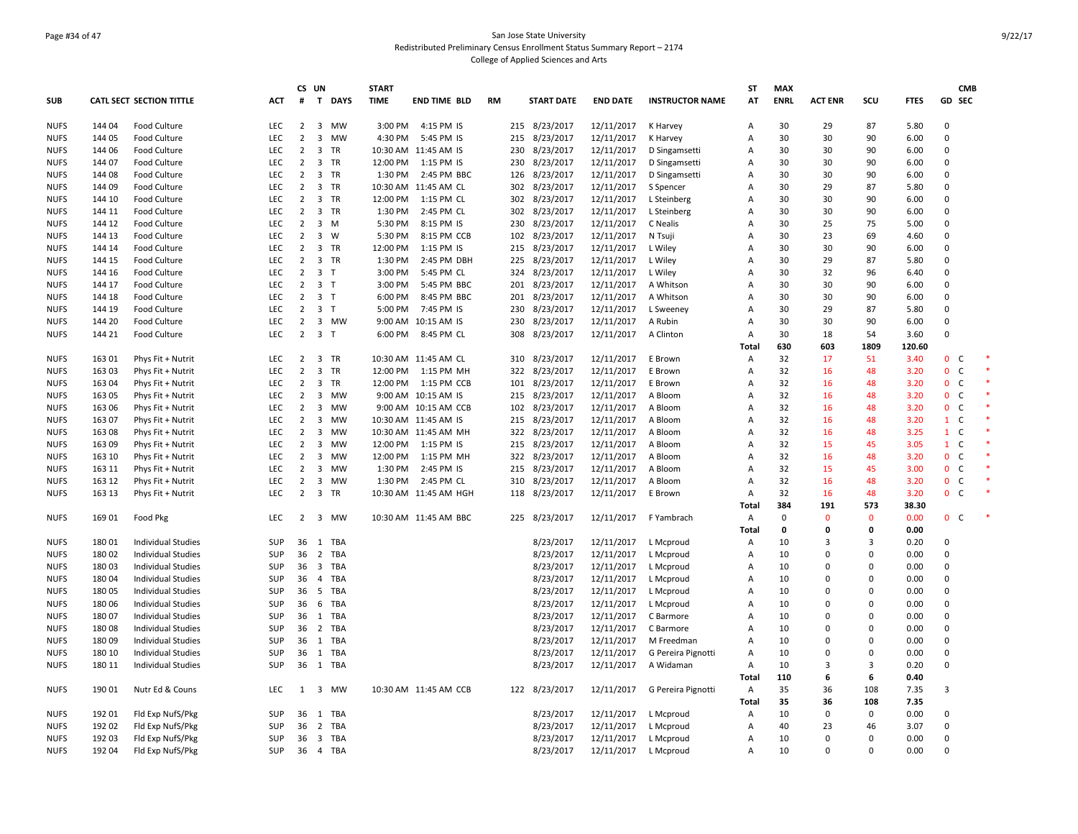### Page #34 of 47 San Jose State University Redistributed Preliminary Census Enrollment Status Summary Report – 2174 College of Applied Sciences and Arts

|             |        |                                 |            |                | CS UN                   |             | <b>START</b> |                       |           |     |                   |                 |                        | ST             | <b>MAX</b>  |                |             |             |                | <b>CMB</b>   |  |
|-------------|--------|---------------------------------|------------|----------------|-------------------------|-------------|--------------|-----------------------|-----------|-----|-------------------|-----------------|------------------------|----------------|-------------|----------------|-------------|-------------|----------------|--------------|--|
| <b>SUB</b>  |        | <b>CATL SECT SECTION TITTLE</b> | ACT        | #              | T                       | <b>DAYS</b> | <b>TIME</b>  | <b>END TIME BLD</b>   | <b>RM</b> |     | <b>START DATE</b> | <b>END DATE</b> | <b>INSTRUCTOR NAME</b> | AT             | <b>ENRL</b> | <b>ACT ENR</b> | scu         | <b>FTES</b> |                | GD SEC       |  |
| <b>NUFS</b> | 14404  | Food Culture                    | <b>LEC</b> | 2              | $\overline{\mathbf{3}}$ | <b>MW</b>   | 3:00 PM      | 4:15 PM IS            |           | 215 | 8/23/2017         | 12/11/2017      | K Harvey               | A              | 30          | 29             | 87          | 5.80        | $\Omega$       |              |  |
| <b>NUFS</b> | 144 05 | Food Culture                    | LEC        | $\overline{2}$ | $\overline{3}$          | <b>MW</b>   | 4:30 PM      | 5:45 PM IS            |           | 215 | 8/23/2017         | 12/11/2017      | K Harvey               | A              | 30          | 30             | 90          | 6.00        | $\mathbf 0$    |              |  |
| <b>NUFS</b> | 144 06 | Food Culture                    | LEC        | $\overline{2}$ | 3                       | TR          |              | 10:30 AM 11:45 AM IS  |           | 230 | 8/23/2017         | 12/11/2017      | D Singamsetti          | A              | 30          | 30             | 90          | 6.00        | $\mathbf 0$    |              |  |
| <b>NUFS</b> | 144 07 | Food Culture                    | LEC        | $\overline{2}$ | $\overline{\mathbf{3}}$ | <b>TR</b>   | 12:00 PM     | 1:15 PM IS            |           | 230 | 8/23/2017         | 12/11/2017      | D Singamsetti          | A              | 30          | 30             | 90          | 6.00        | $\Omega$       |              |  |
| <b>NUFS</b> | 144 08 | Food Culture                    | LEC        | $\overline{2}$ |                         | 3 TR        | 1:30 PM      | 2:45 PM BBC           |           | 126 | 8/23/2017         | 12/11/2017      | D Singamsetti          | A              | 30          | 30             | 90          | 6.00        | $\mathbf 0$    |              |  |
| <b>NUFS</b> | 144 09 | Food Culture                    | <b>LEC</b> | $\overline{2}$ | 3                       | <b>TR</b>   |              | 10:30 AM 11:45 AM CL  |           | 302 | 8/23/2017         | 12/11/2017      | S Spencer              | A              | 30          | 29             | 87          | 5.80        | $\Omega$       |              |  |
| <b>NUFS</b> | 144 10 | Food Culture                    | LEC        | $\overline{2}$ | $\overline{\mathbf{3}}$ | TR          | 12:00 PM     | 1:15 PM CL            |           | 302 | 8/23/2017         | 12/11/2017      | L Steinberg            | $\overline{A}$ | 30          | 30             | 90          | 6.00        | $\mathbf 0$    |              |  |
| <b>NUFS</b> | 144 11 | Food Culture                    | LEC        | $\overline{2}$ | $\overline{\mathbf{3}}$ | <b>TR</b>   | 1:30 PM      | 2:45 PM CL            |           | 302 | 8/23/2017         | 12/11/2017      | L Steinberg            | A              | 30          | 30             | 90          | 6.00        | 0              |              |  |
| <b>NUFS</b> | 144 12 | Food Culture                    | <b>LEC</b> | 2              | $\overline{\mathbf{3}}$ | M           | 5:30 PM      | 8:15 PM IS            |           | 230 | 8/23/2017         | 12/11/2017      | C Nealis               | A              | 30          | 25             | 75          | 5.00        | $\Omega$       |              |  |
| <b>NUFS</b> | 144 13 | Food Culture                    | LEC        | $\overline{2}$ | $\overline{\mathbf{3}}$ | W           | 5:30 PM      | 8:15 PM CCB           |           | 102 | 8/23/2017         | 12/11/2017      | N Tsuji                | A              | 30          | 23             | 69          | 4.60        | 0              |              |  |
| <b>NUFS</b> | 144 14 | Food Culture                    | <b>LEC</b> | $\overline{2}$ | $\overline{\mathbf{3}}$ | TR          | 12:00 PM     | 1:15 PM IS            |           | 215 | 8/23/2017         | 12/11/2017      | L Wiley                | $\overline{A}$ | 30          | 30             | 90          | 6.00        | $\Omega$       |              |  |
| <b>NUFS</b> | 144 15 | Food Culture                    | LEC        | $\overline{2}$ | $\overline{\mathbf{3}}$ | <b>TR</b>   | 1:30 PM      | 2:45 PM DBH           |           | 225 | 8/23/2017         | 12/11/2017      | L Wiley                | A              | 30          | 29             | 87          | 5.80        | $\Omega$       |              |  |
| <b>NUFS</b> | 144 16 | Food Culture                    | LEC        | $\overline{2}$ | $\overline{\mathbf{3}}$ | T           | 3:00 PM      | 5:45 PM CL            |           | 324 | 8/23/2017         | 12/11/2017      | L Wiley                | A              | 30          | 32             | 96          | 6.40        | 0              |              |  |
| <b>NUFS</b> | 144 17 | Food Culture                    | <b>LEC</b> | $\overline{2}$ | 3 <sub>T</sub>          |             | 3:00 PM      | 5:45 PM BBC           |           | 201 | 8/23/2017         | 12/11/2017      | A Whitson              | A              | 30          | 30             | 90          | 6.00        | $\mathbf 0$    |              |  |
| <b>NUFS</b> | 144 18 | Food Culture                    | LEC        | $\overline{2}$ | 3 <sub>T</sub>          |             | 6:00 PM      | 8:45 PM BBC           |           | 201 | 8/23/2017         | 12/11/2017      | A Whitson              | A              | 30          | 30             | 90          | 6.00        | $\mathbf 0$    |              |  |
| <b>NUFS</b> | 144 19 | Food Culture                    | <b>LEC</b> |                | $2 \quad 3 \quad T$     |             | 5:00 PM      | 7:45 PM IS            |           | 230 | 8/23/2017         | 12/11/2017      | L Sweeney              | A              | 30          | 29             | 87          | 5.80        | 0              |              |  |
| <b>NUFS</b> | 144 20 | Food Culture                    | LEC        | $\overline{2}$ | $\overline{\mathbf{3}}$ | <b>MW</b>   |              | 9:00 AM 10:15 AM IS   |           | 230 | 8/23/2017         | 12/11/2017      | A Rubin                | A              | 30          | 30             | 90          | 6.00        | $\mathbf 0$    |              |  |
| <b>NUFS</b> | 144 21 | Food Culture                    | LEC        | $\overline{2}$ | 3 <sub>T</sub>          |             | 6:00 PM      | 8:45 PM CL            |           | 308 | 8/23/2017         | 12/11/2017      | A Clinton              | Α              | 30          | 18             | 54          | 3.60        | 0              |              |  |
|             |        |                                 |            |                |                         |             |              |                       |           |     |                   |                 |                        | Total          | 630         | 603            | 1809        | 120.60      |                |              |  |
| <b>NUFS</b> | 163 01 | Phys Fit + Nutrit               | LEC        | $\overline{2}$ | $\overline{\mathbf{3}}$ | TR          |              | 10:30 AM 11:45 AM CL  |           | 310 | 8/23/2017         | 12/11/2017      | E Brown                | A              | 32          | 17             | 51          | 3.40        | $\mathbf{0}$   | $\mathsf{C}$ |  |
| <b>NUFS</b> | 163 03 | Phys Fit + Nutrit               | LEC        | $\overline{2}$ | 3                       | <b>TR</b>   | 12:00 PM     | 1:15 PM MH            |           | 322 | 8/23/2017         | 12/11/2017      | E Brown                | $\overline{A}$ | 32          | 16             | 48          | 3.20        | $\mathbf 0$    | $\mathsf C$  |  |
| <b>NUFS</b> | 163 04 | Phys Fit + Nutrit               | LEC        | $\overline{2}$ | $\overline{\mathbf{3}}$ | <b>TR</b>   | 12:00 PM     | 1:15 PM CCB           |           | 101 | 8/23/2017         | 12/11/2017      | E Brown                | $\overline{A}$ | 32          | 16             | 48          | 3.20        | $\mathbf{0}$   | $\mathsf{C}$ |  |
| <b>NUFS</b> | 163 05 | Phys Fit + Nutrit               | LEC        | $\overline{2}$ | 3                       | <b>MW</b>   |              | 9:00 AM 10:15 AM IS   |           | 215 | 8/23/2017         | 12/11/2017      | A Bloom                | $\overline{A}$ | 32          | 16             | 48          | 3.20        | $\mathbf{0}$   | $\mathsf{C}$ |  |
| <b>NUFS</b> | 163 06 | Phys Fit + Nutrit               | LEC        | $\overline{2}$ | 3                       | <b>MW</b>   |              | 9:00 AM 10:15 AM CCB  |           | 102 | 8/23/2017         | 12/11/2017      | A Bloom                | $\overline{A}$ | 32          | 16             | 48          | 3.20        | $\mathbf{0}$   | $\mathsf{C}$ |  |
| <b>NUFS</b> | 163 07 | Phys Fit + Nutrit               | <b>LEC</b> | $\overline{2}$ | $\overline{\mathbf{3}}$ | <b>MW</b>   |              | 10:30 AM 11:45 AM IS  |           | 215 | 8/23/2017         | 12/11/2017      | A Bloom                | A              | 32          | 16             | 48          | 3.20        | $\mathbf{1}$   | $\mathsf{C}$ |  |
| <b>NUFS</b> | 16308  | Phys Fit + Nutrit               | LEC        | $\overline{2}$ | $\overline{3}$          | <b>MW</b>   |              | 10:30 AM 11:45 AM MH  |           |     | 322 8/23/2017     | 12/11/2017      | A Bloom                | A              | 32          | 16             | 48          | 3.25        | $\mathbf{1}$   | $\mathsf{C}$ |  |
| <b>NUFS</b> | 163 09 | Phys Fit + Nutrit               | LEC        | $\overline{2}$ | 3                       | <b>MW</b>   | 12:00 PM     | 1:15 PM IS            |           | 215 | 8/23/2017         | 12/11/2017      | A Bloom                | $\overline{A}$ | 32          | 15             | 45          | 3.05        | $\mathbf{1}$   | $\mathsf{C}$ |  |
| <b>NUFS</b> | 163 10 | Phys Fit + Nutrit               | LEC        | $\overline{2}$ | $\overline{\mathbf{3}}$ | <b>MW</b>   | 12:00 PM     | 1:15 PM MH            |           | 322 | 8/23/2017         | 12/11/2017      | A Bloom                | $\overline{A}$ | 32          | 16             | 48          | 3.20        | $\mathbf{0}$   | $\mathsf C$  |  |
| <b>NUFS</b> | 163 11 | Phys Fit + Nutrit               | LEC        | $\overline{2}$ | 3                       | <b>MW</b>   | 1:30 PM      | 2:45 PM IS            |           | 215 | 8/23/2017         | 12/11/2017      | A Bloom                | A              | 32          | 15             | 45          | 3.00        | $\mathbf{0}$   | C            |  |
| <b>NUFS</b> | 163 12 | Phys Fit + Nutrit               | LEC        | $\overline{2}$ | 3                       | <b>MW</b>   | 1:30 PM      | 2:45 PM CL            |           | 310 | 8/23/2017         | 12/11/2017      | A Bloom                | A              | 32          | 16             | 48          | 3.20        | $\mathbf{0}$   | $\mathsf{C}$ |  |
| <b>NUFS</b> | 163 13 | Phys Fit + Nutrit               | LEC        | $\overline{2}$ | $\overline{\mathbf{3}}$ | TR          |              | 10:30 AM 11:45 AM HGH |           | 118 | 8/23/2017         | 12/11/2017      | E Brown                | A              | 32          | 16             | 48          | 3.20        | $\mathbf{0}$   | $\mathsf{C}$ |  |
|             |        |                                 |            |                |                         |             |              |                       |           |     |                   |                 |                        | Total          | 384         | 191            | 573         | 38.30       |                |              |  |
| <b>NUFS</b> | 169 01 | Food Pkg                        | LEC        | $\overline{2}$ | $\overline{\mathbf{3}}$ | MW          |              | 10:30 AM 11:45 AM BBC |           | 225 | 8/23/2017         | 12/11/2017      | F Yambrach             | Α              | $\mathbf 0$ | $\Omega$       | $\mathbf 0$ | 0.00        | $\mathbf{0}$   | $\mathsf{C}$ |  |
|             |        |                                 |            |                |                         |             |              |                       |           |     |                   |                 |                        | Total          | 0           | 0              | 0           | 0.00        |                |              |  |
| <b>NUFS</b> | 180 01 | <b>Individual Studies</b>       | <b>SUP</b> | 36 1           |                         | TBA         |              |                       |           |     | 8/23/2017         | 12/11/2017      | L Mcproud              | Α              | 10          | 3              | 3           | 0.20        | $\mathbf 0$    |              |  |
| <b>NUFS</b> | 18002  | <b>Individual Studies</b>       | SUP        | 36             | $\overline{2}$          | TBA         |              |                       |           |     | 8/23/2017         | 12/11/2017      | L Mcproud              | $\overline{A}$ | 10          | $\Omega$       | $\Omega$    | 0.00        | $\mathbf 0$    |              |  |
| <b>NUFS</b> | 18003  | Individual Studies              | <b>SUP</b> | 36             | $\overline{\mathbf{3}}$ | <b>TBA</b>  |              |                       |           |     | 8/23/2017         | 12/11/2017      | L Mcproud              | A              | 10          | $\Omega$       | $\Omega$    | 0.00        | $\mathbf 0$    |              |  |
| <b>NUFS</b> | 18004  | <b>Individual Studies</b>       | <b>SUP</b> | 36             | $\overline{4}$          | <b>TBA</b>  |              |                       |           |     | 8/23/2017         | 12/11/2017      | L Mcproud              | $\overline{A}$ | 10          | $\Omega$       | $\Omega$    | 0.00        | 0              |              |  |
| <b>NUFS</b> | 18005  | Individual Studies              | SUP        | 36 5           |                         | TBA         |              |                       |           |     | 8/23/2017         | 12/11/2017      | L Mcproud              | A              | 10          | $\Omega$       | $\Omega$    | 0.00        | $\mathbf 0$    |              |  |
| <b>NUFS</b> | 180 06 | <b>Individual Studies</b>       | <b>SUP</b> | 36             | -6                      | <b>TBA</b>  |              |                       |           |     | 8/23/2017         | 12/11/2017      | L Mcproud              | A              | 10          | $\Omega$       | $\Omega$    | 0.00        | $\mathbf 0$    |              |  |
| <b>NUFS</b> | 18007  | <b>Individual Studies</b>       | SUP        | 36 1           |                         | <b>TBA</b>  |              |                       |           |     | 8/23/2017         | 12/11/2017      | C Barmore              | A              | 10          | $\Omega$       | $\Omega$    | 0.00        | $\Omega$       |              |  |
| <b>NUFS</b> | 18008  | Individual Studies              | <b>SUP</b> | 36             |                         | 2 TBA       |              |                       |           |     | 8/23/2017         | 12/11/2017      | C Barmore              | A              | 10          | $\Omega$       | $\Omega$    | 0.00        | $\mathbf 0$    |              |  |
| <b>NUFS</b> | 18009  | <b>Individual Studies</b>       | <b>SUP</b> | 36             | 1                       | <b>TBA</b>  |              |                       |           |     | 8/23/2017         | 12/11/2017      | M Freedman             | A              | 10          | $\Omega$       | $\Omega$    | 0.00        | $\Omega$       |              |  |
| <b>NUFS</b> | 180 10 | <b>Individual Studies</b>       | SUP        | 36             |                         | 1 TBA       |              |                       |           |     | 8/23/2017         | 12/11/2017      | G Pereira Pignotti     | $\overline{A}$ | 10          | 0              | 0           | 0.00        | $\mathbf 0$    |              |  |
| <b>NUFS</b> | 180 11 | <b>Individual Studies</b>       | <b>SUP</b> | 36             |                         | 1 TBA       |              |                       |           |     | 8/23/2017         | 12/11/2017      | A Widaman              | Α              | 10          | 3              | 3           | 0.20        | $\mathbf 0$    |              |  |
|             |        |                                 |            |                |                         |             |              |                       |           |     |                   |                 |                        | <b>Total</b>   | 110         | 6              | 6           | 0.40        |                |              |  |
| <b>NUFS</b> | 190 01 | Nutr Ed & Couns                 | LEC        | 1              | $\overline{\mathbf{3}}$ | <b>MW</b>   |              | 10:30 AM 11:45 AM CCB |           |     | 122 8/23/2017     | 12/11/2017      | G Pereira Pignotti     | Α              | 35          | 36             | 108         | 7.35        | $\overline{3}$ |              |  |
|             |        |                                 |            |                |                         |             |              |                       |           |     |                   |                 |                        | Total          | 35          | 36             | 108         | 7.35        |                |              |  |
| <b>NUFS</b> | 192 01 | Fld Exp NufS/Pkg                | SUP        | 36 1           |                         | TBA         |              |                       |           |     | 8/23/2017         | 12/11/2017      | L Mcproud              | A              | 10          | $\Omega$       | 0           | 0.00        | $\mathbf 0$    |              |  |
| <b>NUFS</b> | 192 02 | Fld Exp NufS/Pkg                | <b>SUP</b> | 36             | $\overline{2}$          | <b>TBA</b>  |              |                       |           |     | 8/23/2017         | 12/11/2017      | L Mcproud              | A              | 40          | 23             | 46          | 3.07        | $\mathbf 0$    |              |  |
| <b>NUFS</b> | 192 03 | Fld Exp NufS/Pkg                | <b>SUP</b> | $36 \quad 3$   |                         | TBA         |              |                       |           |     | 8/23/2017         | 12/11/2017      | L Mcproud              | A              | 10          | $\Omega$       | $\Omega$    | 0.00        | $\mathbf 0$    |              |  |
| <b>NUFS</b> | 192 04 | Fld Exp NufS/Pkg                | <b>SUP</b> |                |                         | 36 4 TBA    |              |                       |           |     | 8/23/2017         | 12/11/2017      | L Mcproud              | $\overline{A}$ | 10          | $\Omega$       | $\Omega$    | 0.00        | $\Omega$       |              |  |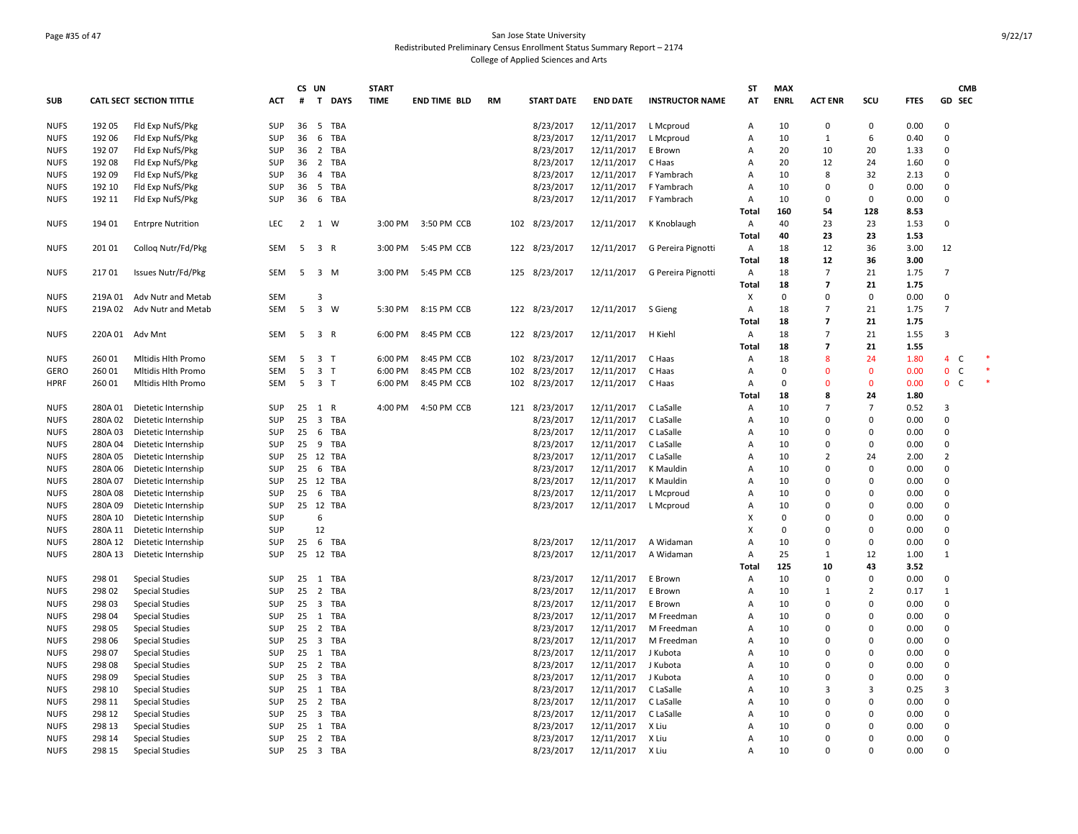### Page #35 of 47 San Jose State University Redistributed Preliminary Census Enrollment Status Summary Report – 2174 College of Applied Sciences and Arts

|             |         |                                 |            | CS UN           |                |            | <b>START</b> |                     |           |                   |                    |                        | <b>ST</b>                 | <b>MAX</b>  |                |                |             | <b>CMB</b>          |        |
|-------------|---------|---------------------------------|------------|-----------------|----------------|------------|--------------|---------------------|-----------|-------------------|--------------------|------------------------|---------------------------|-------------|----------------|----------------|-------------|---------------------|--------|
| <b>SUB</b>  |         | <b>CATL SECT SECTION TITTLE</b> | <b>ACT</b> | #               |                | T DAYS     | <b>TIME</b>  | <b>END TIME BLD</b> | <b>RM</b> | <b>START DATE</b> | <b>END DATE</b>    | <b>INSTRUCTOR NAME</b> | AT                        | <b>ENRL</b> | <b>ACT ENR</b> | SCU            | <b>FTES</b> | GD SEC              |        |
| <b>NUFS</b> | 192 05  | Fld Exp NufS/Pkg                | SUP        | 36              | 5              | TBA        |              |                     |           | 8/23/2017         | 12/11/2017         | L Mcproud              | Α                         | 10          | $\mathbf 0$    | 0              | 0.00        | $\Omega$            |        |
| <b>NUFS</b> | 192 06  | Fld Exp NufS/Pkg                | SUP        | 36              | 6              | TBA        |              |                     |           | 8/23/2017         | 12/11/2017         | L Mcproud              | A                         | 10          | $\mathbf{1}$   | 6              | 0.40        | $\mathbf 0$         |        |
| <b>NUFS</b> | 192 07  | Fld Exp NufS/Pkg                | SUP        | 36              | $\overline{2}$ | <b>TBA</b> |              |                     |           | 8/23/2017         | 12/11/2017         | E Brown                | Α                         | 20          | 10             | 20             | 1.33        | $\mathbf 0$         |        |
| <b>NUFS</b> | 192 08  | Fld Exp NufS/Pkg                | SUP        | 36              | $\overline{2}$ | TBA        |              |                     |           | 8/23/2017         | 12/11/2017         | C Haas                 | $\overline{A}$            | 20          | 12             | 24             | 1.60        | $\Omega$            |        |
| <b>NUFS</b> | 192 09  | Fld Exp NufS/Pkg                | SUP        | 36              | $\overline{4}$ | TBA        |              |                     |           | 8/23/2017         | 12/11/2017         | F Yambrach             | A                         | 10          | 8              | 32             | 2.13        | $\mathbf 0$         |        |
| <b>NUFS</b> | 192 10  | Fld Exp NufS/Pkg                | SUP        | 36              | 5              | TBA        |              |                     |           | 8/23/2017         | 12/11/2017         | F Yambrach             | Α                         | 10          | $\Omega$       | $\mathbf 0$    | 0.00        | $\mathbf 0$         |        |
| <b>NUFS</b> | 192 11  | Fld Exp NufS/Pkg                | SUP        | 36              |                | 6 TBA      |              |                     |           | 8/23/2017         | 12/11/2017         | F Yambrach             | A                         | 10          | 0              | $\mathbf 0$    | 0.00        | $\mathbf 0$         |        |
|             |         |                                 |            |                 |                |            |              |                     |           |                   |                    |                        | Total                     | 160         | 54             | 128            | 8.53        |                     |        |
| <b>NUFS</b> | 194 01  | <b>Entrpre Nutrition</b>        | LEC        | $\overline{2}$  | 1 W            |            | 3:00 PM      | 3:50 PM CCB         |           | 102 8/23/2017     | 12/11/2017         | K Knoblaugh            | A                         | 40          | 23             | 23             | 1.53        | $\mathbf 0$         |        |
|             |         |                                 |            |                 |                |            |              |                     |           |                   |                    |                        | Total                     | 40          | 23             | 23             | 1.53        |                     |        |
| <b>NUFS</b> | 201 01  |                                 | <b>SEM</b> | 5               | 3 R            |            | 3:00 PM      | 5:45 PM CCB         |           | 122 8/23/2017     | 12/11/2017         | G Pereira Pignotti     | $\mathsf{A}$              | 18          | 12             | 36             | 3.00        | 12                  |        |
|             |         | Collog Nutr/Fd/Pkg              |            |                 |                |            |              |                     |           |                   |                    |                        | Total                     | 18          | 12             | 36             | 3.00        |                     |        |
|             |         |                                 |            |                 |                |            |              |                     |           |                   |                    |                        |                           |             |                |                |             |                     |        |
| <b>NUFS</b> | 21701   | Issues Nutr/Fd/Pkg              | SEM        | 5               | 3 M            |            | 3:00 PM      | 5:45 PM CCB         |           | 125 8/23/2017     | 12/11/2017         | G Pereira Pignotti     | A                         | 18          | $\overline{7}$ | 21             | 1.75        | $\overline{7}$      |        |
|             |         |                                 |            |                 |                |            |              |                     |           |                   |                    |                        | Total                     | 18          | $\overline{7}$ | 21             | 1.75        |                     |        |
| <b>NUFS</b> | 219A 01 | Adv Nutr and Metab              | <b>SEM</b> |                 | 3              |            |              |                     |           |                   |                    |                        | X                         | $\mathbf 0$ | $\Omega$       | $\mathbf 0$    | 0.00        | $\mathbf 0$         |        |
| <b>NUFS</b> |         | 219A 02 Adv Nutr and Metab      | <b>SEM</b> | 5               | 3 W            |            | 5:30 PM      | 8:15 PM CCB         |           | 122 8/23/2017     | 12/11/2017 S Gieng |                        | $\overline{A}$            | 18          | $\overline{7}$ | 21             | 1.75        | $\overline{7}$      |        |
|             |         |                                 |            |                 |                |            |              |                     |           |                   |                    |                        | Total                     | 18          | $\overline{7}$ | 21             | 1.75        |                     |        |
| <b>NUFS</b> |         | 220A 01 Adv Mnt                 | <b>SEM</b> | 5               | 3 R            |            | 6:00 PM      | 8:45 PM CCB         |           | 122 8/23/2017     | 12/11/2017         | H Kiehl                | A                         | 18          | $\overline{7}$ | 21             | 1.55        | 3                   |        |
|             |         |                                 |            |                 |                |            |              |                     |           |                   |                    |                        | Total                     | 18          | $\overline{7}$ | 21             | 1.55        |                     |        |
| <b>NUFS</b> | 260 01  | Mitidis Hith Promo              | SEM        | 5               | 3 <sub>1</sub> |            | 6:00 PM      | 8:45 PM CCB         |           | 102 8/23/2017     | 12/11/2017         | C Haas                 | Α                         | 18          | 8              | 24             | 1.80        | $\overline{4}$<br>C | $\ast$ |
| GERO        | 26001   | Mitidis Hith Promo              | <b>SEM</b> | 5               | 3 <sub>1</sub> |            | 6:00 PM      | 8:45 PM CCB         | 102       | 8/23/2017         | 12/11/2017         | C Haas                 | $\overline{A}$            | $\Omega$    | $\Omega$       | $\mathbf{0}$   | 0.00        | $\mathbf{0}$<br>C   |        |
| <b>HPRF</b> | 260 01  | Mitidis Hith Promo              | SEM        |                 | 5 3 T          |            | 6:00 PM      | 8:45 PM CCB         |           | 102 8/23/2017     | 12/11/2017         | C Haas                 | Α                         | $\mathbf 0$ | $\Omega$       | $\mathbf 0$    | 0.00        | 0 <sub>c</sub>      | $\ast$ |
|             |         |                                 |            |                 |                |            |              |                     |           |                   |                    |                        | Total                     | 18          | 8              | 24             | 1.80        |                     |        |
| <b>NUFS</b> | 280A 01 | Dietetic Internship             | SUP        |                 | 25 1 R         |            | 4:00 PM      | 4:50 PM CCB         |           | 121 8/23/2017     | 12/11/2017         | C LaSalle              | Α                         | 10          | $\overline{7}$ | $\overline{7}$ | 0.52        | 3                   |        |
| <b>NUFS</b> | 280A 02 | Dietetic Internship             | SUP        | $25 \quad 3$    |                | TBA        |              |                     |           | 8/23/2017         | 12/11/2017         | C LaSalle              | Α                         | 10          | $\Omega$       | $\Omega$       | 0.00        | $\Omega$            |        |
| <b>NUFS</b> | 280A 03 | Dietetic Internship             | SUP        | 25              | 6              | TBA        |              |                     |           | 8/23/2017         | 12/11/2017         | C LaSalle              | Α                         | 10          | $\Omega$       | $\Omega$       | 0.00        | $\mathbf 0$         |        |
| <b>NUFS</b> | 280A 04 | Dietetic Internship             | SUP        | 25              | 9              | <b>TBA</b> |              |                     |           | 8/23/2017         | 12/11/2017         | C LaSalle              | $\overline{A}$            | 10          | $\Omega$       | $\Omega$       | 0.00        | $\mathbf 0$         |        |
| <b>NUFS</b> | 280A 05 | Dietetic Internship             | SUP        |                 |                | 25 12 TBA  |              |                     |           | 8/23/2017         | 12/11/2017         | C LaSalle              | Α                         | 10          | $\overline{2}$ | 24             | 2.00        | $\overline{2}$      |        |
| <b>NUFS</b> | 280A 06 | Dietetic Internship             | SUP        | 256             |                | TBA        |              |                     |           | 8/23/2017         | 12/11/2017         | K Mauldin              | Α                         | 10          | $\Omega$       | $\Omega$       | 0.00        | $\mathbf 0$         |        |
| <b>NUFS</b> | 280A 07 | Dietetic Internship             | SUP        |                 |                | 25 12 TBA  |              |                     |           | 8/23/2017         | 12/11/2017         | K Mauldin              | $\overline{A}$            | 10          | $\Omega$       | $\Omega$       | 0.00        | $\Omega$            |        |
| <b>NUFS</b> | 280A 08 | Dietetic Internship             | SUP        | 25 6            |                | <b>TBA</b> |              |                     |           | 8/23/2017         | 12/11/2017         | L Mcproud              | Α                         | 10          | $\Omega$       | $\Omega$       | 0.00        | $\mathbf 0$         |        |
| <b>NUFS</b> | 280A 09 | Dietetic Internship             | SUP        |                 |                | 25 12 TBA  |              |                     |           | 8/23/2017         | 12/11/2017         | L Mcproud              | Α                         | 10          | $\Omega$       | $\Omega$       | 0.00        | $\mathbf 0$         |        |
| <b>NUFS</b> | 280A 10 | Dietetic Internship             | SUP        |                 | 6              |            |              |                     |           |                   |                    |                        | X                         | $\Omega$    | $\Omega$       | $\Omega$       | 0.00        | $\mathbf 0$         |        |
| <b>NUFS</b> | 280A 11 | Dietetic Internship             | SUP        |                 | 12             |            |              |                     |           |                   |                    |                        | $\boldsymbol{\mathsf{x}}$ | $\mathbf 0$ | $\Omega$       | $\Omega$       | 0.00        | $\mathbf 0$         |        |
| <b>NUFS</b> | 280A 12 | Dietetic Internship             | <b>SUP</b> |                 |                | 25 6 TBA   |              |                     |           | 8/23/2017         | 12/11/2017         | A Widaman              | $\overline{A}$            | 10          | $\Omega$       | $\mathbf 0$    | 0.00        | $\overline{0}$      |        |
| <b>NUFS</b> | 280A 13 | Dietetic Internship             | SUP        |                 |                | 25 12 TBA  |              |                     |           | 8/23/2017         | 12/11/2017         | A Widaman              | Α                         | 25          | $\mathbf{1}$   | 12             | 1.00        | $\mathbf{1}$        |        |
|             |         |                                 |            |                 |                |            |              |                     |           |                   |                    |                        | Total                     | 125         | 10             | 43             | 3.52        |                     |        |
| <b>NUFS</b> | 298 01  | <b>Special Studies</b>          | SUP        |                 |                | 25 1 TBA   |              |                     |           | 8/23/2017         | 12/11/2017         | E Brown                | Α                         | 10          | $\mathbf 0$    | $\mathbf 0$    | 0.00        | $\mathbf 0$         |        |
| <b>NUFS</b> | 298 02  |                                 | SUP        | 25              | $\overline{2}$ | TBA        |              |                     |           | 8/23/2017         | 12/11/2017         | E Brown                | Α                         | 10          | $\mathbf{1}$   | $\overline{2}$ | 0.17        | $\mathbf{1}$        |        |
|             |         | <b>Special Studies</b>          |            | $25 \quad 3$    |                | TBA        |              |                     |           |                   |                    |                        | A                         | 10          | $\Omega$       | $\Omega$       |             | $\mathbf 0$         |        |
| <b>NUFS</b> | 298 03  | <b>Special Studies</b>          | SUP        |                 |                |            |              |                     |           | 8/23/2017         | 12/11/2017         | E Brown                |                           |             |                |                | 0.00        |                     |        |
| <b>NUFS</b> | 298 04  | <b>Special Studies</b>          | SUP        |                 |                | 25 1 TBA   |              |                     |           | 8/23/2017         | 12/11/2017         | M Freedman             | A                         | 10          | $\Omega$       | $\Omega$       | 0.00        | $\mathbf 0$         |        |
| <b>NUFS</b> | 298 05  | <b>Special Studies</b>          | SUP        | 25 <sub>2</sub> |                | TBA        |              |                     |           | 8/23/2017         | 12/11/2017         | M Freedman             | Α                         | 10          | $\Omega$       | $\Omega$       | 0.00        | $\Omega$            |        |
| <b>NUFS</b> | 298 06  | <b>Special Studies</b>          | SUP        | $25 \quad 3$    |                | TBA        |              |                     |           | 8/23/2017         | 12/11/2017         | M Freedman             | A                         | 10          | $\Omega$       | $\Omega$       | 0.00        | $\mathbf 0$         |        |
| <b>NUFS</b> | 298 07  | <b>Special Studies</b>          | SUP        |                 |                | 25 1 TBA   |              |                     |           | 8/23/2017         | 12/11/2017         | J Kubota               | A                         | 10          | $\Omega$       | $\Omega$       | 0.00        | $\Omega$            |        |
| <b>NUFS</b> | 298 08  | <b>Special Studies</b>          | SUP        |                 |                | 25 2 TBA   |              |                     |           | 8/23/2017         | 12/11/2017         | J Kubota               | Α                         | 10          | $\Omega$       | $\Omega$       | 0.00        | $\mathbf 0$         |        |
| <b>NUFS</b> | 298 09  | <b>Special Studies</b>          | SUP        | $25 \quad 3$    |                | TBA        |              |                     |           | 8/23/2017         | 12/11/2017         | J Kubota               | A                         | 10          | $\Omega$       | $\Omega$       | 0.00        | $\Omega$            |        |
| <b>NUFS</b> | 298 10  | <b>Special Studies</b>          | <b>SUP</b> |                 |                | 25 1 TBA   |              |                     |           | 8/23/2017         | 12/11/2017         | C LaSalle              | A                         | 10          | 3              | 3              | 0.25        | $\overline{3}$      |        |
| <b>NUFS</b> | 298 11  | <b>Special Studies</b>          | SUP        | 25              | $\overline{2}$ | TBA        |              |                     |           | 8/23/2017         | 12/11/2017         | C LaSalle              | Α                         | 10          | $\Omega$       | $\Omega$       | 0.00        | $\mathbf 0$         |        |
| <b>NUFS</b> | 298 12  | <b>Special Studies</b>          | SUP        | $25 \quad 3$    |                | TBA        |              |                     |           | 8/23/2017         | 12/11/2017         | C LaSalle              | $\overline{A}$            | 10          | $\Omega$       | $\Omega$       | 0.00        | $\Omega$            |        |
| <b>NUFS</b> | 298 13  | <b>Special Studies</b>          | SUP        | $25 \quad 1$    |                | TBA        |              |                     |           | 8/23/2017         | 12/11/2017         | X Liu                  | $\overline{A}$            | 10          | $\Omega$       | $\Omega$       | 0.00        | $\Omega$            |        |
| <b>NUFS</b> | 298 14  | <b>Special Studies</b>          | SUP        | 25              |                | 2 TBA      |              |                     |           | 8/23/2017         | 12/11/2017         | X Liu                  | Α                         | 10          | $\Omega$       | $\Omega$       | 0.00        | $\mathbf 0$         |        |
| <b>NUFS</b> | 298 15  | <b>Special Studies</b>          | <b>SUP</b> |                 |                | 25 3 TBA   |              |                     |           | 8/23/2017         | 12/11/2017         | X Liu                  | $\overline{A}$            | 10          | $\Omega$       | $\Omega$       | 0.00        | $\Omega$            |        |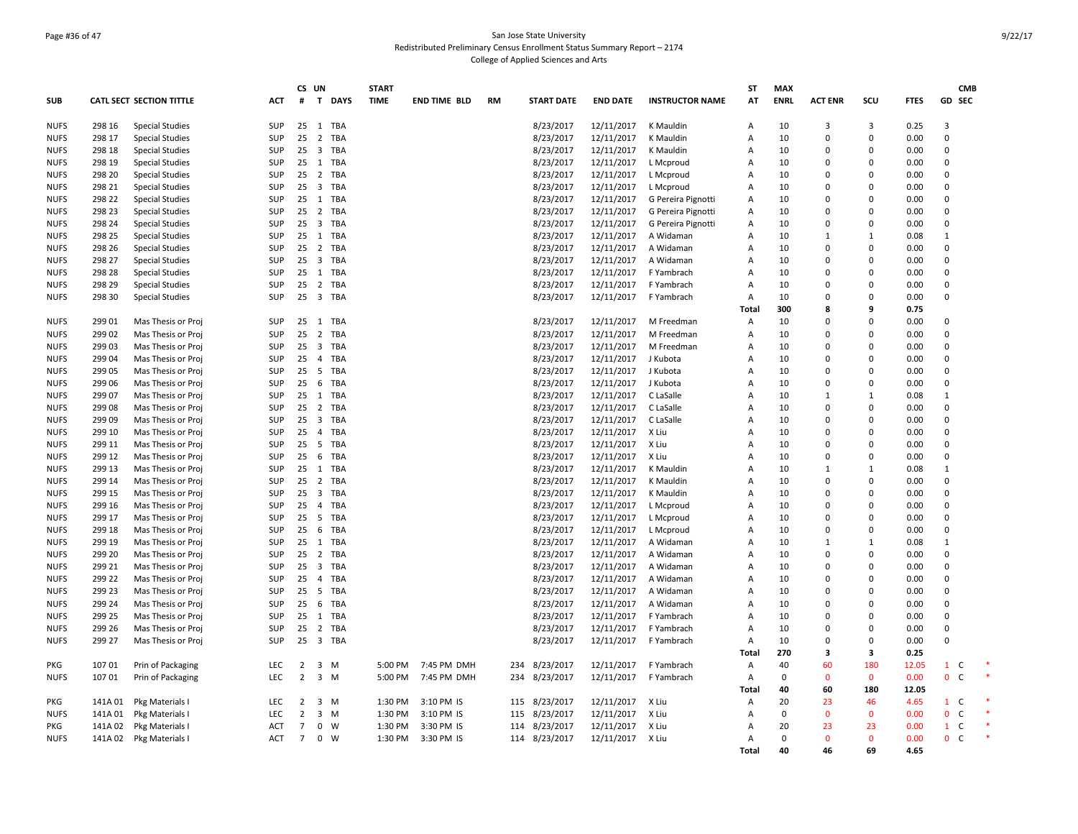### Page #36 of 47 San Jose State University Redistributed Preliminary Census Enrollment Status Summary Report – 2174 College of Applied Sciences and Arts

| <b>CATL SECT SECTION TITTLE</b><br>T DAYS<br><b>TIME</b><br><b>END DATE</b><br><b>ENRL</b><br><b>ACT ENR</b><br>scu<br><b>FTES</b><br>GD SEC<br><b>SUB</b><br>ACT<br>#<br><b>END TIME BLD</b><br><b>RM</b><br><b>START DATE</b><br><b>INSTRUCTOR NAME</b><br>AT<br><b>NUFS</b><br>298 16<br>SUP<br>$25 \quad 1$<br>TBA<br>8/23/2017<br>12/11/2017<br>K Mauldin<br>10<br>3<br>0.25<br>3<br><b>Special Studies</b><br>A<br>3<br>298 17<br>SUP<br>25<br>$\overline{2}$<br><b>TBA</b><br>8/23/2017<br>12/11/2017<br>10<br>$\Omega$<br>0.00<br>$\mathbf 0$<br><b>NUFS</b><br><b>Special Studies</b><br>K Mauldin<br>$\Omega$<br>Α<br>SUP<br>$\overline{\mathbf{3}}$<br><b>TBA</b><br>8/23/2017<br><b>NUFS</b><br>298 18<br><b>Special Studies</b><br>25<br>12/11/2017<br>K Mauldin<br>Α<br>10<br>$\Omega$<br>0.00<br>$\Omega$<br>$\Omega$<br>298 19<br>SUP<br>$25 \quad 1$<br>TBA<br>8/23/2017<br>12/11/2017<br>L Mcproud<br>10<br>0.00<br>$\mathbf 0$<br><b>Special Studies</b><br>Α<br>$\Omega$<br><sup>0</sup><br>25 2 TBA<br>$\mathbf 0$<br><b>NUFS</b><br>298 20<br>SUP<br>8/23/2017<br>12/11/2017<br>10<br><b>Special Studies</b><br>L Mcproud<br>A<br>$\Omega$<br>$\Omega$<br>0.00<br>$25 \quad 3$<br>TBA<br>8/23/2017<br>12/11/2017<br><b>NUFS</b><br>298 21<br><b>Special Studies</b><br>SUP<br>L Mcproud<br>10<br>$\Omega$<br>$\Omega$<br>0.00<br>$\Omega$<br>Α<br>SUP<br><b>NUFS</b><br>298 22<br>25 1 TBA<br>8/23/2017<br>12/11/2017<br>10<br>$\Omega$<br>0.00<br>0<br><b>Special Studies</b><br>G Pereira Pignotti<br>$\Omega$<br>A<br><b>NUFS</b><br>298 23<br>SUP<br>25<br>$\overline{2}$<br>TBA<br>8/23/2017<br>12/11/2017<br>G Pereira Pignotti<br>10<br>0.00<br>$\Omega$<br><b>Special Studies</b><br>A<br>$\Omega$<br>$\Omega$<br>298 24<br>SUP<br>$25 \quad 3$<br>TBA<br>8/23/2017<br>12/11/2017<br>10<br>0.00<br>$\mathbf 0$<br><b>NUFS</b><br>G Pereira Pignotti<br>$\Omega$<br>$\Omega$<br><b>Special Studies</b><br>Α<br>298 25<br>1<br>TBA<br>8/23/2017<br>12/11/2017<br>10<br><b>NUFS</b><br><b>Special Studies</b><br>SUP<br>25<br>A Widaman<br>0.08<br>1<br>Α<br>1<br><b>NUFS</b><br>298 26<br>SUP<br>25<br>2 TBA<br>8/23/2017<br>12/11/2017<br>A Widaman<br>10<br>$\Omega$<br>0.00<br>$\mathbf 0$<br><b>Special Studies</b><br>Α<br>$\Omega$<br>298 27<br>SUP<br>$25 \quad 3$<br>8/23/2017<br>12/11/2017<br>$\mathbf 0$<br><b>NUFS</b><br>TBA<br>A Widaman<br>10<br>0.00<br><b>Special Studies</b><br>A<br>$\Omega$<br>$\Omega$<br>298 28<br>SUP<br>$25 \quad 1$<br>TBA<br>8/23/2017<br>12/11/2017<br>10<br>0.00<br>$\Omega$<br><b>NUFS</b><br><b>Special Studies</b><br>F Yambrach<br>$\Omega$<br>$\Omega$<br>A<br>SUP<br>2 TBA<br>8/23/2017<br>$\mathbf 0$<br><b>NUFS</b><br>298 29<br>25<br>12/11/2017<br>10<br>$\Omega$<br>0.00<br><b>Special Studies</b><br>F Yambrach<br>A<br>$\Omega$<br>25 3 TBA<br>$\mathbf 0$<br><b>NUFS</b><br>298 30<br>SUP<br>8/23/2017<br>12/11/2017<br>F Yambrach<br>10<br>0.00<br><b>Special Studies</b><br>Α<br>$\Omega$<br>$\Omega$<br>300<br>8<br>0.75<br>Tota<br>9<br><b>NUFS</b><br>299 01<br>SUP<br>$25 \quad 1$<br>TBA<br>8/23/2017<br>12/11/2017<br>10<br>$\mathbf 0$<br>Mas Thesis or Proj<br>M Freedman<br>Α<br>$\Omega$<br>$\Omega$<br>0.00<br>SUP<br>$\overline{2}$<br>TBA<br><b>NUFS</b><br>299 02<br>Mas Thesis or Proj<br>25<br>8/23/2017<br>12/11/2017<br>M Freedman<br>10<br>$\Omega$<br>0.00<br>$\Omega$<br>$\overline{A}$<br>$\Omega$<br>299 03<br>SUP<br>$25 \quad 3$<br>TBA<br>8/23/2017<br>12/11/2017<br>10<br>$\mathbf 0$<br><b>NUFS</b><br>Mas Thesis or Proj<br>M Freedman<br>$\Omega$<br>0.00<br>A<br>$\Omega$<br><b>NUFS</b><br>299 04<br>SUP<br>$\overline{4}$<br>TBA<br>8/23/2017<br>12/11/2017<br>J Kubota<br>10<br>0.00<br>$\Omega$<br>Mas Thesis or Proj<br>25<br>A<br>$\Omega$<br>$\Omega$<br>SUP<br>$5\overline{5}$<br><b>TBA</b><br>8/23/2017<br>12/11/2017<br>10<br>0.00<br>$\mathbf 0$<br><b>NUFS</b><br>299 05<br>25<br>J Kubota<br>$\Omega$<br>Mas Thesis or Proj<br>A<br>$\Omega$<br>6<br>0<br><b>NUFS</b><br>299 06<br>Mas Thesis or Proj<br>SUP<br>25<br><b>TBA</b><br>8/23/2017<br>12/11/2017<br>J Kubota<br>10<br>$\Omega$<br>0.00<br>A<br>299 07<br>SUP<br>$25 \quad 1$<br>TBA<br>8/23/2017<br>12/11/2017<br>C LaSalle<br>10<br>0.08<br>$\mathbf{1}$<br>Mas Thesis or Proj<br>Α<br>1<br>-1<br>$\overline{2}$<br>8/23/2017<br>$\mathbf 0$<br><b>NUFS</b><br>299 08<br>SUP<br>25<br>TBA<br>12/11/2017<br>C LaSalle<br>10<br>$\Omega$<br>$\Omega$<br>0.00<br>Mas Thesis or Proj<br>A<br>$\overline{\mathbf{3}}$<br><b>TBA</b><br><b>NUFS</b><br>299 09<br>Mas Thesis or Proj<br>SUP<br>25<br>8/23/2017<br>12/11/2017<br>C LaSalle<br>10<br>$\Omega$<br>0.00<br>0<br>A<br><sup>0</sup><br><b>NUFS</b><br>299 10<br>SUP<br>$\overline{4}$<br>TBA<br>8/23/2017<br>12/11/2017<br>X Liu<br>10<br>0.00<br>$\mathbf 0$<br>Mas Thesis or Proj<br>25<br>$\Omega$<br>$\Omega$<br>A<br>25 <sub>5</sub><br>299 11<br>SUP<br>TBA<br>8/23/2017<br>12/11/2017<br>X Liu<br>10<br>$\Omega$<br>0.00<br>$\Omega$<br>Mas Thesis or Proj<br>A<br>$\Omega$<br><b>NUFS</b><br>299 12<br>SUP<br>6<br>TBA<br>8/23/2017<br>12/11/2017<br>X Liu<br>10<br>$\mathbf 0$<br>Mas Thesis or Proj<br>25<br>$\Omega$<br>0.00<br>Α<br>$\Omega$<br>SUP<br>$\overline{1}$<br><b>TBA</b><br>8/23/2017<br>$\mathbf{1}$<br><b>NUFS</b><br>299 13<br>Mas Thesis or Proj<br>25<br>12/11/2017<br>K Mauldin<br>A<br>10<br>0.08<br>-1<br>1<br>8/23/2017<br><b>NUFS</b><br>299 14<br>Mas Thesis or Proj<br>SUP<br>25<br>$\overline{2}$<br>TBA<br>12/11/2017<br>K Mauldin<br>10<br>$\Omega$<br>0.00<br>$\mathbf 0$<br>A<br>$\Omega$<br>SUP<br>8/23/2017<br>12/11/2017<br>$\mathbf 0$<br><b>NUFS</b><br>299 15<br>25<br>$\overline{\mathbf{3}}$<br><b>TBA</b><br>K Mauldin<br>10<br>$\Omega$<br>0.00<br>Mas Thesis or Proj<br>A<br>$\Omega$<br>299 16<br>SUP<br>$\overline{4}$<br>TBA<br>8/23/2017<br>12/11/2017<br>10<br>0.00<br>$\Omega$<br><b>NUFS</b><br>Mas Thesis or Proj<br>25<br>L Mcproud<br>$\overline{A}$<br>$\Omega$<br>$\Omega$<br>25 <sub>5</sub><br>8/23/2017<br><b>NUFS</b><br>299 17<br>SUP<br>TBA<br>12/11/2017<br>10<br>$\Omega$<br>0.00<br>$\mathbf 0$<br>Mas Thesis or Proj<br>L Mcproud<br>A<br>$\Omega$<br>8/23/2017<br><b>NUFS</b><br>299 18<br>Mas Thesis or Proj<br><b>SUP</b><br>25<br>6<br><b>TBA</b><br>12/11/2017<br>L Mcproud<br>10<br>$\Omega$<br>0.00<br>$\mathbf 0$<br>A<br>$\Omega$<br>299 19<br>SUP<br>$\overline{1}$<br>TBA<br>8/23/2017<br>12/11/2017<br>10<br>0.08<br>$\mathbf{1}$<br><b>NUFS</b><br>Mas Thesis or Proj<br>25<br>A Widaman<br>Α<br>1<br>-1<br>$\overline{2}$<br>$\Omega$<br>299 20<br>SUP<br>TBA<br>8/23/2017<br>12/11/2017<br>10<br><b>NUFS</b><br>Mas Thesis or Proj<br>25<br>A Widaman<br>A<br>$\Omega$<br>$\Omega$<br>0.00<br>$\overline{\mathbf{3}}$<br>8/23/2017<br><b>NUFS</b><br>299 21<br>Mas Thesis or Proj<br><b>SUP</b><br>25<br><b>TBA</b><br>12/11/2017<br>A Widaman<br>10<br>$\Omega$<br>0.00<br>$\mathbf 0$<br>A<br>$\Omega$<br><b>NUFS</b><br>299 22<br>SUP<br>TBA<br>8/23/2017<br>12/11/2017<br>10<br>0.00<br>$\mathbf 0$<br>Mas Thesis or Proj<br>25<br>$\overline{4}$<br>A Widaman<br>$\Omega$<br>A<br>$\Omega$<br>299 23<br>SUP<br>25 5<br>TBA<br>8/23/2017<br>12/11/2017<br>10<br>$\Omega$<br><b>NUFS</b><br>Mas Thesis or Proj<br>A Widaman<br>A<br>$\Omega$<br>0.00<br><sup>0</sup><br>299 24<br>SUP<br>6<br><b>TBA</b><br>8/23/2017<br>12/11/2017<br>0.00<br>$\mathbf 0$<br><b>NUFS</b><br>25<br>A Widaman<br>10<br>$\Omega$<br>Mas Thesis or Proj<br>Α<br>$\Omega$<br>8/23/2017<br><b>NUFS</b><br>299 25<br>Mas Thesis or Proj<br>SUP<br>25<br>1<br>TBA<br>12/11/2017<br>F Yambrach<br>10<br>$\Omega$<br>0.00<br>0<br>Α<br><sup>0</sup><br><b>NUFS</b><br>299 26<br>SUP<br>25<br>$\overline{2}$<br>TBA<br>8/23/2017<br>12/11/2017<br>10<br>0.00<br>$\mathbf 0$<br>Mas Thesis or Proj<br>F Yambrach<br>Α<br>$\Omega$<br>$\Omega$<br>3 TBA<br>$\mathbf 0$<br>299 27<br>SUP<br>25<br>8/23/2017<br>12/11/2017<br>10<br>$\Omega$<br>0.00<br><b>NUFS</b><br>Mas Thesis or Proj<br>F Yambrach<br>A<br>$\Omega$<br>270<br>0.25<br>Tota<br>3<br>3<br>107 01<br>LEC<br>7:45 PM DMH<br>8/23/2017<br>12/11/2017<br>40<br>60<br>180<br>12.05<br>$\mathbf{1}$<br>PKG<br>Prin of Packaging<br>2<br>$\overline{\mathbf{3}}$<br>M<br>5:00 PM<br>234<br>F Yambrach<br>Α<br>C<br>3 M<br>$\mathsf{C}$<br><b>NUFS</b><br>10701<br>Prin of Packaging<br><b>LEC</b><br>$\overline{2}$<br>5:00 PM<br>7:45 PM DMH<br>234<br>8/23/2017<br>12/11/2017<br>F Yambrach<br>$\mathbf 0$<br>$\mathbf{0}$<br>0.00<br>$\mathbf{0}$<br>$\overline{A}$<br>$\Omega$<br>40<br>60<br>180<br>12.05<br>Tota<br>12/11/2017<br>20<br>$\mathbf{1}$<br>PKG<br>141A 01<br>Pkg Materials I<br>LEC<br>2<br>3<br>M<br>1:30 PM<br>3:10 PM IS<br>115 8/23/2017<br>X Liu<br>Α<br>23<br>46<br>4.65<br>C<br>141A 01<br>Pkg Materials I<br>LEC<br>$\overline{2}$<br>$\overline{\mathbf{3}}$<br>M<br>1:30 PM<br>3:10 PM IS<br>115<br>8/23/2017<br>12/11/2017<br>X Liu<br>$\mathbf 0$<br>$\mathbf{0}$<br>$\mathbf{0}$<br>0.00<br>$\mathbf 0$<br>C<br><b>NUFS</b><br>Α<br>$\mathbf 0$<br>20<br>23<br>$\mathbf{1}$<br>$\mathsf{C}$<br>Pkg Materials I<br><b>ACT</b><br>$\overline{7}$<br>W<br>1:30 PM<br>3:30 PM IS<br>8/23/2017<br>12/11/2017<br>X Liu<br>23<br>0.00<br>PKG<br>141A 02<br>114<br>A<br><b>ACT</b><br>$7^{\circ}$<br>$0 \quad W$<br>1:30 PM<br>3:30 PM IS<br>114 8/23/2017<br>12/11/2017<br>$\mathbf 0$<br>$\mathbf{0}$<br>0.00<br>$\mathbf{0}$<br>$\mathsf{C}$<br><b>NUFS</b><br>141A 02 Pkg Materials I<br>X Liu<br>$\Omega$<br>A<br>40<br>69<br><b>Total</b><br>46<br>4.65 |             |  | CS UN |  | <b>START</b> |  |  | <b>ST</b> | <b>MAX</b> |  | <b>CMB</b> |  |
|--------------------------------------------------------------------------------------------------------------------------------------------------------------------------------------------------------------------------------------------------------------------------------------------------------------------------------------------------------------------------------------------------------------------------------------------------------------------------------------------------------------------------------------------------------------------------------------------------------------------------------------------------------------------------------------------------------------------------------------------------------------------------------------------------------------------------------------------------------------------------------------------------------------------------------------------------------------------------------------------------------------------------------------------------------------------------------------------------------------------------------------------------------------------------------------------------------------------------------------------------------------------------------------------------------------------------------------------------------------------------------------------------------------------------------------------------------------------------------------------------------------------------------------------------------------------------------------------------------------------------------------------------------------------------------------------------------------------------------------------------------------------------------------------------------------------------------------------------------------------------------------------------------------------------------------------------------------------------------------------------------------------------------------------------------------------------------------------------------------------------------------------------------------------------------------------------------------------------------------------------------------------------------------------------------------------------------------------------------------------------------------------------------------------------------------------------------------------------------------------------------------------------------------------------------------------------------------------------------------------------------------------------------------------------------------------------------------------------------------------------------------------------------------------------------------------------------------------------------------------------------------------------------------------------------------------------------------------------------------------------------------------------------------------------------------------------------------------------------------------------------------------------------------------------------------------------------------------------------------------------------------------------------------------------------------------------------------------------------------------------------------------------------------------------------------------------------------------------------------------------------------------------------------------------------------------------------------------------------------------------------------------------------------------------------------------------------------------------------------------------------------------------------------------------------------------------------------------------------------------------------------------------------------------------------------------------------------------------------------------------------------------------------------------------------------------------------------------------------------------------------------------------------------------------------------------------------------------------------------------------------------------------------------------------------------------------------------------------------------------------------------------------------------------------------------------------------------------------------------------------------------------------------------------------------------------------------------------------------------------------------------------------------------------------------------------------------------------------------------------------------------------------------------------------------------------------------------------------------------------------------------------------------------------------------------------------------------------------------------------------------------------------------------------------------------------------------------------------------------------------------------------------------------------------------------------------------------------------------------------------------------------------------------------------------------------------------------------------------------------------------------------------------------------------------------------------------------------------------------------------------------------------------------------------------------------------------------------------------------------------------------------------------------------------------------------------------------------------------------------------------------------------------------------------------------------------------------------------------------------------------------------------------------------------------------------------------------------------------------------------------------------------------------------------------------------------------------------------------------------------------------------------------------------------------------------------------------------------------------------------------------------------------------------------------------------------------------------------------------------------------------------------------------------------------------------------------------------------------------------------------------------------------------------------------------------------------------------------------------------------------------------------------------------------------------------------------------------------------------------------------------------------------------------------------------------------------------------------------------------------------------------------------------------------------------------------------------------------------------------------------------------------------------------------------------------------------------------------------------------------------------------------------------------------------------------------------------------------------------------------------------------------------------------------------------------------------------------------------------------------------------------------------------------------------------------------------------------------------------------------------------------------------------------------------------------------------------------------------------------------------------------------------------------------------------------------------------------------------------------------------------------------------------------------------------------------------------------------------------------------------------------------------------------------------------------------------------------------------------------------------------------------------------------------------------------------------------------------------------------------------------------------------------------------------------------------------------------------------------------------------------------------------------------------------------------------------------------------------------------------------------------------------------------------------------------------------------------------------------------------------------------------------------------------------------------------------------------------------------------------------------------------------------------------------------------------------------------------------------------------------------------------------------------------------------------------------------------------------------------------------------------------------------------------------------------------------------------------------------------------------------------------------------------------------------------------------------------------------------------------------------------------------------------------------------------------------------------------------------------------------------------------------------------------------------------------------------------------------------------------------------------------------------------------------------------------------------------------------------------------------------------------------------------------------------------|-------------|--|-------|--|--------------|--|--|-----------|------------|--|------------|--|
|                                                                                                                                                                                                                                                                                                                                                                                                                                                                                                                                                                                                                                                                                                                                                                                                                                                                                                                                                                                                                                                                                                                                                                                                                                                                                                                                                                                                                                                                                                                                                                                                                                                                                                                                                                                                                                                                                                                                                                                                                                                                                                                                                                                                                                                                                                                                                                                                                                                                                                                                                                                                                                                                                                                                                                                                                                                                                                                                                                                                                                                                                                                                                                                                                                                                                                                                                                                                                                                                                                                                                                                                                                                                                                                                                                                                                                                                                                                                                                                                                                                                                                                                                                                                                                                                                                                                                                                                                                                                                                                                                                                                                                                                                                                                                                                                                                                                                                                                                                                                                                                                                                                                                                                                                                                                                                                                                                                                                                                                                                                                                                                                                                                                                                                                                                                                                                                                                                                                                                                                                                                                                                                                                                                                                                                                                                                                                                                                                                                                                                                                                                                                                                                                                                                                                                                                                                                                                                                                                                                                                                                                                                                                                                                                                                                                                                                                                                                                                                                                                                                                                                                                                                                                                                                                                                                                                                                                                                                                                                                                                                                                                                                                                                                                                                                                                                                                                                                                                                                                                                                                                                                                                                                                                                                                                                                                                                                                                                                                                                                                                                                                                                                                                                                                                                                                                                                                                                                                                                                                                                                                                                    |             |  |       |  |              |  |  |           |            |  |            |  |
|                                                                                                                                                                                                                                                                                                                                                                                                                                                                                                                                                                                                                                                                                                                                                                                                                                                                                                                                                                                                                                                                                                                                                                                                                                                                                                                                                                                                                                                                                                                                                                                                                                                                                                                                                                                                                                                                                                                                                                                                                                                                                                                                                                                                                                                                                                                                                                                                                                                                                                                                                                                                                                                                                                                                                                                                                                                                                                                                                                                                                                                                                                                                                                                                                                                                                                                                                                                                                                                                                                                                                                                                                                                                                                                                                                                                                                                                                                                                                                                                                                                                                                                                                                                                                                                                                                                                                                                                                                                                                                                                                                                                                                                                                                                                                                                                                                                                                                                                                                                                                                                                                                                                                                                                                                                                                                                                                                                                                                                                                                                                                                                                                                                                                                                                                                                                                                                                                                                                                                                                                                                                                                                                                                                                                                                                                                                                                                                                                                                                                                                                                                                                                                                                                                                                                                                                                                                                                                                                                                                                                                                                                                                                                                                                                                                                                                                                                                                                                                                                                                                                                                                                                                                                                                                                                                                                                                                                                                                                                                                                                                                                                                                                                                                                                                                                                                                                                                                                                                                                                                                                                                                                                                                                                                                                                                                                                                                                                                                                                                                                                                                                                                                                                                                                                                                                                                                                                                                                                                                                                                                                                                    |             |  |       |  |              |  |  |           |            |  |            |  |
|                                                                                                                                                                                                                                                                                                                                                                                                                                                                                                                                                                                                                                                                                                                                                                                                                                                                                                                                                                                                                                                                                                                                                                                                                                                                                                                                                                                                                                                                                                                                                                                                                                                                                                                                                                                                                                                                                                                                                                                                                                                                                                                                                                                                                                                                                                                                                                                                                                                                                                                                                                                                                                                                                                                                                                                                                                                                                                                                                                                                                                                                                                                                                                                                                                                                                                                                                                                                                                                                                                                                                                                                                                                                                                                                                                                                                                                                                                                                                                                                                                                                                                                                                                                                                                                                                                                                                                                                                                                                                                                                                                                                                                                                                                                                                                                                                                                                                                                                                                                                                                                                                                                                                                                                                                                                                                                                                                                                                                                                                                                                                                                                                                                                                                                                                                                                                                                                                                                                                                                                                                                                                                                                                                                                                                                                                                                                                                                                                                                                                                                                                                                                                                                                                                                                                                                                                                                                                                                                                                                                                                                                                                                                                                                                                                                                                                                                                                                                                                                                                                                                                                                                                                                                                                                                                                                                                                                                                                                                                                                                                                                                                                                                                                                                                                                                                                                                                                                                                                                                                                                                                                                                                                                                                                                                                                                                                                                                                                                                                                                                                                                                                                                                                                                                                                                                                                                                                                                                                                                                                                                                                                    |             |  |       |  |              |  |  |           |            |  |            |  |
|                                                                                                                                                                                                                                                                                                                                                                                                                                                                                                                                                                                                                                                                                                                                                                                                                                                                                                                                                                                                                                                                                                                                                                                                                                                                                                                                                                                                                                                                                                                                                                                                                                                                                                                                                                                                                                                                                                                                                                                                                                                                                                                                                                                                                                                                                                                                                                                                                                                                                                                                                                                                                                                                                                                                                                                                                                                                                                                                                                                                                                                                                                                                                                                                                                                                                                                                                                                                                                                                                                                                                                                                                                                                                                                                                                                                                                                                                                                                                                                                                                                                                                                                                                                                                                                                                                                                                                                                                                                                                                                                                                                                                                                                                                                                                                                                                                                                                                                                                                                                                                                                                                                                                                                                                                                                                                                                                                                                                                                                                                                                                                                                                                                                                                                                                                                                                                                                                                                                                                                                                                                                                                                                                                                                                                                                                                                                                                                                                                                                                                                                                                                                                                                                                                                                                                                                                                                                                                                                                                                                                                                                                                                                                                                                                                                                                                                                                                                                                                                                                                                                                                                                                                                                                                                                                                                                                                                                                                                                                                                                                                                                                                                                                                                                                                                                                                                                                                                                                                                                                                                                                                                                                                                                                                                                                                                                                                                                                                                                                                                                                                                                                                                                                                                                                                                                                                                                                                                                                                                                                                                                                                    |             |  |       |  |              |  |  |           |            |  |            |  |
|                                                                                                                                                                                                                                                                                                                                                                                                                                                                                                                                                                                                                                                                                                                                                                                                                                                                                                                                                                                                                                                                                                                                                                                                                                                                                                                                                                                                                                                                                                                                                                                                                                                                                                                                                                                                                                                                                                                                                                                                                                                                                                                                                                                                                                                                                                                                                                                                                                                                                                                                                                                                                                                                                                                                                                                                                                                                                                                                                                                                                                                                                                                                                                                                                                                                                                                                                                                                                                                                                                                                                                                                                                                                                                                                                                                                                                                                                                                                                                                                                                                                                                                                                                                                                                                                                                                                                                                                                                                                                                                                                                                                                                                                                                                                                                                                                                                                                                                                                                                                                                                                                                                                                                                                                                                                                                                                                                                                                                                                                                                                                                                                                                                                                                                                                                                                                                                                                                                                                                                                                                                                                                                                                                                                                                                                                                                                                                                                                                                                                                                                                                                                                                                                                                                                                                                                                                                                                                                                                                                                                                                                                                                                                                                                                                                                                                                                                                                                                                                                                                                                                                                                                                                                                                                                                                                                                                                                                                                                                                                                                                                                                                                                                                                                                                                                                                                                                                                                                                                                                                                                                                                                                                                                                                                                                                                                                                                                                                                                                                                                                                                                                                                                                                                                                                                                                                                                                                                                                                                                                                                                                                    | <b>NUFS</b> |  |       |  |              |  |  |           |            |  |            |  |
|                                                                                                                                                                                                                                                                                                                                                                                                                                                                                                                                                                                                                                                                                                                                                                                                                                                                                                                                                                                                                                                                                                                                                                                                                                                                                                                                                                                                                                                                                                                                                                                                                                                                                                                                                                                                                                                                                                                                                                                                                                                                                                                                                                                                                                                                                                                                                                                                                                                                                                                                                                                                                                                                                                                                                                                                                                                                                                                                                                                                                                                                                                                                                                                                                                                                                                                                                                                                                                                                                                                                                                                                                                                                                                                                                                                                                                                                                                                                                                                                                                                                                                                                                                                                                                                                                                                                                                                                                                                                                                                                                                                                                                                                                                                                                                                                                                                                                                                                                                                                                                                                                                                                                                                                                                                                                                                                                                                                                                                                                                                                                                                                                                                                                                                                                                                                                                                                                                                                                                                                                                                                                                                                                                                                                                                                                                                                                                                                                                                                                                                                                                                                                                                                                                                                                                                                                                                                                                                                                                                                                                                                                                                                                                                                                                                                                                                                                                                                                                                                                                                                                                                                                                                                                                                                                                                                                                                                                                                                                                                                                                                                                                                                                                                                                                                                                                                                                                                                                                                                                                                                                                                                                                                                                                                                                                                                                                                                                                                                                                                                                                                                                                                                                                                                                                                                                                                                                                                                                                                                                                                                                                    |             |  |       |  |              |  |  |           |            |  |            |  |
|                                                                                                                                                                                                                                                                                                                                                                                                                                                                                                                                                                                                                                                                                                                                                                                                                                                                                                                                                                                                                                                                                                                                                                                                                                                                                                                                                                                                                                                                                                                                                                                                                                                                                                                                                                                                                                                                                                                                                                                                                                                                                                                                                                                                                                                                                                                                                                                                                                                                                                                                                                                                                                                                                                                                                                                                                                                                                                                                                                                                                                                                                                                                                                                                                                                                                                                                                                                                                                                                                                                                                                                                                                                                                                                                                                                                                                                                                                                                                                                                                                                                                                                                                                                                                                                                                                                                                                                                                                                                                                                                                                                                                                                                                                                                                                                                                                                                                                                                                                                                                                                                                                                                                                                                                                                                                                                                                                                                                                                                                                                                                                                                                                                                                                                                                                                                                                                                                                                                                                                                                                                                                                                                                                                                                                                                                                                                                                                                                                                                                                                                                                                                                                                                                                                                                                                                                                                                                                                                                                                                                                                                                                                                                                                                                                                                                                                                                                                                                                                                                                                                                                                                                                                                                                                                                                                                                                                                                                                                                                                                                                                                                                                                                                                                                                                                                                                                                                                                                                                                                                                                                                                                                                                                                                                                                                                                                                                                                                                                                                                                                                                                                                                                                                                                                                                                                                                                                                                                                                                                                                                                                                    |             |  |       |  |              |  |  |           |            |  |            |  |
|                                                                                                                                                                                                                                                                                                                                                                                                                                                                                                                                                                                                                                                                                                                                                                                                                                                                                                                                                                                                                                                                                                                                                                                                                                                                                                                                                                                                                                                                                                                                                                                                                                                                                                                                                                                                                                                                                                                                                                                                                                                                                                                                                                                                                                                                                                                                                                                                                                                                                                                                                                                                                                                                                                                                                                                                                                                                                                                                                                                                                                                                                                                                                                                                                                                                                                                                                                                                                                                                                                                                                                                                                                                                                                                                                                                                                                                                                                                                                                                                                                                                                                                                                                                                                                                                                                                                                                                                                                                                                                                                                                                                                                                                                                                                                                                                                                                                                                                                                                                                                                                                                                                                                                                                                                                                                                                                                                                                                                                                                                                                                                                                                                                                                                                                                                                                                                                                                                                                                                                                                                                                                                                                                                                                                                                                                                                                                                                                                                                                                                                                                                                                                                                                                                                                                                                                                                                                                                                                                                                                                                                                                                                                                                                                                                                                                                                                                                                                                                                                                                                                                                                                                                                                                                                                                                                                                                                                                                                                                                                                                                                                                                                                                                                                                                                                                                                                                                                                                                                                                                                                                                                                                                                                                                                                                                                                                                                                                                                                                                                                                                                                                                                                                                                                                                                                                                                                                                                                                                                                                                                                                                    |             |  |       |  |              |  |  |           |            |  |            |  |
|                                                                                                                                                                                                                                                                                                                                                                                                                                                                                                                                                                                                                                                                                                                                                                                                                                                                                                                                                                                                                                                                                                                                                                                                                                                                                                                                                                                                                                                                                                                                                                                                                                                                                                                                                                                                                                                                                                                                                                                                                                                                                                                                                                                                                                                                                                                                                                                                                                                                                                                                                                                                                                                                                                                                                                                                                                                                                                                                                                                                                                                                                                                                                                                                                                                                                                                                                                                                                                                                                                                                                                                                                                                                                                                                                                                                                                                                                                                                                                                                                                                                                                                                                                                                                                                                                                                                                                                                                                                                                                                                                                                                                                                                                                                                                                                                                                                                                                                                                                                                                                                                                                                                                                                                                                                                                                                                                                                                                                                                                                                                                                                                                                                                                                                                                                                                                                                                                                                                                                                                                                                                                                                                                                                                                                                                                                                                                                                                                                                                                                                                                                                                                                                                                                                                                                                                                                                                                                                                                                                                                                                                                                                                                                                                                                                                                                                                                                                                                                                                                                                                                                                                                                                                                                                                                                                                                                                                                                                                                                                                                                                                                                                                                                                                                                                                                                                                                                                                                                                                                                                                                                                                                                                                                                                                                                                                                                                                                                                                                                                                                                                                                                                                                                                                                                                                                                                                                                                                                                                                                                                                                                    |             |  |       |  |              |  |  |           |            |  |            |  |
|                                                                                                                                                                                                                                                                                                                                                                                                                                                                                                                                                                                                                                                                                                                                                                                                                                                                                                                                                                                                                                                                                                                                                                                                                                                                                                                                                                                                                                                                                                                                                                                                                                                                                                                                                                                                                                                                                                                                                                                                                                                                                                                                                                                                                                                                                                                                                                                                                                                                                                                                                                                                                                                                                                                                                                                                                                                                                                                                                                                                                                                                                                                                                                                                                                                                                                                                                                                                                                                                                                                                                                                                                                                                                                                                                                                                                                                                                                                                                                                                                                                                                                                                                                                                                                                                                                                                                                                                                                                                                                                                                                                                                                                                                                                                                                                                                                                                                                                                                                                                                                                                                                                                                                                                                                                                                                                                                                                                                                                                                                                                                                                                                                                                                                                                                                                                                                                                                                                                                                                                                                                                                                                                                                                                                                                                                                                                                                                                                                                                                                                                                                                                                                                                                                                                                                                                                                                                                                                                                                                                                                                                                                                                                                                                                                                                                                                                                                                                                                                                                                                                                                                                                                                                                                                                                                                                                                                                                                                                                                                                                                                                                                                                                                                                                                                                                                                                                                                                                                                                                                                                                                                                                                                                                                                                                                                                                                                                                                                                                                                                                                                                                                                                                                                                                                                                                                                                                                                                                                                                                                                                                                    |             |  |       |  |              |  |  |           |            |  |            |  |
|                                                                                                                                                                                                                                                                                                                                                                                                                                                                                                                                                                                                                                                                                                                                                                                                                                                                                                                                                                                                                                                                                                                                                                                                                                                                                                                                                                                                                                                                                                                                                                                                                                                                                                                                                                                                                                                                                                                                                                                                                                                                                                                                                                                                                                                                                                                                                                                                                                                                                                                                                                                                                                                                                                                                                                                                                                                                                                                                                                                                                                                                                                                                                                                                                                                                                                                                                                                                                                                                                                                                                                                                                                                                                                                                                                                                                                                                                                                                                                                                                                                                                                                                                                                                                                                                                                                                                                                                                                                                                                                                                                                                                                                                                                                                                                                                                                                                                                                                                                                                                                                                                                                                                                                                                                                                                                                                                                                                                                                                                                                                                                                                                                                                                                                                                                                                                                                                                                                                                                                                                                                                                                                                                                                                                                                                                                                                                                                                                                                                                                                                                                                                                                                                                                                                                                                                                                                                                                                                                                                                                                                                                                                                                                                                                                                                                                                                                                                                                                                                                                                                                                                                                                                                                                                                                                                                                                                                                                                                                                                                                                                                                                                                                                                                                                                                                                                                                                                                                                                                                                                                                                                                                                                                                                                                                                                                                                                                                                                                                                                                                                                                                                                                                                                                                                                                                                                                                                                                                                                                                                                                                                    |             |  |       |  |              |  |  |           |            |  |            |  |
|                                                                                                                                                                                                                                                                                                                                                                                                                                                                                                                                                                                                                                                                                                                                                                                                                                                                                                                                                                                                                                                                                                                                                                                                                                                                                                                                                                                                                                                                                                                                                                                                                                                                                                                                                                                                                                                                                                                                                                                                                                                                                                                                                                                                                                                                                                                                                                                                                                                                                                                                                                                                                                                                                                                                                                                                                                                                                                                                                                                                                                                                                                                                                                                                                                                                                                                                                                                                                                                                                                                                                                                                                                                                                                                                                                                                                                                                                                                                                                                                                                                                                                                                                                                                                                                                                                                                                                                                                                                                                                                                                                                                                                                                                                                                                                                                                                                                                                                                                                                                                                                                                                                                                                                                                                                                                                                                                                                                                                                                                                                                                                                                                                                                                                                                                                                                                                                                                                                                                                                                                                                                                                                                                                                                                                                                                                                                                                                                                                                                                                                                                                                                                                                                                                                                                                                                                                                                                                                                                                                                                                                                                                                                                                                                                                                                                                                                                                                                                                                                                                                                                                                                                                                                                                                                                                                                                                                                                                                                                                                                                                                                                                                                                                                                                                                                                                                                                                                                                                                                                                                                                                                                                                                                                                                                                                                                                                                                                                                                                                                                                                                                                                                                                                                                                                                                                                                                                                                                                                                                                                                                                                    |             |  |       |  |              |  |  |           |            |  |            |  |
|                                                                                                                                                                                                                                                                                                                                                                                                                                                                                                                                                                                                                                                                                                                                                                                                                                                                                                                                                                                                                                                                                                                                                                                                                                                                                                                                                                                                                                                                                                                                                                                                                                                                                                                                                                                                                                                                                                                                                                                                                                                                                                                                                                                                                                                                                                                                                                                                                                                                                                                                                                                                                                                                                                                                                                                                                                                                                                                                                                                                                                                                                                                                                                                                                                                                                                                                                                                                                                                                                                                                                                                                                                                                                                                                                                                                                                                                                                                                                                                                                                                                                                                                                                                                                                                                                                                                                                                                                                                                                                                                                                                                                                                                                                                                                                                                                                                                                                                                                                                                                                                                                                                                                                                                                                                                                                                                                                                                                                                                                                                                                                                                                                                                                                                                                                                                                                                                                                                                                                                                                                                                                                                                                                                                                                                                                                                                                                                                                                                                                                                                                                                                                                                                                                                                                                                                                                                                                                                                                                                                                                                                                                                                                                                                                                                                                                                                                                                                                                                                                                                                                                                                                                                                                                                                                                                                                                                                                                                                                                                                                                                                                                                                                                                                                                                                                                                                                                                                                                                                                                                                                                                                                                                                                                                                                                                                                                                                                                                                                                                                                                                                                                                                                                                                                                                                                                                                                                                                                                                                                                                                                                    |             |  |       |  |              |  |  |           |            |  |            |  |
|                                                                                                                                                                                                                                                                                                                                                                                                                                                                                                                                                                                                                                                                                                                                                                                                                                                                                                                                                                                                                                                                                                                                                                                                                                                                                                                                                                                                                                                                                                                                                                                                                                                                                                                                                                                                                                                                                                                                                                                                                                                                                                                                                                                                                                                                                                                                                                                                                                                                                                                                                                                                                                                                                                                                                                                                                                                                                                                                                                                                                                                                                                                                                                                                                                                                                                                                                                                                                                                                                                                                                                                                                                                                                                                                                                                                                                                                                                                                                                                                                                                                                                                                                                                                                                                                                                                                                                                                                                                                                                                                                                                                                                                                                                                                                                                                                                                                                                                                                                                                                                                                                                                                                                                                                                                                                                                                                                                                                                                                                                                                                                                                                                                                                                                                                                                                                                                                                                                                                                                                                                                                                                                                                                                                                                                                                                                                                                                                                                                                                                                                                                                                                                                                                                                                                                                                                                                                                                                                                                                                                                                                                                                                                                                                                                                                                                                                                                                                                                                                                                                                                                                                                                                                                                                                                                                                                                                                                                                                                                                                                                                                                                                                                                                                                                                                                                                                                                                                                                                                                                                                                                                                                                                                                                                                                                                                                                                                                                                                                                                                                                                                                                                                                                                                                                                                                                                                                                                                                                                                                                                                                                    |             |  |       |  |              |  |  |           |            |  |            |  |
|                                                                                                                                                                                                                                                                                                                                                                                                                                                                                                                                                                                                                                                                                                                                                                                                                                                                                                                                                                                                                                                                                                                                                                                                                                                                                                                                                                                                                                                                                                                                                                                                                                                                                                                                                                                                                                                                                                                                                                                                                                                                                                                                                                                                                                                                                                                                                                                                                                                                                                                                                                                                                                                                                                                                                                                                                                                                                                                                                                                                                                                                                                                                                                                                                                                                                                                                                                                                                                                                                                                                                                                                                                                                                                                                                                                                                                                                                                                                                                                                                                                                                                                                                                                                                                                                                                                                                                                                                                                                                                                                                                                                                                                                                                                                                                                                                                                                                                                                                                                                                                                                                                                                                                                                                                                                                                                                                                                                                                                                                                                                                                                                                                                                                                                                                                                                                                                                                                                                                                                                                                                                                                                                                                                                                                                                                                                                                                                                                                                                                                                                                                                                                                                                                                                                                                                                                                                                                                                                                                                                                                                                                                                                                                                                                                                                                                                                                                                                                                                                                                                                                                                                                                                                                                                                                                                                                                                                                                                                                                                                                                                                                                                                                                                                                                                                                                                                                                                                                                                                                                                                                                                                                                                                                                                                                                                                                                                                                                                                                                                                                                                                                                                                                                                                                                                                                                                                                                                                                                                                                                                                                                    |             |  |       |  |              |  |  |           |            |  |            |  |
|                                                                                                                                                                                                                                                                                                                                                                                                                                                                                                                                                                                                                                                                                                                                                                                                                                                                                                                                                                                                                                                                                                                                                                                                                                                                                                                                                                                                                                                                                                                                                                                                                                                                                                                                                                                                                                                                                                                                                                                                                                                                                                                                                                                                                                                                                                                                                                                                                                                                                                                                                                                                                                                                                                                                                                                                                                                                                                                                                                                                                                                                                                                                                                                                                                                                                                                                                                                                                                                                                                                                                                                                                                                                                                                                                                                                                                                                                                                                                                                                                                                                                                                                                                                                                                                                                                                                                                                                                                                                                                                                                                                                                                                                                                                                                                                                                                                                                                                                                                                                                                                                                                                                                                                                                                                                                                                                                                                                                                                                                                                                                                                                                                                                                                                                                                                                                                                                                                                                                                                                                                                                                                                                                                                                                                                                                                                                                                                                                                                                                                                                                                                                                                                                                                                                                                                                                                                                                                                                                                                                                                                                                                                                                                                                                                                                                                                                                                                                                                                                                                                                                                                                                                                                                                                                                                                                                                                                                                                                                                                                                                                                                                                                                                                                                                                                                                                                                                                                                                                                                                                                                                                                                                                                                                                                                                                                                                                                                                                                                                                                                                                                                                                                                                                                                                                                                                                                                                                                                                                                                                                                                                    |             |  |       |  |              |  |  |           |            |  |            |  |
|                                                                                                                                                                                                                                                                                                                                                                                                                                                                                                                                                                                                                                                                                                                                                                                                                                                                                                                                                                                                                                                                                                                                                                                                                                                                                                                                                                                                                                                                                                                                                                                                                                                                                                                                                                                                                                                                                                                                                                                                                                                                                                                                                                                                                                                                                                                                                                                                                                                                                                                                                                                                                                                                                                                                                                                                                                                                                                                                                                                                                                                                                                                                                                                                                                                                                                                                                                                                                                                                                                                                                                                                                                                                                                                                                                                                                                                                                                                                                                                                                                                                                                                                                                                                                                                                                                                                                                                                                                                                                                                                                                                                                                                                                                                                                                                                                                                                                                                                                                                                                                                                                                                                                                                                                                                                                                                                                                                                                                                                                                                                                                                                                                                                                                                                                                                                                                                                                                                                                                                                                                                                                                                                                                                                                                                                                                                                                                                                                                                                                                                                                                                                                                                                                                                                                                                                                                                                                                                                                                                                                                                                                                                                                                                                                                                                                                                                                                                                                                                                                                                                                                                                                                                                                                                                                                                                                                                                                                                                                                                                                                                                                                                                                                                                                                                                                                                                                                                                                                                                                                                                                                                                                                                                                                                                                                                                                                                                                                                                                                                                                                                                                                                                                                                                                                                                                                                                                                                                                                                                                                                                                                    |             |  |       |  |              |  |  |           |            |  |            |  |
|                                                                                                                                                                                                                                                                                                                                                                                                                                                                                                                                                                                                                                                                                                                                                                                                                                                                                                                                                                                                                                                                                                                                                                                                                                                                                                                                                                                                                                                                                                                                                                                                                                                                                                                                                                                                                                                                                                                                                                                                                                                                                                                                                                                                                                                                                                                                                                                                                                                                                                                                                                                                                                                                                                                                                                                                                                                                                                                                                                                                                                                                                                                                                                                                                                                                                                                                                                                                                                                                                                                                                                                                                                                                                                                                                                                                                                                                                                                                                                                                                                                                                                                                                                                                                                                                                                                                                                                                                                                                                                                                                                                                                                                                                                                                                                                                                                                                                                                                                                                                                                                                                                                                                                                                                                                                                                                                                                                                                                                                                                                                                                                                                                                                                                                                                                                                                                                                                                                                                                                                                                                                                                                                                                                                                                                                                                                                                                                                                                                                                                                                                                                                                                                                                                                                                                                                                                                                                                                                                                                                                                                                                                                                                                                                                                                                                                                                                                                                                                                                                                                                                                                                                                                                                                                                                                                                                                                                                                                                                                                                                                                                                                                                                                                                                                                                                                                                                                                                                                                                                                                                                                                                                                                                                                                                                                                                                                                                                                                                                                                                                                                                                                                                                                                                                                                                                                                                                                                                                                                                                                                                                                    |             |  |       |  |              |  |  |           |            |  |            |  |
|                                                                                                                                                                                                                                                                                                                                                                                                                                                                                                                                                                                                                                                                                                                                                                                                                                                                                                                                                                                                                                                                                                                                                                                                                                                                                                                                                                                                                                                                                                                                                                                                                                                                                                                                                                                                                                                                                                                                                                                                                                                                                                                                                                                                                                                                                                                                                                                                                                                                                                                                                                                                                                                                                                                                                                                                                                                                                                                                                                                                                                                                                                                                                                                                                                                                                                                                                                                                                                                                                                                                                                                                                                                                                                                                                                                                                                                                                                                                                                                                                                                                                                                                                                                                                                                                                                                                                                                                                                                                                                                                                                                                                                                                                                                                                                                                                                                                                                                                                                                                                                                                                                                                                                                                                                                                                                                                                                                                                                                                                                                                                                                                                                                                                                                                                                                                                                                                                                                                                                                                                                                                                                                                                                                                                                                                                                                                                                                                                                                                                                                                                                                                                                                                                                                                                                                                                                                                                                                                                                                                                                                                                                                                                                                                                                                                                                                                                                                                                                                                                                                                                                                                                                                                                                                                                                                                                                                                                                                                                                                                                                                                                                                                                                                                                                                                                                                                                                                                                                                                                                                                                                                                                                                                                                                                                                                                                                                                                                                                                                                                                                                                                                                                                                                                                                                                                                                                                                                                                                                                                                                                                                    |             |  |       |  |              |  |  |           |            |  |            |  |
|                                                                                                                                                                                                                                                                                                                                                                                                                                                                                                                                                                                                                                                                                                                                                                                                                                                                                                                                                                                                                                                                                                                                                                                                                                                                                                                                                                                                                                                                                                                                                                                                                                                                                                                                                                                                                                                                                                                                                                                                                                                                                                                                                                                                                                                                                                                                                                                                                                                                                                                                                                                                                                                                                                                                                                                                                                                                                                                                                                                                                                                                                                                                                                                                                                                                                                                                                                                                                                                                                                                                                                                                                                                                                                                                                                                                                                                                                                                                                                                                                                                                                                                                                                                                                                                                                                                                                                                                                                                                                                                                                                                                                                                                                                                                                                                                                                                                                                                                                                                                                                                                                                                                                                                                                                                                                                                                                                                                                                                                                                                                                                                                                                                                                                                                                                                                                                                                                                                                                                                                                                                                                                                                                                                                                                                                                                                                                                                                                                                                                                                                                                                                                                                                                                                                                                                                                                                                                                                                                                                                                                                                                                                                                                                                                                                                                                                                                                                                                                                                                                                                                                                                                                                                                                                                                                                                                                                                                                                                                                                                                                                                                                                                                                                                                                                                                                                                                                                                                                                                                                                                                                                                                                                                                                                                                                                                                                                                                                                                                                                                                                                                                                                                                                                                                                                                                                                                                                                                                                                                                                                                                                    |             |  |       |  |              |  |  |           |            |  |            |  |
|                                                                                                                                                                                                                                                                                                                                                                                                                                                                                                                                                                                                                                                                                                                                                                                                                                                                                                                                                                                                                                                                                                                                                                                                                                                                                                                                                                                                                                                                                                                                                                                                                                                                                                                                                                                                                                                                                                                                                                                                                                                                                                                                                                                                                                                                                                                                                                                                                                                                                                                                                                                                                                                                                                                                                                                                                                                                                                                                                                                                                                                                                                                                                                                                                                                                                                                                                                                                                                                                                                                                                                                                                                                                                                                                                                                                                                                                                                                                                                                                                                                                                                                                                                                                                                                                                                                                                                                                                                                                                                                                                                                                                                                                                                                                                                                                                                                                                                                                                                                                                                                                                                                                                                                                                                                                                                                                                                                                                                                                                                                                                                                                                                                                                                                                                                                                                                                                                                                                                                                                                                                                                                                                                                                                                                                                                                                                                                                                                                                                                                                                                                                                                                                                                                                                                                                                                                                                                                                                                                                                                                                                                                                                                                                                                                                                                                                                                                                                                                                                                                                                                                                                                                                                                                                                                                                                                                                                                                                                                                                                                                                                                                                                                                                                                                                                                                                                                                                                                                                                                                                                                                                                                                                                                                                                                                                                                                                                                                                                                                                                                                                                                                                                                                                                                                                                                                                                                                                                                                                                                                                                                                    |             |  |       |  |              |  |  |           |            |  |            |  |
|                                                                                                                                                                                                                                                                                                                                                                                                                                                                                                                                                                                                                                                                                                                                                                                                                                                                                                                                                                                                                                                                                                                                                                                                                                                                                                                                                                                                                                                                                                                                                                                                                                                                                                                                                                                                                                                                                                                                                                                                                                                                                                                                                                                                                                                                                                                                                                                                                                                                                                                                                                                                                                                                                                                                                                                                                                                                                                                                                                                                                                                                                                                                                                                                                                                                                                                                                                                                                                                                                                                                                                                                                                                                                                                                                                                                                                                                                                                                                                                                                                                                                                                                                                                                                                                                                                                                                                                                                                                                                                                                                                                                                                                                                                                                                                                                                                                                                                                                                                                                                                                                                                                                                                                                                                                                                                                                                                                                                                                                                                                                                                                                                                                                                                                                                                                                                                                                                                                                                                                                                                                                                                                                                                                                                                                                                                                                                                                                                                                                                                                                                                                                                                                                                                                                                                                                                                                                                                                                                                                                                                                                                                                                                                                                                                                                                                                                                                                                                                                                                                                                                                                                                                                                                                                                                                                                                                                                                                                                                                                                                                                                                                                                                                                                                                                                                                                                                                                                                                                                                                                                                                                                                                                                                                                                                                                                                                                                                                                                                                                                                                                                                                                                                                                                                                                                                                                                                                                                                                                                                                                                                                    |             |  |       |  |              |  |  |           |            |  |            |  |
|                                                                                                                                                                                                                                                                                                                                                                                                                                                                                                                                                                                                                                                                                                                                                                                                                                                                                                                                                                                                                                                                                                                                                                                                                                                                                                                                                                                                                                                                                                                                                                                                                                                                                                                                                                                                                                                                                                                                                                                                                                                                                                                                                                                                                                                                                                                                                                                                                                                                                                                                                                                                                                                                                                                                                                                                                                                                                                                                                                                                                                                                                                                                                                                                                                                                                                                                                                                                                                                                                                                                                                                                                                                                                                                                                                                                                                                                                                                                                                                                                                                                                                                                                                                                                                                                                                                                                                                                                                                                                                                                                                                                                                                                                                                                                                                                                                                                                                                                                                                                                                                                                                                                                                                                                                                                                                                                                                                                                                                                                                                                                                                                                                                                                                                                                                                                                                                                                                                                                                                                                                                                                                                                                                                                                                                                                                                                                                                                                                                                                                                                                                                                                                                                                                                                                                                                                                                                                                                                                                                                                                                                                                                                                                                                                                                                                                                                                                                                                                                                                                                                                                                                                                                                                                                                                                                                                                                                                                                                                                                                                                                                                                                                                                                                                                                                                                                                                                                                                                                                                                                                                                                                                                                                                                                                                                                                                                                                                                                                                                                                                                                                                                                                                                                                                                                                                                                                                                                                                                                                                                                                                                    |             |  |       |  |              |  |  |           |            |  |            |  |
|                                                                                                                                                                                                                                                                                                                                                                                                                                                                                                                                                                                                                                                                                                                                                                                                                                                                                                                                                                                                                                                                                                                                                                                                                                                                                                                                                                                                                                                                                                                                                                                                                                                                                                                                                                                                                                                                                                                                                                                                                                                                                                                                                                                                                                                                                                                                                                                                                                                                                                                                                                                                                                                                                                                                                                                                                                                                                                                                                                                                                                                                                                                                                                                                                                                                                                                                                                                                                                                                                                                                                                                                                                                                                                                                                                                                                                                                                                                                                                                                                                                                                                                                                                                                                                                                                                                                                                                                                                                                                                                                                                                                                                                                                                                                                                                                                                                                                                                                                                                                                                                                                                                                                                                                                                                                                                                                                                                                                                                                                                                                                                                                                                                                                                                                                                                                                                                                                                                                                                                                                                                                                                                                                                                                                                                                                                                                                                                                                                                                                                                                                                                                                                                                                                                                                                                                                                                                                                                                                                                                                                                                                                                                                                                                                                                                                                                                                                                                                                                                                                                                                                                                                                                                                                                                                                                                                                                                                                                                                                                                                                                                                                                                                                                                                                                                                                                                                                                                                                                                                                                                                                                                                                                                                                                                                                                                                                                                                                                                                                                                                                                                                                                                                                                                                                                                                                                                                                                                                                                                                                                                                                    | <b>NUFS</b> |  |       |  |              |  |  |           |            |  |            |  |
|                                                                                                                                                                                                                                                                                                                                                                                                                                                                                                                                                                                                                                                                                                                                                                                                                                                                                                                                                                                                                                                                                                                                                                                                                                                                                                                                                                                                                                                                                                                                                                                                                                                                                                                                                                                                                                                                                                                                                                                                                                                                                                                                                                                                                                                                                                                                                                                                                                                                                                                                                                                                                                                                                                                                                                                                                                                                                                                                                                                                                                                                                                                                                                                                                                                                                                                                                                                                                                                                                                                                                                                                                                                                                                                                                                                                                                                                                                                                                                                                                                                                                                                                                                                                                                                                                                                                                                                                                                                                                                                                                                                                                                                                                                                                                                                                                                                                                                                                                                                                                                                                                                                                                                                                                                                                                                                                                                                                                                                                                                                                                                                                                                                                                                                                                                                                                                                                                                                                                                                                                                                                                                                                                                                                                                                                                                                                                                                                                                                                                                                                                                                                                                                                                                                                                                                                                                                                                                                                                                                                                                                                                                                                                                                                                                                                                                                                                                                                                                                                                                                                                                                                                                                                                                                                                                                                                                                                                                                                                                                                                                                                                                                                                                                                                                                                                                                                                                                                                                                                                                                                                                                                                                                                                                                                                                                                                                                                                                                                                                                                                                                                                                                                                                                                                                                                                                                                                                                                                                                                                                                                                                    |             |  |       |  |              |  |  |           |            |  |            |  |
|                                                                                                                                                                                                                                                                                                                                                                                                                                                                                                                                                                                                                                                                                                                                                                                                                                                                                                                                                                                                                                                                                                                                                                                                                                                                                                                                                                                                                                                                                                                                                                                                                                                                                                                                                                                                                                                                                                                                                                                                                                                                                                                                                                                                                                                                                                                                                                                                                                                                                                                                                                                                                                                                                                                                                                                                                                                                                                                                                                                                                                                                                                                                                                                                                                                                                                                                                                                                                                                                                                                                                                                                                                                                                                                                                                                                                                                                                                                                                                                                                                                                                                                                                                                                                                                                                                                                                                                                                                                                                                                                                                                                                                                                                                                                                                                                                                                                                                                                                                                                                                                                                                                                                                                                                                                                                                                                                                                                                                                                                                                                                                                                                                                                                                                                                                                                                                                                                                                                                                                                                                                                                                                                                                                                                                                                                                                                                                                                                                                                                                                                                                                                                                                                                                                                                                                                                                                                                                                                                                                                                                                                                                                                                                                                                                                                                                                                                                                                                                                                                                                                                                                                                                                                                                                                                                                                                                                                                                                                                                                                                                                                                                                                                                                                                                                                                                                                                                                                                                                                                                                                                                                                                                                                                                                                                                                                                                                                                                                                                                                                                                                                                                                                                                                                                                                                                                                                                                                                                                                                                                                                                                    |             |  |       |  |              |  |  |           |            |  |            |  |
|                                                                                                                                                                                                                                                                                                                                                                                                                                                                                                                                                                                                                                                                                                                                                                                                                                                                                                                                                                                                                                                                                                                                                                                                                                                                                                                                                                                                                                                                                                                                                                                                                                                                                                                                                                                                                                                                                                                                                                                                                                                                                                                                                                                                                                                                                                                                                                                                                                                                                                                                                                                                                                                                                                                                                                                                                                                                                                                                                                                                                                                                                                                                                                                                                                                                                                                                                                                                                                                                                                                                                                                                                                                                                                                                                                                                                                                                                                                                                                                                                                                                                                                                                                                                                                                                                                                                                                                                                                                                                                                                                                                                                                                                                                                                                                                                                                                                                                                                                                                                                                                                                                                                                                                                                                                                                                                                                                                                                                                                                                                                                                                                                                                                                                                                                                                                                                                                                                                                                                                                                                                                                                                                                                                                                                                                                                                                                                                                                                                                                                                                                                                                                                                                                                                                                                                                                                                                                                                                                                                                                                                                                                                                                                                                                                                                                                                                                                                                                                                                                                                                                                                                                                                                                                                                                                                                                                                                                                                                                                                                                                                                                                                                                                                                                                                                                                                                                                                                                                                                                                                                                                                                                                                                                                                                                                                                                                                                                                                                                                                                                                                                                                                                                                                                                                                                                                                                                                                                                                                                                                                                                                    |             |  |       |  |              |  |  |           |            |  |            |  |
|                                                                                                                                                                                                                                                                                                                                                                                                                                                                                                                                                                                                                                                                                                                                                                                                                                                                                                                                                                                                                                                                                                                                                                                                                                                                                                                                                                                                                                                                                                                                                                                                                                                                                                                                                                                                                                                                                                                                                                                                                                                                                                                                                                                                                                                                                                                                                                                                                                                                                                                                                                                                                                                                                                                                                                                                                                                                                                                                                                                                                                                                                                                                                                                                                                                                                                                                                                                                                                                                                                                                                                                                                                                                                                                                                                                                                                                                                                                                                                                                                                                                                                                                                                                                                                                                                                                                                                                                                                                                                                                                                                                                                                                                                                                                                                                                                                                                                                                                                                                                                                                                                                                                                                                                                                                                                                                                                                                                                                                                                                                                                                                                                                                                                                                                                                                                                                                                                                                                                                                                                                                                                                                                                                                                                                                                                                                                                                                                                                                                                                                                                                                                                                                                                                                                                                                                                                                                                                                                                                                                                                                                                                                                                                                                                                                                                                                                                                                                                                                                                                                                                                                                                                                                                                                                                                                                                                                                                                                                                                                                                                                                                                                                                                                                                                                                                                                                                                                                                                                                                                                                                                                                                                                                                                                                                                                                                                                                                                                                                                                                                                                                                                                                                                                                                                                                                                                                                                                                                                                                                                                                                                    | <b>NUFS</b> |  |       |  |              |  |  |           |            |  |            |  |
|                                                                                                                                                                                                                                                                                                                                                                                                                                                                                                                                                                                                                                                                                                                                                                                                                                                                                                                                                                                                                                                                                                                                                                                                                                                                                                                                                                                                                                                                                                                                                                                                                                                                                                                                                                                                                                                                                                                                                                                                                                                                                                                                                                                                                                                                                                                                                                                                                                                                                                                                                                                                                                                                                                                                                                                                                                                                                                                                                                                                                                                                                                                                                                                                                                                                                                                                                                                                                                                                                                                                                                                                                                                                                                                                                                                                                                                                                                                                                                                                                                                                                                                                                                                                                                                                                                                                                                                                                                                                                                                                                                                                                                                                                                                                                                                                                                                                                                                                                                                                                                                                                                                                                                                                                                                                                                                                                                                                                                                                                                                                                                                                                                                                                                                                                                                                                                                                                                                                                                                                                                                                                                                                                                                                                                                                                                                                                                                                                                                                                                                                                                                                                                                                                                                                                                                                                                                                                                                                                                                                                                                                                                                                                                                                                                                                                                                                                                                                                                                                                                                                                                                                                                                                                                                                                                                                                                                                                                                                                                                                                                                                                                                                                                                                                                                                                                                                                                                                                                                                                                                                                                                                                                                                                                                                                                                                                                                                                                                                                                                                                                                                                                                                                                                                                                                                                                                                                                                                                                                                                                                                                                    |             |  |       |  |              |  |  |           |            |  |            |  |
|                                                                                                                                                                                                                                                                                                                                                                                                                                                                                                                                                                                                                                                                                                                                                                                                                                                                                                                                                                                                                                                                                                                                                                                                                                                                                                                                                                                                                                                                                                                                                                                                                                                                                                                                                                                                                                                                                                                                                                                                                                                                                                                                                                                                                                                                                                                                                                                                                                                                                                                                                                                                                                                                                                                                                                                                                                                                                                                                                                                                                                                                                                                                                                                                                                                                                                                                                                                                                                                                                                                                                                                                                                                                                                                                                                                                                                                                                                                                                                                                                                                                                                                                                                                                                                                                                                                                                                                                                                                                                                                                                                                                                                                                                                                                                                                                                                                                                                                                                                                                                                                                                                                                                                                                                                                                                                                                                                                                                                                                                                                                                                                                                                                                                                                                                                                                                                                                                                                                                                                                                                                                                                                                                                                                                                                                                                                                                                                                                                                                                                                                                                                                                                                                                                                                                                                                                                                                                                                                                                                                                                                                                                                                                                                                                                                                                                                                                                                                                                                                                                                                                                                                                                                                                                                                                                                                                                                                                                                                                                                                                                                                                                                                                                                                                                                                                                                                                                                                                                                                                                                                                                                                                                                                                                                                                                                                                                                                                                                                                                                                                                                                                                                                                                                                                                                                                                                                                                                                                                                                                                                                                                    |             |  |       |  |              |  |  |           |            |  |            |  |
|                                                                                                                                                                                                                                                                                                                                                                                                                                                                                                                                                                                                                                                                                                                                                                                                                                                                                                                                                                                                                                                                                                                                                                                                                                                                                                                                                                                                                                                                                                                                                                                                                                                                                                                                                                                                                                                                                                                                                                                                                                                                                                                                                                                                                                                                                                                                                                                                                                                                                                                                                                                                                                                                                                                                                                                                                                                                                                                                                                                                                                                                                                                                                                                                                                                                                                                                                                                                                                                                                                                                                                                                                                                                                                                                                                                                                                                                                                                                                                                                                                                                                                                                                                                                                                                                                                                                                                                                                                                                                                                                                                                                                                                                                                                                                                                                                                                                                                                                                                                                                                                                                                                                                                                                                                                                                                                                                                                                                                                                                                                                                                                                                                                                                                                                                                                                                                                                                                                                                                                                                                                                                                                                                                                                                                                                                                                                                                                                                                                                                                                                                                                                                                                                                                                                                                                                                                                                                                                                                                                                                                                                                                                                                                                                                                                                                                                                                                                                                                                                                                                                                                                                                                                                                                                                                                                                                                                                                                                                                                                                                                                                                                                                                                                                                                                                                                                                                                                                                                                                                                                                                                                                                                                                                                                                                                                                                                                                                                                                                                                                                                                                                                                                                                                                                                                                                                                                                                                                                                                                                                                                                                    |             |  |       |  |              |  |  |           |            |  |            |  |
|                                                                                                                                                                                                                                                                                                                                                                                                                                                                                                                                                                                                                                                                                                                                                                                                                                                                                                                                                                                                                                                                                                                                                                                                                                                                                                                                                                                                                                                                                                                                                                                                                                                                                                                                                                                                                                                                                                                                                                                                                                                                                                                                                                                                                                                                                                                                                                                                                                                                                                                                                                                                                                                                                                                                                                                                                                                                                                                                                                                                                                                                                                                                                                                                                                                                                                                                                                                                                                                                                                                                                                                                                                                                                                                                                                                                                                                                                                                                                                                                                                                                                                                                                                                                                                                                                                                                                                                                                                                                                                                                                                                                                                                                                                                                                                                                                                                                                                                                                                                                                                                                                                                                                                                                                                                                                                                                                                                                                                                                                                                                                                                                                                                                                                                                                                                                                                                                                                                                                                                                                                                                                                                                                                                                                                                                                                                                                                                                                                                                                                                                                                                                                                                                                                                                                                                                                                                                                                                                                                                                                                                                                                                                                                                                                                                                                                                                                                                                                                                                                                                                                                                                                                                                                                                                                                                                                                                                                                                                                                                                                                                                                                                                                                                                                                                                                                                                                                                                                                                                                                                                                                                                                                                                                                                                                                                                                                                                                                                                                                                                                                                                                                                                                                                                                                                                                                                                                                                                                                                                                                                                                                    |             |  |       |  |              |  |  |           |            |  |            |  |
|                                                                                                                                                                                                                                                                                                                                                                                                                                                                                                                                                                                                                                                                                                                                                                                                                                                                                                                                                                                                                                                                                                                                                                                                                                                                                                                                                                                                                                                                                                                                                                                                                                                                                                                                                                                                                                                                                                                                                                                                                                                                                                                                                                                                                                                                                                                                                                                                                                                                                                                                                                                                                                                                                                                                                                                                                                                                                                                                                                                                                                                                                                                                                                                                                                                                                                                                                                                                                                                                                                                                                                                                                                                                                                                                                                                                                                                                                                                                                                                                                                                                                                                                                                                                                                                                                                                                                                                                                                                                                                                                                                                                                                                                                                                                                                                                                                                                                                                                                                                                                                                                                                                                                                                                                                                                                                                                                                                                                                                                                                                                                                                                                                                                                                                                                                                                                                                                                                                                                                                                                                                                                                                                                                                                                                                                                                                                                                                                                                                                                                                                                                                                                                                                                                                                                                                                                                                                                                                                                                                                                                                                                                                                                                                                                                                                                                                                                                                                                                                                                                                                                                                                                                                                                                                                                                                                                                                                                                                                                                                                                                                                                                                                                                                                                                                                                                                                                                                                                                                                                                                                                                                                                                                                                                                                                                                                                                                                                                                                                                                                                                                                                                                                                                                                                                                                                                                                                                                                                                                                                                                                                                    |             |  |       |  |              |  |  |           |            |  |            |  |
|                                                                                                                                                                                                                                                                                                                                                                                                                                                                                                                                                                                                                                                                                                                                                                                                                                                                                                                                                                                                                                                                                                                                                                                                                                                                                                                                                                                                                                                                                                                                                                                                                                                                                                                                                                                                                                                                                                                                                                                                                                                                                                                                                                                                                                                                                                                                                                                                                                                                                                                                                                                                                                                                                                                                                                                                                                                                                                                                                                                                                                                                                                                                                                                                                                                                                                                                                                                                                                                                                                                                                                                                                                                                                                                                                                                                                                                                                                                                                                                                                                                                                                                                                                                                                                                                                                                                                                                                                                                                                                                                                                                                                                                                                                                                                                                                                                                                                                                                                                                                                                                                                                                                                                                                                                                                                                                                                                                                                                                                                                                                                                                                                                                                                                                                                                                                                                                                                                                                                                                                                                                                                                                                                                                                                                                                                                                                                                                                                                                                                                                                                                                                                                                                                                                                                                                                                                                                                                                                                                                                                                                                                                                                                                                                                                                                                                                                                                                                                                                                                                                                                                                                                                                                                                                                                                                                                                                                                                                                                                                                                                                                                                                                                                                                                                                                                                                                                                                                                                                                                                                                                                                                                                                                                                                                                                                                                                                                                                                                                                                                                                                                                                                                                                                                                                                                                                                                                                                                                                                                                                                                                                    |             |  |       |  |              |  |  |           |            |  |            |  |
|                                                                                                                                                                                                                                                                                                                                                                                                                                                                                                                                                                                                                                                                                                                                                                                                                                                                                                                                                                                                                                                                                                                                                                                                                                                                                                                                                                                                                                                                                                                                                                                                                                                                                                                                                                                                                                                                                                                                                                                                                                                                                                                                                                                                                                                                                                                                                                                                                                                                                                                                                                                                                                                                                                                                                                                                                                                                                                                                                                                                                                                                                                                                                                                                                                                                                                                                                                                                                                                                                                                                                                                                                                                                                                                                                                                                                                                                                                                                                                                                                                                                                                                                                                                                                                                                                                                                                                                                                                                                                                                                                                                                                                                                                                                                                                                                                                                                                                                                                                                                                                                                                                                                                                                                                                                                                                                                                                                                                                                                                                                                                                                                                                                                                                                                                                                                                                                                                                                                                                                                                                                                                                                                                                                                                                                                                                                                                                                                                                                                                                                                                                                                                                                                                                                                                                                                                                                                                                                                                                                                                                                                                                                                                                                                                                                                                                                                                                                                                                                                                                                                                                                                                                                                                                                                                                                                                                                                                                                                                                                                                                                                                                                                                                                                                                                                                                                                                                                                                                                                                                                                                                                                                                                                                                                                                                                                                                                                                                                                                                                                                                                                                                                                                                                                                                                                                                                                                                                                                                                                                                                                                                    |             |  |       |  |              |  |  |           |            |  |            |  |
|                                                                                                                                                                                                                                                                                                                                                                                                                                                                                                                                                                                                                                                                                                                                                                                                                                                                                                                                                                                                                                                                                                                                                                                                                                                                                                                                                                                                                                                                                                                                                                                                                                                                                                                                                                                                                                                                                                                                                                                                                                                                                                                                                                                                                                                                                                                                                                                                                                                                                                                                                                                                                                                                                                                                                                                                                                                                                                                                                                                                                                                                                                                                                                                                                                                                                                                                                                                                                                                                                                                                                                                                                                                                                                                                                                                                                                                                                                                                                                                                                                                                                                                                                                                                                                                                                                                                                                                                                                                                                                                                                                                                                                                                                                                                                                                                                                                                                                                                                                                                                                                                                                                                                                                                                                                                                                                                                                                                                                                                                                                                                                                                                                                                                                                                                                                                                                                                                                                                                                                                                                                                                                                                                                                                                                                                                                                                                                                                                                                                                                                                                                                                                                                                                                                                                                                                                                                                                                                                                                                                                                                                                                                                                                                                                                                                                                                                                                                                                                                                                                                                                                                                                                                                                                                                                                                                                                                                                                                                                                                                                                                                                                                                                                                                                                                                                                                                                                                                                                                                                                                                                                                                                                                                                                                                                                                                                                                                                                                                                                                                                                                                                                                                                                                                                                                                                                                                                                                                                                                                                                                                                                    |             |  |       |  |              |  |  |           |            |  |            |  |
|                                                                                                                                                                                                                                                                                                                                                                                                                                                                                                                                                                                                                                                                                                                                                                                                                                                                                                                                                                                                                                                                                                                                                                                                                                                                                                                                                                                                                                                                                                                                                                                                                                                                                                                                                                                                                                                                                                                                                                                                                                                                                                                                                                                                                                                                                                                                                                                                                                                                                                                                                                                                                                                                                                                                                                                                                                                                                                                                                                                                                                                                                                                                                                                                                                                                                                                                                                                                                                                                                                                                                                                                                                                                                                                                                                                                                                                                                                                                                                                                                                                                                                                                                                                                                                                                                                                                                                                                                                                                                                                                                                                                                                                                                                                                                                                                                                                                                                                                                                                                                                                                                                                                                                                                                                                                                                                                                                                                                                                                                                                                                                                                                                                                                                                                                                                                                                                                                                                                                                                                                                                                                                                                                                                                                                                                                                                                                                                                                                                                                                                                                                                                                                                                                                                                                                                                                                                                                                                                                                                                                                                                                                                                                                                                                                                                                                                                                                                                                                                                                                                                                                                                                                                                                                                                                                                                                                                                                                                                                                                                                                                                                                                                                                                                                                                                                                                                                                                                                                                                                                                                                                                                                                                                                                                                                                                                                                                                                                                                                                                                                                                                                                                                                                                                                                                                                                                                                                                                                                                                                                                                                                    |             |  |       |  |              |  |  |           |            |  |            |  |
|                                                                                                                                                                                                                                                                                                                                                                                                                                                                                                                                                                                                                                                                                                                                                                                                                                                                                                                                                                                                                                                                                                                                                                                                                                                                                                                                                                                                                                                                                                                                                                                                                                                                                                                                                                                                                                                                                                                                                                                                                                                                                                                                                                                                                                                                                                                                                                                                                                                                                                                                                                                                                                                                                                                                                                                                                                                                                                                                                                                                                                                                                                                                                                                                                                                                                                                                                                                                                                                                                                                                                                                                                                                                                                                                                                                                                                                                                                                                                                                                                                                                                                                                                                                                                                                                                                                                                                                                                                                                                                                                                                                                                                                                                                                                                                                                                                                                                                                                                                                                                                                                                                                                                                                                                                                                                                                                                                                                                                                                                                                                                                                                                                                                                                                                                                                                                                                                                                                                                                                                                                                                                                                                                                                                                                                                                                                                                                                                                                                                                                                                                                                                                                                                                                                                                                                                                                                                                                                                                                                                                                                                                                                                                                                                                                                                                                                                                                                                                                                                                                                                                                                                                                                                                                                                                                                                                                                                                                                                                                                                                                                                                                                                                                                                                                                                                                                                                                                                                                                                                                                                                                                                                                                                                                                                                                                                                                                                                                                                                                                                                                                                                                                                                                                                                                                                                                                                                                                                                                                                                                                                                                    |             |  |       |  |              |  |  |           |            |  |            |  |
|                                                                                                                                                                                                                                                                                                                                                                                                                                                                                                                                                                                                                                                                                                                                                                                                                                                                                                                                                                                                                                                                                                                                                                                                                                                                                                                                                                                                                                                                                                                                                                                                                                                                                                                                                                                                                                                                                                                                                                                                                                                                                                                                                                                                                                                                                                                                                                                                                                                                                                                                                                                                                                                                                                                                                                                                                                                                                                                                                                                                                                                                                                                                                                                                                                                                                                                                                                                                                                                                                                                                                                                                                                                                                                                                                                                                                                                                                                                                                                                                                                                                                                                                                                                                                                                                                                                                                                                                                                                                                                                                                                                                                                                                                                                                                                                                                                                                                                                                                                                                                                                                                                                                                                                                                                                                                                                                                                                                                                                                                                                                                                                                                                                                                                                                                                                                                                                                                                                                                                                                                                                                                                                                                                                                                                                                                                                                                                                                                                                                                                                                                                                                                                                                                                                                                                                                                                                                                                                                                                                                                                                                                                                                                                                                                                                                                                                                                                                                                                                                                                                                                                                                                                                                                                                                                                                                                                                                                                                                                                                                                                                                                                                                                                                                                                                                                                                                                                                                                                                                                                                                                                                                                                                                                                                                                                                                                                                                                                                                                                                                                                                                                                                                                                                                                                                                                                                                                                                                                                                                                                                                                                    |             |  |       |  |              |  |  |           |            |  |            |  |
|                                                                                                                                                                                                                                                                                                                                                                                                                                                                                                                                                                                                                                                                                                                                                                                                                                                                                                                                                                                                                                                                                                                                                                                                                                                                                                                                                                                                                                                                                                                                                                                                                                                                                                                                                                                                                                                                                                                                                                                                                                                                                                                                                                                                                                                                                                                                                                                                                                                                                                                                                                                                                                                                                                                                                                                                                                                                                                                                                                                                                                                                                                                                                                                                                                                                                                                                                                                                                                                                                                                                                                                                                                                                                                                                                                                                                                                                                                                                                                                                                                                                                                                                                                                                                                                                                                                                                                                                                                                                                                                                                                                                                                                                                                                                                                                                                                                                                                                                                                                                                                                                                                                                                                                                                                                                                                                                                                                                                                                                                                                                                                                                                                                                                                                                                                                                                                                                                                                                                                                                                                                                                                                                                                                                                                                                                                                                                                                                                                                                                                                                                                                                                                                                                                                                                                                                                                                                                                                                                                                                                                                                                                                                                                                                                                                                                                                                                                                                                                                                                                                                                                                                                                                                                                                                                                                                                                                                                                                                                                                                                                                                                                                                                                                                                                                                                                                                                                                                                                                                                                                                                                                                                                                                                                                                                                                                                                                                                                                                                                                                                                                                                                                                                                                                                                                                                                                                                                                                                                                                                                                                                                    |             |  |       |  |              |  |  |           |            |  |            |  |
|                                                                                                                                                                                                                                                                                                                                                                                                                                                                                                                                                                                                                                                                                                                                                                                                                                                                                                                                                                                                                                                                                                                                                                                                                                                                                                                                                                                                                                                                                                                                                                                                                                                                                                                                                                                                                                                                                                                                                                                                                                                                                                                                                                                                                                                                                                                                                                                                                                                                                                                                                                                                                                                                                                                                                                                                                                                                                                                                                                                                                                                                                                                                                                                                                                                                                                                                                                                                                                                                                                                                                                                                                                                                                                                                                                                                                                                                                                                                                                                                                                                                                                                                                                                                                                                                                                                                                                                                                                                                                                                                                                                                                                                                                                                                                                                                                                                                                                                                                                                                                                                                                                                                                                                                                                                                                                                                                                                                                                                                                                                                                                                                                                                                                                                                                                                                                                                                                                                                                                                                                                                                                                                                                                                                                                                                                                                                                                                                                                                                                                                                                                                                                                                                                                                                                                                                                                                                                                                                                                                                                                                                                                                                                                                                                                                                                                                                                                                                                                                                                                                                                                                                                                                                                                                                                                                                                                                                                                                                                                                                                                                                                                                                                                                                                                                                                                                                                                                                                                                                                                                                                                                                                                                                                                                                                                                                                                                                                                                                                                                                                                                                                                                                                                                                                                                                                                                                                                                                                                                                                                                                                                    |             |  |       |  |              |  |  |           |            |  |            |  |
|                                                                                                                                                                                                                                                                                                                                                                                                                                                                                                                                                                                                                                                                                                                                                                                                                                                                                                                                                                                                                                                                                                                                                                                                                                                                                                                                                                                                                                                                                                                                                                                                                                                                                                                                                                                                                                                                                                                                                                                                                                                                                                                                                                                                                                                                                                                                                                                                                                                                                                                                                                                                                                                                                                                                                                                                                                                                                                                                                                                                                                                                                                                                                                                                                                                                                                                                                                                                                                                                                                                                                                                                                                                                                                                                                                                                                                                                                                                                                                                                                                                                                                                                                                                                                                                                                                                                                                                                                                                                                                                                                                                                                                                                                                                                                                                                                                                                                                                                                                                                                                                                                                                                                                                                                                                                                                                                                                                                                                                                                                                                                                                                                                                                                                                                                                                                                                                                                                                                                                                                                                                                                                                                                                                                                                                                                                                                                                                                                                                                                                                                                                                                                                                                                                                                                                                                                                                                                                                                                                                                                                                                                                                                                                                                                                                                                                                                                                                                                                                                                                                                                                                                                                                                                                                                                                                                                                                                                                                                                                                                                                                                                                                                                                                                                                                                                                                                                                                                                                                                                                                                                                                                                                                                                                                                                                                                                                                                                                                                                                                                                                                                                                                                                                                                                                                                                                                                                                                                                                                                                                                                                                    |             |  |       |  |              |  |  |           |            |  |            |  |
|                                                                                                                                                                                                                                                                                                                                                                                                                                                                                                                                                                                                                                                                                                                                                                                                                                                                                                                                                                                                                                                                                                                                                                                                                                                                                                                                                                                                                                                                                                                                                                                                                                                                                                                                                                                                                                                                                                                                                                                                                                                                                                                                                                                                                                                                                                                                                                                                                                                                                                                                                                                                                                                                                                                                                                                                                                                                                                                                                                                                                                                                                                                                                                                                                                                                                                                                                                                                                                                                                                                                                                                                                                                                                                                                                                                                                                                                                                                                                                                                                                                                                                                                                                                                                                                                                                                                                                                                                                                                                                                                                                                                                                                                                                                                                                                                                                                                                                                                                                                                                                                                                                                                                                                                                                                                                                                                                                                                                                                                                                                                                                                                                                                                                                                                                                                                                                                                                                                                                                                                                                                                                                                                                                                                                                                                                                                                                                                                                                                                                                                                                                                                                                                                                                                                                                                                                                                                                                                                                                                                                                                                                                                                                                                                                                                                                                                                                                                                                                                                                                                                                                                                                                                                                                                                                                                                                                                                                                                                                                                                                                                                                                                                                                                                                                                                                                                                                                                                                                                                                                                                                                                                                                                                                                                                                                                                                                                                                                                                                                                                                                                                                                                                                                                                                                                                                                                                                                                                                                                                                                                                                                    |             |  |       |  |              |  |  |           |            |  |            |  |
|                                                                                                                                                                                                                                                                                                                                                                                                                                                                                                                                                                                                                                                                                                                                                                                                                                                                                                                                                                                                                                                                                                                                                                                                                                                                                                                                                                                                                                                                                                                                                                                                                                                                                                                                                                                                                                                                                                                                                                                                                                                                                                                                                                                                                                                                                                                                                                                                                                                                                                                                                                                                                                                                                                                                                                                                                                                                                                                                                                                                                                                                                                                                                                                                                                                                                                                                                                                                                                                                                                                                                                                                                                                                                                                                                                                                                                                                                                                                                                                                                                                                                                                                                                                                                                                                                                                                                                                                                                                                                                                                                                                                                                                                                                                                                                                                                                                                                                                                                                                                                                                                                                                                                                                                                                                                                                                                                                                                                                                                                                                                                                                                                                                                                                                                                                                                                                                                                                                                                                                                                                                                                                                                                                                                                                                                                                                                                                                                                                                                                                                                                                                                                                                                                                                                                                                                                                                                                                                                                                                                                                                                                                                                                                                                                                                                                                                                                                                                                                                                                                                                                                                                                                                                                                                                                                                                                                                                                                                                                                                                                                                                                                                                                                                                                                                                                                                                                                                                                                                                                                                                                                                                                                                                                                                                                                                                                                                                                                                                                                                                                                                                                                                                                                                                                                                                                                                                                                                                                                                                                                                                                                    |             |  |       |  |              |  |  |           |            |  |            |  |
|                                                                                                                                                                                                                                                                                                                                                                                                                                                                                                                                                                                                                                                                                                                                                                                                                                                                                                                                                                                                                                                                                                                                                                                                                                                                                                                                                                                                                                                                                                                                                                                                                                                                                                                                                                                                                                                                                                                                                                                                                                                                                                                                                                                                                                                                                                                                                                                                                                                                                                                                                                                                                                                                                                                                                                                                                                                                                                                                                                                                                                                                                                                                                                                                                                                                                                                                                                                                                                                                                                                                                                                                                                                                                                                                                                                                                                                                                                                                                                                                                                                                                                                                                                                                                                                                                                                                                                                                                                                                                                                                                                                                                                                                                                                                                                                                                                                                                                                                                                                                                                                                                                                                                                                                                                                                                                                                                                                                                                                                                                                                                                                                                                                                                                                                                                                                                                                                                                                                                                                                                                                                                                                                                                                                                                                                                                                                                                                                                                                                                                                                                                                                                                                                                                                                                                                                                                                                                                                                                                                                                                                                                                                                                                                                                                                                                                                                                                                                                                                                                                                                                                                                                                                                                                                                                                                                                                                                                                                                                                                                                                                                                                                                                                                                                                                                                                                                                                                                                                                                                                                                                                                                                                                                                                                                                                                                                                                                                                                                                                                                                                                                                                                                                                                                                                                                                                                                                                                                                                                                                                                                                                    |             |  |       |  |              |  |  |           |            |  |            |  |
|                                                                                                                                                                                                                                                                                                                                                                                                                                                                                                                                                                                                                                                                                                                                                                                                                                                                                                                                                                                                                                                                                                                                                                                                                                                                                                                                                                                                                                                                                                                                                                                                                                                                                                                                                                                                                                                                                                                                                                                                                                                                                                                                                                                                                                                                                                                                                                                                                                                                                                                                                                                                                                                                                                                                                                                                                                                                                                                                                                                                                                                                                                                                                                                                                                                                                                                                                                                                                                                                                                                                                                                                                                                                                                                                                                                                                                                                                                                                                                                                                                                                                                                                                                                                                                                                                                                                                                                                                                                                                                                                                                                                                                                                                                                                                                                                                                                                                                                                                                                                                                                                                                                                                                                                                                                                                                                                                                                                                                                                                                                                                                                                                                                                                                                                                                                                                                                                                                                                                                                                                                                                                                                                                                                                                                                                                                                                                                                                                                                                                                                                                                                                                                                                                                                                                                                                                                                                                                                                                                                                                                                                                                                                                                                                                                                                                                                                                                                                                                                                                                                                                                                                                                                                                                                                                                                                                                                                                                                                                                                                                                                                                                                                                                                                                                                                                                                                                                                                                                                                                                                                                                                                                                                                                                                                                                                                                                                                                                                                                                                                                                                                                                                                                                                                                                                                                                                                                                                                                                                                                                                                                                    |             |  |       |  |              |  |  |           |            |  |            |  |
|                                                                                                                                                                                                                                                                                                                                                                                                                                                                                                                                                                                                                                                                                                                                                                                                                                                                                                                                                                                                                                                                                                                                                                                                                                                                                                                                                                                                                                                                                                                                                                                                                                                                                                                                                                                                                                                                                                                                                                                                                                                                                                                                                                                                                                                                                                                                                                                                                                                                                                                                                                                                                                                                                                                                                                                                                                                                                                                                                                                                                                                                                                                                                                                                                                                                                                                                                                                                                                                                                                                                                                                                                                                                                                                                                                                                                                                                                                                                                                                                                                                                                                                                                                                                                                                                                                                                                                                                                                                                                                                                                                                                                                                                                                                                                                                                                                                                                                                                                                                                                                                                                                                                                                                                                                                                                                                                                                                                                                                                                                                                                                                                                                                                                                                                                                                                                                                                                                                                                                                                                                                                                                                                                                                                                                                                                                                                                                                                                                                                                                                                                                                                                                                                                                                                                                                                                                                                                                                                                                                                                                                                                                                                                                                                                                                                                                                                                                                                                                                                                                                                                                                                                                                                                                                                                                                                                                                                                                                                                                                                                                                                                                                                                                                                                                                                                                                                                                                                                                                                                                                                                                                                                                                                                                                                                                                                                                                                                                                                                                                                                                                                                                                                                                                                                                                                                                                                                                                                                                                                                                                                                                    |             |  |       |  |              |  |  |           |            |  |            |  |
|                                                                                                                                                                                                                                                                                                                                                                                                                                                                                                                                                                                                                                                                                                                                                                                                                                                                                                                                                                                                                                                                                                                                                                                                                                                                                                                                                                                                                                                                                                                                                                                                                                                                                                                                                                                                                                                                                                                                                                                                                                                                                                                                                                                                                                                                                                                                                                                                                                                                                                                                                                                                                                                                                                                                                                                                                                                                                                                                                                                                                                                                                                                                                                                                                                                                                                                                                                                                                                                                                                                                                                                                                                                                                                                                                                                                                                                                                                                                                                                                                                                                                                                                                                                                                                                                                                                                                                                                                                                                                                                                                                                                                                                                                                                                                                                                                                                                                                                                                                                                                                                                                                                                                                                                                                                                                                                                                                                                                                                                                                                                                                                                                                                                                                                                                                                                                                                                                                                                                                                                                                                                                                                                                                                                                                                                                                                                                                                                                                                                                                                                                                                                                                                                                                                                                                                                                                                                                                                                                                                                                                                                                                                                                                                                                                                                                                                                                                                                                                                                                                                                                                                                                                                                                                                                                                                                                                                                                                                                                                                                                                                                                                                                                                                                                                                                                                                                                                                                                                                                                                                                                                                                                                                                                                                                                                                                                                                                                                                                                                                                                                                                                                                                                                                                                                                                                                                                                                                                                                                                                                                                                                    |             |  |       |  |              |  |  |           |            |  |            |  |
|                                                                                                                                                                                                                                                                                                                                                                                                                                                                                                                                                                                                                                                                                                                                                                                                                                                                                                                                                                                                                                                                                                                                                                                                                                                                                                                                                                                                                                                                                                                                                                                                                                                                                                                                                                                                                                                                                                                                                                                                                                                                                                                                                                                                                                                                                                                                                                                                                                                                                                                                                                                                                                                                                                                                                                                                                                                                                                                                                                                                                                                                                                                                                                                                                                                                                                                                                                                                                                                                                                                                                                                                                                                                                                                                                                                                                                                                                                                                                                                                                                                                                                                                                                                                                                                                                                                                                                                                                                                                                                                                                                                                                                                                                                                                                                                                                                                                                                                                                                                                                                                                                                                                                                                                                                                                                                                                                                                                                                                                                                                                                                                                                                                                                                                                                                                                                                                                                                                                                                                                                                                                                                                                                                                                                                                                                                                                                                                                                                                                                                                                                                                                                                                                                                                                                                                                                                                                                                                                                                                                                                                                                                                                                                                                                                                                                                                                                                                                                                                                                                                                                                                                                                                                                                                                                                                                                                                                                                                                                                                                                                                                                                                                                                                                                                                                                                                                                                                                                                                                                                                                                                                                                                                                                                                                                                                                                                                                                                                                                                                                                                                                                                                                                                                                                                                                                                                                                                                                                                                                                                                                                                    |             |  |       |  |              |  |  |           |            |  |            |  |
|                                                                                                                                                                                                                                                                                                                                                                                                                                                                                                                                                                                                                                                                                                                                                                                                                                                                                                                                                                                                                                                                                                                                                                                                                                                                                                                                                                                                                                                                                                                                                                                                                                                                                                                                                                                                                                                                                                                                                                                                                                                                                                                                                                                                                                                                                                                                                                                                                                                                                                                                                                                                                                                                                                                                                                                                                                                                                                                                                                                                                                                                                                                                                                                                                                                                                                                                                                                                                                                                                                                                                                                                                                                                                                                                                                                                                                                                                                                                                                                                                                                                                                                                                                                                                                                                                                                                                                                                                                                                                                                                                                                                                                                                                                                                                                                                                                                                                                                                                                                                                                                                                                                                                                                                                                                                                                                                                                                                                                                                                                                                                                                                                                                                                                                                                                                                                                                                                                                                                                                                                                                                                                                                                                                                                                                                                                                                                                                                                                                                                                                                                                                                                                                                                                                                                                                                                                                                                                                                                                                                                                                                                                                                                                                                                                                                                                                                                                                                                                                                                                                                                                                                                                                                                                                                                                                                                                                                                                                                                                                                                                                                                                                                                                                                                                                                                                                                                                                                                                                                                                                                                                                                                                                                                                                                                                                                                                                                                                                                                                                                                                                                                                                                                                                                                                                                                                                                                                                                                                                                                                                                                                    |             |  |       |  |              |  |  |           |            |  |            |  |
|                                                                                                                                                                                                                                                                                                                                                                                                                                                                                                                                                                                                                                                                                                                                                                                                                                                                                                                                                                                                                                                                                                                                                                                                                                                                                                                                                                                                                                                                                                                                                                                                                                                                                                                                                                                                                                                                                                                                                                                                                                                                                                                                                                                                                                                                                                                                                                                                                                                                                                                                                                                                                                                                                                                                                                                                                                                                                                                                                                                                                                                                                                                                                                                                                                                                                                                                                                                                                                                                                                                                                                                                                                                                                                                                                                                                                                                                                                                                                                                                                                                                                                                                                                                                                                                                                                                                                                                                                                                                                                                                                                                                                                                                                                                                                                                                                                                                                                                                                                                                                                                                                                                                                                                                                                                                                                                                                                                                                                                                                                                                                                                                                                                                                                                                                                                                                                                                                                                                                                                                                                                                                                                                                                                                                                                                                                                                                                                                                                                                                                                                                                                                                                                                                                                                                                                                                                                                                                                                                                                                                                                                                                                                                                                                                                                                                                                                                                                                                                                                                                                                                                                                                                                                                                                                                                                                                                                                                                                                                                                                                                                                                                                                                                                                                                                                                                                                                                                                                                                                                                                                                                                                                                                                                                                                                                                                                                                                                                                                                                                                                                                                                                                                                                                                                                                                                                                                                                                                                                                                                                                                                                    |             |  |       |  |              |  |  |           |            |  |            |  |
|                                                                                                                                                                                                                                                                                                                                                                                                                                                                                                                                                                                                                                                                                                                                                                                                                                                                                                                                                                                                                                                                                                                                                                                                                                                                                                                                                                                                                                                                                                                                                                                                                                                                                                                                                                                                                                                                                                                                                                                                                                                                                                                                                                                                                                                                                                                                                                                                                                                                                                                                                                                                                                                                                                                                                                                                                                                                                                                                                                                                                                                                                                                                                                                                                                                                                                                                                                                                                                                                                                                                                                                                                                                                                                                                                                                                                                                                                                                                                                                                                                                                                                                                                                                                                                                                                                                                                                                                                                                                                                                                                                                                                                                                                                                                                                                                                                                                                                                                                                                                                                                                                                                                                                                                                                                                                                                                                                                                                                                                                                                                                                                                                                                                                                                                                                                                                                                                                                                                                                                                                                                                                                                                                                                                                                                                                                                                                                                                                                                                                                                                                                                                                                                                                                                                                                                                                                                                                                                                                                                                                                                                                                                                                                                                                                                                                                                                                                                                                                                                                                                                                                                                                                                                                                                                                                                                                                                                                                                                                                                                                                                                                                                                                                                                                                                                                                                                                                                                                                                                                                                                                                                                                                                                                                                                                                                                                                                                                                                                                                                                                                                                                                                                                                                                                                                                                                                                                                                                                                                                                                                                                                    |             |  |       |  |              |  |  |           |            |  |            |  |
|                                                                                                                                                                                                                                                                                                                                                                                                                                                                                                                                                                                                                                                                                                                                                                                                                                                                                                                                                                                                                                                                                                                                                                                                                                                                                                                                                                                                                                                                                                                                                                                                                                                                                                                                                                                                                                                                                                                                                                                                                                                                                                                                                                                                                                                                                                                                                                                                                                                                                                                                                                                                                                                                                                                                                                                                                                                                                                                                                                                                                                                                                                                                                                                                                                                                                                                                                                                                                                                                                                                                                                                                                                                                                                                                                                                                                                                                                                                                                                                                                                                                                                                                                                                                                                                                                                                                                                                                                                                                                                                                                                                                                                                                                                                                                                                                                                                                                                                                                                                                                                                                                                                                                                                                                                                                                                                                                                                                                                                                                                                                                                                                                                                                                                                                                                                                                                                                                                                                                                                                                                                                                                                                                                                                                                                                                                                                                                                                                                                                                                                                                                                                                                                                                                                                                                                                                                                                                                                                                                                                                                                                                                                                                                                                                                                                                                                                                                                                                                                                                                                                                                                                                                                                                                                                                                                                                                                                                                                                                                                                                                                                                                                                                                                                                                                                                                                                                                                                                                                                                                                                                                                                                                                                                                                                                                                                                                                                                                                                                                                                                                                                                                                                                                                                                                                                                                                                                                                                                                                                                                                                                                    |             |  |       |  |              |  |  |           |            |  |            |  |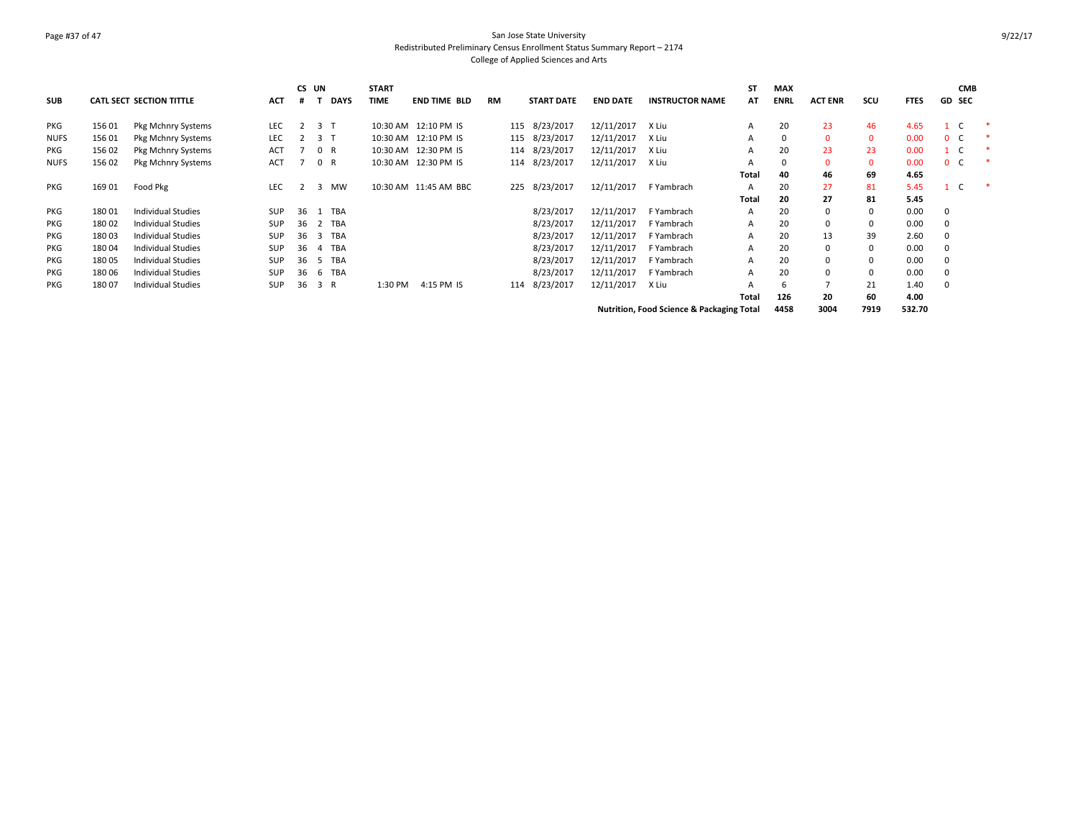# Page #37 of 47 San Jose State University Redistributed Preliminary Census Enrollment Status Summary Report – 2174 College of Applied Sciences and Arts

| <b>SUB</b>  |        | <b>CATL SECT SECTION TITTLE</b> | <b>ACT</b> |     | CS UN          | <b>DAYS</b> | <b>START</b><br><b>TIME</b> | <b>END TIME BLD</b>   | RM |     | <b>START DATE</b> | <b>END DATE</b> | <b>INSTRUCTOR NAME</b>                    | <b>ST</b><br>AT | <b>MAX</b><br><b>ENRL</b> | <b>ACT ENR</b> | scu      | <b>FTES</b> | <b>CMB</b><br><b>GD SEC</b> |  |
|-------------|--------|---------------------------------|------------|-----|----------------|-------------|-----------------------------|-----------------------|----|-----|-------------------|-----------------|-------------------------------------------|-----------------|---------------------------|----------------|----------|-------------|-----------------------------|--|
| PKG         | 156 01 | Pkg Mchnry Systems              | LEC        |     | 3 T            |             |                             | 10:30 AM 12:10 PM IS  |    | 115 | 8/23/2017         | 12/11/2017      | X Liu                                     | A               | 20                        | 23             | 46       | 4.65        | $\mathbf{1}$                |  |
| <b>NUFS</b> | 156 01 | Pkg Mchnry Systems              | LEC        |     | 3 T            |             |                             | 10:30 AM 12:10 PM IS  |    | 115 | 8/23/2017         | 12/11/2017      | X Liu                                     | A               | $\mathbf 0$               | $\mathbf 0$    | $\Omega$ | 0.00        | 0 <sup>o</sup>              |  |
| <b>PKG</b>  | 156 02 | Pkg Mchnry Systems              | ACT        |     |                | 0 R         |                             | 10:30 AM 12:30 PM IS  |    | 114 | 8/23/2017         | 12/11/2017      | X Liu                                     | A               | 20                        | 23             | 23       | 0.00        | $1 \quad C$                 |  |
| <b>NUFS</b> | 156 02 | Pkg Mchnry Systems              | <b>ACT</b> |     |                | 0 R         |                             | 10:30 AM 12:30 PM IS  |    | 114 | 8/23/2017         | 12/11/2017      | X Liu                                     | A               | 0                         | $\Omega$       | $\Omega$ | 0.00        | 0 <sup>o</sup>              |  |
|             |        |                                 |            |     |                |             |                             |                       |    |     |                   |                 |                                           | Total           | 40                        | 46             | 69       | 4.65        |                             |  |
| PKG         | 169 01 | Food Pkg                        | <b>LEC</b> | 2   | $\mathbf{3}$   | <b>MW</b>   |                             | 10:30 AM 11:45 AM BBC |    | 225 | 8/23/2017         | 12/11/2017      | F Yambrach                                | A               | 20                        | 27             | 81       | 5.45        | $1 \quad C$                 |  |
|             |        |                                 |            |     |                |             |                             |                       |    |     |                   |                 |                                           | <b>Total</b>    | 20                        | 27             | 81       | 5.45        |                             |  |
| PKG         | 180 01 | <b>Individual Studies</b>       | <b>SUP</b> | 36  | -1             | <b>TBA</b>  |                             |                       |    |     | 8/23/2017         | 12/11/2017      | F Yambrach                                | $\mathsf{A}$    | 20                        | 0              |          | 0.00        | 0                           |  |
| PKG         | 180 02 | Individual Studies              | <b>SUP</b> | 36  | 2              | <b>TBA</b>  |                             |                       |    |     | 8/23/2017         | 12/11/2017      | F Yambrach                                | A               | 20                        | 0              |          | 0.00        | 0                           |  |
| <b>PKG</b>  | 18003  | Individual Studies              | SUP        | 36  | 3              | <b>TBA</b>  |                             |                       |    |     | 8/23/2017         | 12/11/2017      | F Yambrach                                | A               | 20                        | 13             | 39       | 2.60        | 0                           |  |
| <b>PKG</b>  | 18004  | Individual Studies              | <b>SUP</b> | 36  | $\overline{4}$ | TBA         |                             |                       |    |     | 8/23/2017         | 12/11/2017      | F Yambrach                                | A               | 20                        | $\Omega$       |          | 0.00        |                             |  |
| PKG         | 18005  | <b>Individual Studies</b>       | <b>SUP</b> | -36 | -5             | <b>TBA</b>  |                             |                       |    |     | 8/23/2017         | 12/11/2017      | F Yambrach                                | А               | 20                        | $\Omega$       |          | 0.00        | $\Omega$                    |  |
| PKG         | 18006  | <b>Individual Studies</b>       | <b>SUP</b> | 36  | -6             | <b>TBA</b>  |                             |                       |    |     | 8/23/2017         | 12/11/2017      | F Yambrach                                | A               | 20                        | $\Omega$       |          | 0.00        | $\Omega$                    |  |
| <b>PKG</b>  | 18007  | <b>Individual Studies</b>       | <b>SUP</b> | 36  |                | 3 R         | 1:30 PM                     | 4:15 PM IS            |    | 114 | 8/23/2017         | 12/11/2017      | X Liu                                     |                 | 6                         |                | 21       | 1.40        | 0                           |  |
|             |        |                                 |            |     |                |             |                             |                       |    |     |                   |                 |                                           | Total           | 126                       | 20             | 60       | 4.00        |                             |  |
|             |        |                                 |            |     |                |             |                             |                       |    |     |                   |                 | Nutrition, Food Science & Packaging Total |                 | 4458                      | 3004           | 7919     | 532.70      |                             |  |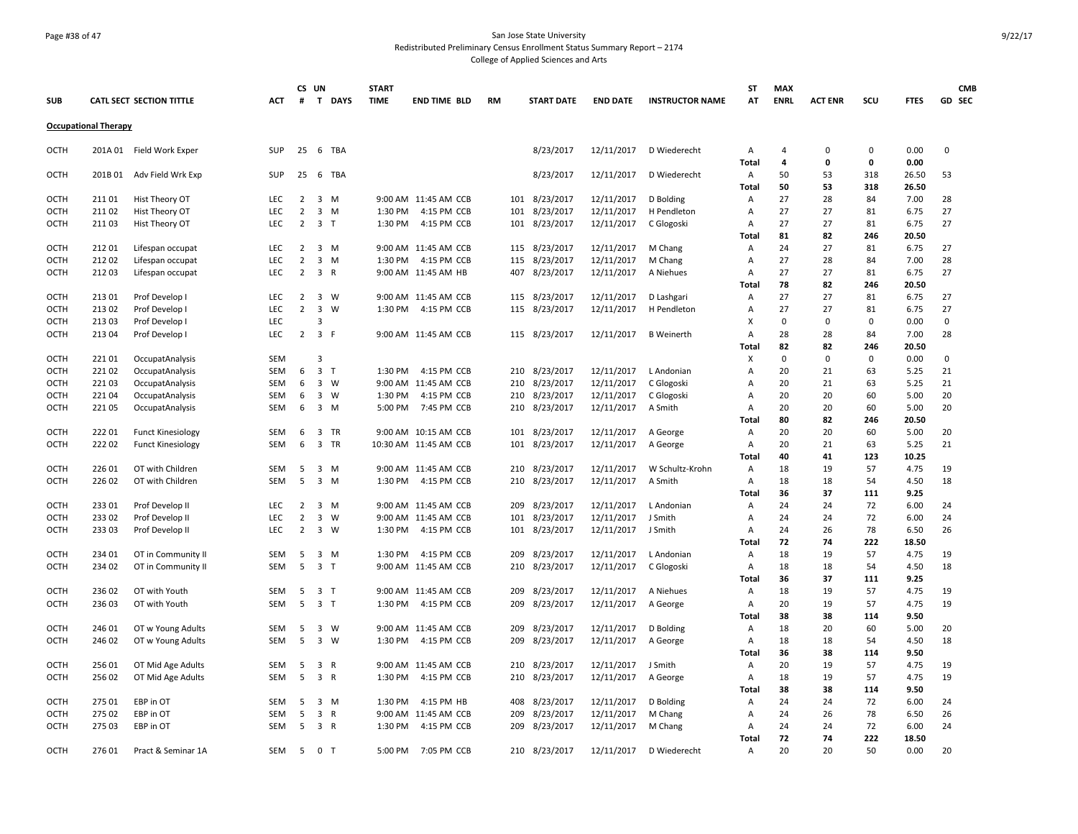#### Page #38 of 47 San Jose State University Redistributed Preliminary Census Enrollment Status Summary Report – 2174 College of Applied Sciences and Arts

**SUB CATL SECT SECTION TITTLE ACT CS UN # T DAYS START TIME END TIME BLD RM START DATE END DATE INSTRUCTOR NAME ST AT MAX ENRL ACT ENR SCU FTES GD CMB SEC Occupational Therapy** OCTH 201A 01 Field Work Exper SUP 25 6 TBA 8/23/2017 12/11/2017 D Wiederecht A 4 0 0 0.00 0 **Total 4 0 0 0.00** OCTH 201B 01 Adv Field Wrk Exp SUP 25 6 TBA 8/23/2017 8/23/2017 12/11/2017 D Wiederecht A 50 53 318 26.50 53 **Total 50 53 318 26.50** OCTH 211 01 Hist Theory OT LEC 2 3 M 9:00 AM 11:45 AM CCB 101 8/23/2017 12/11/2017 D Bolding A 27 28 84 7.00 28 OCTH 211 02 Hist Theory OT LEC 2 3 M 1:30 PM 4:15 PM CCB 101 8/23/2017 12/11/2017 H Pendleton A 27 27 81 6.75 27 OCTH 211 03 Hist Theory OT LEC 2 3 T 1:30 PM 4:15 PM CCB 101 8/23/2017 12/11/2017 C Glogoski A 27 27 81 6.75 27 **Total 81 82 246 20.50** OCTH 212 01 Lifespan occupat LEC 2 3 M 9:00 AM 11:45 AM CCB 115 8/23/2017 12/11/2017 M Chang A 24 27 81 6.75 27 OCTH 212 02 Lifespan occupat LEC 2 3 M 1:30 PM 4:15 PM CCB 115 8/23/2017 12/11/2017 M Chang A 27 28 84 7.00 28 OCTH 212 03 Lifespan occupat LEC 2 3 R 9:00 AM 11:45 AM HB 407 8/23/2017 12/11/2017 A Niehues A 27 27 81 6.75 27 **Total 78 82 246 20.50** OCTH 213 01 Prof Develop I LEC 2 3 W 9:00 AM 11:45 AM CCB 115 8/23/2017 12/11/2017 D Lashgari A 27 27 81 6.75 27 OCTH 213 02 Prof Develop I LEC 2 3 W 1:30 PM 4:15 PM CCB 115 8/23/2017 12/11/2017 H Pendleton A 27 27 81 6.75 27 OCTH 213 03 Prof Develop I LEC 3 X 0 0 0 0.00 0 OCTH 213 04 Prof Develop I LEC 2 3 F 9:00 AM 11:45 AM CCB 115 8/23/2017 12/11/2017 B Weinerth A 28 28 84 7.00 28 **Total 82 82 246 20.50** OCTH 221 01 OccupatAnalysis SEM 3 X 0 0 0 0.00 0 OCTH 221 02 OccupatAnalysis SEM 6 3 T 1:30 PM 4:15 PM CCB 210 8/23/2017 12/11/2017 L Andonian A 20 21 63 5.25 21 OCTH 221 03 OccupatAnalysis SEM 6 3 W 9:00 AM 11:45 AM CCB 210 8/23/2017 12/11/2017 C Glogoski A 20 21 63 5.25 21 OCTH 221 04 OccupatAnalysis SEM 6 3 W 1:30 PM 4:15 PM CCB 210 8/23/2017 12/11/2017 C Glogoski A 20 20 60 5.00 20 OCTH 221 05 OccupatAnalysis SEM 6 3 M 5:00 PM 7:45 PM CCB 210 8/23/2017 12/11/2017 A Smith A 20 20 60 5.00 20 **Total 80 82 246 20.50** OCTH 222 01 Funct Kinesiology SEM 6 3 TR 9:00 AM 10:15 AM CCB 101 8/23/2017 12/11/2017 A George A 20 20 60 5.00 20 OCTH 222 02 Funct Kinesiology SEM 6 3 TR 10:30 AM 11:45 AM CCB 101 8/23/2017 12/11/2017 A George A 20 21 63 5.25 21 **Total 40 41 123 10.25** OCTH 226 01 OT with Children SEM 5 3 M 9:00 AM 11:45 AM CCB 210 8/23/2017 12/11/2017 W Schultz-Krohn A 18 19 57 4.75 19 OCTH 226 02 OT with Children SEM 5 3 M 1:30 PM 4:15 PM CCB 210 8/23/2017 12/11/2017 A Smith A 18 18 54 4.50 18 **Total 36 37 111 9.25** OCTH 233 01 Prof Develop II LEC 2 3 M 9:00 AM 11:45 AM CCB 209 8/23/2017 12/11/2017 L Andonian A 24 24 72 6.00 24 OCTH 233 02 Prof Develop II LEC 2 3 W 9:00 AM 11:45 AM CCB 101 8/23/2017 12/11/2017 J Smith A 24 24 72 6.00 24 OCTH 233 03 Prof Develop II LEC 2 3 W 1:30 PM 4:15 PM CCB 101 8/23/2017 12/11/2017 J Smith A 24 26 78 6.50 26 **Total 72 74 222 18.50** OCTH 234 01 OT in Community II SEM 5 3 M 1:30 PM 4:15 PM CCB 209 8/23/2017 12/11/2017 L Andonian A 18 19 57 4.75 19 OCTH 234 02 OT in Community II SEM 5 3 T 9:00 AM 11:45 AM CCB 210 8/23/2017 12/11/2017 C Glogoski A 18 18 54 4.50 18 **Total 36 37 111 9.25** OCTH 236 02 OT with Youth SEM 5 3 T 9:00 AM 11:45 AM CCB 209 8/23/2017 12/11/2017 A Niehues A 18 19 57 4.75 19 OCTH 236 03 OT with Youth SEM 5 3 T 1:30 PM 4:15 PM CCB 209 8/23/2017 12/11/2017 A George A 20 19 57 4.75 19 **Total 38 38 114 9.50** OCTH 246 01 OT w Young Adults SEM 5 3 W 9:00 AM 11:45 AM CCB 209 8/23/2017 12/11/2017 D Bolding A 18 20 60 5.00 20 OCTH 246 02 OT w Young Adults SEM 5 3 W 1:30 PM 4:15 PM CCB 209 8/23/2017 12/11/2017 A George A 18 18 54 4.50 18 **Total 36 38 114 9.50** OCTH 256 01 OT Mid Age Adults SEM 5 3 R 9:00 AM 11:45 AM CCB 210 8/23/2017 12/11/2017 J Smith A 20 19 57 4.75 19 OCTH 256 02 OT Mid Age Adults SEM 5 3 R 1:30 PM 4:15 PM CCB 210 8/23/2017 12/11/2017 A George A 18 19 57 4.75 19 **Total 38 38 114 9.50** OCTH 275 01 EBP in OT SEM 5 3 M 1:30 PM 4:15 PM HB 408 8/23/2017 12/11/2017 D Bolding A 24 24 72 6.00 24 OCTH 275 02 EBP in OT SEM 5 3 R 9:00 AM 11:45 AM CCB 209 8/23/2017 12/11/2017 M Chang A 24 26 78 6.50 26 OCTH 275 03 EBP in OT SEM 5 3 R 1:30 PM 4:15 PM CCB 209 8/23/2017 12/11/2017 M Chang A 24 24 72 6.00 24 **Total 72 74 222 18.50** OCTH 276 01 Pract & Seminar 1A SEM 5 0 T 5:00 PM 7:05 PM CCB 210 8/23/2017 12/11/2017 D Wiederecht A 20 20 50 0.00 20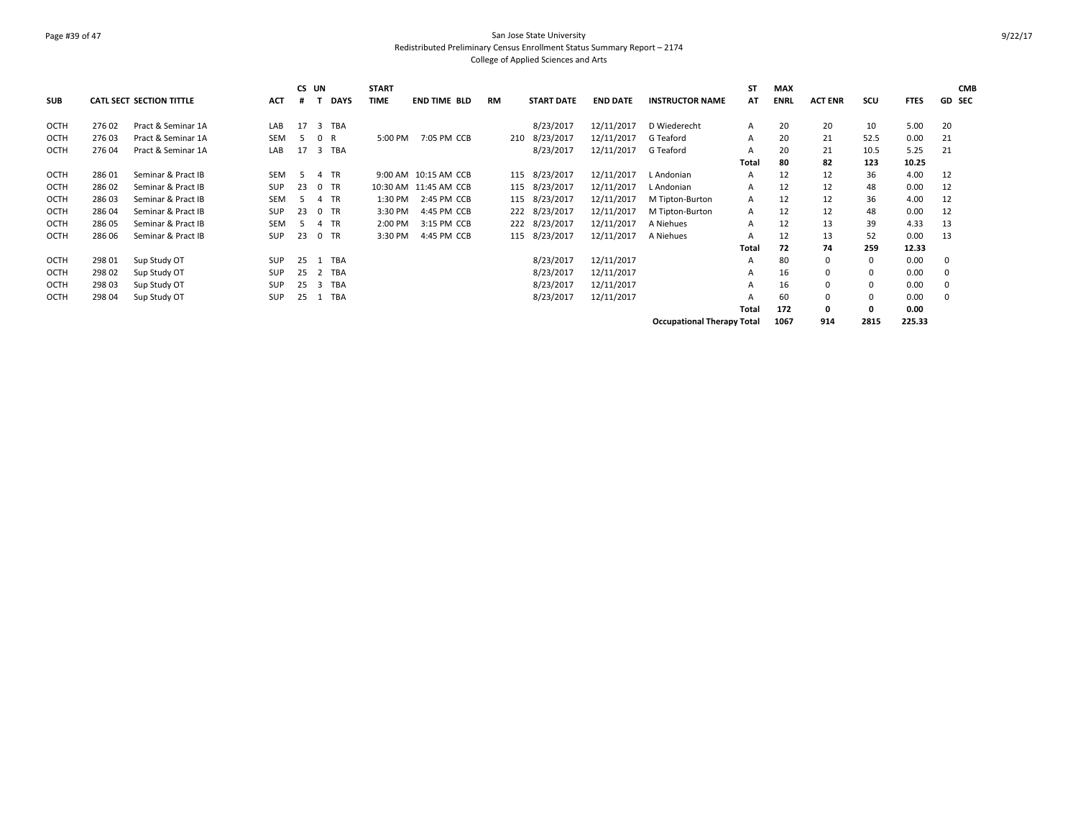### Page #39 of 47 San Jose State University Redistributed Preliminary Census Enrollment Status Summary Report – 2174 College of Applied Sciences and Arts

| <b>SUB</b>  |        | <b>CATL SECT SECTION TITTLE</b> | <b>ACT</b> | CS UN<br># |                             | <b>START</b><br><b>TIME</b><br><b>DAYS</b> |         | <b>END TIME BLD</b>  | <b>RM</b> |     | <b>START DATE</b> | <b>END DATE</b> | <b>INSTRUCTOR NAME</b>            | <b>ST</b><br>AT | <b>MAX</b><br><b>ENRL</b> | <b>ACT ENR</b> | scu          | <b>FTES</b> | <b>CMB</b><br><b>GD SEC</b> |
|-------------|--------|---------------------------------|------------|------------|-----------------------------|--------------------------------------------|---------|----------------------|-----------|-----|-------------------|-----------------|-----------------------------------|-----------------|---------------------------|----------------|--------------|-------------|-----------------------------|
| OCTH        | 27602  | Pract & Seminar 1A              | LAB        | 17         | <b>TBA</b><br>3             |                                            |         |                      |           |     | 8/23/2017         | 12/11/2017      | D Wiederecht                      | A               | 20                        | 20             | 10           | 5.00        | 20                          |
| OCTH        | 27603  | Pract & Seminar 1A              | <b>SEM</b> | 5          | $\mathbf{0}$<br>R           |                                            | 5:00 PM | 7:05 PM CCB          |           | 210 | 8/23/2017         | 12/11/2017      | G Teaford                         | A               | 20                        | 21             | 52.5         | 0.00        | 21                          |
| <b>OCTH</b> | 27604  | Pract & Seminar 1A              | LAB        | 17         | <b>TBA</b><br>3             |                                            |         |                      |           |     | 8/23/2017         | 12/11/2017      | G Teaford                         | A               | 20                        | 21             | 10.5         | 5.25        | 21                          |
|             |        |                                 |            |            |                             |                                            |         |                      |           |     |                   |                 |                                   | Total           | 80                        | 82             | 123          | 10.25       |                             |
| OCTH        | 286 01 | Seminar & Pract IB              | <b>SEM</b> | -5         | <b>TR</b><br>$\overline{a}$ |                                            |         | 9:00 AM 10:15 AM CCB |           | 115 | 8/23/2017         | 12/11/2017      | L Andonian                        | A               | 12                        | 12             | 36           | 4.00        | 12                          |
| OCTH        | 286 02 | Seminar & Pract IB              | SUP        | 23         | <b>TR</b><br>$\mathbf 0$    | 10:30 AM                                   |         | 11:45 AM CCB         |           | 115 | 8/23/2017         | 12/11/2017      | L Andonian                        | A               | 12                        | 12             | 48           | 0.00        | 12                          |
| OCTH        | 286 03 | Seminar & Pract IB              | <b>SEM</b> |            | <b>TR</b><br>4              |                                            | 1:30 PM | 2:45 PM CCB          |           | 115 | 8/23/2017         | 12/11/2017      | M Tipton-Burton                   | A               | 12                        | 12             | 36           | 4.00        | 12                          |
| <b>OCTH</b> | 286 04 | Seminar & Pract IB              | <b>SUP</b> | 23         | <b>TR</b><br>$\Omega$       |                                            | 3:30 PM | 4:45 PM CCB          |           |     | 222 8/23/2017     | 12/11/2017      | M Tipton-Burton                   | A               | 12                        | 12             | 48           | 0.00        | 12                          |
| OCTH        | 286 05 | Seminar & Pract IB              | <b>SEM</b> | 5          | <b>TR</b><br>4              |                                            | 2:00 PM | 3:15 PM CCB          |           | 222 | 8/23/2017         | 12/11/2017      | A Niehues                         | A               | 12                        | 13             | 39           | 4.33        | 13                          |
| <b>OCTH</b> | 286 06 | Seminar & Pract IB              | SUP        | 23         | <b>TR</b><br>$\mathbf{0}$   |                                            | 3:30 PM | 4:45 PM CCB          |           | 115 | 8/23/2017         | 12/11/2017      | A Niehues                         | A               | 12                        | 13             | 52           | 0.00        | 13                          |
|             |        |                                 |            |            |                             |                                            |         |                      |           |     |                   |                 |                                   | Total           | 72                        | 74             | 259          | 12.33       |                             |
| OCTH        | 298 01 | Sup Study OT                    | SUP        | 25         | <b>TBA</b>                  |                                            |         |                      |           |     | 8/23/2017         | 12/11/2017      |                                   | A               | 80                        | 0              | $\mathbf{0}$ | 0.00        | 0                           |
| OCTH        | 298 02 | Sup Study OT                    | SUP        | 25         | <b>TBA</b><br>2             |                                            |         |                      |           |     | 8/23/2017         | 12/11/2017      |                                   | A               | 16                        | $\mathbf 0$    | 0            | 0.00        |                             |
| OCTH        | 298 03 | Sup Study OT                    | SUP        | 25         | <b>TBA</b><br>-3            |                                            |         |                      |           |     | 8/23/2017         | 12/11/2017      |                                   | А               | 16                        | $\mathbf 0$    | 0            | 0.00        |                             |
| OCTH        | 298 04 | Sup Study OT                    | SUP        | 25         | <b>TBA</b>                  |                                            |         |                      |           |     | 8/23/2017         | 12/11/2017      |                                   | A               | 60                        | $\mathbf 0$    | $\Omega$     | 0.00        |                             |
|             |        |                                 |            |            |                             |                                            |         |                      |           |     |                   |                 |                                   | Total           | 172                       | 0              | $\mathbf{o}$ | 0.00        |                             |
|             |        |                                 |            |            |                             |                                            |         |                      |           |     |                   |                 | <b>Occupational Therapy Total</b> |                 | 1067                      | 914            | 2815         | 225.33      |                             |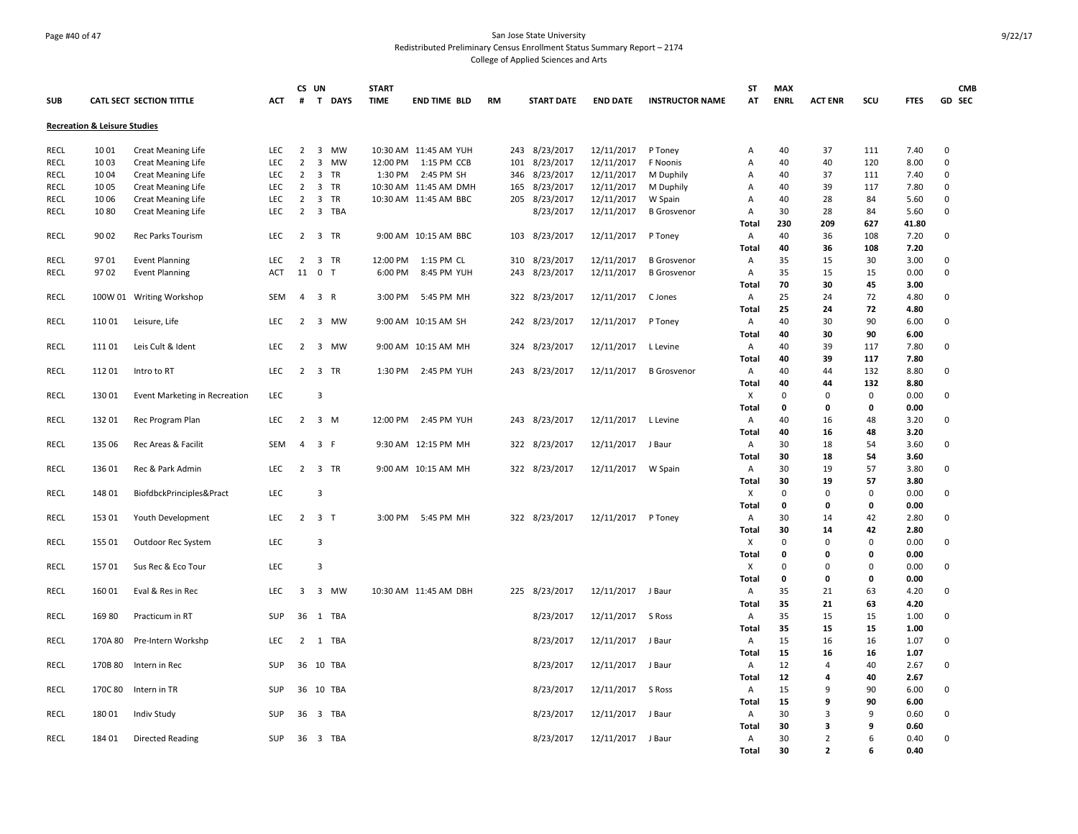### Page #40 of 47 San Jose State University Redistributed Preliminary Census Enrollment Status Summary Report – 2174 College of Applied Sciences and Arts

|             |                                         |                                      |            |                | CS UN               | <b>START</b> |                       |           |                   |                   |                        | ST                | <b>MAX</b>  |                |                |              | <b>CMB</b>  |
|-------------|-----------------------------------------|--------------------------------------|------------|----------------|---------------------|--------------|-----------------------|-----------|-------------------|-------------------|------------------------|-------------------|-------------|----------------|----------------|--------------|-------------|
| <b>SUB</b>  |                                         | <b>CATL SECT SECTION TITTLE</b>      | ACT        | #              | T DAYS              | <b>TIME</b>  | END TIME BLD          | <b>RM</b> | <b>START DATE</b> | <b>END DATE</b>   | <b>INSTRUCTOR NAME</b> | AT                | <b>ENRL</b> | <b>ACT ENR</b> | scu            | <b>FTES</b>  | GD SEC      |
|             | <b>Recreation &amp; Leisure Studies</b> |                                      |            |                |                     |              |                       |           |                   |                   |                        |                   |             |                |                |              |             |
| RECL        | 1001                                    | <b>Creat Meaning Life</b>            | <b>LEC</b> | $\overline{2}$ | 3<br><b>MW</b>      |              | 10:30 AM 11:45 AM YUH |           | 243 8/23/2017     | 12/11/2017        | P Toney                | Α                 | 40          | 37             | 111            | 7.40         | $\mathbf 0$ |
| <b>RECL</b> | 1003                                    | <b>Creat Meaning Life</b>            | LEC        | $\overline{2}$ | 3<br>MW             |              | 12:00 PM 1:15 PM CCB  | 101       | 8/23/2017         | 12/11/2017        | F Noonis               | Α                 | 40          | 40             | 120            | 8.00         | $\mathbf 0$ |
| <b>RECL</b> | 1004                                    | <b>Creat Meaning Life</b>            | LEC        | $\overline{2}$ | 3<br><b>TR</b>      |              | 1:30 PM 2:45 PM SH    |           | 346 8/23/2017     | 12/11/2017        | M Duphily              | Α                 | 40          | 37             | 111            | 7.40         | 0           |
| <b>RECL</b> | 1005                                    | <b>Creat Meaning Life</b>            | LEC        | $\overline{2}$ | 3<br><b>TR</b>      |              | 10:30 AM 11:45 AM DMH | 165       | 8/23/2017         | 12/11/2017        | M Duphily              | Α                 | 40          | 39             | 117            | 7.80         | $\mathbf 0$ |
| RECL        | 10 06                                   | <b>Creat Meaning Life</b>            | LEC        | $\overline{2}$ | 3<br>TR             |              | 10:30 AM 11:45 AM BBC |           | 205 8/23/2017     | 12/11/2017        | W Spain                | Α                 | 40          | 28             | 84             | 5.60         | $\mathbf 0$ |
| <b>RECL</b> | 1080                                    | <b>Creat Meaning Life</b>            | <b>LEC</b> | $\overline{2}$ | 3 TBA               |              |                       |           | 8/23/2017         | 12/11/2017        | <b>B</b> Grosvenor     | Α                 | 30          | 28             | 84             | 5.60         | 0           |
|             |                                         |                                      |            |                |                     |              |                       |           |                   |                   |                        | Total             | 230         | 209            | 627            | 41.80        |             |
| RECL        | 90 02                                   | Rec Parks Tourism                    | LEC        |                | 2 3 TR              |              | 9:00 AM 10:15 AM BBC  |           | 103 8/23/2017     | 12/11/2017        | P Toney                | Α                 | 40          | 36             | 108            | 7.20         | $\mathsf 0$ |
|             |                                         |                                      |            |                |                     |              |                       |           |                   |                   |                        | Total             | 40          | 36             | 108            | 7.20         |             |
| RECL        | 9701                                    | <b>Event Planning</b>                | LEC        | $\overline{2}$ | 3 TR                | 12:00 PM     | 1:15 PM CL            | 310       | 8/23/2017         | 12/11/2017        | <b>B</b> Grosvenor     | Α                 | 35          | 15             | 30             | 3.00         | 0           |
| <b>RECL</b> | 9702                                    | <b>Event Planning</b>                | ACT        |                | 11 0 T              | 6:00 PM      | 8:45 PM YUH           | 243       | 8/23/2017         | 12/11/2017        | <b>B</b> Grosvenor     | Α                 | 35          | 15             | 15             | 0.00         | 0           |
|             |                                         |                                      |            |                |                     |              |                       |           |                   |                   |                        | Total             | 70          | 30             | 45             | 3.00         |             |
| <b>RECL</b> |                                         | 100W 01 Writing Workshop             | SEM        | 4              | 3 R                 | 3:00 PM      | 5:45 PM MH            |           | 322 8/23/2017     | 12/11/2017        | C Jones                | A                 | 25          | 24             | 72             | 4.80         | 0           |
|             |                                         |                                      |            |                |                     |              |                       |           |                   |                   |                        | Total             | 25          | 24             | 72             | 4.80         |             |
| RECL        | 110 01                                  | Leisure, Life                        | <b>LEC</b> | $\overline{2}$ | 3 MW                |              | 9:00 AM 10:15 AM SH   |           | 242 8/23/2017     | 12/11/2017        | P Toney                | A                 | 40          | 30             | 90             | 6.00         | $\mathbf 0$ |
|             |                                         |                                      |            |                |                     |              |                       |           |                   |                   |                        | <b>Total</b>      | 40          | 30             | 90             | 6.00         |             |
| RECL        | 111 01                                  | Leis Cult & Ident                    | <b>LEC</b> | 2              | 3 MW                |              | 9:00 AM 10:15 AM MH   | 324       | 8/23/2017         | 12/11/2017        | L Levine               | Α                 | 40          | 39             | 117            | 7.80         | 0           |
|             |                                         |                                      |            |                |                     |              |                       |           |                   |                   |                        | <b>Total</b>      | 40          | 39             | 117            | 7.80         |             |
| <b>RECL</b> | 11201                                   | Intro to RT                          | LEC        |                | 2 3 TR              |              | 1:30 PM 2:45 PM YUH   |           | 243 8/23/2017     | 12/11/2017        | <b>B</b> Grosvenor     | Α                 | 40          | 44             | 132            | 8.80         | $\mathbf 0$ |
|             |                                         |                                      |            |                |                     |              |                       |           |                   |                   |                        | Total             | 40          | 44             | 132            | 8.80         |             |
| RECL        | 13001                                   | <b>Event Marketing in Recreation</b> | LEC        |                | $\overline{3}$      |              |                       |           |                   |                   |                        | Х                 | $\Omega$    | $\Omega$       | $\mathbf 0$    | 0.00         | $\mathbf 0$ |
|             |                                         |                                      |            |                |                     |              |                       |           |                   |                   |                        | Total             | 0           | 0              | 0              | 0.00         |             |
| RECL        | 132 01                                  | Rec Program Plan                     | <b>LEC</b> | 2              | 3 M                 |              | 12:00 PM 2:45 PM YUH  |           | 243 8/23/2017     | 12/11/2017        | L Levine               | Α                 | 40          | 16             | 48             | 3.20         | 0           |
|             |                                         |                                      |            |                |                     |              |                       |           |                   |                   |                        | Total             | 40          | 16             | 48             | 3.20         |             |
| <b>RECL</b> | 135 06                                  | Rec Areas & Facilit                  | <b>SEM</b> |                | 4 3 F               |              | 9:30 AM 12:15 PM MH   |           | 322 8/23/2017     | 12/11/2017        | J Baur                 | Α                 | 30          | 18             | 54             | 3.60         | 0           |
|             |                                         |                                      |            |                |                     |              |                       |           |                   |                   |                        | Total             | 30          | 18             | 54             | 3.60         |             |
| RECL        | 136 01                                  | Rec & Park Admin                     | LEC        | $\overline{2}$ | 3 TR                |              | 9:00 AM 10:15 AM MH   |           | 322 8/23/2017     | 12/11/2017        | W Spain                | Α                 | 30<br>30    | 19             | 57             | 3.80         | 0           |
| <b>RECL</b> | 148 01                                  | BiofdbckPrinciples&Pract             | LEC        |                | $\overline{3}$      |              |                       |           |                   |                   |                        | <b>Total</b><br>Х | $\Omega$    | 19<br>$\Omega$ | 57<br>$\Omega$ | 3.80<br>0.00 | $\mathbf 0$ |
|             |                                         |                                      |            |                |                     |              |                       |           |                   |                   |                        | <b>Total</b>      | 0           | 0              | 0              | 0.00         |             |
| <b>RECL</b> | 153 01                                  | Youth Development                    | LEC        |                | $2 \quad 3 \quad T$ |              | 3:00 PM 5:45 PM MH    |           | 322 8/23/2017     | 12/11/2017        | P Toney                | Α                 | 30          | 14             | 42             | 2.80         | $\mathbf 0$ |
|             |                                         |                                      |            |                |                     |              |                       |           |                   |                   |                        | <b>Total</b>      | 30          | 14             | 42             | 2.80         |             |
| <b>RECL</b> | 155 01                                  | Outdoor Rec System                   | LEC        |                | 3                   |              |                       |           |                   |                   |                        | X                 | $\Omega$    | $\mathbf 0$    | $\mathbf 0$    | 0.00         | $\mathbf 0$ |
|             |                                         |                                      |            |                |                     |              |                       |           |                   |                   |                        | Total             | 0           | 0              | 0              | 0.00         |             |
| <b>RECL</b> | 15701                                   | Sus Rec & Eco Tour                   | LEC        |                | 3                   |              |                       |           |                   |                   |                        | Х                 | $\Omega$    | $\Omega$       | $\Omega$       | 0.00         | $\mathbf 0$ |
|             |                                         |                                      |            |                |                     |              |                       |           |                   |                   |                        | Total             | 0           | 0              | 0              | 0.00         |             |
| RECL        | 16001                                   | Eval & Res in Rec                    | <b>LEC</b> | 3              | 3 MW                |              | 10:30 AM 11:45 AM DBH |           | 225 8/23/2017     | 12/11/2017        | J Baur                 | Α                 | 35          | 21             | 63             | 4.20         | $\mathbf 0$ |
|             |                                         |                                      |            |                |                     |              |                       |           |                   |                   |                        | <b>Total</b>      | 35          | 21             | 63             | 4.20         |             |
| RECL        | 16980                                   | Practicum in RT                      | <b>SUP</b> |                | 36 1 TBA            |              |                       |           | 8/23/2017         | 12/11/2017        | S Ross                 | A                 | 35          | 15             | 15             | 1.00         | 0           |
|             |                                         |                                      |            |                |                     |              |                       |           |                   |                   |                        | Total             | 35          | 15             | 15             | 1.00         |             |
| <b>RECL</b> | 170A 80                                 | Pre-Intern Workshp                   | LEC        | $\overline{2}$ | 1 TBA               |              |                       |           | 8/23/2017         | 12/11/2017        | J Baur                 | Α                 | 15          | 16             | 16             | 1.07         | $\mathbf 0$ |
|             |                                         |                                      |            |                |                     |              |                       |           |                   |                   |                        | Total             | 15          | 16             | 16             | 1.07         |             |
| RECL        | 170B 80                                 | Intern in Rec                        | SUP        |                | 36 10 TBA           |              |                       |           | 8/23/2017         | 12/11/2017        | J Baur                 | Α                 | 12          | $\overline{4}$ | 40             | 2.67         | $\mathbf 0$ |
|             |                                         |                                      |            |                |                     |              |                       |           |                   |                   |                        | Total             | 12          | 4              | 40             | 2.67         |             |
| <b>RECL</b> | 170C 80                                 | Intern in TR                         | SUP        |                | 36 10 TBA           |              |                       |           | 8/23/2017         | 12/11/2017 S Ross |                        | Α                 | 15          | 9              | 90             | 6.00         | 0           |
|             |                                         |                                      |            |                |                     |              |                       |           |                   |                   |                        | Total             | 15          | 9              | 90             | 6.00         |             |
| RECL        | 180 01                                  | Indiv Study                          | SUP        | 36             | 3 TBA               |              |                       |           | 8/23/2017         | 12/11/2017        | J Baur                 | Α                 | 30          | 3              | 9              | 0.60         | $\mathbf 0$ |
|             |                                         |                                      |            |                |                     |              |                       |           |                   |                   |                        | <b>Total</b>      | 30          | 3              | 9              | 0.60         |             |
| <b>RECL</b> | 184 01                                  | <b>Directed Reading</b>              | <b>SUP</b> |                | 36 3 TBA            |              |                       |           | 8/23/2017         | 12/11/2017        | J Baur                 | Α                 | 30          | $\overline{2}$ | 6              | 0.40         | $\mathsf 0$ |
|             |                                         |                                      |            |                |                     |              |                       |           |                   |                   |                        | Total             | 30          | $\mathbf{2}$   | 6              | 0.40         |             |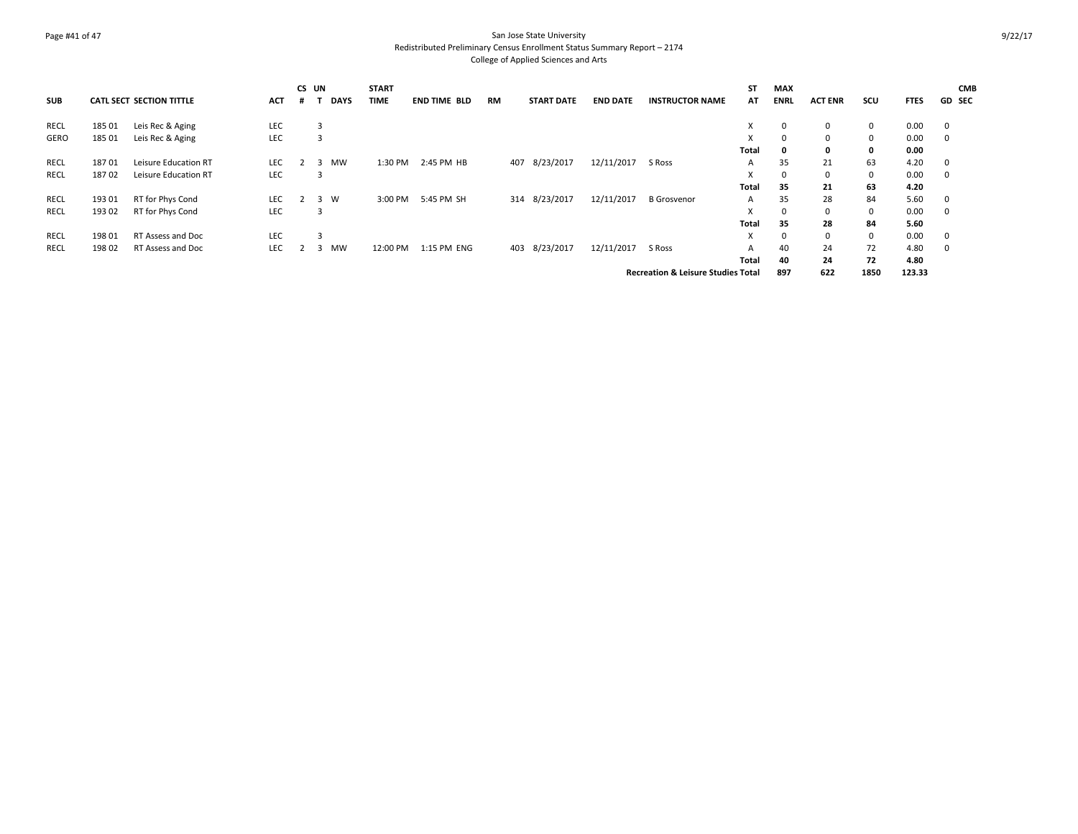### Page #41 of 47 San Jose State University Redistributed Preliminary Census Enrollment Status Summary Report – 2174 College of Applied Sciences and Arts

|            |        |                                 |            | CS UN       | <b>START</b> |              |    |                   |                 |                                               | <b>ST</b>    | MAX         |                |             |             | <b>CMB</b>    |
|------------|--------|---------------------------------|------------|-------------|--------------|--------------|----|-------------------|-----------------|-----------------------------------------------|--------------|-------------|----------------|-------------|-------------|---------------|
| <b>SUB</b> |        | <b>CATL SECT SECTION TITTLE</b> | <b>ACT</b> | <b>DAYS</b> | <b>TIME</b>  | END TIME BLD | RM | <b>START DATE</b> | <b>END DATE</b> | <b>INSTRUCTOR NAME</b>                        | AT           | <b>ENRL</b> | <b>ACT ENR</b> | scu         | <b>FTES</b> | <b>GD SEC</b> |
| RECL       | 185 01 | Leis Rec & Aging                | LEC        | 3           |              |              |    |                   |                 |                                               | Х            | 0           | $\mathbf{0}$   | $\mathbf 0$ | 0.00        | $\mathbf 0$   |
| GERO       | 185 01 | Leis Rec & Aging                | LEC        | 3           |              |              |    |                   |                 |                                               | X            | $\Omega$    | $\mathbf{0}$   | $\mathbf 0$ | 0.00        | $^{\circ}$    |
|            |        |                                 |            |             |              |              |    |                   |                 |                                               | Total        | 0           | 0              | $\mathbf 0$ | 0.00        |               |
| RECL       | 18701  | Leisure Education RT            | LEC        | MW<br>3     | 1:30 PM      | 2:45 PM HB   |    | 8/23/2017<br>407  | 12/11/2017      | S Ross                                        | A            | 35          | 21             | 63          | 4.20        | $\mathbf 0$   |
| RECL       | 18702  | Leisure Education RT            | LEC        | 3           |              |              |    |                   |                 |                                               | X            | $\mathbf 0$ | $\mathbf{0}$   | $\mathbf 0$ | 0.00        | 0             |
|            |        |                                 |            |             |              |              |    |                   |                 |                                               | <b>Total</b> | 35          | 21             | 63          | 4.20        |               |
| RECL       | 193 01 | RT for Phys Cond                | <b>LEC</b> | 3<br>w      | 3:00 PM      | 5:45 PM SH   |    | 314 8/23/2017     | 12/11/2017      | <b>B</b> Grosvenor                            | A            | 35          | 28             | 84          | 5.60        | 0             |
| RECL       | 193 02 | RT for Phys Cond                | LEC        | 3           |              |              |    |                   |                 |                                               | X            | 0           | $\mathbf{0}$   | $\mathbf 0$ | 0.00        | 0             |
|            |        |                                 |            |             |              |              |    |                   |                 |                                               | Total        | 35          | 28             | 84          | 5.60        |               |
| RECL       | 198 01 | RT Assess and Doc               | LEC        | 3           |              |              |    |                   |                 |                                               | X            | $\Omega$    | $\Omega$       | 0           | 0.00        | $\mathbf 0$   |
| RECL       | 19802  | RT Assess and Doc               | LEC        | MW<br>3     | 12:00 PM     | 1:15 PM ENG  |    | 403 8/23/2017     | 12/11/2017      | S Ross                                        | A            | 40          | 24             | 72          | 4.80        | 0             |
|            |        |                                 |            |             |              |              |    |                   |                 |                                               | Total        | 40          | 24             | 72          | 4.80        |               |
|            |        |                                 |            |             |              |              |    |                   |                 | <b>Recreation &amp; Leisure Studies Total</b> |              | 897         | 622            | 1850        | 123.33      |               |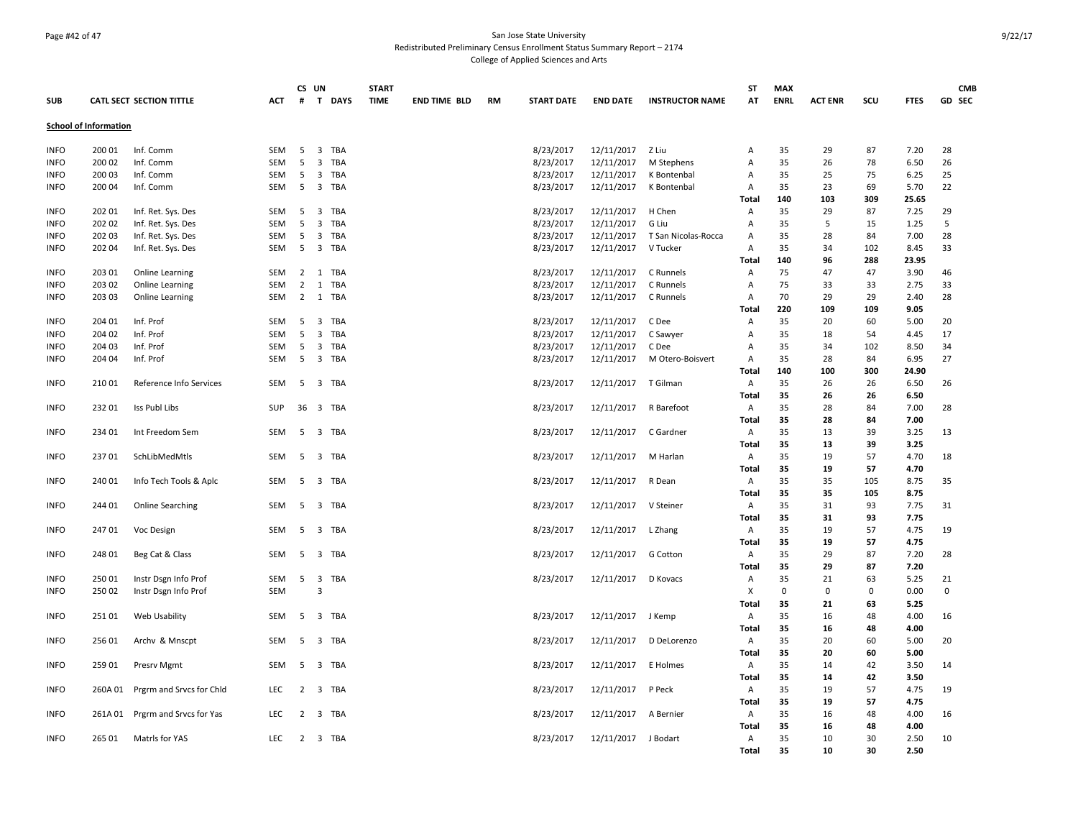### Page #42 of 47 San Jose State University Redistributed Preliminary Census Enrollment Status Summary Report – 2174 College of Applied Sciences and Arts

| <b>SUB</b>                 |                              | <b>CATL SECT SECTION TITTLE</b> | <b>ACT</b> | CS UN<br>#     | T DAYS                                  | <b>START</b><br><b>TIME</b> | <b>END TIME BLD</b> | <b>RM</b> | <b>START DATE</b>      | <b>END DATE</b>          | <b>INSTRUCTOR NAME</b>     | <b>ST</b><br>AT   | <b>MAX</b><br><b>ENRL</b> | <b>ACT ENR</b> | scu         | <b>FTES</b>  | <b>CMB</b><br><b>GD SEC</b> |
|----------------------------|------------------------------|---------------------------------|------------|----------------|-----------------------------------------|-----------------------------|---------------------|-----------|------------------------|--------------------------|----------------------------|-------------------|---------------------------|----------------|-------------|--------------|-----------------------------|
|                            | <b>School of Information</b> |                                 |            |                |                                         |                             |                     |           |                        |                          |                            |                   |                           |                |             |              |                             |
| <b>INFO</b>                | 200 01                       | Inf. Comm                       | <b>SEM</b> | 5              | $\overline{\mathbf{3}}$<br>TBA          |                             |                     |           | 8/23/2017              | 12/11/2017 Z Liu         |                            | Α                 | 35                        | 29             | 87          | 7.20         | 28                          |
| <b>INFO</b>                | 200 02                       | Inf. Comm                       | SEM        | 5              | $\overline{3}$<br><b>TBA</b>            |                             |                     |           | 8/23/2017              | 12/11/2017               | M Stephens                 | A                 | 35                        | 26             | 78          | 6.50         | 26                          |
| <b>INFO</b><br><b>INFO</b> | 200 03<br>200 04             | Inf. Comm<br>Inf. Comm          | SEM<br>SEM | 5<br>5         | $\overline{\mathbf{3}}$<br>TBA<br>3 TBA |                             |                     |           | 8/23/2017<br>8/23/2017 | 12/11/2017<br>12/11/2017 | K Bontenbal<br>K Bontenbal | Α<br>Α            | 35<br>35                  | 25<br>23       | 75<br>69    | 6.25<br>5.70 | 25<br>22                    |
|                            |                              |                                 |            |                |                                         |                             |                     |           |                        |                          |                            | Total             | 140                       | 103            | 309         | 25.65        |                             |
| <b>INFO</b>                | 202 01                       | Inf. Ret. Sys. Des              | SEM        | - 5            | $\overline{\mathbf{3}}$<br>TBA          |                             |                     |           | 8/23/2017              | 12/11/2017               | H Chen                     | Α                 | 35                        | 29             | 87          | 7.25         | 29                          |
| <b>INFO</b>                | 202 02                       | Inf. Ret. Sys. Des              | SEM        | 5              | $\overline{\mathbf{3}}$<br>TBA          |                             |                     |           | 8/23/2017              | 12/11/2017               | G Liu                      | Α                 | 35                        | 5              | 15          | 1.25         | 5                           |
| <b>INFO</b>                | 202 03                       | Inf. Ret. Sys. Des              | SEM        | 5              | 3 TBA                                   |                             |                     |           | 8/23/2017              | 12/11/2017               | T San Nicolas-Rocca        | Α                 | 35                        | 28             | 84          | 7.00         | 28                          |
| <b>INFO</b>                | 202 04                       | Inf. Ret. Sys. Des              | <b>SEM</b> | - 5            | $\overline{\mathbf{3}}$<br>TBA          |                             |                     |           | 8/23/2017              | 12/11/2017               | V Tucker                   | A                 | 35                        | 34             | 102         | 8.45         | 33                          |
|                            |                              |                                 |            |                |                                         |                             |                     |           |                        |                          |                            | <b>Total</b>      | 140                       | 96             | 288         | 23.95        |                             |
| <b>INFO</b>                | 203 01                       | <b>Online Learning</b>          | SEM        |                | 2 1 TBA                                 |                             |                     |           | 8/23/2017              | 12/11/2017               | C Runnels                  | Α                 | 75                        | 47             | 47          | 3.90         | 46                          |
| <b>INFO</b>                | 203 02                       | <b>Online Learning</b>          | <b>SEM</b> | $\overline{2}$ | TBA<br>1                                |                             |                     |           | 8/23/2017              | 12/11/2017               | C Runnels                  | Α                 | 75                        | 33             | 33          | 2.75         | 33                          |
| <b>INFO</b>                | 203 03                       | <b>Online Learning</b>          | SEM        |                | 2 1 TBA                                 |                             |                     |           | 8/23/2017              | 12/11/2017               | C Runnels                  | Α                 | 70                        | 29             | 29          | 2.40         | 28                          |
|                            |                              |                                 |            |                |                                         |                             |                     |           |                        |                          |                            | <b>Total</b>      | 220                       | 109            | 109         | 9.05         |                             |
| <b>INFO</b>                | 204 01                       | Inf. Prof                       | SEM        | 5              | $\overline{\mathbf{3}}$<br>TBA          |                             |                     |           | 8/23/2017              | 12/11/2017               | C Dee                      | Α                 | 35                        | 20             | 60          | 5.00         | 20                          |
| <b>INFO</b>                | 204 02                       | Inf. Prof                       | SEM        | 5              | 3<br>TBA                                |                             |                     |           | 8/23/2017              | 12/11/2017               | C Sawyer                   | Α                 | 35                        | 18             | 54          | 4.45         | 17                          |
| <b>INFO</b>                | 204 03                       | Inf. Prof                       | SEM        | 5              | $\overline{\mathbf{3}}$<br>TBA          |                             |                     |           | 8/23/2017              | 12/11/2017               | C Dee                      | Α                 | 35                        | 34             | 102         | 8.50         | 34                          |
| <b>INFO</b>                | 204 04                       | Inf. Prof                       | SEM        | 5              | 3 TBA                                   |                             |                     |           | 8/23/2017              | 12/11/2017               | M Otero-Boisvert           | Α                 | 35                        | 28             | 84          | 6.95         | 27                          |
|                            |                              |                                 |            |                |                                         |                             |                     |           |                        |                          |                            | Total             | 140                       | 100            | 300         | 24.90        |                             |
| <b>INFO</b>                | 210 01                       | Reference Info Services         | SEM        | - 5            | 3 TBA                                   |                             |                     |           | 8/23/2017              | 12/11/2017 T Gilman      |                            | Α                 | 35                        | 26             | 26          | 6.50         | 26                          |
|                            |                              |                                 |            |                |                                         |                             |                     |           |                        |                          |                            | <b>Total</b>      | 35                        | 26             | 26          | 6.50         |                             |
| <b>INFO</b>                | 232 01                       | Iss Publ Libs                   | <b>SUP</b> |                | 36 3 TBA                                |                             |                     |           | 8/23/2017              | 12/11/2017 R Barefoot    |                            | Α                 | 35                        | 28             | 84          | 7.00         | 28                          |
|                            |                              |                                 |            |                |                                         |                             |                     |           |                        |                          |                            | Total             | 35                        | 28             | 84          | 7.00         |                             |
| <b>INFO</b>                | 234 01                       | Int Freedom Sem                 | SEM        | 5              | 3 TBA                                   |                             |                     |           | 8/23/2017              | 12/11/2017               | C Gardner                  | Α                 | 35                        | 13             | 39          | 3.25         | 13                          |
|                            |                              |                                 |            |                |                                         |                             |                     |           |                        |                          |                            | Total             | 35                        | 13             | 39          | 3.25         |                             |
| <b>INFO</b>                | 23701                        | SchLibMedMtls                   | SEM        | 5              | $\overline{\mathbf{3}}$<br>TBA          |                             |                     |           | 8/23/2017              | 12/11/2017               | M Harlan                   | Α<br><b>Total</b> | 35<br>35                  | 19<br>19       | 57<br>57    | 4.70<br>4.70 | 18                          |
| <b>INFO</b>                | 240 01                       | Info Tech Tools & Aplc          | SEM        |                | 5 3 TBA                                 |                             |                     |           | 8/23/2017              | 12/11/2017               | R Dean                     | A                 | 35                        | 35             | 105         | 8.75         | 35                          |
|                            |                              |                                 |            |                |                                         |                             |                     |           |                        |                          |                            | Total             | 35                        | 35             | 105         | 8.75         |                             |
| <b>INFO</b>                | 244 01                       | <b>Online Searching</b>         | SEM        | - 5            | 3 TBA                                   |                             |                     |           | 8/23/2017              | 12/11/2017 V Steiner     |                            | Α                 | 35                        | 31             | 93          | 7.75         | 31                          |
|                            |                              |                                 |            |                |                                         |                             |                     |           |                        |                          |                            | Total             | 35                        | 31             | 93          | 7.75         |                             |
| <b>INFO</b>                | 247 01                       | Voc Design                      | SEM        | 5              | 3 TBA                                   |                             |                     |           | 8/23/2017              | 12/11/2017 L Zhang       |                            | Α                 | 35                        | 19             | 57          | 4.75         | 19                          |
|                            |                              |                                 |            |                |                                         |                             |                     |           |                        |                          |                            | Total             | 35                        | 19             | 57          | 4.75         |                             |
| <b>INFO</b>                | 248 01                       | Beg Cat & Class                 | SEM        | -5             | 3 TBA                                   |                             |                     |           | 8/23/2017              | 12/11/2017               | G Cotton                   | Α                 | 35                        | 29             | 87          | 7.20         | 28                          |
|                            |                              |                                 |            |                |                                         |                             |                     |           |                        |                          |                            | Total             | 35                        | 29             | 87          | 7.20         |                             |
| <b>INFO</b>                | 250 01                       | Instr Dsgn Info Prof            | SEM        | 5              | $\overline{\mathbf{3}}$<br>TBA          |                             |                     |           | 8/23/2017              | 12/11/2017 D Kovacs      |                            | Α                 | 35                        | 21             | 63          | 5.25         | 21                          |
| <b>INFO</b>                | 250 02                       | Instr Dsgn Info Prof            | SEM        |                | $\overline{3}$                          |                             |                     |           |                        |                          |                            | X                 | $\mathbf 0$               | $\mathbf 0$    | $\mathbf 0$ | 0.00         | $\mathbf 0$                 |
|                            |                              |                                 |            |                |                                         |                             |                     |           |                        |                          |                            | Total             | 35                        | 21             | 63          | 5.25         |                             |
| <b>INFO</b>                | 25101                        | Web Usability                   | SEM        |                | 5 3 TBA                                 |                             |                     |           | 8/23/2017              | 12/11/2017 J Kemp        |                            | Α                 | 35                        | 16             | 48          | 4.00         | 16                          |
|                            |                              |                                 |            |                |                                         |                             |                     |           |                        |                          |                            | Total             | 35                        | 16             | 48          | 4.00         |                             |
| <b>INFO</b>                | 256 01                       | Archy & Mnscpt                  | <b>SEM</b> | 5              | 3 TBA                                   |                             |                     |           | 8/23/2017              | 12/11/2017               | D DeLorenzo                | Α                 | 35                        | 20             | 60          | 5.00         | 20                          |
|                            |                              |                                 |            |                |                                         |                             |                     |           |                        |                          |                            | Total             | 35                        | 20             | 60          | 5.00         |                             |
| <b>INFO</b>                | 259 01                       | Presrv Mgmt                     | SEM        | 5              | $\overline{\mathbf{3}}$<br>TBA          |                             |                     |           | 8/23/2017              | 12/11/2017               | E Holmes                   | Α                 | 35                        | 14             | 42          | 3.50         | 14                          |
|                            |                              |                                 |            |                |                                         |                             |                     |           |                        |                          |                            | Total             | 35                        | 14             | 42          | 3.50         |                             |
| <b>INFO</b>                | 260A 01                      | Prgrm and Srvcs for Chld        | LEC        |                | 2 3 TBA                                 |                             |                     |           | 8/23/2017              | 12/11/2017               | P Peck                     | Α                 | 35                        | 19             | 57          | 4.75         | 19                          |
|                            |                              |                                 |            |                |                                         |                             |                     |           |                        |                          |                            | Total             | 35                        | 19             | 57          | 4.75         |                             |
| <b>INFO</b>                | 261A 01                      | Prgrm and Srvcs for Yas         | LEC        |                | 2 3 TBA                                 |                             |                     |           | 8/23/2017              | 12/11/2017               | A Bernier                  | Α<br><b>Total</b> | 35<br>35                  | 16<br>16       | 48<br>48    | 4.00<br>4.00 | 16                          |
| <b>INFO</b>                | 265 01                       | Matrls for YAS                  | <b>LEC</b> |                | 2 3 TBA                                 |                             |                     |           | 8/23/2017              | 12/11/2017 J Bodart      |                            | Α                 | 35                        | 10             | 30          | 2.50         | 10                          |
|                            |                              |                                 |            |                |                                         |                             |                     |           |                        |                          |                            | Total             | 35                        | 10             | 30          | 2.50         |                             |
|                            |                              |                                 |            |                |                                         |                             |                     |           |                        |                          |                            |                   |                           |                |             |              |                             |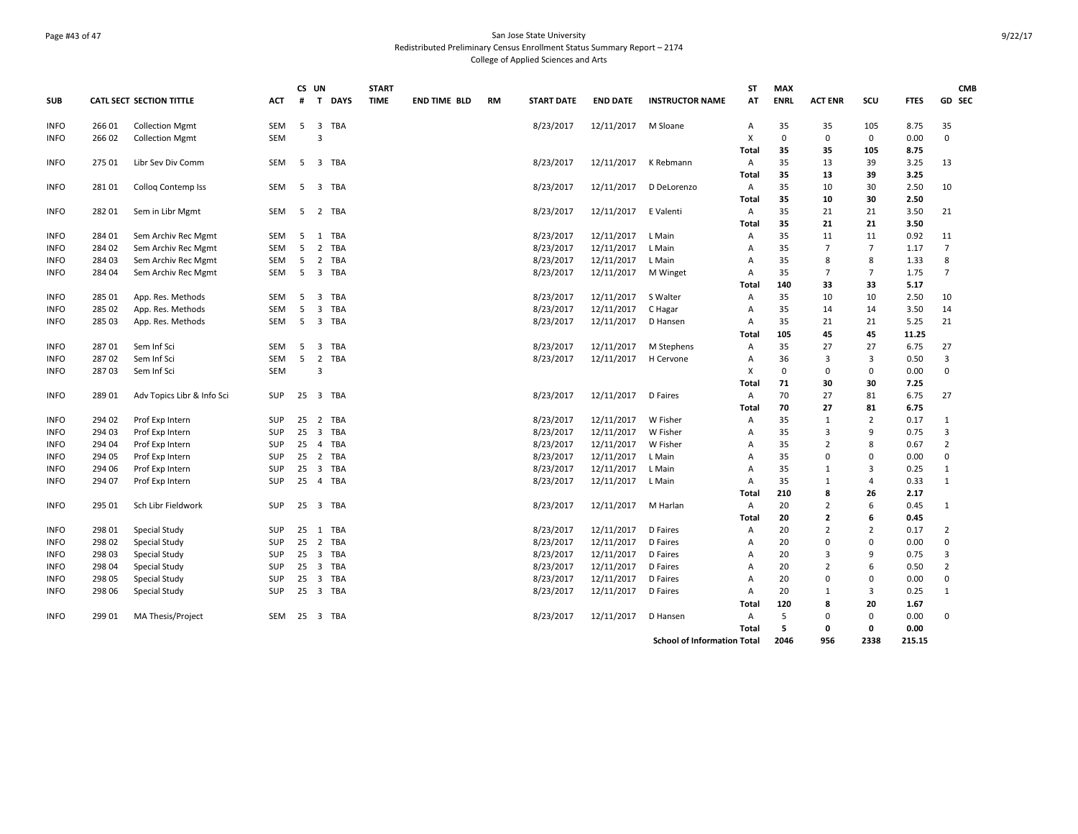# Page #43 of 47 San Jose State University Redistributed Preliminary Census Enrollment Status Summary Report – 2174 College of Applied Sciences and Arts

|             |        |                            |            |    | CS UN                        | <b>START</b> |                     |           |                   |                 |                                    | ST           | <b>MAX</b>  |                |                |             | <b>CMB</b>     |
|-------------|--------|----------------------------|------------|----|------------------------------|--------------|---------------------|-----------|-------------------|-----------------|------------------------------------|--------------|-------------|----------------|----------------|-------------|----------------|
| <b>SUB</b>  |        | CATL SECT SECTION TITTLE   | ACT        | #  | <b>DAYS</b><br>$\mathbf{T}$  | <b>TIME</b>  | <b>END TIME BLD</b> | <b>RM</b> | <b>START DATE</b> | <b>END DATE</b> | <b>INSTRUCTOR NAME</b>             | AT           | <b>ENRL</b> | <b>ACT ENR</b> | SCU            | <b>FTES</b> | GD SEC         |
| <b>INFO</b> | 26601  | <b>Collection Mgmt</b>     | SEM        | 5  | 3 TBA                        |              |                     |           | 8/23/2017         | 12/11/2017      | M Sloane                           | Α            | 35          | 35             | 105            | 8.75        | 35             |
| <b>INFO</b> | 266 02 | <b>Collection Mgmt</b>     | <b>SEM</b> |    | 3                            |              |                     |           |                   |                 |                                    | X            | $\mathbf 0$ | $\mathbf 0$    | $\mathbf 0$    | 0.00        | $\mathbf 0$    |
|             |        |                            |            |    |                              |              |                     |           |                   |                 |                                    | Total        | 35          | 35             | 105            | 8.75        |                |
| <b>INFO</b> | 275 01 | Libr Sev Div Comm          | SEM        | 5  | 3 TBA                        |              |                     |           | 8/23/2017         | 12/11/2017      | K Rebmann                          | Α            | 35          | 13             | 39             | 3.25        | 13             |
|             |        |                            |            |    |                              |              |                     |           |                   |                 |                                    | Total        | 35          | 13             | 39             | 3.25        |                |
| <b>INFO</b> | 281 01 | Collog Contemp Iss         | SEM        | 5  | 3 TBA                        |              |                     |           | 8/23/2017         | 12/11/2017      | D DeLorenzo                        | Α            | 35          | 10             | 30             | 2.50        | 10             |
|             |        |                            |            |    |                              |              |                     |           |                   |                 |                                    | <b>Total</b> | 35          | 10             | 30             | 2.50        |                |
| <b>INFO</b> | 282 01 | Sem in Libr Mgmt           | SEM        | 5  | 2 TBA                        |              |                     |           | 8/23/2017         | 12/11/2017      | E Valenti                          | Α            | 35          | 21             | 21             | 3.50        | 21             |
|             |        |                            |            |    |                              |              |                     |           |                   |                 |                                    | Total        | 35          | 21             | 21             | 3.50        |                |
| <b>INFO</b> | 284 01 | Sem Archiv Rec Mgmt        | SEM        | 5  | 1 TBA                        |              |                     |           | 8/23/2017         | 12/11/2017      | L Main                             | Α            | 35          | 11             | 11             | 0.92        | 11             |
| <b>INFO</b> | 284 02 | Sem Archiv Rec Mgmt        | SEM        | 5  | $\overline{2}$<br><b>TBA</b> |              |                     |           | 8/23/2017         | 12/11/2017      | L Main                             | Α            | 35          | $\overline{7}$ | $\overline{7}$ | 1.17        | $\overline{7}$ |
| <b>INFO</b> | 284 03 | Sem Archiv Rec Mgmt        | SEM        | 5  | $2^{\circ}$<br>TBA           |              |                     |           | 8/23/2017         | 12/11/2017      | L Main                             | Α            | 35          | 8              | 8              | 1.33        | 8              |
| INFO        | 284 04 | Sem Archiv Rec Mgmt        | SEM        |    | 5 3 TBA                      |              |                     |           | 8/23/2017         | 12/11/2017      | M Winget                           | Α            | 35          | $\overline{7}$ | $\overline{7}$ | 1.75        | $\overline{7}$ |
|             |        |                            |            |    |                              |              |                     |           |                   |                 |                                    | Total        | 140         | 33             | 33             | 5.17        |                |
| <b>INFO</b> | 285 01 | App. Res. Methods          | SEM        | 5  | 3 TBA                        |              |                     |           | 8/23/2017         | 12/11/2017      | S Walter                           | Α            | 35          | 10             | 10             | 2.50        | 10             |
| <b>INFO</b> | 285 02 | App. Res. Methods          | <b>SEM</b> | 5  | 3<br>TBA                     |              |                     |           | 8/23/2017         | 12/11/2017      | C Hagar                            | Α            | 35          | 14             | 14             | 3.50        | 14             |
| INFO        | 285 03 | App. Res. Methods          | <b>SEM</b> | 5  | 3<br>TBA                     |              |                     |           | 8/23/2017         | 12/11/2017      | D Hansen                           | Α            | 35          | 21             | 21             | 5.25        | 21             |
|             |        |                            |            |    |                              |              |                     |           |                   |                 |                                    | Total        | 105         | 45             | 45             | 11.25       |                |
| <b>INFO</b> | 28701  | Sem Inf Sci                | <b>SEM</b> | 5  | <b>TBA</b><br>3              |              |                     |           | 8/23/2017         | 12/11/2017      | M Stephens                         | Α            | 35          | 27             | 27             | 6.75        | 27             |
| <b>INFO</b> | 28702  | Sem Inf Sci                | <b>SEM</b> | 5  | 2 TBA                        |              |                     |           | 8/23/2017         | 12/11/2017      | H Cervone                          | Α            | 36          | $\overline{3}$ | $\overline{3}$ | 0.50        | 3              |
| INFO        | 28703  | Sem Inf Sci                | <b>SEM</b> |    | $\overline{3}$               |              |                     |           |                   |                 |                                    | X            | $\mathbf 0$ | $\mathbf 0$    | $\mathbf 0$    | 0.00        | 0              |
|             |        |                            |            |    |                              |              |                     |           |                   |                 |                                    | Total        | 71          | 30             | 30             | 7.25        |                |
| <b>INFO</b> | 289 01 | Adv Topics Libr & Info Sci | SUP        | 25 | 3 TBA                        |              |                     |           | 8/23/2017         | 12/11/2017      | D Faires                           | Α            | 70          | 27             | 81             | 6.75        | 27             |
|             |        |                            |            |    |                              |              |                     |           |                   |                 |                                    | <b>Total</b> | 70          | 27             | 81             | 6.75        |                |
| <b>INFO</b> | 294 02 | Prof Exp Intern            | <b>SUP</b> | 25 | 2 TBA                        |              |                     |           | 8/23/2017         | 12/11/2017      | W Fisher                           | Α            | 35          | $\mathbf{1}$   | $\overline{2}$ | 0.17        | $\mathbf{1}$   |
| <b>INFO</b> | 294 03 | Prof Exp Intern            | SUP        | 25 | 3 TBA                        |              |                     |           | 8/23/2017         | 12/11/2017      | W Fisher                           | Α            | 35          | $\overline{3}$ | 9              | 0.75        | 3              |
| <b>INFO</b> | 294 04 | Prof Exp Intern            | SUP        | 25 | 4 TBA                        |              |                     |           | 8/23/2017         | 12/11/2017      | W Fisher                           | Α            | 35          | $\overline{2}$ | 8              | 0.67        | $\overline{2}$ |
| <b>INFO</b> | 294 05 | Prof Exp Intern            | <b>SUP</b> | 25 | 2 TBA                        |              |                     |           | 8/23/2017         | 12/11/2017      | L Main                             | A            | 35          | 0              | $\mathbf 0$    | 0.00        | 0              |
| <b>INFO</b> | 294 06 | Prof Exp Intern            | SUP        | 25 | 3 TBA                        |              |                     |           | 8/23/2017         | 12/11/2017      | L Main                             | Α            | 35          | 1              | 3              | 0.25        | $1\,$          |
| <b>INFO</b> | 294 07 | Prof Exp Intern            | SUP        | 25 | 4 TBA                        |              |                     |           | 8/23/2017         | 12/11/2017      | L Main                             | Α            | 35          | 1              | $\overline{4}$ | 0.33        | $\mathbf{1}$   |
|             |        |                            |            |    |                              |              |                     |           |                   |                 |                                    | Total        | 210         | 8              | 26             | 2.17        |                |
| INFO        | 295 01 | Sch Libr Fieldwork         | <b>SUP</b> | 25 | 3 TBA                        |              |                     |           | 8/23/2017         | 12/11/2017      | M Harlan                           | Α            | 20          | $\overline{2}$ | 6              | 0.45        | $\mathbf{1}$   |
|             |        |                            |            |    |                              |              |                     |           |                   |                 |                                    | Total        | 20          | $\overline{2}$ | 6              | 0.45        |                |
| <b>INFO</b> | 298 01 | Special Study              | <b>SUP</b> | 25 | 1 TBA                        |              |                     |           | 8/23/2017         | 12/11/2017      | D Faires                           | Α            | 20          | $\overline{2}$ | $\overline{2}$ | 0.17        | $\overline{2}$ |
| <b>INFO</b> | 298 02 | Special Study              | SUP        |    | 25 2 TBA                     |              |                     |           | 8/23/2017         | 12/11/2017      | D Faires                           | Α            | 20          | $\mathbf 0$    | $\mathbf 0$    | 0.00        | 0              |
| INFO        | 298 03 | Special Study              | SUP        | 25 | 3 TBA                        |              |                     |           | 8/23/2017         | 12/11/2017      | D Faires                           | A            | 20          | $\overline{3}$ | 9              | 0.75        | 3              |
| <b>INFO</b> | 298 04 | Special Study              | SUP        | 25 | 3 TBA                        |              |                     |           | 8/23/2017         | 12/11/2017      | D Faires                           | A            | 20          | $\overline{2}$ | 6              | 0.50        | $\overline{2}$ |
| <b>INFO</b> | 298 05 | Special Study              | SUP        | 25 | 3 TBA                        |              |                     |           | 8/23/2017         | 12/11/2017      | D Faires                           | Α            | 20          | $\mathbf 0$    | $\mathbf 0$    | 0.00        | $\mathbf 0$    |
| <b>INFO</b> | 298 06 | Special Study              | SUP        | 25 | 3 TBA                        |              |                     |           | 8/23/2017         | 12/11/2017      | D Faires                           | Α            | 20          | $\mathbf{1}$   | $\overline{3}$ | 0.25        | $\mathbf{1}$   |
|             |        |                            |            |    |                              |              |                     |           |                   |                 |                                    | Total        | 120         | 8              | 20             | 1.67        |                |
| <b>INFO</b> | 299 01 | MA Thesis/Project          | SEM        | 25 | 3 TBA                        |              |                     |           | 8/23/2017         | 12/11/2017      | D Hansen                           | Α            | 5           | $\mathbf 0$    | $\mathbf 0$    | 0.00        | 0              |
|             |        |                            |            |    |                              |              |                     |           |                   |                 |                                    | <b>Total</b> | 5           | $\mathbf 0$    | $\mathbf{0}$   | 0.00        |                |
|             |        |                            |            |    |                              |              |                     |           |                   |                 | <b>School of Information Total</b> |              | 2046        | 956            | 2338           | 215.15      |                |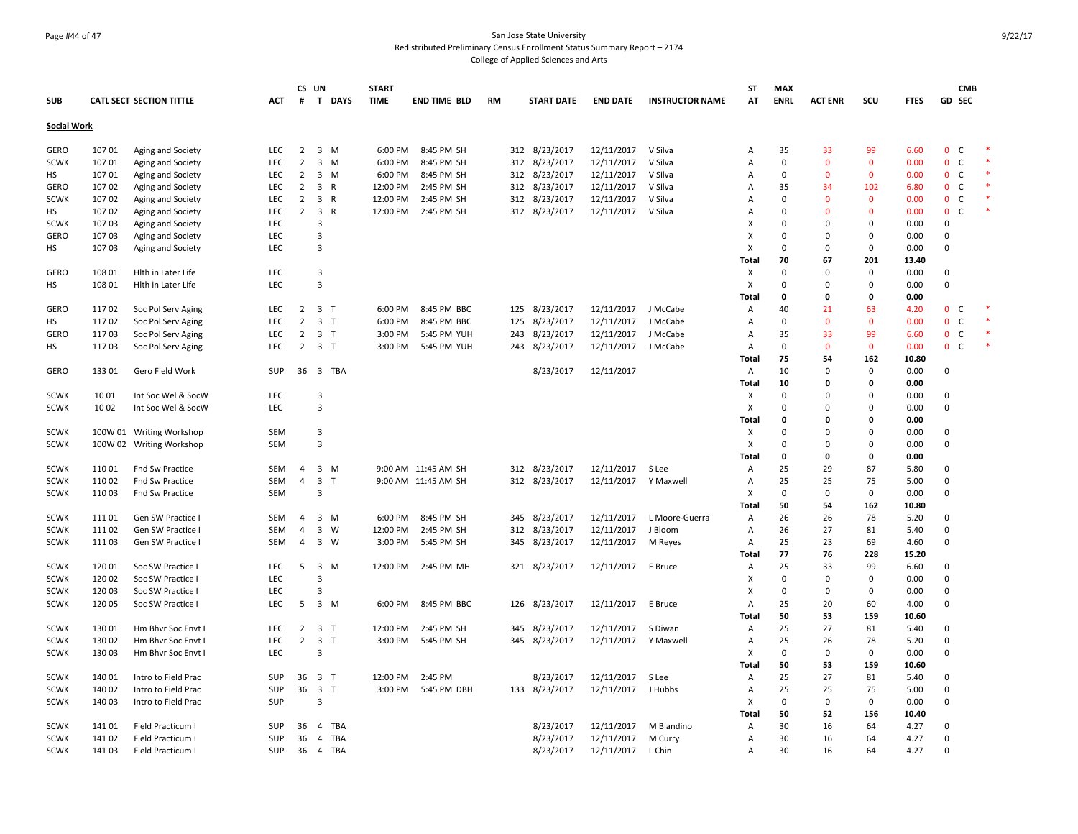### Page #44 of 47 San Jose State University Redistributed Preliminary Census Enrollment Status Summary Report – 2174 College of Applied Sciences and Arts

|                    |        |                                 |            | CS UN          |                                         | <b>START</b> |                     |           |                   |                      |                        | <b>ST</b>      | <b>MAX</b>  |                |              |             | <b>CMB</b>                   |  |
|--------------------|--------|---------------------------------|------------|----------------|-----------------------------------------|--------------|---------------------|-----------|-------------------|----------------------|------------------------|----------------|-------------|----------------|--------------|-------------|------------------------------|--|
| <b>SUB</b>         |        | <b>CATL SECT SECTION TITTLE</b> | АСТ        | #              | T DAYS                                  | <b>TIME</b>  | <b>END TIME BLD</b> | <b>RM</b> | <b>START DATE</b> | <b>END DATE</b>      | <b>INSTRUCTOR NAME</b> | AT             | <b>ENRL</b> | <b>ACT ENR</b> | scu          | <b>FTES</b> | GD SEC                       |  |
| <b>Social Work</b> |        |                                 |            |                |                                         |              |                     |           |                   |                      |                        |                |             |                |              |             |                              |  |
| GERO               | 10701  | Aging and Society               | LEC        | 2              | 3 M                                     | 6:00 PM      | 8:45 PM SH          |           | 312 8/23/2017     | 12/11/2017           | V Silva                | Α              | 35          | 33             | 99           | 6.60        | $\mathbf{0}$<br>C            |  |
| <b>SCWK</b>        | 10701  | Aging and Society               | LEC        | 2              | $\overline{3}$<br>M                     | 6:00 PM      | 8:45 PM SH          | 312       | 8/23/2017         | 12/11/2017           | V Silva                | $\overline{A}$ | 0           | $\mathbf 0$    | $\mathbf 0$  | 0.00        | $\mathbf{0}$<br>$\mathsf{C}$ |  |
| <b>HS</b>          | 10701  | Aging and Society               | <b>LEC</b> | $\overline{2}$ | $\overline{\mathbf{3}}$<br>M            | 6:00 PM      | 8:45 PM SH          |           | 312<br>8/23/2017  | 12/11/2017           | V Silva                | $\overline{A}$ | $\Omega$    | $\Omega$       | $\mathbf{0}$ | 0.00        | $\mathbf{0}$<br>$\mathsf{C}$ |  |
| <b>GERO</b>        | 107 02 | Aging and Society               | LEC        | $\overline{2}$ | $\overline{3}$<br>$\mathsf{R}$          | 12:00 PM     | 2:45 PM SH          |           | 312 8/23/2017     | 12/11/2017           | V Silva                | $\overline{A}$ | 35          | 34             | 102          | 6.80        | $\mathbf{0}$<br>$\mathsf{C}$ |  |
| <b>SCWK</b>        | 10702  | Aging and Society               | LEC        | 2              | 3 R                                     | 12:00 PM     | 2:45 PM SH          | 312       | 8/23/2017         | 12/11/2017           | V Silva                | $\overline{A}$ | 0           | $\overline{0}$ | $\mathbf{0}$ | 0.00        | $\mathbf{0}$<br>$\mathsf{C}$ |  |
| HS                 | 10702  | Aging and Society               | LEC        | $\overline{2}$ | $\overline{\mathbf{3}}$<br>$\mathsf{R}$ | 12:00 PM     | 2:45 PM SH          | 312       | 8/23/2017         | 12/11/2017           | V Silva                | Α              | $\Omega$    | $\Omega$       | $\mathbf{0}$ | 0.00        | $\mathbf 0$<br>$\mathsf{C}$  |  |
| <b>SCWK</b>        | 10703  | Aging and Society               | LEC        |                | 3                                       |              |                     |           |                   |                      |                        | X              | 0           | $\Omega$       | $\mathbf 0$  | 0.00        | $\mathbf 0$                  |  |
| <b>GERO</b>        | 107 03 | Aging and Society               | <b>LEC</b> |                | $\overline{3}$                          |              |                     |           |                   |                      |                        | X              | $\Omega$    | $\Omega$       | $\Omega$     | 0.00        | $\Omega$                     |  |
| НS                 | 107 03 | Aging and Society               | LEC        |                | $\overline{3}$                          |              |                     |           |                   |                      |                        | X              | $\mathbf 0$ | $\Omega$       | $\mathbf 0$  | 0.00        | $\mathbf 0$                  |  |
|                    |        |                                 |            |                |                                         |              |                     |           |                   |                      |                        | Total          | 70          | 67             | 201          | 13.40       |                              |  |
| <b>GERO</b>        | 108 01 | Hith in Later Life              | LEC        |                | $\overline{3}$                          |              |                     |           |                   |                      |                        | х              | $\Omega$    | $\Omega$       | $\mathbf 0$  | 0.00        | $\Omega$                     |  |
| НS                 | 108 01 | Hith in Later Life              | LEC        |                | $\overline{3}$                          |              |                     |           |                   |                      |                        | X              | 0           | $\Omega$       | $\Omega$     | 0.00        | $\mathbf 0$                  |  |
|                    |        |                                 |            |                |                                         |              |                     |           |                   |                      |                        | Total          | $\Omega$    | $\mathbf 0$    | $\mathbf 0$  | 0.00        |                              |  |
| <b>GERO</b>        | 11702  | Soc Pol Serv Aging              | <b>LEC</b> | $2^{\circ}$    | 3 <sub>1</sub>                          | 6:00 PM      | 8:45 PM BBC         |           | 125 8/23/2017     | 12/11/2017           | J McCabe               | Α              | 40          | 21             | 63           | 4.20        | $\mathbf{0}$<br>C            |  |
| НS                 | 11702  | Soc Pol Serv Aging              | <b>LEC</b> | $\overline{2}$ | 3 <sub>1</sub>                          | 6:00 PM      | 8:45 PM BBC         | 125       | 8/23/2017         | 12/11/2017           | J McCabe               | Α              | 0           | $\mathbf{0}$   | $\mathbf{0}$ | 0.00        | $\mathbf{0}$<br>$\mathsf{C}$ |  |
| GERO               | 11703  | Soc Pol Serv Aging              | LEC        | $\overline{2}$ | 3 <sub>1</sub>                          | 3:00 PM      | 5:45 PM YUH         | 243       | 8/23/2017         | 12/11/2017           | J McCabe               | Α              | 35          | 33             | 99           | 6.60        | $\mathbf{0}$<br>$\mathsf{C}$ |  |
| нs                 | 11703  | Soc Pol Serv Aging              | LEC        | $\overline{2}$ | 3 <sub>1</sub>                          | 3:00 PM      | 5:45 PM YUH         |           | 243 8/23/2017     | 12/11/2017           | J McCabe               | Α              | 0           | $\mathbf{0}$   | $\mathbf{0}$ | 0.00        | 0 <sub>c</sub>               |  |
|                    |        |                                 |            |                |                                         |              |                     |           |                   |                      |                        | <b>Total</b>   | 75          | 54             | 162          | 10.80       |                              |  |
| GERO               | 133 01 | Gero Field Work                 | <b>SUP</b> |                | 36 3 TBA                                |              |                     |           | 8/23/2017         | 12/11/2017           |                        | Α              | 10          | $\Omega$       | $\mathbf 0$  | 0.00        | $\mathbf 0$                  |  |
|                    |        |                                 |            |                |                                         |              |                     |           |                   |                      |                        | Total          | 10          | $\mathbf 0$    | $\mathbf{0}$ | 0.00        |                              |  |
| <b>SCWK</b>        | 1001   | Int Soc Wel & SocW              | LEC        |                | 3                                       |              |                     |           |                   |                      |                        | Χ              | 0           | $\Omega$       | $\Omega$     | 0.00        | $\Omega$                     |  |
| <b>SCWK</b>        | 1002   | Int Soc Wel & SocW              | LEC        |                | $\overline{3}$                          |              |                     |           |                   |                      |                        | X              | 0           | $\Omega$       | $\Omega$     | 0.00        | $\mathbf 0$                  |  |
|                    |        |                                 |            |                |                                         |              |                     |           |                   |                      |                        | <b>Total</b>   | 0           | $\Omega$       | $\Omega$     | 0.00        |                              |  |
| SCWK               |        | 100W 01 Writing Workshop        | <b>SEM</b> |                | 3                                       |              |                     |           |                   |                      |                        | х              | 0           | $\Omega$       | $\Omega$     | 0.00        | $\mathbf 0$                  |  |
| <b>SCWK</b>        |        | 100W 02 Writing Workshop        | <b>SEM</b> |                | $\overline{3}$                          |              |                     |           |                   |                      |                        | X              | 0           | $\Omega$       | $\Omega$     | 0.00        | $\Omega$                     |  |
|                    |        |                                 |            |                |                                         |              |                     |           |                   |                      |                        | Total          | 0           | 0              | $\mathbf 0$  | 0.00        |                              |  |
| <b>SCWK</b>        | 110 01 | Fnd Sw Practice                 | <b>SEM</b> | $\overline{4}$ | $3 \, M$                                |              | 9:00 AM 11:45 AM SH |           | 312 8/23/2017     | 12/11/2017           | S Lee                  | Α              | 25          | 29             | 87           | 5.80        | $\Omega$                     |  |
| <b>SCWK</b>        | 110 02 | Fnd Sw Practice                 | <b>SEM</b> | $\overline{4}$ | $\overline{3}$<br>$\mathbf{I}$          |              | 9:00 AM 11:45 AM SH |           | 312 8/23/2017     | 12/11/2017 Y Maxwell |                        | Α              | 25          | 25             | 75           | 5.00        | $\mathbf 0$                  |  |
| <b>SCWK</b>        | 110 03 | Fnd Sw Practice                 | <b>SEM</b> |                | 3                                       |              |                     |           |                   |                      |                        | х              | $\mathbf 0$ | $\Omega$       | $\mathbf 0$  | 0.00        | $\mathbf 0$                  |  |
|                    |        |                                 |            |                |                                         |              |                     |           |                   |                      |                        | Total          | 50          | 54             | 162          | 10.80       |                              |  |
| <b>SCWK</b>        | 11101  | Gen SW Practice I               | <b>SEM</b> | $\overline{4}$ | $3 \, M$                                | 6:00 PM      | 8:45 PM SH          | 345       | 8/23/2017         | 12/11/2017           | L Moore-Guerra         | Α              | 26          | 26             | 78           | 5.20        | $\Omega$                     |  |
| <b>SCWK</b>        | 11102  | Gen SW Practice I               | <b>SEM</b> | 4              | $\overline{\mathbf{3}}$<br>W            | 12:00 PM     | 2:45 PM SH          | 312       | 8/23/2017         | 12/11/2017           | J Bloom                | Α              | 26          | 27             | 81           | 5.40        | $\mathbf 0$                  |  |
| <b>SCWK</b>        | 11103  | Gen SW Practice I               | <b>SEM</b> | $\overline{4}$ | 3 W                                     | 3:00 PM      | 5:45 PM SH          |           | 345 8/23/2017     | 12/11/2017           | M Reyes                | Α              | 25          | 23             | 69           | 4.60        | $\mathbf 0$                  |  |
|                    |        |                                 |            |                |                                         |              |                     |           |                   |                      |                        | <b>Total</b>   | 77          | 76             | 228          | 15.20       |                              |  |
| <b>SCWK</b>        | 12001  | Soc SW Practice I               | LEC        | 5              | $\overline{\mathbf{3}}$<br>M            | 12:00 PM     | 2:45 PM MH          | 321       | 8/23/2017         | 12/11/2017           | E Bruce                | Α              | 25          | 33             | 99           | 6.60        | $\Omega$                     |  |
| <b>SCWK</b>        | 120 02 | Soc SW Practice I               | <b>LEC</b> |                | 3                                       |              |                     |           |                   |                      |                        | х              | $\Omega$    | $\mathbf 0$    | $\mathbf 0$  | 0.00        | $\Omega$                     |  |
| <b>SCWK</b>        | 120 03 | Soc SW Practice I               | LEC        |                | $\overline{3}$                          |              |                     |           |                   |                      |                        | X              | 0           | $\mathbf 0$    | $\Omega$     | 0.00        | $\Omega$                     |  |
| <b>SCWK</b>        | 120 05 | Soc SW Practice I               | LEC        | 5              | $3 \, M$                                | 6:00 PM      | 8:45 PM BBC         | 126       | 8/23/2017         | 12/11/2017           | E Bruce                | Α              | 25          | 20             | 60           | 4.00        | $\mathbf 0$                  |  |
|                    |        |                                 |            |                |                                         |              |                     |           |                   |                      |                        | <b>Total</b>   | 50          | 53             | 159          | 10.60       |                              |  |
| <b>SCWK</b>        | 130 01 | Hm Bhvr Soc Envt I              | LEC        | $\overline{2}$ | 3 <sub>1</sub>                          | 12:00 PM     | 2:45 PM SH          | 345       | 8/23/2017         | 12/11/2017           | S Diwan                | Α              | 25          | 27             | 81           | 5.40        | $\Omega$                     |  |
| <b>SCWK</b>        | 130 02 | Hm Bhvr Soc Envt I              | LEC        | $\overline{2}$ | $\overline{\mathbf{3}}$<br>$\mathsf{T}$ | 3:00 PM      | 5:45 PM SH          | 345       | 8/23/2017         | 12/11/2017           | Y Maxwell              | Α              | 25          | 26             | 78           | 5.20        | $\Omega$                     |  |
| <b>SCWK</b>        | 130 03 | Hm Bhvr Soc Envt I              | LEC        |                | 3                                       |              |                     |           |                   |                      |                        | X              | $\mathbf 0$ | $\mathbf 0$    | $\Omega$     | 0.00        | $\Omega$                     |  |
|                    |        |                                 |            |                |                                         |              |                     |           |                   |                      |                        | Total          | 50          | 53             | 159          | 10.60       |                              |  |
| <b>SCWK</b>        | 140 01 | Intro to Field Prac             | <b>SUP</b> | 36             | 3 <sub>1</sub>                          | 12:00 PM     | 2:45 PM             |           | 8/23/2017         | 12/11/2017           | S Lee                  | Α              | 25          | 27             | 81           | 5.40        | $\Omega$                     |  |
| <b>SCWK</b>        | 140 02 | Intro to Field Prac             | SUP        | 36             | $\overline{\mathbf{3}}$<br>$\mathsf{T}$ | 3:00 PM      | 5:45 PM DBH         |           | 133 8/23/2017     | 12/11/2017           | J Hubbs                | Α              | 25          | 25             | 75           | 5.00        | $\mathbf 0$                  |  |
| <b>SCWK</b>        | 140 03 | Intro to Field Prac             | <b>SUP</b> |                | 3                                       |              |                     |           |                   |                      |                        | X              | 0           | $\Omega$       | $\mathbf 0$  | 0.00        | $\mathbf 0$                  |  |
|                    |        |                                 |            |                |                                         |              |                     |           |                   |                      |                        | <b>Total</b>   | 50          | 52             | 156          | 10.40       |                              |  |
| <b>SCWK</b>        | 141 01 | Field Practicum                 | <b>SUP</b> | 36             | 4<br>TBA                                |              |                     |           | 8/23/2017         | 12/11/2017           | M Blandino             | Α              | 30          | 16             | 64           | 4.27        | $\Omega$                     |  |
| <b>SCWK</b>        | 141 02 | Field Practicum I               | <b>SUP</b> | 36             | $\overline{4}$<br>TBA                   |              |                     |           | 8/23/2017         | 12/11/2017           | M Curry                | Α              | 30          | 16             | 64           | 4.27        | $\Omega$                     |  |
| <b>SCWK</b>        | 141 03 | Field Practicum I               | SUP        | 36             | 4 TBA                                   |              |                     |           | 8/23/2017         | 12/11/2017           | L Chin                 | Α              | 30          | 16             | 64           | 4.27        | $\Omega$                     |  |
|                    |        |                                 |            |                |                                         |              |                     |           |                   |                      |                        |                |             |                |              |             |                              |  |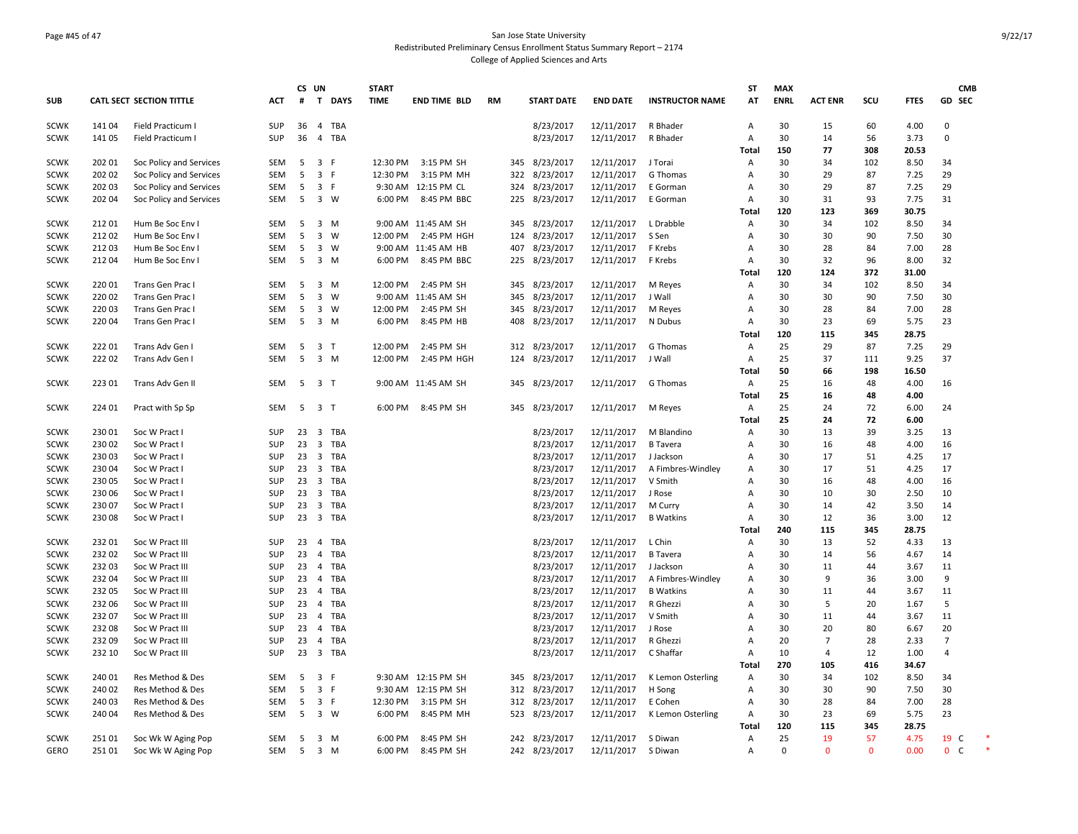### Page #45 of 47 San Jose State University Redistributed Preliminary Census Enrollment Status Summary Report – 2174 College of Applied Sciences and Arts

|             |        |                                 |            |    | CS UN                   |            | <b>START</b> |                      |           |                   |                 |                        | <b>ST</b>    | <b>MAX</b>  |                |              |             | <b>CMB</b>                   |  |
|-------------|--------|---------------------------------|------------|----|-------------------------|------------|--------------|----------------------|-----------|-------------------|-----------------|------------------------|--------------|-------------|----------------|--------------|-------------|------------------------------|--|
| <b>SUB</b>  |        | <b>CATL SECT SECTION TITTLE</b> | ACT        | #  |                         | T DAYS     | <b>TIME</b>  | <b>END TIME BLD</b>  | <b>RM</b> | <b>START DATE</b> | <b>END DATE</b> | <b>INSTRUCTOR NAME</b> | AT           | <b>ENRL</b> | <b>ACT ENR</b> | scu          | <b>FTES</b> | GD SEC                       |  |
| <b>SCWK</b> | 14104  | Field Practicum I               | <b>SUP</b> | 36 | $\overline{4}$          | <b>TBA</b> |              |                      |           | 8/23/2017         | 12/11/2017      | R Bhader               | A            | 30          | 15             | 60           | 4.00        | $\Omega$                     |  |
| <b>SCWK</b> | 14105  | Field Practicum I               | SUP        | 36 | $\overline{4}$          | TBA        |              |                      |           | 8/23/2017         | 12/11/2017      | R Bhader               | Α            | 30          | 14             | 56           | 3.73        | $\mathbf 0$                  |  |
|             |        |                                 |            |    |                         |            |              |                      |           |                   |                 |                        | Total        | 150         | 77             | 308          | 20.53       |                              |  |
| <b>SCWK</b> | 202 01 | Soc Policy and Services         | SEM        | 5  | 3 F                     |            | 12:30 PM     | 3:15 PM SH           | 345       | 8/23/2017         | 12/11/2017      | J Torai                | Α            | 30          | 34             | 102          | 8.50        | 34                           |  |
| <b>SCWK</b> | 202 02 | Soc Policy and Services         | <b>SEM</b> | 5  | 3 F                     |            | 12:30 PM     | 3:15 PM MH           | 322       | 8/23/2017         | 12/11/2017      | G Thomas               | Α            | 30          | 29             | 87           | 7.25        | 29                           |  |
| <b>SCWK</b> | 202 03 | Soc Policy and Services         | <b>SEM</b> | 5  | 3 F                     |            |              | 9:30 AM 12:15 PM CL  | 324       | 8/23/2017         | 12/11/2017      | E Gorman               | A            | 30          | 29             | 87           | 7.25        | 29                           |  |
| <b>SCWK</b> | 202 04 | Soc Policy and Services         | <b>SEM</b> | 5  | 3 W                     |            | 6:00 PM      | 8:45 PM BBC          | 225       | 8/23/2017         | 12/11/2017      | E Gorman               | Α            | 30          | 31             | 93           | 7.75        | 31                           |  |
|             |        |                                 |            |    |                         |            |              |                      |           |                   |                 |                        | Total        | 120         | 123            | 369          | 30.75       |                              |  |
| <b>SCWK</b> | 212 01 | Hum Be Soc Env I                | <b>SEM</b> | 5  | $\overline{\mathbf{3}}$ | M          |              | 9:00 AM 11:45 AM SH  | 345       | 8/23/2017         | 12/11/2017      | L Drabble              | A            | 30          | 34             | 102          | 8.50        | 34                           |  |
| <b>SCWK</b> | 21202  | Hum Be Soc Env I                | <b>SEM</b> | 5  | $\overline{\mathbf{3}}$ | W          |              | 12:00 PM 2:45 PM HGH | 124       | 8/23/2017         | 12/11/2017      | S Sen                  | Α            | 30          | 30             | 90           | 7.50        | 30                           |  |
| <b>SCWK</b> | 21203  | Hum Be Soc Env I                | <b>SEM</b> | 5  | $\overline{\mathbf{3}}$ | W          |              | 9:00 AM 11:45 AM HB  | 407       | 8/23/2017         | 12/11/2017      | F Krebs                | A            | 30          | 28             | 84           | 7.00        | 28                           |  |
| <b>SCWK</b> | 21204  | Hum Be Soc Env I                | <b>SEM</b> | 5  |                         | $3 \, M$   | 6:00 PM      | 8:45 PM BBC          | 225       | 8/23/2017         | 12/11/2017      | F Krebs                | Α            | 30          | 32             | 96           | 8.00        | 32                           |  |
|             |        |                                 |            |    |                         |            |              |                      |           |                   |                 |                        | Total        | 120         | 124            | 372          | 31.00       |                              |  |
| <b>SCWK</b> | 220 01 | Trans Gen Prac I                | <b>SEM</b> | 5  |                         | 3 M        | 12:00 PM     | 2:45 PM SH           | 345       | 8/23/2017         | 12/11/2017      | M Reyes                | A            | 30          | 34             | 102          | 8.50        | 34                           |  |
| <b>SCWK</b> | 220 02 | Trans Gen Prac I                | <b>SEM</b> | 5  | $\overline{3}$          | W          |              | 9:00 AM 11:45 AM SH  | 345       | 8/23/2017         | 12/11/2017      | J Wall                 | Α            | 30          | 30             | 90           | 7.50        | 30                           |  |
| <b>SCWK</b> | 220 03 | Trans Gen Prac I                | <b>SEM</b> | 5  | $\overline{\mathbf{3}}$ | W          | 12:00 PM     | 2:45 PM SH           | 345       | 8/23/2017         | 12/11/2017      | M Reyes                | A            | 30          | 28             | 84           | 7.00        | 28                           |  |
| <b>SCWK</b> | 220 04 | Trans Gen Prac I                | <b>SEM</b> | 5  |                         | 3 M        | 6:00 PM      | 8:45 PM HB           | 408       | 8/23/2017         | 12/11/2017      | N Dubus                | Α            | 30          | 23             | 69           | 5.75        | 23                           |  |
|             |        |                                 |            |    |                         |            |              |                      |           |                   |                 |                        | Total        | 120         | 115            | 345          | 28.75       |                              |  |
| <b>SCWK</b> | 22201  | Trans Adv Gen I                 | <b>SEM</b> | 5  | 3 <sub>1</sub>          |            | 12:00 PM     | 2:45 PM SH           | 312       | 8/23/2017         | 12/11/2017      | G Thomas               | A            | 25          | 29             | 87           | 7.25        | 29                           |  |
| <b>SCWK</b> | 222 02 | Trans Adv Gen I                 | <b>SEM</b> | 5  | $\overline{\mathbf{3}}$ | M          | 12:00 PM     | 2:45 PM HGH          | 124       | 8/23/2017         | 12/11/2017      | J Wall                 | Α            | 25          | 37             | 111          | 9.25        | 37                           |  |
|             |        |                                 |            |    |                         |            |              |                      |           |                   |                 |                        | Total        | 50          | 66             | 198          | 16.50       |                              |  |
| <b>SCWK</b> | 223 01 | Trans Adv Gen II                | <b>SEM</b> |    | 5 3 T                   |            |              | 9:00 AM 11:45 AM SH  |           | 345 8/23/2017     | 12/11/2017      | G Thomas               | Α            | 25          | 16             | 48           | 4.00        | 16                           |  |
|             |        |                                 |            |    |                         |            |              |                      |           |                   |                 |                        | <b>Total</b> | 25          | 16             | 48           | 4.00        |                              |  |
| <b>SCWK</b> | 224 01 | Pract with Sp Sp                | SEM        | 5  | 3 <sub>1</sub>          |            | 6:00 PM      | 8:45 PM SH           | 345       | 8/23/2017         | 12/11/2017      | M Reyes                | Α            | 25          | 24             | 72           | 6.00        | 24                           |  |
|             |        |                                 |            |    |                         |            |              |                      |           |                   |                 |                        | Total        | 25          | 24             | 72           | 6.00        |                              |  |
| <b>SCWK</b> | 230 01 | Soc W Pract I                   | SUP        | 23 | $\overline{\mathbf{3}}$ | <b>TBA</b> |              |                      |           | 8/23/2017         | 12/11/2017      | M Blandino             | A            | 30          | 13             | 39           | 3.25        | 13                           |  |
| <b>SCWK</b> | 230 02 | Soc W Pract I                   | SUP        | 23 | $\overline{\mathbf{3}}$ | <b>TBA</b> |              |                      |           | 8/23/2017         | 12/11/2017      | <b>B</b> Tavera        | Α            | 30          | 16             | 48           | 4.00        | 16                           |  |
| <b>SCWK</b> | 23003  | Soc W Pract                     | SUP        | 23 | $\overline{\mathbf{3}}$ | <b>TBA</b> |              |                      |           | 8/23/2017         | 12/11/2017      | J Jackson              | Α            | 30          | 17             | 51           | 4.25        | 17                           |  |
| <b>SCWK</b> | 230 04 | Soc W Pract I                   | SUP        | 23 | $\overline{\mathbf{3}}$ | <b>TBA</b> |              |                      |           | 8/23/2017         | 12/11/2017      | A Fimbres-Windley      | A            | 30          | 17             | 51           | 4.25        | 17                           |  |
| <b>SCWK</b> | 23005  | Soc W Pract                     | SUP        | 23 | $\overline{\mathbf{3}}$ | <b>TBA</b> |              |                      |           | 8/23/2017         | 12/11/2017      | V Smith                | A            | 30          | 16             | 48           | 4.00        | 16                           |  |
| <b>SCWK</b> | 230 06 | Soc W Pract I                   | SUP        | 23 | $\overline{\mathbf{3}}$ | <b>TBA</b> |              |                      |           | 8/23/2017         | 12/11/2017      | J Rose                 | A            | 30          | 10             | 30           | 2.50        | 10                           |  |
| <b>SCWK</b> | 230 07 | Soc W Pract I                   | SUP        | 23 | $\overline{\mathbf{3}}$ | <b>TBA</b> |              |                      |           | 8/23/2017         | 12/11/2017      | M Curry                | Α            | 30          | 14             | 42           | 3.50        | 14                           |  |
| <b>SCWK</b> | 23008  | Soc W Pract I                   | SUP        |    |                         | 23 3 TBA   |              |                      |           | 8/23/2017         | 12/11/2017      | <b>B</b> Watkins       | Α            | 30          | 12             | 36           | 3.00        | 12                           |  |
|             |        |                                 |            |    |                         |            |              |                      |           |                   |                 |                        | Total        | 240         | 115            | 345          | 28.75       |                              |  |
| <b>SCWK</b> | 232 01 | Soc W Pract III                 | <b>SUP</b> | 23 | $\overline{4}$          | <b>TBA</b> |              |                      |           | 8/23/2017         | 12/11/2017      | L Chin                 | A            | 30          | 13             | 52           | 4.33        | 13                           |  |
| <b>SCWK</b> | 232 02 | Soc W Pract III                 | SUP        | 23 | $\overline{4}$          | TBA        |              |                      |           | 8/23/2017         | 12/11/2017      | <b>B</b> Tavera        | А            | 30          | 14             | 56           | 4.67        | 14                           |  |
| <b>SCWK</b> | 232 03 | Soc W Pract III                 | SUP        | 23 | $\overline{a}$          | <b>TBA</b> |              |                      |           | 8/23/2017         | 12/11/2017      | J Jackson              | A            | 30          | 11             | 44           | 3.67        | 11                           |  |
| <b>SCWK</b> | 232 04 | Soc W Pract III                 | <b>SUP</b> | 23 | $\overline{4}$          | <b>TBA</b> |              |                      |           | 8/23/2017         | 12/11/2017      | A Fimbres-Windley      | A            | 30          | 9              | 36           | 3.00        | 9                            |  |
| <b>SCWK</b> | 232 05 | Soc W Pract III                 | SUP        | 23 | $\overline{4}$          | TBA        |              |                      |           | 8/23/2017         | 12/11/2017      | <b>B</b> Watkins       | A            | 30          | 11             | 44           | 3.67        | 11                           |  |
| <b>SCWK</b> | 232 06 | Soc W Pract III                 | SUP        | 23 | $\overline{4}$          | <b>TBA</b> |              |                      |           | 8/23/2017         | 12/11/2017      | R Ghezzi               | A            | 30          | 5              | 20           | 1.67        | 5                            |  |
| <b>SCWK</b> | 232 07 | Soc W Pract III                 | SUP        | 23 | $\overline{4}$          | TBA        |              |                      |           | 8/23/2017         | 12/11/2017      | V Smith                | A            | 30          | 11             | 44           | 3.67        | 11                           |  |
| <b>SCWK</b> | 232 08 | Soc W Pract III                 | SUP        | 23 | 4                       | <b>TBA</b> |              |                      |           | 8/23/2017         | 12/11/2017      | J Rose                 | A            | 30          | 20             | 80           | 6.67        | 20                           |  |
| <b>SCWK</b> | 23209  | Soc W Pract III                 | <b>SUP</b> | 23 | $\overline{4}$          | <b>TBA</b> |              |                      |           | 8/23/2017         | 12/11/2017      | R Ghezzi               | A            | 20          | $\overline{7}$ | 28           | 2.33        | $\overline{7}$               |  |
| <b>SCWK</b> | 232 10 | Soc W Pract III                 | SUP        | 23 |                         | 3 TBA      |              |                      |           | 8/23/2017         | 12/11/2017      | C Shaffar              | Α            | 10          | $\overline{4}$ | 12           | 1.00        | $\overline{a}$               |  |
|             |        |                                 |            |    |                         |            |              |                      |           |                   |                 |                        | Total        | 270         | 105            | 416          | 34.67       |                              |  |
| <b>SCWK</b> | 240 01 | Res Method & Des                | <b>SEM</b> | 5  | $\overline{3}$          | F          |              | 9:30 AM 12:15 PM SH  | 345       | 8/23/2017         | 12/11/2017      | K Lemon Osterling      | A            | 30          | 34             | 102          | 8.50        | 34                           |  |
| <b>SCWK</b> | 240 02 | Res Method & Des                | <b>SEM</b> | 5  | 3 F                     |            |              | 9:30 AM 12:15 PM SH  | 312       | 8/23/2017         | 12/11/2017      | H Song                 | Α            | 30          | 30             | 90           | 7.50        | 30                           |  |
| <b>SCWK</b> | 24003  | Res Method & Des                | <b>SEM</b> | 5  | 3 F                     |            | 12:30 PM     | 3:15 PM SH           | 312       | 8/23/2017         | 12/11/2017      | E Cohen                | Α            | 30          | 28             | 84           | 7.00        | 28                           |  |
| <b>SCWK</b> | 240 04 | Res Method & Des                | <b>SEM</b> | 5  | 3 W                     |            | 6:00 PM      | 8:45 PM MH           | 523       | 8/23/2017         | 12/11/2017      | K Lemon Osterling      | Α            | 30          | 23             | 69           | 5.75        | 23                           |  |
|             |        |                                 |            |    |                         |            |              |                      |           |                   |                 |                        | Total        | 120         | 115            | 345          | 28.75       |                              |  |
| <b>SCWK</b> | 251 01 | Soc Wk W Aging Pop              | <b>SEM</b> | 5  |                         | 3 M        | 6:00 PM      | 8:45 PM SH           | 242       | 8/23/2017         | 12/11/2017      | S Diwan                | Α            | 25          | 19             | 57           | 4.75        | 19 C                         |  |
| <b>GERO</b> | 251 01 | Soc Wk W Aging Pop              | <b>SEM</b> | 5  | $3 \, M$                |            | 6:00 PM      | 8:45 PM SH           |           | 242 8/23/2017     | 12/11/2017      | S Diwan                | Α            | $\Omega$    | $\Omega$       | $\mathbf{0}$ | 0.00        | $\mathsf{C}$<br>$\mathbf{0}$ |  |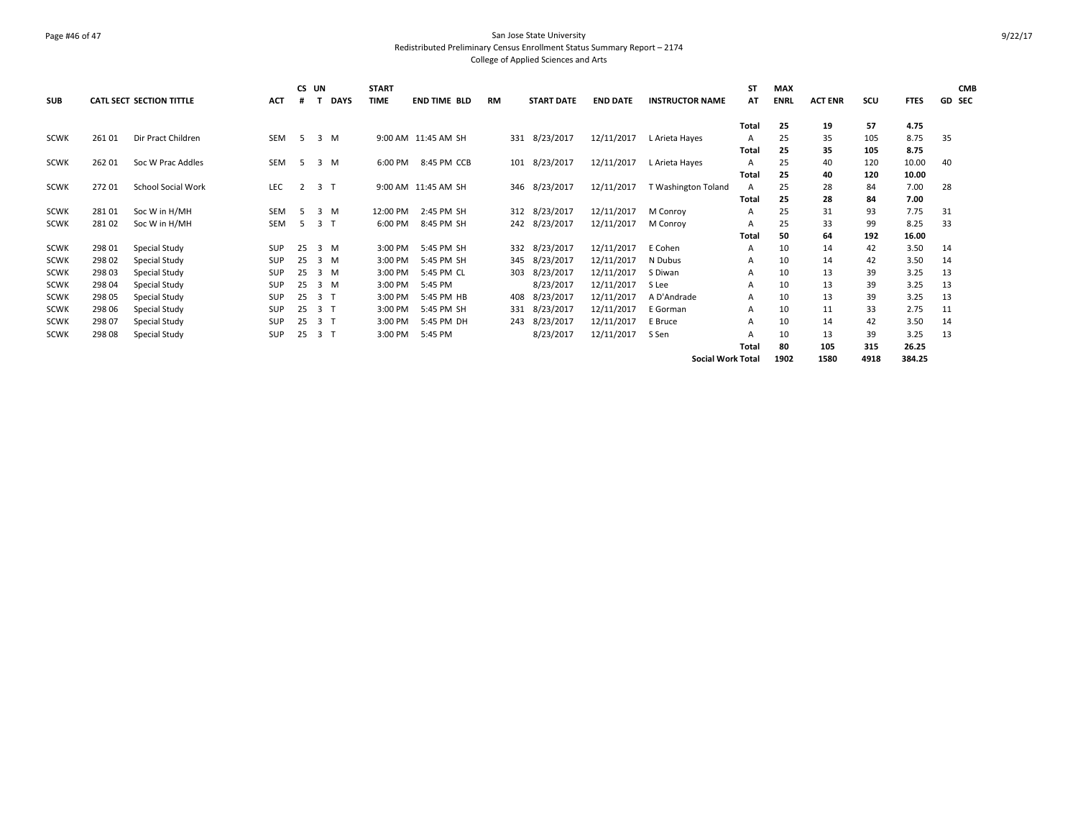### Page #46 of 47 San Jose State University Redistributed Preliminary Census Enrollment Status Summary Report – 2174 College of Applied Sciences and Arts

| <b>SUB</b>  |        | <b>CATL SECT SECTION TITTLE</b> | <b>ACT</b> | #              | CS UN<br>т     | <b>DAYS</b> | <b>START</b><br><b>TIME</b> | <b>END TIME BLD</b> | <b>RM</b> | <b>START DATE</b> | <b>END DATE</b> | <b>INSTRUCTOR NAME</b>   | <b>ST</b><br>AT | <b>MAX</b><br><b>ENRL</b> | <b>ACT ENR</b> | scu  | <b>FTES</b> | <b>CMB</b><br><b>GD SEC</b> |
|-------------|--------|---------------------------------|------------|----------------|----------------|-------------|-----------------------------|---------------------|-----------|-------------------|-----------------|--------------------------|-----------------|---------------------------|----------------|------|-------------|-----------------------------|
|             |        |                                 |            |                |                |             |                             |                     |           |                   |                 |                          | Total           | 25                        | 19             | 57   | 4.75        |                             |
| <b>SCWK</b> | 26101  | Dir Pract Children              | <b>SEM</b> | 5 <sup>5</sup> |                | $3 \, M$    |                             | 9:00 AM 11:45 AM SH |           | 331 8/23/2017     | 12/11/2017      | L Arieta Hayes           | Α               | 25                        | 35             | 105  | 8.75        | 35                          |
|             |        |                                 |            |                |                |             |                             |                     |           |                   |                 |                          | Total           | 25                        | 35             | 105  | 8.75        |                             |
| SCWK        | 262 01 | Soc W Prac Addles               | <b>SEM</b> | 5 <sup>5</sup> |                | 3 M         | 6:00 PM                     | 8:45 PM CCB         |           | 101 8/23/2017     | 12/11/2017      | L Arieta Hayes           | Α               | 25                        | 40             | 120  | 10.00       | 40                          |
|             |        |                                 |            |                |                |             |                             |                     |           |                   |                 |                          | Total           | 25                        | 40             | 120  | 10.00       |                             |
| <b>SCWK</b> | 27201  | <b>School Social Work</b>       | LEC        | 2              | 3 <sub>1</sub> |             |                             | 9:00 AM 11:45 AM SH |           | 346 8/23/2017     | 12/11/2017      | T Washington Toland      | $\overline{A}$  | 25                        | 28             | 84   | 7.00        | 28                          |
|             |        |                                 |            |                |                |             |                             |                     |           |                   |                 |                          | Total           | 25                        | 28             | 84   | 7.00        |                             |
| <b>SCWK</b> | 281 01 | Soc W in H/MH                   | <b>SEM</b> | -5             |                | 3M          | 12:00 PM                    | 2:45 PM SH          |           | 312 8/23/2017     | 12/11/2017      | M Conroy                 | A               | 25                        | 31             | 93   | 7.75        | 31                          |
| <b>SCWK</b> | 28102  | Soc W in H/MH                   | <b>SEM</b> | -5             | 3 T            |             | 6:00 PM                     | 8:45 PM SH          |           | 242 8/23/2017     | 12/11/2017      | M Conroy                 | A               | 25                        | 33             | 99   | 8.25        | 33                          |
|             |        |                                 |            |                |                |             |                             |                     |           |                   |                 |                          | Total           | 50                        | 64             | 192  | 16.00       |                             |
| <b>SCWK</b> | 298 01 | Special Study                   | <b>SUP</b> | 25             |                | 3 M         | 3:00 PM                     | 5:45 PM SH          |           | 332 8/23/2017     | 12/11/2017      | E Cohen                  | A               | 10                        | 14             | 42   | 3.50        | 14                          |
| <b>SCWK</b> | 298 02 | Special Study                   | SUP        | 25             |                | 3 M         | 3:00 PM                     | 5:45 PM SH          |           | 345 8/23/2017     | 12/11/2017      | N Dubus                  | A               | 10                        | 14             | 42   | 3.50        | 14                          |
| <b>SCWK</b> | 298 03 | Special Study                   | SUP        | 25             |                | $3 \, M$    | 3:00 PM                     | 5:45 PM CL          |           | 303 8/23/2017     | 12/11/2017      | S Diwan                  | A               | 10                        | 13             | 39   | 3.25        | 13                          |
| <b>SCWK</b> | 298 04 | Special Study                   | SUP        | 25             |                | 3 M         | 3:00 PM                     | 5:45 PM             |           | 8/23/2017         | 12/11/2017      | S Lee                    | Α               | 10                        | 13             | 39   | 3.25        | 13                          |
| <b>SCWK</b> | 298 05 | Special Study                   | <b>SUP</b> | 25             | 3 <sub>1</sub> |             | 3:00 PM                     | 5:45 PM HB          |           | 408 8/23/2017     | 12/11/2017      | A D'Andrade              | A               | 10                        | 13             | 39   | 3.25        | 13                          |
| <b>SCWK</b> | 298 06 | Special Study                   | SUP        | 25             | 3              |             | 3:00 PM                     | 5:45 PM SH          |           | 331 8/23/2017     | 12/11/2017      | E Gorman                 | A               | 10                        | 11             | 33   | 2.75        | 11                          |
| <b>SCWK</b> | 298 07 | Special Study                   | SUP        | 25             | 3 <sub>1</sub> |             | 3:00 PM                     | 5:45 PM DH          |           | 243 8/23/2017     | 12/11/2017      | E Bruce                  | A               | 10                        | 14             | 42   | 3.50        | 14                          |
| <b>SCWK</b> | 298 08 | Special Study                   | <b>SUP</b> | 25             | 3 <sub>1</sub> |             | 3:00 PM                     | 5:45 PM             |           | 8/23/2017         | 12/11/2017      | S Sen                    | A               | 10                        | 13             | 39   | 3.25        | 13                          |
|             |        |                                 |            |                |                |             |                             |                     |           |                   |                 |                          | Total           | 80                        | 105            | 315  | 26.25       |                             |
|             |        |                                 |            |                |                |             |                             |                     |           |                   |                 | <b>Social Work Total</b> |                 | 1902                      | 1580           | 4918 | 384.25      |                             |